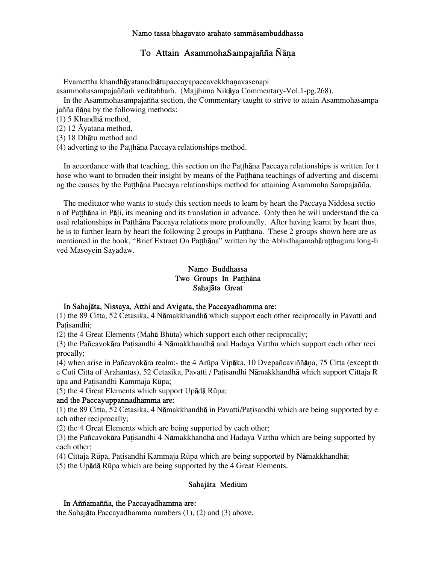#### Namo tassa bhagavato arahato sammåsambuddhassa

# To Attain AsammohaSampajañña Ñāna

Evamettha khandhāyatanadhātupaccayapaccavekkhanavasenapi asammohasampajaññam veditabbam. (Majihima Nikāya Commentary-Vol.1-pg.268).

 In the Asammohasampajañña section, the Commentary taught to strive to attain Asammohasampa jañña ñāna by the following methods:

(1) 5 Khandhå method,

 $(2)$  12 Åyatana method,

(3) 18 Dhåtu method and

 $(4)$  adverting to the Patthana Paccaya relationships method.

In accordance with that teaching, this section on the Patthana Paccaya relationships is written for t hose who want to broaden their insight by means of the Patthana teachings of adverting and discerni ng the causes by the Patthana Paccaya relationships method for attaining Asammoha Sampajañña.

 The meditator who wants to study this section needs to learn by heart the Paccaya Niddesa sectio n of Patthana in Pali, its meaning and its translation in advance. Only then he will understand the ca usal relationships in Patthana Paccaya relations more profoundly. After having learnt by heart thus, he is to further learn by heart the following 2 groups in Patthana. These 2 groups shown here are as mentioned in the book, "Brief Extract On Patthana" written by the Abhidhajamahara thaguru long-li ved Masoyein Sayadaw.

## Namo Buddhassa Two Groups In Patthana Sahajåta Great

#### In Sahajåta, Nissaya, Atthi and Avigata, the Paccayadhamma are:

(1) the 89 Citta, 52 Cetasika, 4 Nåmakkhandhå which support each other reciprocally in Pavatti and Patisandhi:

(2) the 4 Great Elements (Mahå BhËta) which support each other reciprocally;

(3) the Pañcavokåra Pa isandhi 4 Nåmakkhandhå and Hadaya Vatthu which support each other reci procally;

(4) when arise in Pañcavokåra realm:- the 4 ArËpa Vipåka, 10 Dvepañcaviññåˆa, 75 Citta (except th e Cuti Citta of Arahantas), 52 Cetasika, Pavatti / Patisandhi Nāmakkhandhā which support Cittaja R  $\bar{u}$ pa and Patisandhi Kammaja Rūpa;

(5) the 4 Great Elements which support Upādā Rūpa;

#### and the Paccayuppannadhamma are:

(1) the 89 Citta, 52 Cetasika, 4 Nåmakkhandhå in Pavatti/Pa isandhi which are being supported by e ach other reciprocally;

(2) the 4 Great Elements which are being supported by each other;

(3) the Pañcavokāra Patisandhi 4 Nāmakkhandhā and Hadaya Vatthu which are being supported by each other;

(4) Cittaja RËpa, Pa isandhi Kammaja RËpa which are being supported by Nåmakkhandhå;

(5) the Upådå RËpa which are being supported by the 4 Great Elements.

# Sahajåta Medium

#### In Aññamañña, the Paccayadhamma are:

the Sahajåta Paccayadhamma numbers (1), (2) and (3) above,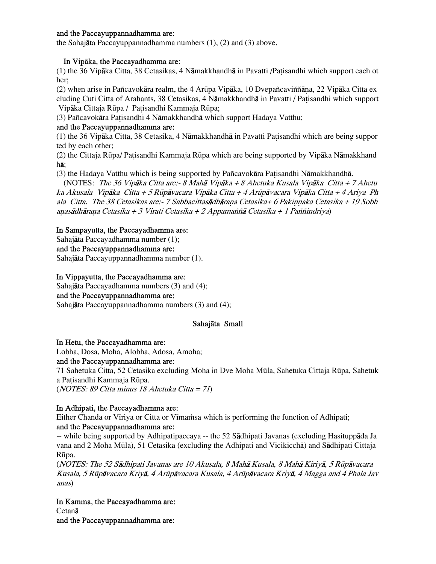## and the Paccayuppannadhamma are:

the Sahajåta Paccayuppannadhamma numbers (1), (2) and (3) above.

## In Vipåka, the Paccayadhamma are:

(1) the 36 Vipāka Citta, 38 Cetasikas, 4 Nāmakkhandhā in Pavatti /Patisandhi which support each ot her;

(2) when arise in Pañcavokāra realm, the 4 Arūpa Vipāka, 10 Dvepañcaviññāna, 22 Vipāka Citta ex cluding Cuti Citta of Arahants, 38 Cetasikas, 4 Nāmakkhandhā in Pavatti / Patisandhi which support Vipāka Cittaja Rūpa / Patisandhi Kammaja Rūpa;

(3) Pañcavokāra Patisandhi 4 Nāmakkhandhā which support Hadaya Vatthu;

## and the Paccayuppannadhamma are:

(1) the 36 Vipåka Citta, 38 Cetasika, 4 Nåmakkhandhå in Pavatti Pa isandhi which are being suppor ted by each other;

(2) the Cittaja Rūpa/ Patisandhi Kammaja Rūpa which are being supported by Vipāka Nāmakkhand hå;

(3) the Hadaya Vatthu which is being supported by Pañcavokåra Pa isandhi Nåmakkhandhå.

 (NOTES: The 36 Vipåka Citta are:- 8 Mahå Vipåka + 8 Ahetuka Kusala Vipåka Citta + 7 Ahetu ka Akusala Vipåka Citta + 5 RËpåvacara Vipåka Citta + 4 ArËpåvacara Vipåka Citta + 4 Ariya Ph ala Citta. The 38 Cetasikas are:- 7 Sabbacittasādhārana Cetasika+ 6 Pakinnaka Cetasika + 19 Sobh anasādhārana Cetasika + 3 Virati Cetasika + 2 Appamaññā Cetasika + 1 Paññindriya)

## In Sampayutta, the Paccayadhamma are:

Sahajåta Paccayadhamma number (1); and the Paccayuppannadhamma are: Sahajåta Paccayuppannadhamma number (1).

## In Vippayutta, the Paccayadhamma are:

Sahajåta Paccayadhamma numbers (3) and (4); and the Paccayuppannadhamma are: Sahajåta Paccayuppannadhamma numbers (3) and (4);

## Sahajåta Small

#### In Hetu, the Paccayadhamma are:

Lobha, Dosa, Moha, Alobha, Adosa, Amoha;

#### and the Paccayuppannadhamma are:

71 Sahetuka Citta, 52 Cetasika excluding Moha in Dve Moha MËla, Sahetuka Cittaja RËpa, Sahetuk a Patisandhi Kammaja Rūpa.

(NOTES: 89 Citta minus 18 Ahetuka Citta = 71)

## In Adhipati, the Paccayadhamma are:

Either Chanda or Viriya or Citta or Vimamsa which is performing the function of Adhipati; and the Paccayuppannadhamma are:

-- while being supported by Adhipatipaccaya -- the 52 Sådhipati Javanas (excluding Hasituppåda Ja vana and 2 Moha MËla), 51 Cetasika (excluding the Adhipati and Vicikicchå) and Sådhipati Cittaja Rūpa.

(NOTES: The 52 Sådhipati Javanas are 10 Akusala, 8 Mahå Kusala, 8 Mahå Kiriyå, 5 RËpåvacara Kusala, 5 RËpåvacara Kriyå, 4 ArËpåvacara Kusala, 4 ArËpåvacara Kriyå, 4 Magga and 4 Phala Jav anas)

## In Kamma, the Paccayadhamma are:

Cetanå and the Paccayuppannadhamma are: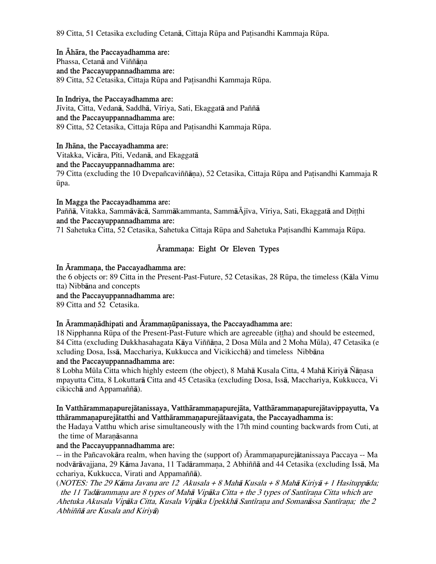89 Citta, 51 Cetasika excluding Cetan**ā**, Cittaja Rūpa and Patisandhi Kammaja Rūpa.

## In Áhāra, the Paccayadhamma are:

Phassa, Cetanā and Viññāna

and the Paccayuppannadhamma are:

89 Citta, 52 Cetasika, Cittaja Rūpa and Patisandhi Kammaja Rūpa.

## In Indriya, the Paccayadhamma are:

Jīvita, Citta, Vedanā, Saddhā, Vīriya, Sati, Ekaggatā and Paññā and the Paccayuppannadhamma are: 89 Citta, 52 Cetasika, Cittaja Rūpa and Patisandhi Kammaja Rūpa.

## In Jhåna, the Paccayadhamma are:

Vitakka, Vicāra, Pīti, Vedanā, and Ekaggatā

## and the Paccayuppannadhamma are:

79 Citta (excluding the 10 Dvepañcaviññāna), 52 Cetasika, Cittaja Rūpa and Patisandhi Kammaja R Ëpa.

## In Magga the Paccayadhamma are:

Paññā, Vitakka, Sammāvācā, Sammākammanta, SammāĀjīva, Vīriya, Sati, Ekaggatā and Ditthi and the Paccayuppannadhamma are:

71 Sahetuka Citta, 52 Cetasika, Sahetuka Cittaja RËpa and Sahetuka Pa isandhi Kammaja RËpa.

# Ārammana: Eight Or Eleven Types

## In Ārammana, the Paccayadhamma are:

the 6 objects or: 89 Citta in the Present-Past-Future, 52 Cetasikas, 28 RËpa, the timeless (Kåla Vimu tta) Nibbåna and concepts

## and the Paccayuppannadhamma are:

89 Citta and 52 Cetasika.

## In Ārammanādhipati and Ārammanūpanissaya, the Paccayadhamma are:

18 Nipphanna Rūpa of the Present-Past-Future which are agreeable (it tha) and should be esteemed, 84 Citta (excluding Dukkhasahagata Kāya Viññāna, 2 Dosa Mūla and 2 Moha Mūla), 47 Cetasika (e xcluding Dosa, Isså, Macchariya, Kukkucca and Vicikicchå) and timeless Nibbåna

## and the Paccayuppannadhamma are:

8 Lobha Mūla Citta which highly esteem (the object), 8 Mahā Kusala Citta, 4 Mahā Kiriyā Ñānasa mpayutta Citta, 8 Lokuttarå Citta and 45 Cetasika (excluding Dosa, Isså, Macchariya, Kukkucca, Vi cikicchå and Appamaññå).

## In Vatthārammanapurejātanissaya, Vatthārammanapurejāta, Vatthārammanapurejātavippayutta, Va tthārammanapurejātatthi and Vatthārammanapurejātaavigata, the Paccayadhamma is:

the Hadaya Vatthu which arise simultaneously with the 17th mind counting backwards from Cuti, at the time of Maranasanna

## and the Paccayuppannadhamma are:

-- in the Pañcavokāra realm, when having the (support of) Arammanapurejātanissaya Paccaya -- Ma nodvārāvajjana, 29 Kāma Javana, 11 Tadārammana, 2 Abhiññā and 44 Cetasika (excluding Issā, Ma cchariya, Kukkucca, Virati and Appamaññå).

(NOTES: The 29 Kåma Javana are 12 Akusala + 8 Mahå Kusala + 8 Mahå Kiriyå + 1 Hasituppåda; the 11 Tadārammana are 8 types of Mahā Vipāka Citta + the 3 types of Santīrana Citta which are Ahetuka Akusala Vipāka Citta, Kusala Vipāka Upekkhā Santīrana and Somanāssa Santīrana; the 2 Abhiññå are Kusala and Kiriyå)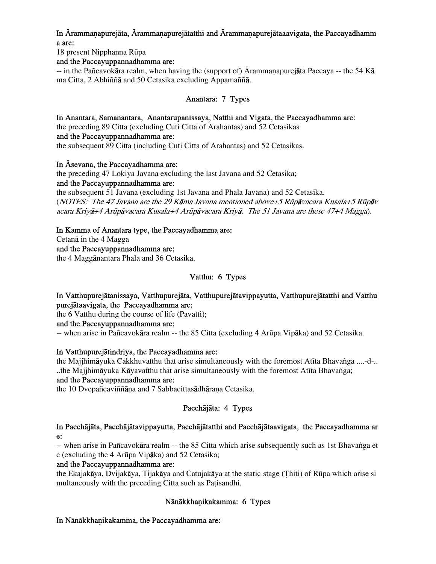# In Ārammanapurejāta, Ārammanapurejātatthi and Ārammanapurejātaaavigata, the Paccayadhamm a are:

18 present Nipphanna RËpa

## and the Paccayuppannadhamma are:

-- in the Pañcavokāra realm, when having the (support of) Ārammanapurejāta Paccaya -- the 54 Kā ma Citta, 2 Abhiññå and 50 Cetasika excluding Appamaññå.

# Anantara: 7 Types

## In Anantara, Samanantara, Anantarupanissaya, Natthi and Vigata, the Paccayadhamma are:

the preceding 89 Citta (excluding Cuti Citta of Arahantas) and 52 Cetasikas

## and the Paccayuppannadhamma are:

the subsequent 89 Citta (including Cuti Citta of Arahantas) and 52 Cetasikas.

## In Āsevana, the Paccayadhamma are:

the preceding 47 Lokiya Javana excluding the last Javana and 52 Cetasika; and the Paccayuppannadhamma are:

the subsequent 51 Javana (excluding 1st Javana and Phala Javana) and 52 Cetasika. (NOTES: The 47 Javana are the 29 Kāma Javana mentioned above+5 Rūpāvacara Kusala+5 Rūpāv acara Kriyå+4 ArËpåvacara Kusala+4 ArËpåvacara Kriyå. The 51 Javana are these 47+4 Magga).

# In Kamma of Anantara type, the Paccayadhamma are:

Cetanå in the 4 Magga and the Paccayuppannadhamma are:

the 4 Maggånantara Phala and 36 Cetasika.

# Vatthu: 6 Types

# In Vatthupurejåtanissaya, Vatthupurejåta, Vatthupurejåtavippayutta, Vatthupurejåtatthi and Vatthu purejåtaavigata, the Paccayadhamma are:

the 6 Vatthu during the course of life (Pavatti);

# and the Paccayuppannadhamma are:

-- when arise in Pañcavokåra realm -- the 85 Citta (excluding 4 ArËpa Vipåka) and 52 Cetasika.

# In Vatthupurejåtindriya, the Paccayadhamma are:

the Majjhimāyuka Cakkhuvatthu that arise simultaneously with the foremost Atīta Bhavanga ....-d-.. ..the Majjhimāyuka Kāyavatthu that arise simultaneously with the foremost Atīta Bhavanga;

## and the Paccayuppannadhamma are:

the 10 Dvepañcaviññāna and 7 Sabbacittasādhārana Cetasika.

# Pacchåjåta: 4 Types

## In Pacchåjåta, Pacchåjåtavippayutta, Pacchåjåtatthi and Pacchåjåtaavigata, the Paccayadhamma ar e:

-- when arise in Pañcavokāra realm -- the 85 Citta which arise subsequently such as 1st Bhavanga et c (excluding the 4 ArËpa Vipåka) and 52 Cetasika;

## and the Paccayuppannadhamma are:

the Ekajakāya, Dvijakāya, Tijakāya and Catujakāya at the static stage (Thiti) of Rūpa which arise si multaneously with the preceding Citta such as Patisandhi.

# Nänäkkhanikakamma: 6 Types

# In Nänäkkhanikakamma, the Paccayadhamma are: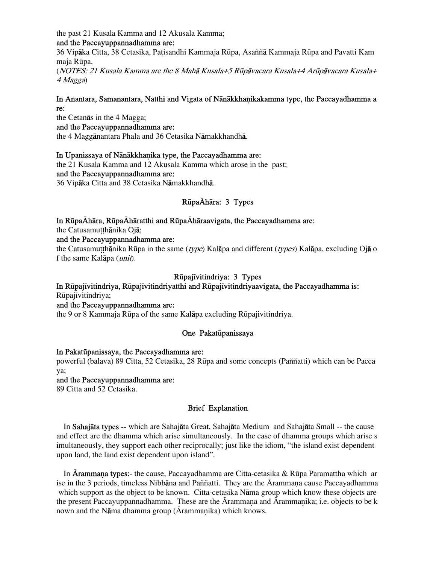the past 21 Kusala Kamma and 12 Akusala Kamma;

#### and the Paccayuppannadhamma are:

36 Vipāka Citta, 38 Cetasika, Patisandhi Kammaja Rūpa, Asaññā Kammaja Rūpa and Pavatti Kam maja Rūpa.

(NOTES: 21 Kusala Kamma are the 8 Mahå Kusala+5 RËpåvacara Kusala+4 ArËpåvacara Kusala+ 4 Magga)

## In Anantara, Samanantara, Natthi and Vigata of Nanākkhanikakamma type, the Paccayadhamma a re:

the Cetanås in the 4 Magga; and the Paccayuppannadhamma are: the 4 Maggånantara Phala and 36 Cetasika Nåmakkhandhå.

## In Upanissaya of Nānākkhanika type, the Paccayadhamma are:

the 21 Kusala Kamma and 12 Akusala Kamma which arose in the past; and the Paccayuppannadhamma are: 36 Vipåka Citta and 38 Cetasika Nåmakkhandhå.

# RüpaÄhāra: 3 Types

## In RūpaĀhāra, RūpaĀhāratthi and RūpaĀhāraavigata, the Paccayadhamma are:

the Catusamutth $\bar{a}$ nika Oj $\bar{a}$ ;

## and the Paccayuppannadhamma are:

the Catusamutthānika Rūpa in the same (type) Kalāpa and different (types) Kalāpa, excluding Ojā o f the same Kalåpa (unit).

## Rūpajīvitindriya: 3 Types

# In Rüpajīvitindriya, Rüpajīvitindriyatthi and Rüpajīvitindriyaavigata, the Paccayadhamma is:

Rūpajīvitindriya;

## and the Paccayuppannadhamma are:

the 9 or 8 Kammaja Rūpa of the same Kalāpa excluding Rūpajivitindriya.

## One Pakatūpanissaya

#### In Pakatūpanissaya, the Paccayadhamma are:

powerful (balava) 89 Citta, 52 Cetasika, 28 RËpa and some concepts (Paññatti) which can be Pacca ya;

#### and the Paccayuppannadhamma are:

89 Citta and 52 Cetasika.

## Brief Explanation

 In Sahajåta types -- which are Sahajåta Great, Sahajåta Medium and Sahajåta Small -- the cause and effect are the dhamma which arise simultaneously. In the case of dhamma groups which arise s imultaneously, they support each other reciprocally; just like the idiom, "the island exist dependent upon land, the land exist dependent upon island".

In **Arammana types**:- the cause, Paccayadhamma are Citta-cetasika  $\&$  Rūpa Paramattha which are ise in the 3 periods, timeless Nibbāna and Paññatti. They are the Arammana cause Paccayadhamma which support as the object to be known. Citta-cetasika Nåma group which know these objects are the present Paccayuppannadhamma. These are the  $\bar{A}$ rammana and  $\bar{A}$ rammanika; i.e. objects to be k nown and the Nāma dhamma group (Ārammanika) which knows.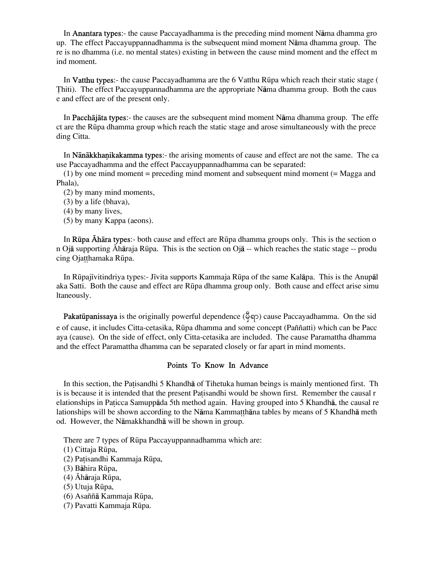In Anantara types:- the cause Paccayadhamma is the preceding mind moment Nåma dhamma gro up. The effect Paccayuppannadhamma is the subsequent mind moment Nåma dhamma group. The re is no dhamma (i.e. no mental states) existing in between the cause mind moment and the effect m ind moment.

In **Vatthu types**:- the cause Paccayadhamma are the 6 Vatthu Rūpa which reach their static stage ( Thiti). The effect Paccayuppannadhamma are the appropriate Nama dhamma group. Both the caus e and effect are of the present only.

 In Pacchåjåta types:- the causes are the subsequent mind moment Nåma dhamma group. The effe ct are the RËpa dhamma group which reach the static stage and arose simultaneously with the prece ding Citta.

In Nānākkhanikakamma types:- the arising moments of cause and effect are not the same. The ca use Paccayadhamma and the effect Paccayuppannadhamma can be separated:

 (1) by one mind moment = preceding mind moment and subsequent mind moment (= Magga and Phala),

(2) by many mind moments,

- (3) by a life (bhava),
- (4) by many lives,
- (5) by many Kappa (aeons).

In **Rūpa Āhāra types**:- both cause and effect are Rūpa dhamma groups only. This is the section o n Ojå supporting Óhåraja RËpa. This is the section on Ojå -- which reaches the static stage -- produ cing Ojatthamaka Rūpa.

In Rüpajīvitindriya types:- Jīvita supports Kammaja Rūpa of the same Kalāpa. This is the Anupāl aka Satti. Both the cause and effect are RËpa dhamma group only. Both cause and effect arise simu ltaneously.

Pakatūpanissaya is the originally powerful dependence ( $\beta$ ) cause Paccayadhamma. On the sid e of cause, it includes Citta-cetasika, RËpa dhamma and some concept (Paññatti) which can be Pacc aya (cause). On the side of effect, only Citta-cetasika are included. The cause Paramattha dhamma and the effect Paramattha dhamma can be separated closely or far apart in mind moments.

#### Points To Know In Advance

In this section, the Patisandhi 5 Khandhā of Tihetuka human beings is mainly mentioned first. Th is is because it is intended that the present Patisandhi would be shown first. Remember the causal r elationships in Paticca Samuppāda 5th method again. Having grouped into 5 Khandhā, the causal re lationships will be shown according to the Nāma Kammatthana tables by means of 5 Khandha meth od. However, the Nåmakkhandhå will be shown in group.

There are 7 types of Rūpa Paccayuppannadhamma which are:

- (1) Cittaja RËpa,
- (2) Patisandhi Kammaja Rūpa,
- (3) Båhira RËpa,
- $(4)$  Āhāraja Rūpa,
- (5) Utuja RËpa,
- (6) Asaññå Kammaja RËpa,
- (7) Pavatti Kammaja RËpa.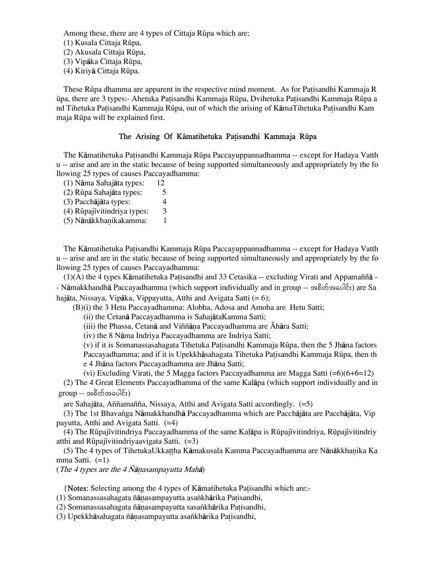Among these, there are 4 types of Cittaja Rūpa which are:

- (1) Kusala Cittaja RËpa,
- (2) Akusala Cittaja RËpa,
- (3) Vipåka Cittaja RËpa,
- (4) Kiriyā Cittaja Rūpa.

These Rūpa dhamma are apparent in the respective mind moment. As for Patisandhi Kammaja R  $\bar{u}$ pa, there are 3 types:- Ahetuka Patisandhi Kammaja Rūpa, Dvihetuka Patisandhi Kammaja Rūpa a nd Tihetuka Patisandhi Kammaja Rūpa, out of which the arising of KāmaTihetuka Patisandhi Kam maja Rūpa will be explained first.

## The Arising Of Kāmatihetuka Patisandhi Kammaja Rūpa

The Kāmatihetuka Patisandhi Kammaja Rūpa Paccayuppannadhamma -- except for Hadaya Vatth u -- arise and are in the static because of being supported simultaneously and appropriately by the fo llowing 25 types of causes Paccayadhamma:

- (1) Nåma Sahajåta types: 12
- (2) RËpa Sahajåta types: 5
- (3) Pacchåjåta types: 4
- (4) Rūpajīvitindriya types:  $3$
- $(5)$  Nānākkhanikakamma: 1

The Kāmatihetuka Patisandhi Kammaja Rūpa Paccayuppannadhamma -- except for Hadaya Vatth u -- arise and are in the static because of being supported simultaneously and appropriately by the fo llowing 25 types of causes Paccayadhamma:

 $(1)(A)$  the 4 types Kāmatihetuka Patisandhi and 33 Cetasika -- excluding Virati and Appamaññā -- Nāmakkhandhā Paccayadhamma (which support individually and in group -- အစိတ်အပေါင်း) are Sa hajāta, Nissaya, Vipāka, Vippayutta, Atthi and Avigata Satti (= 6);

(B)(i) the 3 Hetu Paccayadhamma: Alobha, Adosa and Amoha are Hetu Satti;

(ii) the Cetanå Paccayadhamma is SahajåtaKamma Satti;

(iii) the Phassa, Cetan $\bar{a}$  and Viññ $\bar{a}$ na Paccayadhamma are  $\bar{A}$ h $\bar{a}$ ra Satti;

(iv) the 8 Nåma Indriya Paccayadhamma are Indriya Satti;

(v) if it is Somanassasahagata Tihetuka Patisandhi Kammaja Rūpa, then the 5 Jhāna factors Paccayadhamma; and if it is Upekkhāsahagata Tihetuka Patisandhi Kammaja Rūpa, then th e 4 Jhåna factors Paccayadhamma are Jhåna Satti;

(vi) Excluding Virati, the 5 Magga factors Paccayadhamma are Magga Satti (=6)(6+6=12)

 (2) The 4 Great Elements Paccayadhamma of the same Kalåpa (which support individually and in  $group - -$  အစိတ်အပေါင်း)

are Sahajåta, Aññamañña, Nissaya, Atthi and Avigata Satti accordingly. (=5)

 (3) The 1st Bhava∫ga Nåmakkhandhå Paccayadhamma which are Pacchåjåta are Pacchåjåta, Vip payutta, Atthi and Avigata Satti. (=4)

(4) The Rūpajīvitindriya Paccayadhamma of the same Kalāpa is Rūpajīvitindriya, Rūpajīvitindriy atthi and Rūpajīvitindriyaavigata Satti.  $(=3)$ 

(5) The 4 types of TihetukaUkkattha Kāmakusala Kamma Paccayadhamma are Nānākkhanika Ka mma Satti.  $(=1)$ 

(The 4 types are the 4  $\tilde{N}$ ānasampayutta Mahā)

{Notes: Selecting among the 4 types of Kāmatihetuka Patisandhi which are:

(1) Somanassasahagata ñānasampayutta asankhārika Patisandhi,

(2) Somanassasahagata ñānasampayutta sasankhārika Patisandhi,

(3) Upekkhāsahagata ñāṇasampayutta asaṅkhārika Patisandhi,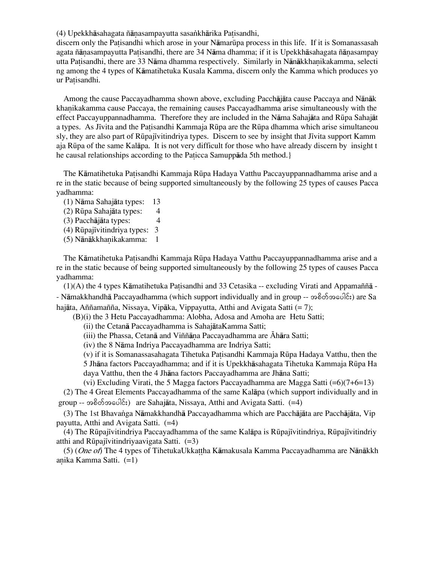(4) Upekkhāsahagata ñānasampayutta sasankhārika Patisandhi,

discern only the Patisandhi which arose in your Nāmarūpa process in this life. If it is Somanassasah agata ñānasampayutta Patisandhi, there are 34 Nāma dhamma; if it is Upekkhāsahagata ñānasampay utta Patisandhi, there are 33 Nāma dhamma respectively. Similarly in Nānākkhanikakamma, selecti ng among the 4 types of Kåmatihetuka Kusala Kamma, discern only the Kamma which produces yo ur Patisandhi.

 Among the cause Paccayadhamma shown above, excluding Pacchåjåta cause Paccaya and Nånåk khanikakamma cause Paccaya, the remaining causes Paccayadhamma arise simultaneously with the effect Paccayuppannadhamma. Therefore they are included in the Nāma Sahajāta and Rūpa Sahajāt a types. As Jīvita and the Patisandhi Kammaja Rūpa are the Rūpa dhamma which arise simultaneou sly, they are also part of Rūpajīvitindriya types. Discern to see by insight that Jīvita support Kamm aja RËpa of the same Kalåpa. It is not very difficult for those who have already discern by insight t he causal relationships according to the Paticca Samuppāda 5th method.}

The Kāmatihetuka Patisandhi Kammaja Rūpa Hadaya Vatthu Paccayuppannadhamma arise and a re in the static because of being supported simultaneously by the following 25 types of causes Pacca yadhamma:

- (1) Nåma Sahajåta types: 13
- (2) RËpa Sahajåta types: 4
- (3) Pacchåjåta types: 4
- (4) Rūpajīvitindriya types:  $3$
- (5) Nānākkhanikakamma: 1

The Kāmatihetuka Patisandhi Kammaja Rūpa Hadaya Vatthu Paccayuppannadhamma arise and a re in the static because of being supported simultaneously by the following 25 types of causes Pacca yadhamma:

 $(1)(A)$  the 4 types Kāmatihetuka Patisandhi and 33 Cetasika -- excluding Virati and Appamaññā -- Nāmakkhandhā Paccayadhamma (which support individually and in group -- အစိတ်အပေါင်း) are Sa hajåta, Aññamañña, Nissaya, Vipåka, Vippayutta, Atthi and Avigata Satti (= 7);

(B)(i) the 3 Hetu Paccayadhamma: Alobha, Adosa and Amoha are Hetu Satti;

(ii) the Cetanå Paccayadhamma is SahajåtaKamma Satti;

(iii) the Phassa, Cetan $\bar{a}$  and Viññ $\bar{a}$ na Paccayadhamma are  $\bar{A}$ h $\bar{a}$ ra Satti;

(iv) the 8 Nåma Indriya Paccayadhamma are Indriya Satti;

(v) if it is Somanassasahagata Tihetuka Patisandhi Kammaja Rūpa Hadaya Vatthu, then the 5 Jhåna factors Paccayadhamma; and if it is Upekkhåsahagata Tihetuka Kammaja RËpa Ha daya Vatthu, then the 4 Jhåna factors Paccayadhamma are Jhåna Satti;

(vi) Excluding Virati, the 5 Magga factors Paccayadhamma are Magga Satti (=6)(7+6=13)

 (2) The 4 Great Elements Paccayadhamma of the same Kalåpa (which support individually and in  $group - s30$   $s30$   $s30$   $s30$   $s30$   $s30$   $s30$   $s30$   $s30$   $s30$   $s30$   $s30$   $s30$   $s30$   $s30$   $s30$   $s30$   $s30$   $s30$   $s30$   $s30$   $s30$   $s30$   $s30$   $s30$   $s30$   $s30$   $s30$   $s30$   $s30$   $s30$   $s30$   $s30$   $s30$   $s30$   $s30$   $s3$ 

 (3) The 1st Bhava∫ga Nåmakkhandhå Paccayadhamma which are Pacchåjåta are Pacchåjåta, Vip payutta, Atthi and Avigata Satti. (=4)

(4) The Rūpajīvitindriya Paccayadhamma of the same Kalāpa is Rūpajīvitindriya, Rūpajīvitindriy atthi and Rūpajīvitindriyaavigata Satti.  $(=3)$ 

 $(5)$  (*One of*) The 4 types of TihetukaUkka tha K $\overline{a}$ makusala Kamma Paccayadhamma are N $\overline{a}$ kkh anika Kamma Satti.  $(=1)$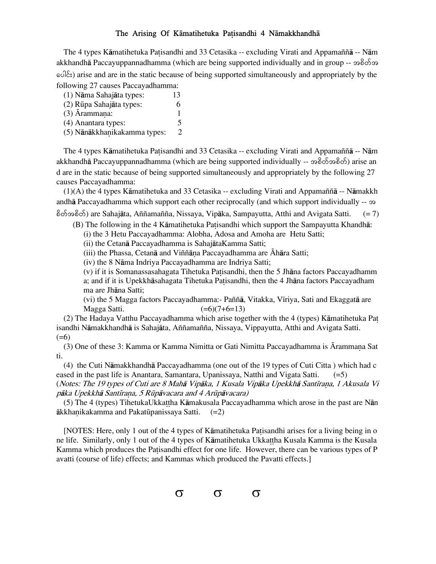#### The Arising Of Kāmatihetuka Patisandhi 4 Nāmakkhandhā

The 4 types Kāmatihetuka Patisandhi and 33 Cetasika -- excluding Virati and Appamaññā -- Nām akkhandhā Paccayuppannadhamma (which are being supported individually and in group -- spoofsp aygif;) arise and are in the static because of being supported simultaneously and appropriately by the following 27 causes Paccayadhamma:

| (1) Nāma Sahajāta types:     | 13 |
|------------------------------|----|
| (2) Rūpa Sahajāta types:     | 6  |
| (3) Ārammaņa:                |    |
| (4) Anantara types:          | 5  |
| (5) Nānākkhanikakamma types: | 2  |

The 4 types Kāmatihetuka Patisandhi and 33 Cetasika -- excluding Virati and Appamaññā -- Nām akkhandhā Paccayuppannadhamma (which are being supported individually -- po obsabos) arise an d are in the static because of being supported simultaneously and appropriately by the following 27 causes Paccayadhamma:

 (1)(A) the 4 types Kåmatihetuka and 33 Cetasika -- excluding Virati and Appamaññå -- Nåmakkh andhā Paccayadhamma which support each other reciprocally (and which support individually  $\infty$  $\delta$ රාිනරිරා) are Sahajāta, Aññamañña, Nissaya, Vipāka, Sampayutta, Atthi and Avigata Satti. (= 7)

(B) The following in the 4 Kämatihetuka Patisandhi which support the Sampayutta Khandhä:

(i) the 3 Hetu Paccayadhamma: Alobha, Adosa and Amoha are Hetu Satti;

(ii) the Cetanå Paccayadhamma is SahajåtaKamma Satti;

(iii) the Phassa, Cetan $\bar{a}$  and Viññ $\bar{a}$ na Paccayadhamma are Áh $\bar{a}$ ra Satti;

(iv) the 8 Nåma Indriya Paccayadhamma are Indriya Satti;

(v) if it is Somanassasahagata Tihetuka Patisandhi, then the 5 Jhana factors Paccayadhamm a; and if it is Upekkhāsahagata Tihetuka Patisandhi, then the 4 Jhāna factors Paccayadham ma are Jhåna Satti;

(vi) the 5 Magga factors Paccayadhamma:- Paññā, Vitakka, Vīriya, Sati and Ekaggatā are Magga Satti.  $(=6)(7+6=13)$ 

 (2) The Hadaya Vatthu Paccayadhamma which arise together with the 4 (types) Kåmatihetuka Pa isandhi Nåmakkhandhå is Sahajåta, Aññamañña, Nissaya, Vippayutta, Atthi and Avigata Satti.  $(=6)$ 

(3) One of these 3: Kamma or Kamma Nimitta or Gati Nimitta Paccayadhamma is Árammaṇa Sat ti.

 (4) the Cuti Nåmakkhandhå Paccayadhamma (one out of the 19 types of Cuti Citta ) which had c eased in the past life is Anantara, Samantara, Upanissaya, Natthi and Vigata Satti. (=5)

(Notes: The 19 types of Cuti are 8 Mahā Vipāka, 1 Kusala Vipāka Upekkhā Santīraṇa, 1 Akusala Vi pāka Upekkhā Santīrana, 5 Rūpāvacara and 4 Arūpāvacara)

(5) The 4 (types) Tihetuka Ukka ttha Kāmakusala Paccayadhamma which arose in the past are Nān  $\bar{a}$ kkhanikakamma and Pakatūpanissaya Satti. (=2)

[NOTES: Here, only 1 out of the 4 types of Kāmatihetuka Patisandhi arises for a living being in o ne life. Similarly, only 1 out of the 4 types of Kāmatihetuka Ukkattha Kusala Kamma is the Kusala Kamma which produces the Patisandhi effect for one life. However, there can be various types of P avatti (course of life) effects; and Kammas which produced the Pavatti effects.]

σ σ σ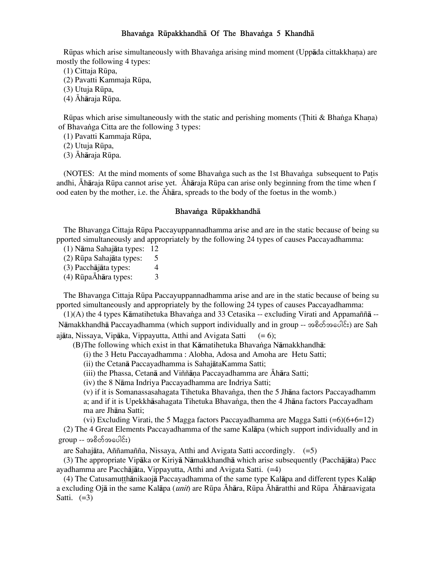#### Bhavanga Rūpakkhandhā Of The Bhavanga 5 Khandhā

Rūpas which arise simultaneously with Bhavanga arising mind moment (Uppāda cittakkhana) are mostly the following 4 types:

- (1) Cittaja RËpa,
- (2) Pavatti Kammaja RËpa,
- (3) Utuja RËpa,
- $(4)$  Āhāraja Rūpa.

Rūpas which arise simultaneously with the static and perishing moments (Thiti & Bhanga Khana) of Bhavanga Citta are the following 3 types:

- (1) Pavatti Kammaja RËpa,
- (2) Utuja RËpa,
- $(3)$  Āhāraja Rūpa.

(NOTES: At the mind moments of some Bhavanga such as the 1st Bhavanga subsequent to Patis andhi, Áhāraja Rūpa cannot arise yet. Áhāraja Rūpa can arise only beginning from the time when f ood eaten by the mother, i.e. the  $\overline{A}h\overline{a}ra$ , spreads to the body of the foetus in the womb.)

#### Bhavanga Rūpakkhandhā

The Bhavanga Cittaja Rūpa Paccayuppannadhamma arise and are in the static because of being su pported simultaneously and appropriately by the following 24 types of causes Paccayadhamma:

- (1) Nåma Sahajåta types: 12
- (2) RËpa Sahajåta types: 5
- (3) Pacchåjåta types: 4
- $(4)$  Rūpa $\bar{A}$ hāra types: 3

The Bhavanga Cittaja Rūpa Paccayuppannadhamma arise and are in the static because of being su pported simultaneously and appropriately by the following 24 types of causes Paccayadhamma:

 $(1)(A)$  the 4 types Kāmatihetuka Bhavanga and 33 Cetasika -- excluding Virati and Appamaññā --Nāmakkhandhā Paccayadhamma (which support individually and in group -- အစိတ်အပေါင်း) are Sah ajāta, Nissaya, Vipāka, Vippayutta, Atthi and Avigata Satti  $(= 6);$ 

(B)The following which exist in that Kāmatihetuka Bhavanga Nāmakkhandhā:

(i) the 3 Hetu Paccayadhamma : Alobha, Adosa and Amoha are Hetu Satti;

(ii) the Cetanå Paccayadhamma is SahajåtaKamma Satti;

(iii) the Phassa, Cetan $\bar{a}$  and Viññ $\bar{a}$ na Paccayadhamma are  $\bar{A}$ h $\bar{a}$ ra Satti;

(iv) the 8 Nåma Indriya Paccayadhamma are Indriya Satti;

(v) if it is Somanassasahagata Tihetuka Bhava∫ga, then the 5 Jhåna factors Paccayadhamm a; and if it is Upekkhāsahagata Tihetuka Bhavanga, then the 4 Jhāna factors Paccayadham ma are Jhåna Satti;

(vi) Excluding Virati, the 5 Magga factors Paccayadhamma are Magga Satti (=6)(6+6=12)

 (2) The 4 Great Elements Paccayadhamma of the same Kalåpa (which support individually and in  $groun$  -- အစိတ်အပေါင်း)

are Sahajåta, Aññamañña, Nissaya, Atthi and Avigata Satti accordingly. (=5)

 (3) The appropriate Vipåka or Kiriyå Nåmakkhandhå which arise subsequently (Pacchåjåta) Pacc ayadhamma are Pacchåjåta, Vippayutta, Atthi and Avigata Satti. (=4)

(4) The Catusamutthānikaojā Paccayadhamma of the same type Kalāpa and different types Kalāp a excluding Ojā in the same Kalāpa (*unit*) are Rūpa Āhāra, Rūpa Āhāratthi and Rūpa Āhāraavigata Satti.  $(=3)$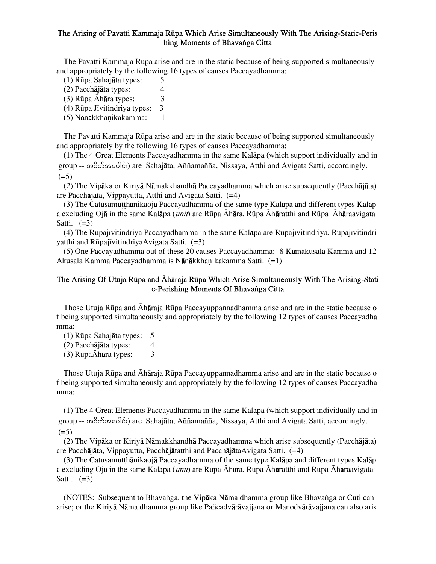## The Arising of Pavatti Kammaja RËpa Which Arise Simultaneously With The Arising-Static-Peris hing Moments of Bhavanga Citta

 The Pavatti Kammaja RËpa arise and are in the static because of being supported simultaneously and appropriately by the following 16 types of causes Paccayadhamma:

- (1) RËpa Sahajåta types: 5
- (2) Pacchåjåta types: 4

 $(3)$  Rūpa Āhāra types:  $3$ 

- (4) Rūpa Jīvitindriya types:  $3$
- (5) Nānākkhanikakamma: 1

 The Pavatti Kammaja RËpa arise and are in the static because of being supported simultaneously and appropriately by the following 16 types of causes Paccayadhamma:

 (1) The 4 Great Elements Paccayadhamma in the same Kalåpa (which support individually and in group -- tpdwftaygif;) are Sahajåta, Aññamañña, Nissaya, Atthi and Avigata Satti, accordingly.  $(=5)$ 

 (2) The Vipåka or Kiriyå Nåmakkhandhå Paccayadhamma which arise subsequently (Pacchåjåta) are Pacchåjåta, Vippayutta, Atthi and Avigata Satti. (=4)

(3) The Catusamutthanikaoja Paccayadhamma of the same type Kalapa and different types Kalap a excluding Ojā in the same Kalāpa (*unit*) are Rūpa Āhāra, Rūpa Āhāratthi and Rūpa Āhāraavigata Satti.  $(=3)$ 

(4) The Rūpajīvitindriya Paccayadhamma in the same Kalāpa are Rūpajīvitindriya, Rūpajīvitindri yatthi and RūpajīvitindriyaAvigata Satti.  $(=3)$ 

 (5) One Paccayadhamma out of these 20 causes Paccayadhamma:- 8 Kåmakusala Kamma and 12 Akusala Kamma Paccayadhamma is N $\overline{a}$ nākkhanikakamma Satti. (=1)

#### The Arising Of Utuja Rüpa and Ahāraja Rüpa Which Arise Simultaneously With The Arising-Stati c-Perishing Moments Of Bhavanga Citta

Those Utuja Rūpa and Āhāraja Rūpa Paccayuppannadhamma arise and are in the static because o f being supported simultaneously and appropriately by the following 12 types of causes Paccayadha mma:

(1) RËpa Sahajåta types: 5

(2) Pacchåjåta types: 4

 $(3)$  Rūpa $\bar{A}$ hāra types: 3

Those Utuja Rūpa and Āhāraja Rūpa Paccayuppannadhamma arise and are in the static because o f being supported simultaneously and appropriately by the following 12 types of causes Paccayadha mma:

 (1) The 4 Great Elements Paccayadhamma in the same Kalåpa (which support individually and in group -- tpdwftaygif;) are Sahajåta, Aññamañña, Nissaya, Atthi and Avigata Satti, accordingly.  $(=5)$ 

 (2) The Vipåka or Kiriyå Nåmakkhandhå Paccayadhamma which arise subsequently (Pacchåjåta) are Pacchåjåta, Vippayutta, Pacchåjåtatthi and PacchåjåtaAvigata Satti. (=4)

(3) The Catusamutthanikaoja Paccayadhamma of the same type Kalapa and different types Kalap a excluding Ojā in the same Kalāpa (*unit*) are Rūpa Āhāra, Rūpa Āhāratthi and Rūpa Āhāraavigata Satti.  $(=3)$ 

(NOTES: Subsequent to Bhavanga, the Vipāka Nāma dhamma group like Bhavanga or Cuti can arise; or the Kiriyå Nåma dhamma group like Pañcadvåråvajjana or Manodvåråvajjana can also aris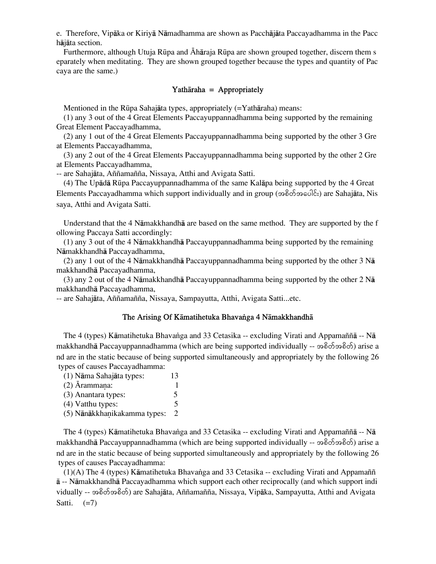e. Therefore, Vipåka or Kiriyå Nåmadhamma are shown as Pacchåjåta Paccayadhamma in the Pacc håjåta section.

Furthermore, although Utuja Rūpa and Āhāraja Rūpa are shown grouped together, discern them s eparately when meditating. They are shown grouped together because the types and quantity of Pac caya are the same.)

#### Yathåraha = Appropriately

Mentioned in the RËpa Sahajåta types, appropriately (=Yathåraha) means:

 (1) any 3 out of the 4 Great Elements Paccayuppannadhamma being supported by the remaining Great Element Paccayadhamma,

 (2) any 1 out of the 4 Great Elements Paccayuppannadhamma being supported by the other 3 Gre at Elements Paccayadhamma,

 (3) any 2 out of the 4 Great Elements Paccayuppannadhamma being supported by the other 2 Gre at Elements Paccayadhamma,

-- are Sahajåta, Aññamañña, Nissaya, Atthi and Avigata Satti.

 (4) The Upådå RËpa Paccayuppannadhamma of the same Kalåpa being supported by the 4 Great Elements Paccayadhamma which support individually and in group ( $\mathcal{B}\delta$  $\mathcal{B}\delta$  $\mathcal{B}\delta$  $\mathcal{B}\delta$ ) are Sahajāta, Nis saya, Atthi and Avigata Satti.

 Understand that the 4 Nåmakkhandhå are based on the same method. They are supported by the f ollowing Paccaya Satti accordingly:

 (1) any 3 out of the 4 Nåmakkhandhå Paccayuppannadhamma being supported by the remaining Nåmakkhandhå Paccayadhamma,

 (2) any 1 out of the 4 Nåmakkhandhå Paccayuppannadhamma being supported by the other 3 Nå makkhandhå Paccayadhamma,

 (3) any 2 out of the 4 Nåmakkhandhå Paccayuppannadhamma being supported by the other 2 Nå makkhandhå Paccayadhamma,

-- are Sahajåta, Aññamañña, Nissaya, Sampayutta, Atthi, Avigata Satti...etc.

#### The Arising Of Kāmatihetuka Bhavanga 4 Nāmakkhandhā

The 4 (types) Kāmatihetuka Bhavanga and 33 Cetasika -- excluding Virati and Appamaññā -- Nā makkhandhā Paccayuppannadhamma (which are being supported individually -- 500 marsh) arise a nd are in the static because of being supported simultaneously and appropriately by the following 26 types of causes Paccayadhamma:

| (1) Nāma Sahajāta types:     | 13            |
|------------------------------|---------------|
| $(2)$ $\bar{A}$ rammana:     |               |
| (3) Anantara types:          | ↖             |
| (4) Vatthu types:            | $\mathcal{L}$ |
| (5) Nānākkhanikakamma types: | $\mathcal{L}$ |

The 4 (types) Kāmatihetuka Bhavanga and 33 Cetasika -- excluding Virati and Appamaññā -- Nā makkhandhā Paccayuppannadhamma (which are being supported individually -- 50055006) arise a nd are in the static because of being supported simultaneously and appropriately by the following 26 types of causes Paccayadhamma:

 (1)(A) The 4 (types) Kåmatihetuka Bhava∫ga and 33 Cetasika -- excluding Virati and Appamaññ å -- Nåmakkhandhå Paccayadhamma which support each other reciprocally (and which support indi vidually -- ශාරිත්තුරිවා are Sahajāta, Aññamañña, Nissaya, Vipāka, Sampayutta, Atthi and Avigata Satti.  $(=7)$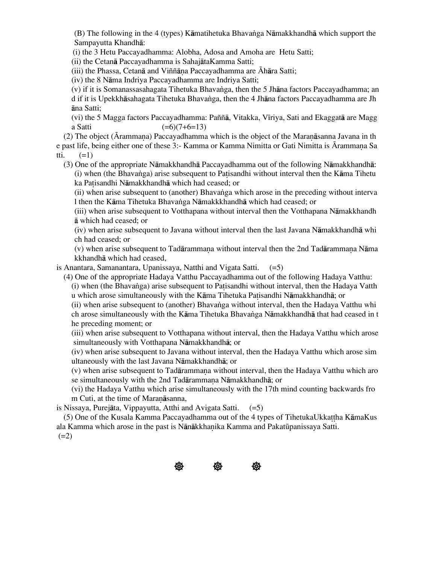(B) The following in the 4 (types) Kåmatihetuka Bhava∫ga Nåmakkhandhå which support the Sampayutta Khandhå:

(i) the 3 Hetu Paccayadhamma: Alobha, Adosa and Amoha are Hetu Satti;

(ii) the Cetanå Paccayadhamma is SahajåtaKamma Satti;

(iii) the Phassa, Cetanā and Viññāna Paccayadhamma are Āhāra Satti;

(iv) the 8 Nåma Indriya Paccayadhamma are Indriya Satti;

(v) if it is Somanassasahagata Tihetuka Bhava∫ga, then the 5 Jhåna factors Paccayadhamma; an d if it is Upekkhåsahagata Tihetuka Bhava∫ga, then the 4 Jhåna factors Paccayadhamma are Jh åna Satti;

(vi) the 5 Magga factors Paccayadhamma: Paññā, Vitakka, Vīriya, Sati and Ekaggatā are Magg a Satti  $(=6)(7+6=13)$ 

(2) The object (Ārammana) Paccayadhamma which is the object of the Maranāsanna Javana in th e past life, being either one of these 3:- Kamma or Kamma Nimitta or Gati Nimitta is Ārammana Sa tti.  $(=1)$ 

 (3) One of the appropriate Nåmakkhandhå Paccayadhamma out of the following Nåmakkhandhå: (i) when (the Bhavanga) arise subsequent to Patisandhi without interval then the Kāma Tihetu ka Patisandhi Nāmakkhandhā which had ceased; or

(ii) when arise subsequent to (another) Bhavanga which arose in the preceding without interva l then the Kāma Tihetuka Bhavanga Nāmakkkhandhā which had ceased; or

(iii) when arise subsequent to Votthapana without interval then the Votthapana Nåmakkhandh å which had ceased; or

(iv) when arise subsequent to Javana without interval then the last Javana Nåmakkhandhå whi ch had ceased; or

(v) when arise subsequent to Tadārammana without interval then the 2nd Tadārammana Nāma kkhandhå which had ceased,

is Anantara, Samanantara, Upanissaya, Natthi and Vigata Satti.  $(=5)$ 

(4) One of the appropriate Hadaya Vatthu Paccayadhamma out of the following Hadaya Vatthu:

(i) when (the Bhavanga) arise subsequent to Patisandhi without interval, then the Hadaya Vatth u which arose simultaneously with the Kāma Tihetuka Patisandhi Nāmakkhandhā; or

(ii) when arise subsequent to (another) Bhavanga without interval, then the Hadaya Vatthu whi

ch arose simultaneously with the Kāma Tihetuka Bhavanga Nāmakkhandhā that had ceased in t he preceding moment; or

(iii) when arise subsequent to Votthapana without interval, then the Hadaya Vatthu which arose simultaneously with Votthapana Nåmakkhandhå; or

(iv) when arise subsequent to Javana without interval, then the Hadaya Vatthu which arose sim ultaneously with the last Javana Nåmakkhandhå; or

 $(v)$  when arise subsequent to Tadārammana without interval, then the Hadaya Vatthu which aro se simultaneously with the 2nd Tadārammana Nāmakkhandhā; or

(vi) the Hadaya Vatthu which arise simultaneously with the 17th mind counting backwards fro m Cuti, at the time of Maranāsanna,

is Nissaya, Purejāta, Vippayutta, Atthi and Avigata Satti.  $(=5)$ 

(5) One of the Kusala Kamma Paccayadhamma out of the 4 types of Tihetuka Ukka tha KāmaKus ala Kamma which arose in the past is Nānākkhaṇika Kamma and Pakatūpanissaya Satti.  $(=2)$ 

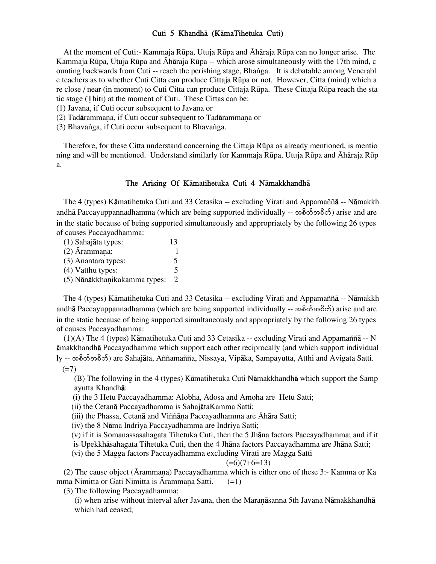## Cuti 5 Khandhå (KåmaTihetuka Cuti)

 At the moment of Cuti:- Kammaja RËpa, Utuja RËpa and Óhåraja RËpa can no longer arise. The Kammaja Rūpa, Utuja Rūpa and Āhāraja Rūpa -- which arose simultaneously with the 17th mind, c ounting backwards from Cuti -- reach the perishing stage, Bhanga. It is debatable among Venerabl e teachers as to whether Cuti Citta can produce Cittaja RËpa or not. However, Citta (mind) which a re close / near (in moment) to Cuti Citta can produce Cittaja RËpa. These Cittaja RËpa reach the sta tic stage (Thiti) at the moment of Cuti. These Cittas can be:

(1) Javana, if Cuti occur subsequent to Javana or

(2) Tadārammana, if Cuti occur subsequent to Tadārammana or

(3) Bhavanga, if Cuti occur subsequent to Bhavanga.

 Therefore, for these Citta understand concerning the Cittaja RËpa as already mentioned, is mentio ning and will be mentioned. Understand similarly for Kammaja Rūpa, Utuja Rūpa and Āhāraja Rūp a.

#### The Arising Of Kåmatihetuka Cuti 4 Nåmakkhandhå

 The 4 (types) Kåmatihetuka Cuti and 33 Cetasika -- excluding Virati and Appamaññå -- Nåmakkh andhā Paccayuppannadhamma (which are being supported individually  $\infty$   $\delta$  $\infty$ ) arise and are in the static because of being supported simultaneously and appropriately by the following 26 types of causes Paccayadhamma:

| (1) Sahajāta types:          | 13            |
|------------------------------|---------------|
| $(2)$ $\bar{A}$ rammana:     |               |
| (3) Anantara types:          | ↖             |
| (4) Vatthu types:            | ད             |
| (5) Nānākkhanikakamma types: | $\mathcal{L}$ |

 The 4 (types) Kåmatihetuka Cuti and 33 Cetasika -- excluding Virati and Appamaññå -- Nåmakkh andha Paccayuppannadhamma (which are being supported individually -- spoofspoof) arise and are in the static because of being supported simultaneously and appropriately by the following 26 types of causes Paccayadhamma:

 (1)(A) The 4 (types) Kåmatihetuka Cuti and 33 Cetasika -- excluding Virati and Appamaññå -- N åmakkhandhå Paccayadhamma which support each other reciprocally (and which support individual ly -- ශාරීරාගාරිව) are Sahajāta, Aññamañña, Nissaya, Vipāka, Sampayutta, Atthi and Avigata Satti.  $(=7)$ 

(B) The following in the 4 (types) Kåmatihetuka Cuti Nåmakkhandhå which support the Samp ayutta Khandhå:

(i) the 3 Hetu Paccayadhamma: Alobha, Adosa and Amoha are Hetu Satti;

(ii) the Cetanå Paccayadhamma is SahajåtaKamma Satti;

 $(iii)$  the Phassa, Cetan $\bar{a}$  and Viññ $\bar{a}$ na Paccayadhamma are Āhāra Satti;

(iv) the 8 Nåma Indriya Paccayadhamma are Indriya Satti;

(v) if it is Somanassasahagata Tihetuka Cuti, then the 5 Jhåna factors Paccayadhamma; and if it is Upekkhåsahagata Tihetuka Cuti, then the 4 Jhåna factors Paccayadhamma are Jhåna Satti;

(vi) the 5 Magga factors Paccayadhamma excluding Virati are Magga Satti

 $(=6)(7+6=13)$ 

(2) The cause object ( $\bar{A}$ rammana) Paccayadhamma which is either one of these 3:- Kamma or Ka mma Nimitta or Gati Nimitta is Ārammana Satti.  $(=1)$ 

(3) The following Paccayadhamma:

(i) when arise without interval after Javana, then the Maraṇāsanna 5th Javana Nāmakkhandhā which had ceased;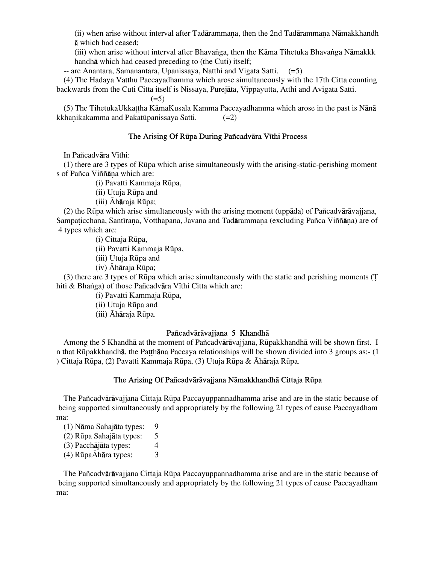(ii) when arise without interval after Tadārammana, then the 2nd Tadārammana Nāmakkhandh å which had ceased;

(iii) when arise without interval after Bhavanga, then the Kāma Tihetuka Bhavanga Nāmakkk handhå which had ceased preceding to (the Cuti) itself;

-- are Anantara, Samanantara, Upanissaya, Natthi and Vigata Satti. (=5)

 (4) The Hadaya Vatthu Paccayadhamma which arose simultaneously with the 17th Citta counting backwards from the Cuti Citta itself is Nissaya, Purejåta, Vippayutta, Atthi and Avigata Satti.

 $(=5)$ 

(5) The TihetukaUkka ttha KāmaKusala Kamma Paccayadhamma which arose in the past is Nānā kkhanikakamma and Pakatūpanissaya Satti.  $(=2)$ 

## The Arising Of Rūpa During Pañcadvāra Vīthi Process

In Pañcadvāra Vīthi:

 (1) there are 3 types of RËpa which arise simultaneously with the arising-static-perishing moment s of Pañca Viññāna which are:

(i) Pavatti Kammaja RËpa,

(ii) Utuja Rūpa and

(iii) Āhāraja Rūpa;

 (2) the RËpa which arise simultaneously with the arising moment (uppåda) of Pañcadvåråvajjana, Sampaticchana, Santīrana, Votthapana, Javana and Tadārammana (excluding Pañca Viññāna) are of 4 types which are:

(i) Cittaja RËpa,

(ii) Pavatti Kammaja RËpa,

(iii) Utuja RËpa and

 $(iv)$  Āhāraja Rūpa;

 $(3)$  there are 3 types of Rūpa which arise simultaneously with the static and perishing moments ( $\Gamma$ ) hiti & Bhanga) of those Pañcadvāra Vīthi Citta which are:

(i) Pavatti Kammaja RËpa,

(ii) Utuja RËpa and

(iii) Āhāraja Rūpa.

#### Pañcadvåråvajjana 5 Khandhå

 Among the 5 Khandhå at the moment of Pañcadvåråvajjana, RËpakkhandhå will be shown first. I n that Rūpakkhandhā, the Patthāna Paccaya relationships will be shown divided into 3 groups as:- (1) ) Cittaja Rūpa, (2) Pavatti Kammaja Rūpa, (3) Utuja Rūpa & Āhāraja Rūpa.

#### The Arising Of Pañcadvārāvajjana Nāmakkhandhā Cittaja Rūpa

 The Pañcadvåråvajjana Cittaja RËpa Paccayuppannadhamma arise and are in the static because of being supported simultaneously and appropriately by the following 21 types of cause Paccayadham ma:

(1) Nåma Sahajåta types: 9

(2) RËpa Sahajåta types: 5

(3) Pacchåjåta types: 4

 $(4)$  Rūpa $\bar{A}$ hāra types:  $3$ 

 The Pañcadvåråvajjana Cittaja RËpa Paccayuppannadhamma arise and are in the static because of being supported simultaneously and appropriately by the following 21 types of cause Paccayadham ma: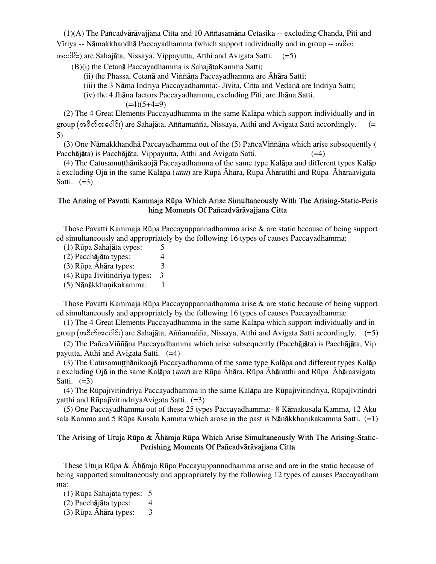$(1)(A)$  The Pañcadvārāvajjana Citta and 10 Aññasamāna Cetasika -- excluding Chanda, Pīti and Vīriya -- Nāmakkhandhā Paccayadhamma (which support individually and in group -- soo  $\infty$ ;) are Sahajāta, Nissaya, Vippayutta, Atthi and Avigata Satti. (=5)

(B)(i) the Cetanå Paccayadhamma is SahajåtaKamma Satti;

- $(iii)$  the Phassa, Cetan $\bar{a}$  and Viññ $\bar{a}$ na Paccayadhamma are Āhāra Satti;
- (iii) the 3 Nāma Indriya Paccayadhamma: Jīvita, Citta and Vedanā are Indriya Satti;
- (iv) the 4 Jhāna factors Paccayadhamma, excluding Pīti, are Jhāna Satti.

 $(=4)(5+4=9)$ 

 (2) The 4 Great Elements Paccayadhamma in the same Kalåpa which support individually and in  $group$  ( $\infty$  $\delta$  $\infty$  $\infty$  $\delta$ ) are Sahajāta, Aññamañña, Nissaya, Atthi and Avigata Satti accordingly. (= 5)

(3) One Nāmakkhandhā Paccayadhamma out of the  $(5)$  PañcaViññāna which arise subsequently ( Pacchåjåta) is Pacchåjåta, Vippayutta, Atthi and Avigata Satti. (=4)

(4) The Catusamutthānikaojā Paccayadhamma of the same type Kalāpa and different types Kalāp a excluding Ojā in the same Kalāpa (*unit*) are Rūpa Āhāra, Rūpa Āhāratthi and Rūpa Āhāraavigata Satti.  $(=3)$ 

## The Arising of Pavatti Kammaja RËpa Which Arise Simultaneously With The Arising-Static-Peris hing Moments Of Pañcadvåråvajjana Citta

 Those Pavatti Kammaja RËpa Paccayuppannadhamma arise & are static because of being support ed simultaneously and appropriately by the following 16 types of causes Paccayadhamma:

- $(1)$  Rūpa Sahajāta types:  $5$
- (2) Pacchåjåta types: 4
- $(3)$  Rūpa Āhāra types:  $3$
- (4) Rūpa Jīvitindriya types:  $3$
- $(5)$  Nānākkhanikakamma: 1

 Those Pavatti Kammaja RËpa Paccayuppannadhamma arise & are static because of being support ed simultaneously and appropriately by the following 16 types of causes Paccayadhamma:

 (1) The 4 Great Elements Paccayadhamma in the same Kalåpa which support individually and in group (အစိတ်အပေါင်း) are Sahajāta, Aññamañña, Nissaya, Atthi and Avigata Satti accordingly. (=5)

(2) The Pañca Viññāna Paccayadhamma which arise subsequently (Pacchājāta) is Pacchājāta, Vip payutta, Atthi and Avigata Satti. (=4)

(3) The Catusamutthanikaoja Paccayadhamma of the same type Kalapa and different types Kalap a excluding Ojā in the same Kalāpa (*unit*) are Rūpa Āhāra, Rūpa Āhāratthi and Rūpa Āhāraavigata Satti.  $(=3)$ 

(4) The Rūpajīvitindriya Paccayadhamma in the same Kalāpa are Rūpajīvitindriya, Rūpajīvitindri yatthi and RūpajīvitindriyaAvigata Satti.  $(=3)$ 

 (5) One Paccayadhamma out of these 25 types Paccayadhamma:- 8 Kåmakusala Kamma, 12 Aku sala Kamma and 5 Rūpa Kusala Kamma which arose in the past is Nānākkhanikakamma Satti.  $(=1)$ 

## The Arising of Utuja Rūpa  $\&$  Åhāraja Rūpa Which Arise Simultaneously With The Arising-Static-Perishing Moments Of Pañcadvåråvajjana Citta

These Utuja Rūpa &  $\overline{A}$ hāraja Rūpa Paccayuppannadhamma arise and are in the static because of being supported simultaneously and appropriately by the following 12 types of causes Paccayadham ma:

- (1) RËpa Sahajåta types: 5
- (2) Pacchåjåta types: 4
- $(3)$  Rūpa Āhāra types:  $3$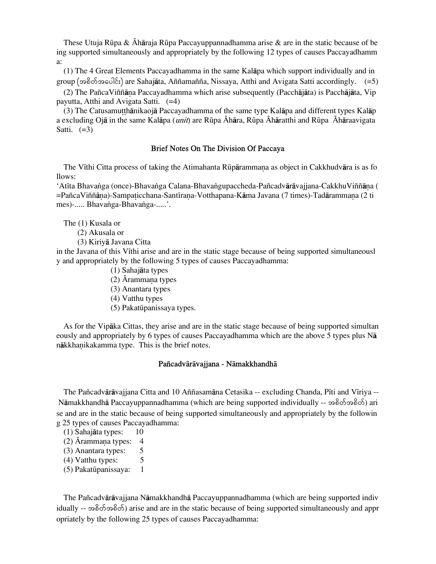These Utuja Rūpa  $\&$  Āhāraja Rūpa Paccayuppannadhamma arise  $\&$  are in the static because of be ing supported simultaneously and appropriately by the following 12 types of causes Paccayadhamm a:

 (1) The 4 Great Elements Paccayadhamma in the same Kalåpa which support individually and in group ( $\infty$  $\delta$  $\infty$ se $\delta$ ):) are Sahajāta, Aññamañña, Nissaya, Atthi and Avigata Satti accordingly. (=5)

(2) The Pañca Viññāna Paccayadhamma which arise subsequently (Pacchājāta) is Pacchājāta, Vip payutta, Atthi and Avigata Satti. (=4)

(3) The Catusamutthanikaoja Paccayadhamma of the same type Kalapa and different types Kalap a excluding Ojā in the same Kalāpa (*unit*) are Rūpa Āhāra, Rūpa Āhāratthi and Rūpa Āhāraavigata Satti.  $(=3)$ 

#### Brief Notes On The Division Of Paccaya

The Vīthi Citta process of taking the Atimahanta Rūpārammaṇa as object in Cakkhudvāra is as fo llows:

'Atīta Bhavanga (once)-Bhavanga Calana-Bhavangupaccheda-Pañcadvārāvajjana-CakkhuViññāna ( =PañcaViññāna)-Sampaticchana-Santīrana-Votthapana-Kāma Javana (7 times)-Tadārammana (2 ti mes)-..... Bhavanga-Bhavanga-.....'.

The (1) Kusala or

- (2) Akusala or
- (3) Kiriyå Javana Citta

in the Javana of this Vīthi arise and are in the static stage because of being supported simultaneousl y and appropriately by the following 5 types of causes Paccayadhamma:

- (1) Sahajåta types
- $(2)$  Ārammana types
- (3) Anantara types
- (4) Vatthu types
- (5) PakatËpanissaya types.

 As for the Vipåka Cittas, they arise and are in the static stage because of being supported simultan eously and appropriately by 6 types of causes Paccayadhamma which are the above 5 types plus Nå nākkhanikakamma type. This is the brief notes.

#### Pañcadvåråvajjana - Nåmakkhandhå

The Pañcadvārāvajjana Citta and 10 Aññasamāna Cetasika -- excluding Chanda, Pīti and Vīriya --Nāmakkhandhā Paccayuppannadhamma (which are being supported individually -- အစိတ်အစိတ်) ari se and are in the static because of being supported simultaneously and appropriately by the followin g 25 types of causes Paccayadhamma:

- (1) Sahajåta types: 10
- $(2)$  Ārammana types: 4
- (3) Anantara types: 5
- (4) Vatthu types: 5
- (5) Pakatūpanissaya: 1

 The Pañcadvåråvajjana Nåmakkhandhå Paccayuppannadhamma (which are being supported indiv idually -- නමින්නමින්) arise and are in the static because of being supported simultaneously and appr opriately by the following 25 types of causes Paccayadhamma: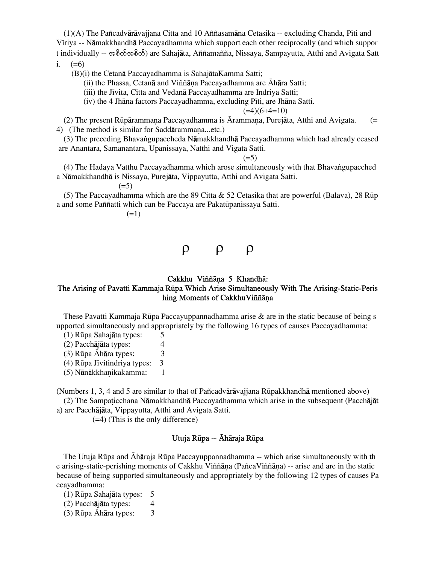$(1)(A)$  The Pañcadvārāvajjana Citta and 10 Aññasamāna Cetasika -- excluding Chanda, Pīti and Vīriya -- Nāmakkhandhā Paccayadhamma which support each other reciprocally (and which suppor t individually -- ශුරින්ශාරි) are Sahajāta, Aññamañña, Nissaya, Sampayutta, Atthi and Avigata Satt

i.  $(=6)$ 

(B)(i) the Cetanå Paccayadhamma is SahajåtaKamma Satti;

 $(iii)$  the Phassa, Cetan $\bar{a}$  and Viññ $\bar{a}$ na Paccayadhamma are Āhāra Satti;

(iii) the Jīvita, Citta and Vedanā Paccayadhamma are Indriya Satti;

(iv) the 4 Jhāna factors Paccayadhamma, excluding Pīti, are Jhāna Satti.

 $(=4)(6+4=10)$ 

(2) The present Rūpārammana Paccayadhamma is Ārammana, Purejāta, Atthi and Avigata.  $(=$ 4) (The method is similar for Saddarammana...etc.)

 (3) The preceding Bhava∫gupaccheda Nåmakkhandhå Paccayadhamma which had already ceased are Anantara, Samanantara, Upanissaya, Natthi and Vigata Satti.

 $(=5)$ 

(4) The Hadaya Vatthu Paccayadhamma which arose simultaneously with that Bhavangupacched a Nåmakkhandhå is Nissaya, Purejåta, Vippayutta, Atthi and Avigata Satti.

 $(=5)$ 

(5) The Paccayadhamma which are the 89 Citta & 52 Cetasika that are powerful (Balava), 28 Rūp a and some Paññatti which can be Paccaya are PakatËpanissaya Satti.

 $(=1)$ 



#### Cakkhu Viññāna 5 Khandhā:

## The Arising of Pavatti Kammaja RËpa Which Arise Simultaneously With The Arising-Static-Peris hing Moments of CakkhuViññāna

 These Pavatti Kammaja RËpa Paccayuppannadhamma arise & are in the static because of being s upported simultaneously and appropriately by the following 16 types of causes Paccayadhamma:

 (1) RËpa Sahajåta types: 5 (2) Pacchåjåta types: 4  $(3)$  Rūpa Āhāra types:  $3$  $(4)$  Rūpa Jīvitindriya types: 3 (5) Nānākkhanikakamma: 1

(Numbers 1, 3, 4 and 5 are similar to that of Pañcadvåråvajjana RËpakkhandhå mentioned above)  $(2)$  The Sampaticchana Nāmakkhandhā Paccayadhamma which arise in the subsequent (Pacchājāt

a) are Pacchåjåta, Vippayutta, Atthi and Avigata Satti.

(=4) (This is the only difference)

## Utuja Rūpa -- Āhāraja Rūpa

The Utuja Rūpa and Āhāraja Rūpa Paccayuppannadhamma -- which arise simultaneously with th e arising-static-perishing moments of Cakkhu Viññāna (PañcaViññāna) -- arise and are in the static because of being supported simultaneously and appropriately by the following 12 types of causes Pa ccayadhamma:

(1) RËpa Sahajåta types: 5

(2) Pacchåjåta types: 4

 $(3)$  Rūpa Āhāra types:  $3$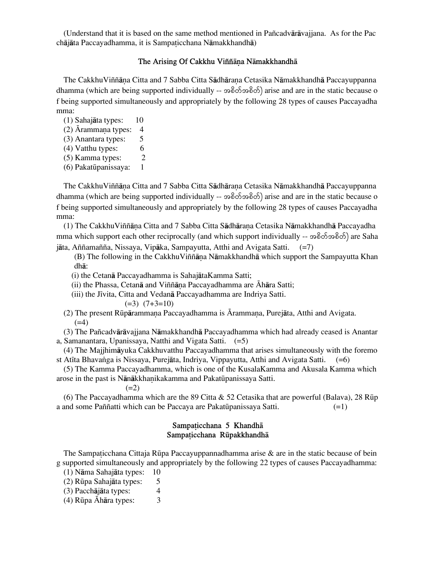(Understand that it is based on the same method mentioned in Pañcadvåråvajjana. As for the Pac chājāta Paccayadhamma, it is Sampaticchana Nāmakkhandhā)

## The Arising Of Cakkhu Viññāna Nāmakkhandhā

The Cakkhu Viññāna Citta and 7 Sabba Citta Sādhārana Cetasika Nāmakkhandhā Paccayuppanna dhamma (which are being supported individually --  $\infty$  of  $\infty$ ) arise and are in the static because o f being supported simultaneously and appropriately by the following 28 types of causes Paccayadha mma:

- (1) Sahajåta types: 10
- $(2)$  Árammana types: 4
- (3) Anantara types: 5
- (4) Vatthu types: 6
- (5) Kamma types: 2
- (6) Pakatūpanissaya: 1

The Cakkhu Viññāna Citta and 7 Sabba Citta Sādhārana Cetasika Nāmakkhandhā Paccayuppanna dhamma (which are being supported individually -- solosologies) arise and are in the static because o f being supported simultaneously and appropriately by the following 28 types of causes Paccayadha mma:

 (1) The CakkhuViññåˆa Citta and 7 Sabba Citta Sådhåraˆa Cetasika Nåmakkhandhå Paccayadha mma which support each other reciprocally (and which support individually -- အစိတ်အစိတ်) are Saha jāta, Aññamañña, Nissaya, Vipāka, Sampayutta, Atthi and Avigata Satti.  $(=7)$ 

(B) The following in the CakkhuViññāna Nāmakkhandhā which support the Sampayutta Khan dhå:

(i) the Cetanå Paccayadhamma is SahajåtaKamma Satti;

(ii) the Phassa, Cetan $\bar{a}$  and Viññ $\bar{a}$ na Paccayadhamma are Áh $\bar{a}$ ra Satti;

(iii) the Jīvita, Citta and Vedanā Paccayadhamma are Indriya Satti.

$$
(=3) (7+3=10)
$$

(2) The present Rūpārammana Paccayadhamma is Ārammana, Purejāta, Atthi and Avigata.  $(=4)$ 

 (3) The Pañcadvåråvajjana Nåmakkhandhå Paccayadhamma which had already ceased is Anantar a, Samanantara, Upanissaya, Natthi and Vigata Satti. (=5)

 (4) The Majjhimåyuka Cakkhuvatthu Paccayadhamma that arises simultaneously with the foremo st Atīta Bhavanga is Nissaya, Purejāta, Indriya, Vippayutta, Atthi and Avigata Satti. (=6)

 (5) The Kamma Paccayadhamma, which is one of the KusalaKamma and Akusala Kamma which arose in the past is Nānākkhaṇikakamma and Pakatūpanissaya Satti.

#### $(=2)$

(6) The Paccayadhamma which are the 89 Citta & 52 Cetasika that are powerful (Balava), 28 Rūp a and some Paññatti which can be Paccaya are Pakatūpanissaya Satti.  $(=1)$ 

## Sampaticchana 5 Khandhā Sampaticchana Rüpakkhandhā

The Sampaticchana Cittaja Rūpa Paccayuppannadhamma arise  $\&$  are in the static because of bein g supported simultaneously and appropriately by the following 22 types of causes Paccayadhamma:

- (1) Nåma Sahajåta types: 10
- (2) RËpa Sahajåta types: 5
- (3) Pacchåjåta types: 4
- $(4)$  Rūpa Āhāra types:  $3$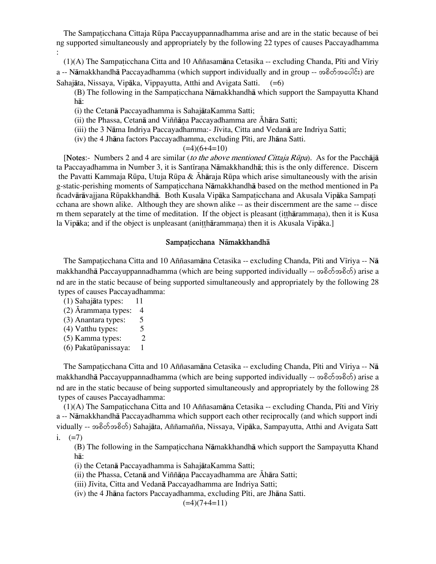The Sampaticchana Cittaja Rūpa Paccayuppannadhamma arise and are in the static because of bei ng supported simultaneously and appropriately by the following 22 types of causes Paccayadhamma :

 $(1)(A)$  The Sampaticchana Citta and 10 Aññasamāna Cetasika -- excluding Chanda, Pīti and Vīriy a -- Nāmakkhandhā Paccayadhamma (which support individually and in group --  $\infty$  of  $\mathcal{S}_2$ ) are Sahajåta, Nissaya, Vipåka, Vippayutta, Atthi and Avigata Satti. (=6)

(B) The following in the Sampaticchana Nāmakkhandhā which support the Sampayutta Khand hå:

(i) the Cetanå Paccayadhamma is SahajåtaKamma Satti;

(ii) the Phassa, Cetanā and Viññāna Paccayadhamma are Ahāra Satti;

(iii) the 3 Nāma Indriya Paccayadhamma:- Jīvita, Citta and Vedanā are Indriya Satti;

(iv) the 4 Jhāna factors Paccayadhamma, excluding Pīti, are Jhāna Satti.

 $(=4)(6+4=10)$ 

[Notes:- Numbers 2 and 4 are similar (to the above mentioned Cittaja  $R\bar{u}p$ a). As for the Paccha $\bar{a}$ ta Paccayadhamma in Number 3, it is Santīrana Nāmakkhandhā; this is the only difference. Discern the Pavatti Kammaja Rūpa, Utuja Rūpa  $\&$  Āhāraja Rūpa which arise simultaneously with the arisin g-static-perishing moments of Sampaticchana Nāmakkhandhā based on the method mentioned in Pa ñcadvārāvajjana Rūpakkhandhā. Both Kusala Vipāka Sampaticchana and Akusala Vipāka Sampati cchana are shown alike. Although they are shown alike -- as their discernment are the same -- disce rn them separately at the time of meditation. If the object is pleasant (itharammana), then it is Kusa la Vipāka; and if the object is unpleasant (anit that ammana) then it is Akusala Vipāka.]

#### Sampaticchana Nāmakkhandhā

The Sampaticchana Citta and 10 Aññasamāna Cetasika -- excluding Chanda, Pīti and Vīriya -- Nā makkhandhā Paccayuppannadhamma (which are being supported individually -- အစိတ်အစိတ်) arise a nd are in the static because of being supported simultaneously and appropriately by the following 28 types of causes Paccayadhamma:

(1) Sahajåta types: 11

 $(2)$  Årammana types: 4

(3) Anantara types: 5

(4) Vatthu types: 5

(5) Kamma types: 2

(6) Pakatūpanissaya: 1

The Sampaticchana Citta and 10 Aññasamāna Cetasika -- excluding Chanda, Pīti and Vīriya -- Nā makkhandhā Paccayuppannadhamma (which are being supported individually -- 500 mas  $\delta$ ) arise a nd are in the static because of being supported simultaneously and appropriately by the following 28 types of causes Paccayadhamma:

 $(1)(A)$  The Sampaticchana Citta and 10 Aññasamāna Cetasika -- excluding Chanda, Pīti and Vīriy a -- Nåmakkhandhå Paccayadhamma which support each other reciprocally (and which support indi vidually -- ශාරිත් හෝ) Sahajāta, Aññamañña, Nissaya, Vipāka, Sampayutta, Atthi and Avigata Satt

i.  $(=7)$ 

(B) The following in the Sampaticchana Nāmakkhandhā which support the Sampayutta Khand hå:

(i) the Cetanå Paccayadhamma is SahajåtaKamma Satti;

(ii) the Phassa, Cetan $\bar{a}$  and Viññ $\bar{a}$ na Paccayadhamma are Āhāra Satti;

(iii) Jīvita, Citta and Vedanā Paccayadhamma are Indriya Satti;

(iv) the 4 Jhāna factors Paccayadhamma, excluding Pīti, are Jhāna Satti.

 $(=4)(7+4=11)$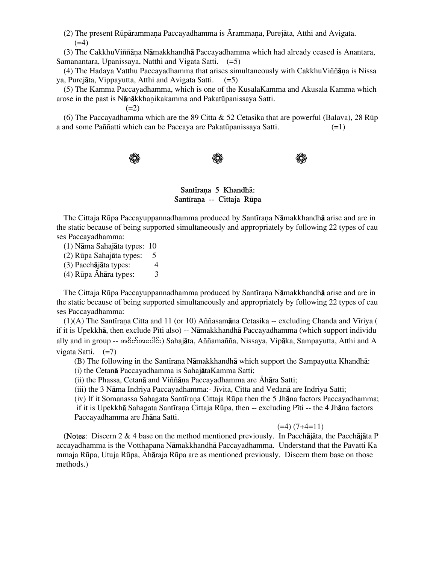(2) The present Rūpārammana Paccayadhamma is Ārammana, Purejāta, Atthi and Avigata.  $(=4)$ 

 (3) The CakkhuViññåˆa Nåmakkhandhå Paccayadhamma which had already ceased is Anantara, Samanantara, Upanissaya, Natthi and Vigata Satti. (=5)

(4) The Hadaya Vatthu Paccayadhamma that arises simultaneously with Cakkhu Viññana is Nissa ya, Purejāta, Vippayutta, Atthi and Avigata Satti.  $(=5)$ 

 (5) The Kamma Paccayadhamma, which is one of the KusalaKamma and Akusala Kamma which arose in the past is Nānākkhanikakamma and Pakatūpanissaya Satti.

 $(=2)$ 

(6) The Paccayadhamma which are the 89 Citta  $& 52$  Cetasika that are powerful (Balava), 28 Rūp a and some Paññatti which can be Paccaya are Pakatūpanissaya Satti.  $(=1)$ 



#### Santīrana 5 Khandhā: Santīraṇa -- Cittaja Rūpa

The Cittaja Rūpa Paccayuppannadhamma produced by Santīrana Nāmakkhandhā arise and are in the static because of being supported simultaneously and appropriately by following 22 types of cau ses Paccayadhamma:

- (1) Nåma Sahajåta types: 10
- (2) RËpa Sahajåta types: 5
- (3) Pacchåjåta types: 4
- (4)  $Rūpa \text{ Āhāra types:}$  3

The Cittaja Rūpa Paccayuppannadhamma produced by Santīrana Nāmakkhandhā arise and are in the static because of being supported simultaneously and appropriately by following 22 types of cau ses Paccayadhamma:

 $(1)(A)$  The Santirana Citta and 11 (or 10) Aññasamāna Cetasika -- excluding Chanda and Vīriya ( if it is Upekkhā, then exclude Pīti also) -- Nāmakkhandhā Paccayadhamma (which support individu ally and in group -- အစိတ်အပေါင်း) Sahajāta, Aññamañña, Nissaya, Vipāka, Sampayutta, Atthi and A vigata Satti.  $(=7)$ 

(B) The following in the Santīrana Nāmakkhandhā which support the Sampayutta Khandhā:

(i) the Cetanå Paccayadhamma is SahajåtaKamma Satti;

(ii) the Phassa, Cetanā and Viññāna Paccayadhamma are Āhāra Satti;

(iii) the 3 Nāma Indriya Paccayadhamma:- Jīvita, Citta and Vedanā are Indriya Satti;

 $(iv)$  If it Somanassa Sahagata Santīrana Cittaja Rūpa then the 5 Jhāna factors Paccayadhamma;

if it is Upekkhā Sahagata Santīrana Cittaja Rūpa, then -- excluding Pīti -- the 4 Jhāna factors Paccayadhamma are Jhåna Satti.

#### $(=4)$   $(7+4=11)$

(Notes: Discern  $2 \& 4$  base on the method mentioned previously. In Pacchanaliata, the Pacchanaliata P accayadhamma is the Votthapana Nåmakkhandhå Paccayadhamma. Understand that the Pavatti Ka mmaja RËpa, Utuja RËpa, Óhåraja RËpa are as mentioned previously. Discern them base on those methods.)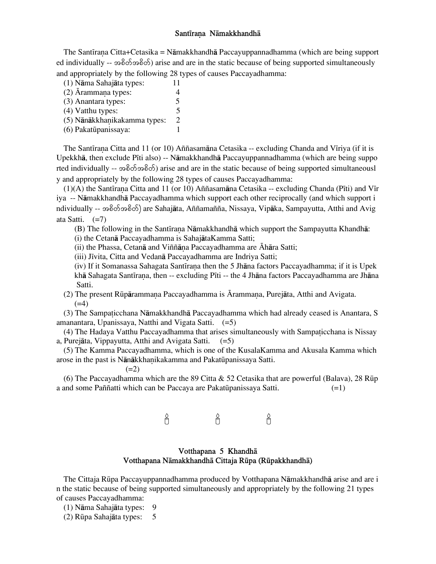#### Santīrana Nāmakkhandhā

The Santīrana Citta+Cetasika = Nāmakkhandhā Paccayuppannadhamma (which are being support ed individually --  $\infty$   $\infty$   $\infty$   $\infty$  arise and are in the static because of being supported simultaneously and appropriately by the following 28 types of causes Paccayadhamma:

- (1) Nåma Sahajåta types: 11
- $(2)$   $\bar{A}$ rammana types:  $4$
- (3) Anantara types: 5
- (4) Vatthu types: 5
- (5) Nānākkhanikakamma types: 2
- (6) PakatËpanissaya: 1

The Santīraṇa Citta and 11 (or 10) Aññasamāna Cetasika -- excluding Chanda and Vīriya (if it is Upekkhā, then exclude Pīti also) -- Nāmakkhandhā Paccayuppannadhamma (which are being suppo rted individually -- නමිරාිනමිරා) arise and are in the static because of being supported simultaneousl y and appropriately by the following 28 types of causes Paccayadhamma:

 $(1)(A)$  the Santirana Citta and 11 (or 10) Aññasamāna Cetasika -- excluding Chanda (Piti) and Vir iya -- Nåmakkhandhå Paccayadhamma which support each other reciprocally (and which support i ndividually -- තමින්තමින්) are Sahajāta, Aññamañña, Nissaya, Vipāka, Sampayutta, Atthi and Avig ata Satti.  $(=7)$ 

 $(B)$  The following in the Santirana Nāmakkhandhā which support the Sampayutta Khandhā: (i) the Cetanå Paccayadhamma is SahajåtaKamma Satti;

 $(i)$  the Phassa, Cetan $\bar{a}$  and Viññ $\bar{a}$ na Paccayadhamma are Āhāra Satti;

(iii) Jīvita, Citta and Vedanā Paccayadhamma are Indriya Satti;

(iv) If it Somanassa Sahagata Santīrana then the 5 Jhāna factors Paccayadhamma; if it is Upek khā Sahagata Santīrana, then -- excluding Pīti -- the 4 Jhāna factors Paccayadhamma are Jhāna Satti.

(2) The present Rūpārammana Paccayadhamma is Ārammana, Purejāta, Atthi and Avigata.  $(=4)$ 

(3) The Sampaticchana Nāmakkhandhā Paccayadhamma which had already ceased is Anantara, S amanantara, Upanissaya, Natthi and Vigata Satti.  $(=5)$ 

(4) The Hadaya Vatthu Paccayadhamma that arises simultaneously with Sampaticchana is Nissay a, Purejāta, Vippayutta, Atthi and Avigata Satti.  $(=5)$ 

 (5) The Kamma Paccayadhamma, which is one of the KusalaKamma and Akusala Kamma which arose in the past is Nānākkhaṇikakamma and Pakatūpanissaya Satti.

 $(=2)$ 

(6) The Paccayadhamma which are the 89 Citta & 52 Cetasika that are powerful (Balava), 28 Rūp a and some Paññatti which can be Paccaya are Pakatūpanissaya Satti.  $(=1)$ 

> å å  $\overline{a}$

## Votthapana 5 Khandhå Votthapana Nåmakkhandhå Cittaja RËpa (RËpakkhandhå)

 The Cittaja RËpa Paccayuppannadhamma produced by Votthapana Nåmakkhandhå arise and are i n the static because of being supported simultaneously and appropriately by the following 21 types of causes Paccayadhamma:

(1) Nåma Sahajåta types: 9

(2) RËpa Sahajåta types: 5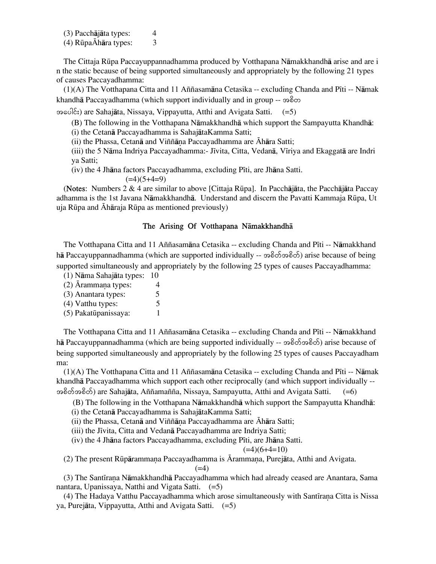(3) Pacchåjåta types: 4  $(4)$  Rūpa $\bar{A}$ hāra types: 3

 The Cittaja RËpa Paccayuppannadhamma produced by Votthapana Nåmakkhandhå arise and are i n the static because of being supported simultaneously and appropriately by the following 21 types of causes Paccayadhamma:

 $(1)(A)$  The Votthapana Citta and 11 Aññasamāna Cetasika -- excluding Chanda and P $\overline{t}$ ti -- Nāmak khandhā Paccayadhamma (which support individually and in group  $\infty$   $\infty$ 

 $\infty$ sificial) are Sahajāta, Nissaya, Vippayutta, Atthi and Avigata Satti. (=5)

(B) The following in the Votthapana Nåmakkhandhå which support the Sampayutta Khandhå: (i) the Cetanå Paccayadhamma is SahajåtaKamma Satti;

 $(i)$  the Phassa, Cetan $\bar{a}$  and Viññ $\bar{a}$ na Paccayadhamma are Áh $\bar{a}$ ra Satti;

(iii) the 5 Nāma Indriya Paccayadhamma:- Jīvita, Citta, Vedanā, Vīriya and Ekaggatā are Indri ya Satti;

(iv) the 4 Jhāna factors Paccayadhamma, excluding Pīti, are Jhāna Satti.

 $(=4)(5+4=9)$ 

 (Notes: Numbers 2 & 4 are similar to above [Cittaja RËpa]. In Pacchåjåta, the Pacchåjåta Paccay adhamma is the 1st Javana Nåmakkhandhå. Understand and discern the Pavatti Kammaja RËpa, Ut uja Rūpa and Āhāraja Rūpa as mentioned previously)

#### The Arising Of Votthapana Nåmakkhandhå

The Votthapana Citta and 11 Aññasamāna Cetasika -- excluding Chanda and P<sub>II</sub> -- Nāmakkhand hā Paccayuppannadhamma (which are supported individually -- productionally arise because of being supported simultaneously and appropriately by the following 25 types of causes Paccayadhamma:

- (1) Nåma Sahajåta types: 10
- $(2)$  Årammana types:  $4$
- (3) Anantara types: 5
- (4) Vatthu types: 5
- (5) Pakatūpanissaya: 1

The Votthapana Citta and 11 Aññasamāna Cetasika -- excluding Chanda and Pīti -- Nāmakkhand hā Paccayuppannadhamma (which are being supported individually -- รออิธว์รออิธ์) arise because of being supported simultaneously and appropriately by the following 25 types of causes Paccayadham ma:

 $(1)(A)$  The Votthapana Citta and 11 Aññasamāna Cetasika -- excluding Chanda and Pīti -- Nāmak khandhå Paccayadhamma which support each other reciprocally (and which support individually --  $\sigma$ ερδοδ $\sigma$ ) are Sahajāta, Aññamañña, Nissaya, Sampayutta, Atthi and Avigata Satti. (=6)

(B) The following in the Votthapana Nåmakkhandhå which support the Sampayutta Khandhå: (i) the Cetanå Paccayadhamma is SahajåtaKamma Satti;

(ii) the Phassa, Cetan $\bar{a}$  and Viññ $\bar{a}$ na Paccayadhamma are Áh $\bar{a}$ ra Satti;

(iii) the Jīvita, Citta and Vedanā Paccayadhamma are Indriya Satti;

(iv) the 4 Jhāna factors Paccayadhamma, excluding Pīti, are Jhāna Satti.

#### $(=4)(6+4=10)$

(2) The present Rūpārammana Paccayadhamma is Ārammana, Purejāta, Atthi and Avigata.

 $(=4)$ 

(3) The Santīrana Nāmakkhandhā Paccayadhamma which had already ceased are Anantara, Sama nantara, Upanissaya, Natthi and Vigata Satti. (=5)

(4) The Hadaya Vatthu Paccayadhamma which arose simultaneously with Santirana Citta is Nissa ya, Purejåta, Vippayutta, Atthi and Avigata Satti. (=5)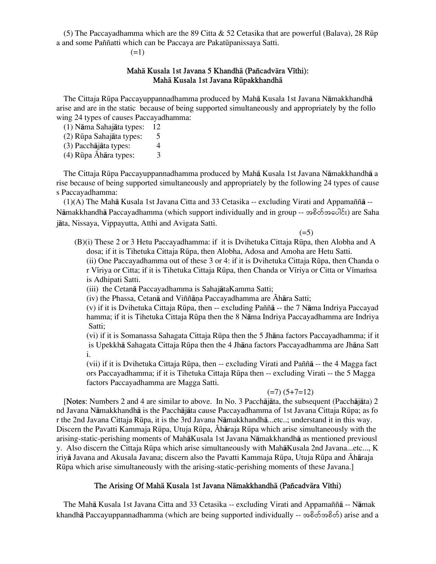(5) The Paccayadhamma which are the 89 Citta & 52 Cetasika that are powerful (Balava), 28 Rūp a and some Paññatti which can be Paccaya are Pakatūpanissaya Satti.

 $(=1)$ 

## Mahā Kusala 1st Javana 5 Khandhā (Pañcadvāra Vīthi): Mahā Kusala 1st Javana Rūpakkhandhā

 The Cittaja RËpa Paccayuppannadhamma produced by Mahå Kusala 1st Javana Nåmakkhandhå arise and are in the static because of being supported simultaneously and appropriately by the follo wing 24 types of causes Paccayadhamma:

(1) Nåma Sahajåta types: 12

(2) RËpa Sahajåta types: 5

(3) Pacchåjåta types: 4

 $(4)$  Rūpa Āhāra types:  $3$ 

 The Cittaja RËpa Paccayuppannadhamma produced by Mahå Kusala 1st Javana Nåmakkhandhå a rise because of being supported simultaneously and appropriately by the following 24 types of cause s Paccayadhamma:

 (1)(A) The Mahå Kusala 1st Javana Citta and 33 Cetasika -- excluding Virati and Appamaññå -- Nāmakkhandhā Paccayadhamma (which support individually and in group -- အစိတ်အပေါင်း) are Saha jåta, Nissaya, Vippayutta, Atthi and Avigata Satti.

 $(=5)$ 

(B)(i) These 2 or 3 Hetu Paccayadhamma: if it is Dvihetuka Cittaja RËpa, then Alobha and A dosa; if it is Tihetuka Cittaja RËpa, then Alobha, Adosa and Amoha are Hetu Satti.

(ii) One Paccayadhamma out of these 3 or 4: if it is Dvihetuka Cittaja RËpa, then Chanda o r Vīriya or Citta; if it is Tihetuka Cittaja Rūpa, then Chanda or Vīriya or Citta or Vīmamsa is Adhipati Satti.

(iii) the Cetanå Paccayadhamma is SahajåtaKamma Satti;

 $(iv)$  the Phassa, Cetana and Viññana Paccayadhamma are  $\bar{A}$ hara Satti;

(v) if it is Dvihetuka Cittaja RËpa, then -- excluding Paññå -- the 7 Nåma Indriya Paccayad hamma; if it is Tihetuka Cittaja RËpa then the 8 Nåma Indriya Paccayadhamma are Indriya Satti;

(vi) if it is Somanassa Sahagata Cittaja RËpa then the 5 Jhåna factors Paccayadhamma; if it is Upekkhå Sahagata Cittaja RËpa then the 4 Jhåna factors Paccayadhamma are Jhåna Satt i.

(vii) if it is Dvihetuka Cittaja RËpa, then -- excluding Virati and Paññå -- the 4 Magga fact ors Paccayadhamma; if it is Tihetuka Cittaja RËpa then -- excluding Virati -- the 5 Magga factors Paccayadhamma are Magga Satti.

#### $(=7)$   $(5+7=12)$

 [Notes: Numbers 2 and 4 are similar to above. In No. 3 Pacchåjåta, the subsequent (Pacchåjåta) 2 nd Javana Nāmakkhandhā is the Pacchājāta cause Paccayadhamma of 1st Javana Cittaja Rūpa; as fo r the 2nd Javana Cittaja RËpa, it is the 3rd Javana Nåmakkhandhå...etc..; understand it in this way. Discern the Pavatti Kammaja RËpa, Utuja RËpa, Óhåraja RËpa which arise simultaneously with the arising-static-perishing moments of MahåKusala 1st Javana Nåmakkhandhå as mentioned previousl y. Also discern the Cittaja RËpa which arise simultaneously with MahåKusala 2nd Javana...etc..., K iriyā Javana and Akusala Javana; discern also the Pavatti Kammaja Rūpa, Utuja Rūpa and Āhāraja RËpa which arise simultaneously with the arising-static-perishing moments of these Javana.]

## The Arising Of Mahā Kusala 1st Javana Nāmakkhandhā (Pañcadvāra Vīthi)

 The Mahå Kusala 1st Javana Citta and 33 Cetasika -- excluding Virati and Appamaññå -- Nåmak khandha Paccayuppannadhamma (which are being supported individually -- အစိတ်အစိတ်) arise and a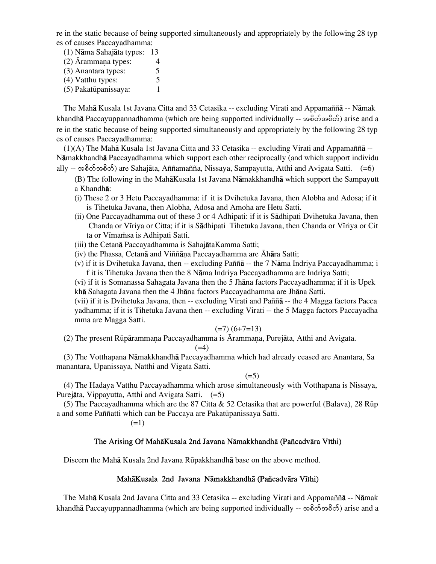re in the static because of being supported simultaneously and appropriately by the following 28 typ es of causes Paccayadhamma:

- (1) Nåma Sahajåta types: 13
- $(2)$  Årammana types:  $4$
- (3) Anantara types: 5
- (4) Vatthu types: 5
- (5) Pakatūpanissaya: 1

 The Mahå Kusala 1st Javana Citta and 33 Cetasika -- excluding Virati and Appamaññå -- Nåmak khandhā Paccayuppannadhamma (which are being supported individually -- spoofspoof) arise and a re in the static because of being supported simultaneously and appropriately by the following 28 typ es of causes Paccayadhamma:

 (1)(A) The Mahå Kusala 1st Javana Citta and 33 Cetasika -- excluding Virati and Appamaññå -- Nåmakkhandhå Paccayadhamma which support each other reciprocally (and which support individu ally -- အစိတ်အစိတ်) are Sahajāta, Aññamañña, Nissaya, Sampayutta, Atthi and Avigata Satti. (=6)

(B) The following in the MahåKusala 1st Javana Nåmakkhandhå which support the Sampayutt a Khandhå:

- (i) These 2 or 3 Hetu Paccayadhamma: if it is Dvihetuka Javana, then Alobha and Adosa; if it is Tihetuka Javana, then Alobha, Adosa and Amoha are Hetu Satti.
- (ii) One Paccayadhamma out of these 3 or 4 Adhipati: if it is Sådhipati Dvihetuka Javana, then Chanda or Vīriya or Citta; if it is Sādhipati Tihetuka Javana, then Chanda or Vīriya or Cit ta or Vīmamsa is Adhipati Satti.
- (iii) the Cetanå Paccayadhamma is SahajåtaKamma Satti;
- $(iv)$  the Phassa, Cetana and Viññana Paccayadhamma are  $\bar{A}$ hara Satti;
- (v) if it is Dvihetuka Javana, then -- excluding Paññå -- the 7 Nåma Indriya Paccayadhamma; i f it is Tihetuka Javana then the 8 Nåma Indriya Paccayadhamma are Indriya Satti;

(vi) if it is Somanassa Sahagata Javana then the 5 Jhåna factors Paccayadhamma; if it is Upek khå Sahagata Javana then the 4 Jhåna factors Paccayadhamma are Jhåna Satti.

(vii) if it is Dvihetuka Javana, then -- excluding Virati and Paññå -- the 4 Magga factors Pacca yadhamma; if it is Tihetuka Javana then -- excluding Virati -- the 5 Magga factors Paccayadha mma are Magga Satti.

#### $(=7)$   $(6+7=13)$

(2) The present Rūpārammana Paccayadhamma is Ārammana, Purejāta, Atthi and Avigata.

 $(=4)$ 

 (3) The Votthapana Nåmakkhandhå Paccayadhamma which had already ceased are Anantara, Sa manantara, Upanissaya, Natthi and Vigata Satti.

 $(=5)$ 

 (4) The Hadaya Vatthu Paccayadhamma which arose simultaneously with Votthapana is Nissaya, Purejāta, Vippayutta, Atthi and Avigata Satti. (=5)

(5) The Paccayadhamma which are the 87 Citta & 52 Cetasika that are powerful (Balava), 28 Rūp a and some Paññatti which can be Paccaya are Pakatūpanissaya Satti.

 $(=1)$ 

#### The Arising Of MahāKusala 2nd Javana Nāmakkhandhā (Pañcadvāra Vīthi)

Discern the Mahå Kusala 2nd Javana RËpakkhandhå base on the above method.

#### MahāKusala 2nd Javana Nāmakkhandhā (Pañcadvāra Vīthi)

 The Mahå Kusala 2nd Javana Citta and 33 Cetasika -- excluding Virati and Appamaññå -- Nåmak khandhā Paccayuppannadhamma (which are being supported individually --  $\infty$   $\delta$  $\infty$ ) arise and a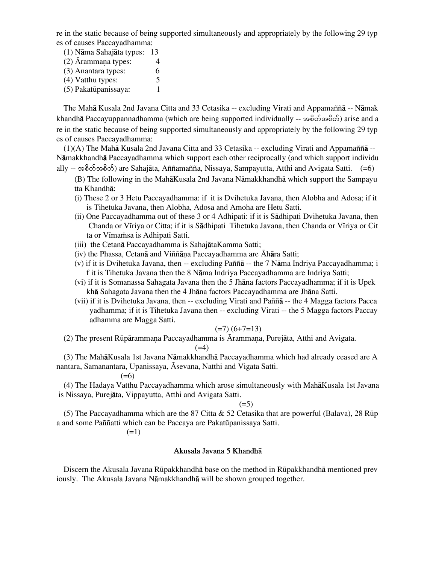re in the static because of being supported simultaneously and appropriately by the following 29 typ es of causes Paccayadhamma:

- (1) Nåma Sahajåta types: 13
- $(2)$  Ārammana types:  $4$
- (3) Anantara types: 6
- (4) Vatthu types: 5
- (5) Pakatūpanissaya: 1

 The Mahå Kusala 2nd Javana Citta and 33 Cetasika -- excluding Virati and Appamaññå -- Nåmak khandhā Paccayuppannadhamma (which are being supported individually  $\infty$   $\delta$  $\infty$ ) arise and a re in the static because of being supported simultaneously and appropriately by the following 29 typ es of causes Paccayadhamma:

 (1)(A) The Mahå Kusala 2nd Javana Citta and 33 Cetasika -- excluding Virati and Appamaññå -- Nåmakkhandhå Paccayadhamma which support each other reciprocally (and which support individu ally -- အစိတ်အစိတ်) are Sahajāta, Aññamañña, Nissaya, Sampayutta, Atthi and Avigata Satti. (=6)

(B) The following in the MahåKusala 2nd Javana Nåmakkhandhå which support the Sampayu tta Khandhå:

- (i) These 2 or 3 Hetu Paccayadhamma: if it is Dvihetuka Javana, then Alobha and Adosa; if it is Tihetuka Javana, then Alobha, Adosa and Amoha are Hetu Satti.
- (ii) One Paccayadhamma out of these 3 or 4 Adhipati: if it is Sådhipati Dvihetuka Javana, then Chanda or Vīriya or Citta; if it is Sādhipati Tihetuka Javana, then Chanda or Vīriya or Cit ta or Vīmamsa is Adhipati Satti.
- (iii) the Cetanå Paccayadhamma is SahajåtaKamma Satti;
- (iv) the Phassa, Cetanā and Viññāṇa Paccayadhamma are Āhāra Satti;
- (v) if it is Dvihetuka Javana, then -- excluding Paññå -- the 7 Nåma Indriya Paccayadhamma; i f it is Tihetuka Javana then the 8 Nåma Indriya Paccayadhamma are Indriya Satti;
- (vi) if it is Somanassa Sahagata Javana then the 5 Jhåna factors Paccayadhamma; if it is Upek khå Sahagata Javana then the 4 Jhåna factors Paccayadhamma are Jhåna Satti.
- (vii) if it is Dvihetuka Javana, then -- excluding Virati and Paññå -- the 4 Magga factors Pacca yadhamma; if it is Tihetuka Javana then -- excluding Virati -- the 5 Magga factors Paccay adhamma are Magga Satti.

#### $(=7)$   $(6+7=13)$

(2) The present Rūpārammana Paccayadhamma is Ārammana, Purejāta, Atthi and Avigata.

 $(=4)$ 

 (3) The MahåKusala 1st Javana Nåmakkhandhå Paccayadhamma which had already ceased are A nantara, Samanantara, Upanissaya, Āsevana, Natthi and Vigata Satti.

#### $(=6)$

 (4) The Hadaya Vatthu Paccayadhamma which arose simultaneously with MahåKusala 1st Javana is Nissaya, Purejåta, Vippayutta, Atthi and Avigata Satti.

## $(=5)$

(5) The Paccayadhamma which are the 87 Citta & 52 Cetasika that are powerful (Balava), 28 Rūp a and some Paññatti which can be Paccaya are Pakatūpanissaya Satti.

 $(=1)$ 

#### Akusala Javana 5 Khandhå

 Discern the Akusala Javana RËpakkhandhå base on the method in RËpakkhandhå mentioned prev iously. The Akusala Javana Nåmakkhandhå will be shown grouped together.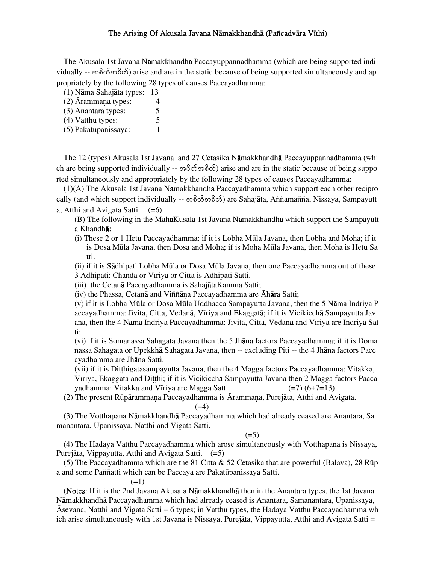## The Arising Of Akusala Javana Nāmakkhandhā (Pañcadvāra Vīthi)

 The Akusala 1st Javana Nåmakkhandhå Paccayuppannadhamma (which are being supported indi vidually -- නවින්නවින්) arise and are in the static because of being supported simultaneously and ap propriately by the following 28 types of causes Paccayadhamma:

- (1) Nåma Sahajåta types: 13
- (2)  $\bar{A}$ rammaṇa types:  $4$ <br>(3) Anantara types:  $5$
- (3) Anantara types: 5
- (4) Vatthu types: 5
- (5) Pakatūpanissaya: 1

 The 12 (types) Akusala 1st Javana and 27 Cetasika Nåmakkhandhå Paccayuppannadhamma (whi ch are being supported individually --  $\infty$   $\delta$   $\infty$  arise and are in the static because of being suppo rted simultaneously and appropriately by the following 28 types of causes Paccayadhamma:

 (1)(A) The Akusala 1st Javana Nåmakkhandhå Paccayadhamma which support each other recipro cally (and which support individually -- รอชิ $\delta$ รอชิ $\delta$ ) are Sahajāta, Aññamañña, Nissaya, Sampayutt a, Atthi and Avigata Satti. (=6)

(B) The following in the MahåKusala 1st Javana Nåmakkhandhå which support the Sampayutt a Khandhå:

(i) These 2 or 1 Hetu Paccayadhamma: if it is Lobha MËla Javana, then Lobha and Moha; if it is Dosa MËla Javana, then Dosa and Moha; if is Moha MËla Javana, then Moha is Hetu Sa tti.

(ii) if it is Sådhipati Lobha MËla or Dosa MËla Javana, then one Paccayadhamma out of these 3 Adhipati: Chanda or Vīriya or Citta is Adhipati Satti.

- (iii) the Cetanå Paccayadhamma is SahajåtaKamma Satti;
- $(iv)$  the Phassa, Cetan $\bar{a}$  and Viññ $\bar{a}$ na Paccayadhamma are Āhāra Satti;

(v) if it is Lobha MËla or Dosa MËla Uddhacca Sampayutta Javana, then the 5 Nåma Indriya P accayadhamma: Jīvita, Citta, Vedanā, Vīriya and Ekaggatā; if it is Vicikicchā Sampayutta Jav ana, then the 4 Nāma Indriya Paccayadhamma: Jīvita, Citta, Vedanā and Vīriya are Indriya Sat ti;

(vi) if it is Somanassa Sahagata Javana then the 5 Jhåna factors Paccayadhamma; if it is Doma nassa Sahagata or Upekkhā Sahagata Javana, then -- excluding P<sub>III</sub> -- the 4 Jhāna factors Pacc ayadhamma are Jhåna Satti.

(vii) if it is Ditthigatasampayutta Javana, then the 4 Magga factors Paccayadhamma: Vitakka, Vīriya, Ekaggata and Ditthi; if it is Vicikicchā Sampayutta Javana then 2 Magga factors Pacca yadhamma: Vitakka and Vīriya are Magga Satti.  $(=7) (6+7=13)$ 

(2) The present Rūpārammaṇa Paccayadhamma is Ārammaṇa, Purejāta, Atthi and Avigata.  $(=4)$ 

 (3) The Votthapana Nåmakkhandhå Paccayadhamma which had already ceased are Anantara, Sa manantara, Upanissaya, Natthi and Vigata Satti.

#### $(=5)$

 (4) The Hadaya Vatthu Paccayadhamma which arose simultaneously with Votthapana is Nissaya, Purejåta, Vippayutta, Atthi and Avigata Satti. (=5)

(5) The Paccayadhamma which are the 81 Citta & 52 Cetasika that are powerful (Balava), 28 Rūp a and some Paññatti which can be Paccaya are Pakatūpanissaya Satti.

 $(=1)$ 

 (Notes: If it is the 2nd Javana Akusala Nåmakkhandhå then in the Anantara types, the 1st Javana Nåmakkhandhå Paccayadhamma which had already ceased is Anantara, Samanantara, Upanissaya,  $\overline{A}$ sevana, Natthi and Vigata Satti = 6 types; in Vatthu types, the Hadaya Vatthu Paccayadhamma wh ich arise simultaneously with 1st Javana is Nissaya, Purejåta, Vippayutta, Atthi and Avigata Satti =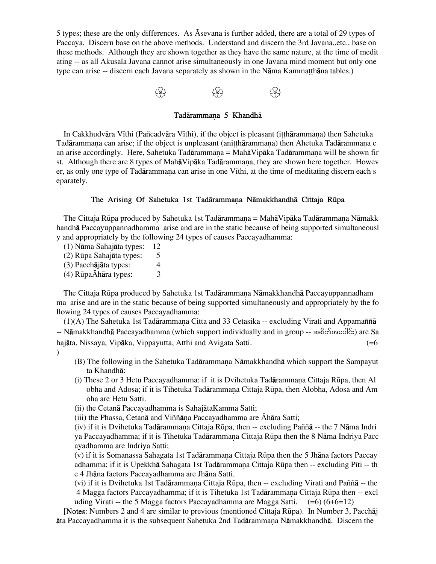5 types; these are the only differences. As Ósevana is further added, there are a total of 29 types of Paccaya. Discern base on the above methods. Understand and discern the 3rd Javana..etc.. base on these methods. Although they are shown together as they have the same nature, at the time of medit ating -- as all Akusala Javana cannot arise simultaneously in one Javana mind moment but only one type can arise -- discern each Javana separately as shown in the Nāma Kammatthāna tables.)



Tadārammana 5 Khandhā

In Cakkhudvāra Vīthi (Pañcadvāra Vīthi), if the object is pleasant (it thārammana) then Sahetuka Tadārammana can arise; if the object is unpleasant (anitthārammana) then Ahetuka Tadārammana c an arise accordingly. Here, Sahetuka Tadārammaṇa = Mahā Vipāka Tadārammaṇa will be shown fir st. Although there are 8 types of MahāVipāka Tadārammana, they are shown here together. Howev er, as only one type of Tadārammana can arise in one Vīthi, at the time of meditating discern each s eparately.

## The Arising Of Sahetuka 1st Tadārammaṇa Nāmakkhandhā Cittaja Rūpa

The Cittaja Rūpa produced by Sahetuka 1st Tadārammana = Mahā $V$ ipāka Tadārammana Nāmakk handhå Paccayuppannadhamma arise and are in the static because of being supported simultaneousl y and appropriately by the following 24 types of causes Paccayadhamma:

- (1) Nåma Sahajåta types: 12
- (2) RËpa Sahajåta types: 5
- (3) Pacchåjåta types: 4
- $(4)$  Rūpa $\bar{A}$ hāra types: 3

The Cittaja Rūpa produced by Sahetuka 1st Tadārammana Nāmakkhandhā Paccayuppannadham ma arise and are in the static because of being supported simultaneously and appropriately by the fo llowing 24 types of causes Paccayadhamma:

 $(1)(A)$  The Sahetuka 1st Tadārammana Citta and 33 Cetasika -- excluding Virati and Appamaññā -- Nāmakkhandhā Paccayadhamma (which support individually and in group -- အစိတ်အပေါင်း) are Sa hajåta, Nissaya, Vipåka, Vippayutta, Atthi and Avigata Satti. (=6

 $\lambda$ 

- (B) The following in the Sahetuka Tadārammaṇa Nāmakkhandhā which support the Sampayut ta Khandhå:
- (i) These 2 or 3 Hetu Paccayadhamma: if it is Dvihetuka Tadārammana Cittaja Rūpa, then Al obha and Adosa; if it is Tihetuka Tadārammana Cittaja Rūpa, then Alobha, Adosa and Am oha are Hetu Satti.
- (ii) the Cetanå Paccayadhamma is SahajåtaKamma Satti;
- (iii) the Phassa, Cetan $\bar{a}$  and Viññ $\bar{a}$ na Paccayadhamma are Áh $\bar{a}$ ra Satti;

(iv) if it is Dvihetuka Tadārammana Cittaja Rūpa, then -- excluding Paññā -- the 7 Nāma Indri ya Paccayadhamma; if it is Tihetuka Tadārammana Cittaja Rūpa then the 8 Nāma Indriya Pacc ayadhamma are Indriya Satti;

(v) if it is Somanassa Sahagata 1st Tadårammaˆa Cittaja RËpa then the 5 Jhåna factors Paccay adhamma; if it is Upekkhā Sahagata 1st Tadārammana Cittaja Rūpa then -- excluding Pīti -- th e 4 Jhåna factors Paccayadhamma are Jhåna Satti.

(vi) if it is Dvihetuka 1st Tadārammana Cittaja Rūpa, then -- excluding Virati and Paññā -- the 4 Magga factors Paccayadhamma; if it is Tihetuka 1st Tadārammana Cittaja Rūpa then -- excl uding Virati -- the 5 Magga factors Paccayadhamma are Magga Satti.  $(=6)(6+6=12)$ 

 [Notes: Numbers 2 and 4 are similar to previous (mentioned Cittaja RËpa). In Number 3, Pacchåj åta Paccayadhamma it is the subsequent Sahetuka 2nd Tadårammaˆa Nåmakkhandhå. Discern the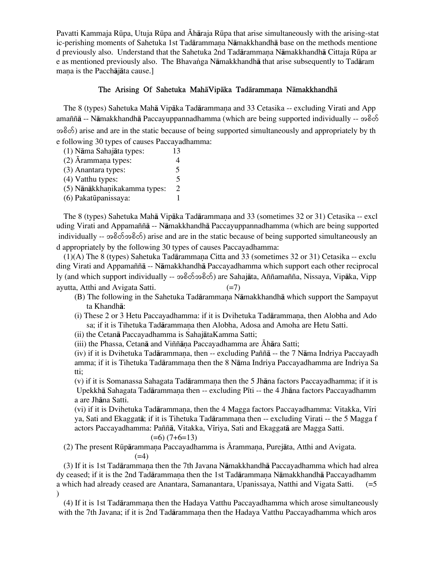Pavatti Kammaja Rūpa, Utuja Rūpa and Āhāraja Rūpa that arise simultaneously with the arising-stat ic-perishing moments of Sahetuka 1st Tadārammana Nāmakkhandhā base on the methods mentione d previously also. Understand that the Sahetuka 2nd Tadārammana Nāmakkhandhā Cittaja Rūpa ar e as mentioned previously also. The Bhavanga Nāmakkhandhā that arise subsequently to Tadāram mana is the Pacchajata cause.]

## The Arising Of Sahetuka MahāVipāka Tadārammana Nāmakkhandhā

The 8 (types) Sahetuka Mahā Vipāka Tadārammana and 33 Cetasika -- excluding Virati and App amaññā -- Nāmakkhandhā Paccayuppannadhamma (which are being supported individually --  $\infty$ os  $\infty$   $\delta$ ) arise and are in the static because of being supported simultaneously and appropriately by the e following 30 types of causes Paccayadhamma:

 (1) Nåma Sahajåta types: 13  $(2)$  Ārammana types:  $4$  (3) Anantara types: 5 (4) Vatthu types: 5  $(5)$  Nānākkhanikakamma types: 2 (6) PakatËpanissaya: 1

The 8 (types) Sahetuka Mahā Vipāka Tadārammaṇa and 33 (sometimes 32 or 31) Cetasika -- excl uding Virati and Appamaññå -- Nåmakkhandhå Paccayuppannadhamma (which are being supported individually --  $\mathfrak{so}$   $\mathfrak{so}$   $\mathfrak{so}$ ) arise and are in the static because of being supported simultaneously an d appropriately by the following 30 types of causes Paccayadhamma:

 $(1)(A)$  The 8 (types) Sahetuka Tadārammana Citta and 33 (sometimes 32 or 31) Cetasika -- exclu ding Virati and Appamaññå -- Nåmakkhandhå Paccayadhamma which support each other reciprocal ly (and which support individually -- အစိတ်အစိတ်) are Sahajāta, Aññamañña, Nissaya, Vipāka, Vipp ayutta, Atthi and Avigata Satti.  $(=7)$ 

- (B) The following in the Sahetuka Tadārammaṇa Nāmakkhandhā which support the Sampayut ta Khandhå:
- (i) These 2 or 3 Hetu Paccayadhamma: if it is Dvihetuka Tad<del>arammana, then Alobha and Ado</del> sa; if it is Tihetuka Tadārammana then Alobha, Adosa and Amoha are Hetu Satti.
- (ii) the Cetanå Paccayadhamma is SahajåtaKamma Satti;
- (iii) the Phassa, Cetan $\bar{a}$  and Viññ $\bar{a}$ na Paccayadhamma are  $\bar{A}$ h $\bar{a}$ ra Satti;

(iv) if it is Dvihetuka Tadārammana, then -- excluding Paññā -- the 7 Nāma Indriya Paccayadh amma; if it is Tihetuka Tadārammana then the 8 Nāma Indriya Paccayadhamma are Indriya Sa tti;

(v) if it is Somanassa Sahagata Tadārammana then the 5 Jhāna factors Paccayadhamma; if it is Upekkhā Sahagata Tadārammana then -- excluding Pīti -- the 4 Jhāna factors Paccayadhamm a are Jhåna Satti.

(vi) if it is Dvihetuka Tadārammana, then the 4 Magga factors Paccayadhamma: Vitakka, Vīri ya, Sati and Ekaggatā; if it is Tihetuka Tadārammana then -- excluding Virati -- the 5 Magga f actors Paccayadhamma: Paññā, Vitakka, Vīriya, Sati and Ekaggatā are Magga Satti.

$$
(=6) (7+6=13)
$$

(2) The present Rūpārammana Paccayadhamma is Ārammana, Purejāta, Atthi and Avigata.  $(=4)$ 

(3) If it is 1st Tadārammana then the 7th Javana Nāmakkhandhā Paccayadhamma which had alrea dy ceased; if it is the 2nd Tadārammana then the 1st Tadārammana Nāmakkhandhā Paccayadhamm a which had already ceased are Anantara, Samanantara, Upanissaya, Natthi and Vigata Satti. (=5 )

(4) If it is 1st Tadārammana then the Hadaya Vatthu Paccayadhamma which arose simultaneously with the 7th Javana; if it is 2nd Tadārammana then the Hadaya Vatthu Paccayadhamma which aros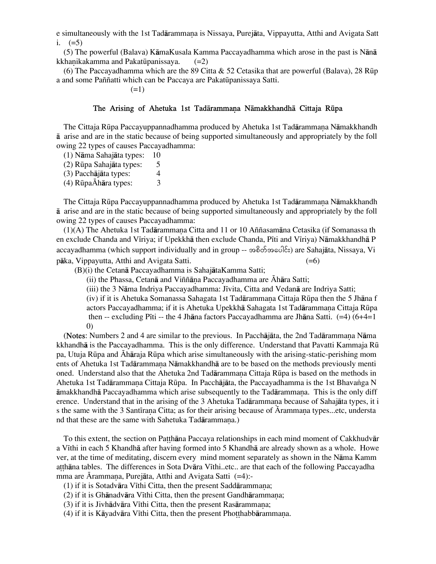e simultaneously with the 1st Tadārammana is Nissaya, Purejāta, Vippayutta, Atthi and Avigata Satt i.  $(=5)$ 

 (5) The powerful (Balava) KåmaKusala Kamma Paccayadhamma which arose in the past is Nånå kkhanikakamma and Pakatūpanissaya.  $(=2)$ 

(6) The Paccayadhamma which are the 89 Citta  $& 52$  Cetasika that are powerful (Balava), 28 Rūp a and some Paññatti which can be Paccaya are PakatËpanissaya Satti.

 $(=1)$ 

#### The Arising of Ahetuka 1st Tadārammana Nāmakkhandhā Cittaja Rūpa

The Cittaja Rūpa Paccayuppannadhamma produced by Ahetuka 1st Tadārammana Nāmakkhandh å arise and are in the static because of being supported simultaneously and appropriately by the foll owing 22 types of causes Paccayadhamma:

(1) Nåma Sahajåta types: 10

(2) RËpa Sahajåta types: 5

(3) Pacchåjåta types: 4

 $(4)$  Rūpa $\bar{A}$ hāra types: 3

The Cittaja Rūpa Paccayuppannadhamma produced by Ahetuka 1st Tadārammana Nāmakkhandh å arise and are in the static because of being supported simultaneously and appropriately by the foll owing 22 types of causes Paccayadhamma:

 $(1)(A)$  The Ahetuka 1st Tadārammana Citta and 11 or 10 Aññasamāna Cetasika (if Somanassa th en exclude Chanda and Vīriya; if Upekkhā then exclude Chanda, Pīti and Vīriya) Nāmakkhandhā P accayadhamma (which support individually and in group -- solosoftation are Sahajāta, Nissaya, Vi påka, Vippayutta, Atthi and Avigata Satti. (=6)

(B)(i) the Cetanå Paccayadhamma is SahajåtaKamma Satti;

(ii) the Phassa, Cetan $\bar{a}$  and Viññ $\bar{a}$ na Paccayadhamma are Áh $\bar{a}$ ra Satti;

(iii) the 3 Nāma Indriya Paccayadhamma: Jīvita, Citta and Vedanā are Indriya Satti;

(iv) if it is Ahetuka Somanassa Sahagata 1st Tadārammana Cittaja Rūpa then the 5 Jhāna f actors Paccayadhamma; if it is Ahetuka Upekkhā Sahagata 1st Tadārammana Cittaja Rūpa then -- excluding Pīti -- the 4 Jhāna factors Paccayadhamma are Jhāna Satti.  $(=4)$   $(6+4=1)$ 0)

(Notes: Numbers 2 and 4 are similar to the previous. In Paccha jata, the 2nd Tadarammana Nama kkhandhā is the Paccayadhamma. This is the only difference. Understand that Pavatti Kammaja Rū pa, Utuja RËpa and Óhåraja RËpa which arise simultaneously with the arising-static-perishing mom ents of Ahetuka 1st Tadārammana Nāmakkhandhā are to be based on the methods previously menti oned. Understand also that the Ahetuka 2nd Tadārammana Cittaja Rūpa is based on the methods in Ahetuka 1st Tadārammana Cittaja Rūpa. In Pacchājāta, the Paccayadhamma is the 1st Bhavanga N åmakkhandhå Paccayadhamma which arise subsequently to the Tadårammaˆa. This is the only diff erence. Understand that in the arising of the 3 Ahetuka Tadārammana because of Sahajāta types, it i s the same with the 3 Santirana Citta; as for their arising because of  $\bar{A}$ rammana types...etc, understa nd that these are the same with Sahetuka Tadārammana.)

To this extent, the section on Patthāna Paccaya relationships in each mind moment of Cakkhudvār a V<sub>I</sub>thi in each 5 Khandhā after having formed into 5 Khandhā are already shown as a whole. Howe ver, at the time of meditating, discern every mind moment separately as shown in the Nåma Kamm atthana tables. The differences in Sota Dvāra Vīthi..etc.. are that each of the following Paccayadha mma are Ārammana, Purejāta, Atthi and Avigata Satti  $(=4)$ :-

 $(1)$  if it is Sotadvāra Vīthi Citta, then the present Saddārammana;

 $(2)$  if it is Ghānadvāra Vīthi Citta, then the present Gandhārammana;

 $(3)$  if it is Jivhādvāra Vīthi Citta, then the present Rasārammana;

 $(4)$  if it is Kāyadvāra Vīthi Citta, then the present Photthabbārammana.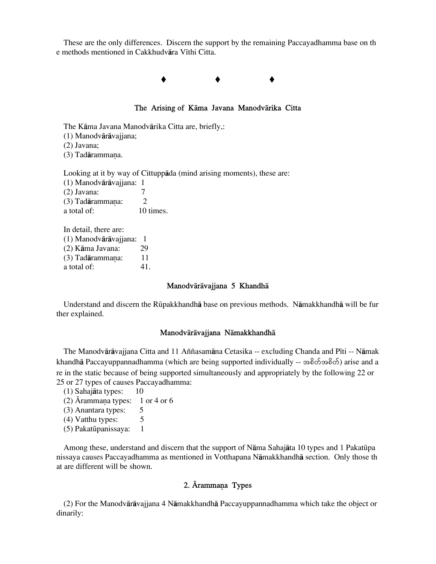These are the only differences. Discern the support by the remaining Paccayadhamma base on th e methods mentioned in Cakkhudvāra Vīthi Citta.

## $\begin{array}{ccccccc}\n\bullet & & & & \bullet & & & \bullet & & \end{array}$

#### The Arising of Kåma Javana Manodvårika Citta

The Kåma Javana Manodvårika Citta are, briefly,:

(1) Manodvåråvajjana;

(2) Javana;

(3) Tadārammana.

Looking at it by way of Cittuppåda (mind arising moments), these are:

(1) Manodvåråvajjana: 1

 (2) Javana: 7  $(3)$  Tadārammana:  $2$ a total of: 10 times.

 In detail, there are: (1) Manodvåråvajjana: 1 (2) Kåma Javana: 29  $(3)$  Tadārammana: 11 a total of: 41.

#### Manodvåråvajjana 5 Khandhå

 Understand and discern the RËpakkhandhå base on previous methods. Nåmakkhandhå will be fur ther explained.

#### Manodvåråvajjana Nåmakkhandhå

The Manodvārāvajjana Citta and 11 Aññasamāna Cetasika -- excluding Chanda and Pīti -- Nāmak khandhā Paccayuppannadhamma (which are being supported individually --  $\mathcal{B}(\mathcal{S})$  arise and a re in the static because of being supported simultaneously and appropriately by the following 22 or 25 or 27 types of causes Paccayadhamma:

(1) Sahajåta types: 10

- (2) Årammana types: 1 or 4 or 6
- (3) Anantara types: 5
- (4) Vatthu types: 5
- $(5)$  Pakatūpanissaya: 1

Among these, understand and discern that the support of Nama Sahajata 10 types and 1 Pakatūpa nissaya causes Paccayadhamma as mentioned in Votthapana Nåmakkhandhå section. Only those th at are different will be shown.

# 2. Ārammaṇa Types

 (2) For the Manodvåråvajjana 4 Nåmakkhandhå Paccayuppannadhamma which take the object or dinarily: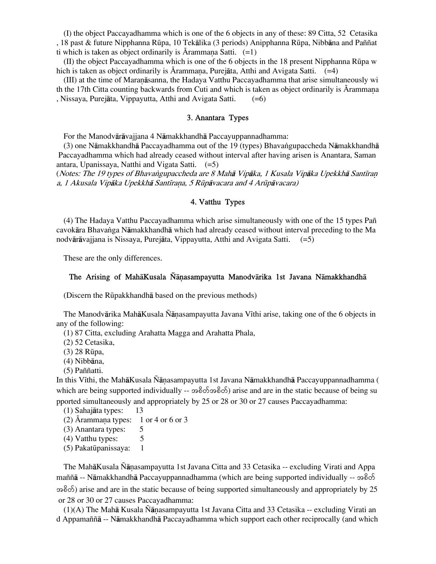(I) the object Paccayadhamma which is one of the 6 objects in any of these: 89 Citta, 52 Cetasika , 18 past & future Nipphanna RËpa, 10 Tekålika (3 periods) Anipphanna RËpa, Nibbåna and Paññat ti which is taken as object ordinarily is  $\bar{A}$ rammana Satti. (=1)

 $(II)$  the object Paccayadhamma which is one of the 6 objects in the 18 present Nipphanna Rūpa w hich is taken as object ordinarily is Ārammana, Purejāta, Atthi and Avigata Satti.  $(=4)$ 

 (III) at the time of Maraˆåsanna, the Hadaya Vatthu Paccayadhamma that arise simultaneously wi th the 17th Citta counting backwards from Cuti and which is taken as object ordinarily is Arammana , Nissaya, Purejāta, Vippayutta, Atthi and Avigata Satti.  $(=6)$ 

## 3. Anantara Types

For the Manodvåråvajjana 4 Nåmakkhandhå Paccayuppannadhamma:

(3) one Nāmakkhandhā Paccayadhamma out of the 19 (types) Bhavangupaccheda Nāmakkhandhā Paccayadhamma which had already ceased without interval after having arisen is Anantara, Saman antara, Upanissaya, Natthi and Vigata Satti. (=5)

(Notes: The 19 types of Bhavangupaccheda are 8 Mahā Vipāka, 1 Kusala Vipāka Upekkhā Santīraṇ a, 1 Akusala Vipāka Upekkhā Santīrana, 5 Rūpāvacara and 4 Arūpāvacara)

#### 4. Vatthu Types

 (4) The Hadaya Vatthu Paccayadhamma which arise simultaneously with one of the 15 types Pañ cavokåra Bhava∫ga Nåmakkhandhå which had already ceased without interval preceding to the Ma nodvåråvajjana is Nissaya, Purejåta, Vippayutta, Atthi and Avigata Satti. (=5)

These are the only differences.

#### The Arising of MahāKusala Ñānasampayutta Manodvārika 1st Javana Nāmakkhandhā

(Discern the RËpakkhandhå based on the previous methods)

The Manodvārika MahāKusala Ñānasampayutta Javana Vīthi arise, taking one of the 6 objects in any of the following:

- (1) 87 Citta, excluding Arahatta Magga and Arahatta Phala,
- (2) 52 Cetasika,
- (3) 28 RËpa,
- (4) Nibbåna,
- (5) Paññatti.

In this Vīthi, the MahāKusala Ñānasampayutta 1st Javana Nāmakkhandhā Paccayuppannadhamma ( which are being supported individually --  $\infty$  of  $\infty$  arise and are in the static because of being su pported simultaneously and appropriately by 25 or 28 or 30 or 27 causes Paccayadhamma:

- (1) Sahajåta types: 13
- (2) Årammana types: 1 or 4 or 6 or 3
- (3) Anantara types: 5
- (4) Vatthu types: 5
- (5) Pakatūpanissaya: 1

The MahāKusala Ñānasampayutta 1st Javana Citta and 33 Cetasika -- excluding Virati and Appa maññā -- Nāmakkhandhā Paccayuppannadhamma (which are being supported individually -- so of  $\infty$  space) arise and are in the static because of being supported simultaneously and appropriately by 25 or 28 or 30 or 27 causes Paccayadhamma:

 $(1)(A)$  The Mahā Kusala Ñānasampayutta 1st Javana Citta and 33 Cetasika -- excluding Virati an d Appamaññå -- Nåmakkhandhå Paccayadhamma which support each other reciprocally (and which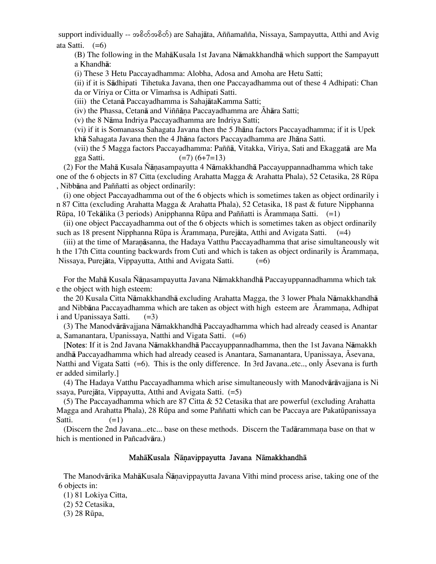support individually -- အစိတ်အစိတ်) are Sahajāta, Aññamañña, Nissaya, Sampayutta, Atthi and Avig ata Satti.  $(=6)$ 

(B) The following in the MahåKusala 1st Javana Nåmakkhandhå which support the Sampayutt a Khandhå:

(i) These 3 Hetu Paccayadhamma: Alobha, Adosa and Amoha are Hetu Satti;

(ii) if it is Sådhipati Tihetuka Javana, then one Paccayadhamma out of these 4 Adhipati: Chan da or Vīriya or Citta or Vīmamsa is Adhipati Satti.

(iii) the Cetanå Paccayadhamma is SahajåtaKamma Satti;

 $(iv)$  the Phassa, Cetan $\bar{a}$  and Viññ $\bar{a}$ na Paccayadhamma are Āhāra Satti;

(v) the 8 Nåma Indriya Paccayadhamma are Indriya Satti;

(vi) if it is Somanassa Sahagata Javana then the 5 Jhåna factors Paccayadhamma; if it is Upek khå Sahagata Javana then the 4 Jhåna factors Paccayadhamma are Jhåna Satti.

(vii) the 5 Magga factors Paccayadhamma: Paññā, Vitakka, Vīriya, Sati and Ekaggatā are Ma gga Satti.  $(=7) (6+7=13)$ 

 (2) For the Mahå Kusala Ñåˆasampayutta 4 Nåmakkhandhå Paccayuppannadhamma which take one of the 6 objects in 87 Citta (excluding Arahatta Magga & Arahatta Phala), 52 Cetasika, 28 RËpa , Nibbåna and Paññatti as object ordinarily:

 (i) one object Paccayadhamma out of the 6 objects which is sometimes taken as object ordinarily i n 87 Citta (excluding Arahatta Magga & Arahatta Phala), 52 Cetasika, 18 past & future Nipphanna Rūpa, 10 Tekālika (3 periods) Anipphanna Rūpa and Paññatti is Ārammana Satti.  $(=1)$ 

 (ii) one object Paccayadhamma out of the 6 objects which is sometimes taken as object ordinarily such as 18 present Nipphanna Rūpa is Ārammana, Purejāta, Atthi and Avigata Satti.  $(=4)$ 

(iii) at the time of Maranāsanna, the Hadaya Vatthu Paccayadhamma that arise simultaneously wit h the 17th Citta counting backwards from Cuti and which is taken as object ordinarily is Arammana,  $N$ issaya, Purejāta, Vippayutta, Atthi and Avigata Satti.  $(=6)$ 

For the Mahā Kusala Ñānasampayutta Javana Nāmakkhandhā Paccayuppannadhamma which tak e the object with high esteem:

 the 20 Kusala Citta Nåmakkhandhå excluding Arahatta Magga, the 3 lower Phala Nåmakkhandhå and Nibbāna Paccayadhamma which are taken as object with high esteem are Arammana, Adhipat i and Upanissaya Satti.  $(=3)$ 

 (3) The Manodvåråvajjana Nåmakkhandhå Paccayadhamma which had already ceased is Anantar a, Samanantara, Upanissaya, Natthi and Vigata Satti. (=6)

 [Notes: If it is 2nd Javana Nåmakkhandhå Paccayuppannadhamma, then the 1st Javana Nåmakkh andhā Paccayadhamma which had already ceased is Anantara, Samanantara, Upanissaya, Āsevana, Natthi and Vigata Satti  $(=6)$ . This is the only difference. In 3rd Javana..etc.., only  $\bar{A}$ sevana is furth er added similarly.]

 (4) The Hadaya Vatthu Paccayadhamma which arise simultaneously with Manodvåråvajjana is Ni ssaya, Purejåta, Vippayutta, Atthi and Avigata Satti. (=5)

(5) The Paccayadhamma which are 87 Citta  $\&$  52 Cetasika that are powerful (excluding Arahatta Magga and Arahatta Phala), 28 Rūpa and some Paññatti which can be Paccaya are Pakatūpanissaya Satti.  $(=1)$ 

(Discern the 2nd Javana...etc... base on these methods. Discern the Tad<del>arammana</del> base on that w hich is mentioned in Pañcadvåra.)

#### MahāKusala Ñānavippayutta Javana Nāmakkhandhā

The Manodvārika MahāKusala Ñānavippayutta Javana Vīthi mind process arise, taking one of the 6 objects in:

(1) 81 Lokiya Citta,

(2) 52 Cetasika,

(3) 28 RËpa,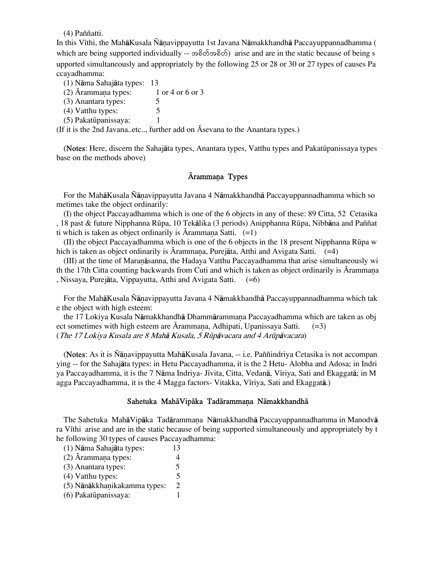(4) Paññatti.

In this Vīthi, the MahāKusala Ñāṇavippayutta 1st Javana Nāmakkhandhā Paccayuppannadhamma ( which are being supported individually  $\frac{1}{2}$   $\frac{1}{2}$  arise and are in the static because of being s upported simultaneously and appropriately by the following 25 or 28 or 30 or 27 types of causes Pa ccayadhamma:

- (1) Nåma Sahajåta types: 13
- (2)  $\bar{A}$ rammana types: 1 or 4 or 6 or 3
- (3) Anantara types: 5<br>(4) Vatthu types: 5
- (4) Vatthu types:
- (5) Pakatūpanissaya: 1

(If it is the 2nd Javana..etc.., further add on  $\bar{A}$ sevana to the Anantara types.)

(Notes: Here, discern the Sahajāta types, Anantara types, Vatthu types and Pakatūpanissaya types base on the methods above)

## Ārammana Types

For the MahāKusala Ñānavippayutta Javana 4 Nāmakkhandhā Paccayuppannadhamma which so metimes take the object ordinarily:

 (I) the object Paccayadhamma which is one of the 6 objects in any of these: 89 Citta, 52 Cetasika , 18 past & future Nipphanna RËpa, 10 Tekålika (3 periods) Anipphanna RËpa, Nibbåna and Paññat ti which is taken as object ordinarily is  $\bar{A}$ rammana Satti. (=1)

 $(II)$  the object Paccayadhamma which is one of the 6 objects in the 18 present Nipphanna Rūpa w hich is taken as object ordinarily is Ārammana, Purejāta, Atthi and Avigata Satti.  $(=4)$ 

 (III) at the time of Maraˆåsanna, the Hadaya Vatthu Paccayadhamma that arise simultaneously wi th the 17th Citta counting backwards from Cuti and which is taken as object ordinarily is  $\bar{A}$ rammana , Nissaya, Purejåta, Vippayutta, Atthi and Avigata Satti. (=6)

For the MahāKusala Ñānavippayutta Javana 4 Nāmakkhandhā Paccayuppannadhamma which tak e the object with high esteem:

the 17 Lokiya Kusala Nāmakkhandhā Dhammārammana Paccayadhamma which are taken as obj ect sometimes with high esteem are  $\bar{A}$ rammana, Adhipati, Upanissaya Satti. (=3) (The 17 Lokiya Kusala are 8 Mahā Kusala, 5 Rūpāvacara and 4 Arūpāvacara)

 (Notes: As it is Ñåˆavippayutta MahåKusala Javana, -- i.e. Paññindriya Cetasika is not accompan ying -- for the Sahajåta types: in Hetu Paccayadhamma, it is the 2 Hetu- Alobha and Adosa; in Indri ya Paccayadhamma, it is the 7 Nāma Indriya- Jīvita, Citta, Vedanā, Vīriya, Sati and Ekaggatā; in M agga Paccayadhamma, it is the 4 Magga factors- Vitakka, Vīriya, Sati and Ekaggatā.)

#### Sahetuka MahāVipāka Tadārammana Nāmakkhandhā

The Sahetuka MahāVipāka Tadārammana Nāmakkhandhā Paccayuppannadhamma in Manodvā ra V<sub>I</sub>thi arise and are in the static because of being supported simultaneously and appropriately by t he following 30 types of causes Paccayadhamma:

 (1) Nåma Sahajåta types: 13  $(2)$  Ārammana types:  $4$  (3) Anantara types: 5 (4) Vatthu types: 5 (5) Nānākkhanikakamma types: 2 (6) PakatËpanissaya: 1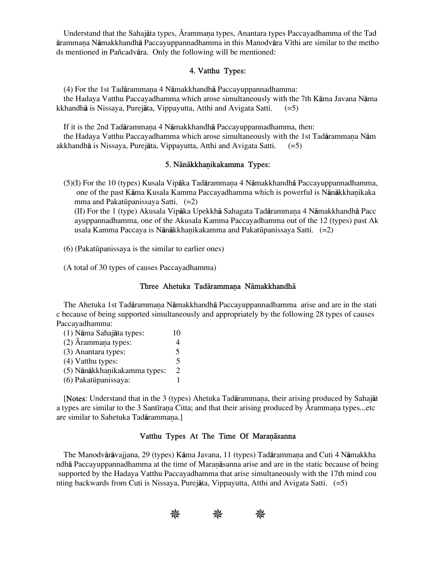Understand that the Sahajāta types, Ārammaṇa types, Anantara types Paccayadhamma of the Tad årammaˆa Nåmakkhandhå Paccayuppannadhamma in this Manodvåra V¥thi are similar to the metho ds mentioned in Pañcadvåra. Only the following will be mentioned:

#### 4. Vatthu Types:

(4) For the 1st Tadārammana 4 Nāmakkhandhā Paccayuppannadhamma:

 the Hadaya Vatthu Paccayadhamma which arose simultaneously with the 7th Kåma Javana Nåma kkhandhā is Nissaya, Purejāta, Vippayutta, Atthi and Avigata Satti.  $(=5)$ 

If it is the 2nd Tadārammana 4 Nāmakkhandhā Paccayuppannadhamma, then:

the Hadaya Vatthu Paccayadhamma which arose simultaneously with the 1st Tadārammana Nām akkhandhā is Nissaya, Purejāta, Vippayutta, Atthi and Avigata Satti.  $(=5)$ 

#### 5. Nänäkkhanikakamma Types:

 $(5)(I)$  For the 10 (types) Kusala Vipāka Tadārammana 4 Nāmakkhandhā Paccayuppannadhamma, one of the past Kāma Kusala Kamma Paccayadhamma which is powerful is Nānākkhanikaka mma and Pakatūpanissaya Satti.  $(=2)$ 

(II) For the 1 (type) Akusala Vipāka Upekkhā Sahagata Tadārammana 4 Nāmakkhandhā Pacc ayuppannadhamma, one of the Akusala Kamma Paccayadhamma out of the 12 (types) past Ak usala Kamma Paccaya is Nānākkhanikakamma and Pakatūpanissaya Satti.  $(=2)$ 

(6) (PakatËpanissaya is the similar to earlier ones)

(A total of 30 types of causes Paccayadhamma)

#### Three Ahetuka Tadārammana Nāmakkhandhā

The Ahetuka 1st Tadārammaṇa Nāmakkhandhā Paccayuppannadhamma arise and are in the stati c because of being supported simultaneously and appropriately by the following 28 types of causes Paccayadhamma:

| (1) Nāma Sahajāta types:     | 10                       |
|------------------------------|--------------------------|
| (2) Ārammaņa types:          | 4                        |
| (3) Anantara types:          | $\overline{\phantom{1}}$ |
| (4) Vatthu types:            | 5                        |
| (5) Nānākkhanikakamma types: | 2                        |
| (6) Pakatūpanissaya:         |                          |

[Notes: Understand that in the 3 (types) Ahetuka Tadārammana, their arising produced by Sahajāt a types are similar to the 3 Santirana Citta; and that their arising produced by  $\bar{A}$ rammana types...etc are similar to Sahetuka Tadārammaṇa.]

#### Vatthu Types At The Time Of Maranasanna

The Manodvārāvajjana, 29 (types) Kāma Javana, 11 (types) Tadārammana and Cuti 4 Nāmakkha ndhā Paccayuppannadhamma at the time of Maranāsanna arise and are in the static because of being supported by the Hadaya Vatthu Paccayadhamma that arise simultaneously with the 17th mind cou nting backwards from Cuti is Nissaya, Purejåta, Vippayutta, Atthi and Avigata Satti. (=5)

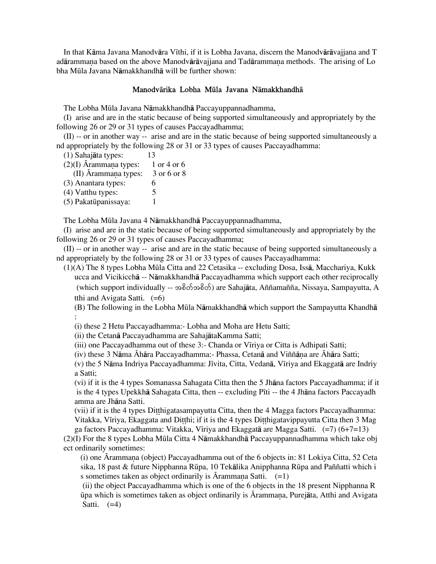In that Kāma Javana Manodvāra Vīthi, if it is Lobha Javana, discern the Manodvārāvajjana and T adārammana based on the above Manodvārāvajjana and Tadārammana methods. The arising of Lo bha MËla Javana Nåmakkhandhå will be further shown:

#### Manodvārika Lobha Mūla Javana Nāmakkhandhā

The Lobha MËla Javana Nåmakkhandhå Paccayuppannadhamma,

 (I) arise and are in the static because of being supported simultaneously and appropriately by the following 26 or 29 or 31 types of causes Paccayadhamma;

 (II) -- or in another way -- arise and are in the static because of being supported simultaneously a nd appropriately by the following 28 or 31 or 33 types of causes Paccayadhamma:

 (1) Sahajåta types: 13  $(2)(I)$  Ārammaṇa types: 1 or 4 or 6 (II) Ārammana types:  $3$  or 6 or 8 (3) Anantara types: 6 (4) Vatthu types: 5 (5) Pakatūpanissaya: 1

The Lobha MËla Javana 4 Nåmakkhandhå Paccayuppannadhamma,

 (I) arise and are in the static because of being supported simultaneously and appropriately by the following 26 or 29 or 31 types of causes Paccayadhamma;

 (II) -- or in another way -- arise and are in the static because of being supported simultaneously a nd appropriately by the following 28 or 31 or 33 types of causes Paccayadhamma:

(1)(A) The 8 types Lobha MËla Citta and 22 Cetasika -- excluding Dosa, Isså, Macchariya, Kukk ucca and Vicikicchå -- Nåmakkhandhå Paccayadhamma which support each other reciprocally

(which support individually --  $\infty$   $\infty$   $\infty$  ) are Sahajāta, Aññamañña, Nissaya, Sampayutta, A tthi and Avigata Satti.  $(=6)$ 

(B) The following in the Lobha MËla Nåmakkhandhå which support the Sampayutta Khandhå :

(i) these 2 Hetu Paccayadhamma:- Lobha and Moha are Hetu Satti;

(ii) the Cetanå Paccayadhamma are SahajåtaKamma Satti;

 $(iii)$  one Paccayadhamma out of these 3:- Chanda or V $\overline{i}$ riya or Citta is Adhipati Satti;

 $(iv)$  these 3 Nāma Āhāra Paccayadhamma:- Phassa, Cetanā and Viññāna are Āhāra Satti;

(v) the 5 Nāma Indriya Paccayadhamma: Jīvita, Citta, Vedanā, Vīriya and Ekaggatā are Indriy a Satti;

(vi) if it is the 4 types Somanassa Sahagata Citta then the 5 Jhåna factors Paccayadhamma; if it is the 4 types Upekkhā Sahagata Citta, then -- excluding P<sub>I</sub>ti -- the 4 Jhāna factors Paccayadh amma are Jhåna Satti.

(vii) if it is the 4 types Ditthigatasampayutta Citta, then the 4 Magga factors Paccayadhamma: Vitakka, Vīriya, Ekaggata and Ditthi; if it is the 4 types Ditthigatavippayutta Citta then 3 Mag ga factors Paccayadhamma: Vitakka, Vīriya and Ekaggatā are Magga Satti.  $(=7) (6+7=13)$ 

(2)(I) For the 8 types Lobha MËla Citta 4 Nåmakkhandhå Paccayuppannadhamma which take obj ect ordinarily sometimes:

(i) one  $\bar{A}$ rammana (object) Paccayadhamma out of the 6 objects in: 81 Lokiya Citta, 52 Ceta sika, 18 past & future Nipphanna RËpa, 10 Tekålika Anipphanna RËpa and Paññatti which i s sometimes taken as object ordinarily is Ārammana Satti.  $(=1)$ 

 (ii) the object Paccayadhamma which is one of the 6 objects in the 18 present Nipphanna R  $\bar{u}$  upa which is sometimes taken as object ordinarily is  $\bar{A}$ rammana, Purejāta, Atthi and Avigata Satti.  $(=4)$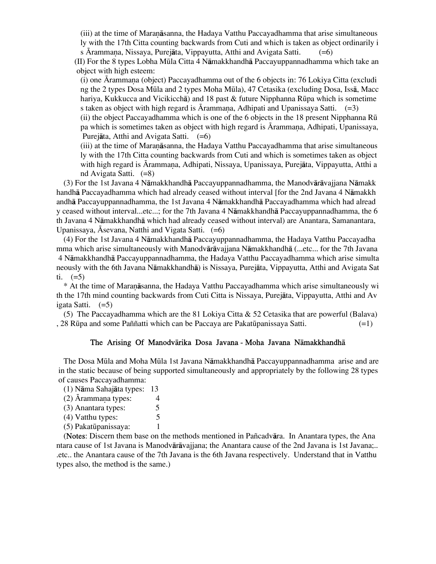(iii) at the time of Maranāsanna, the Hadaya Vatthu Paccayadhamma that arise simultaneous ly with the 17th Citta counting backwards from Cuti and which is taken as object ordinarily i s Ārammana, Nissaya, Purejāta, Vippayutta, Atthi and Avigata Satti.  $(=6)$ 

(II) For the 8 types Lobha MËla Citta 4 Nåmakkhandhå Paccayuppannadhamma which take an object with high esteem:

 $(i)$  one  $\bar{A}$ rammana (object) Paccayadhamma out of the 6 objects in: 76 Lokiya Citta (excludi ng the 2 types Dosa MËla and 2 types Moha MËla), 47 Cetasika (excluding Dosa, Isså, Macc hariya, Kukkucca and Vicikiccha) and 18 past & future Nipphanna Rūpa which is sometime s taken as object with high regard is  $\bar{A}$ rammana, Adhipati and Upanissaya Satti. (=3)

(ii) the object Paccayadhamma which is one of the 6 objects in the 18 present Nipphanna  $R\bar{u}$ pa which is sometimes taken as object with high regard is  $\bar{A}$ rammana, Adhipati, Upanissaya, Purejāta, Atthi and Avigata Satti. (=6)

(iii) at the time of Maranāsanna, the Hadaya Vatthu Paccayadhamma that arise simultaneous ly with the 17th Citta counting backwards from Cuti and which is sometimes taken as object with high regard is Ārammaṇa, Adhipati, Nissaya, Upanissaya, Purejāta, Vippayutta, Atthi a nd Avigata Satti. (=8)

 (3) For the 1st Javana 4 Nåmakkhandhå Paccayuppannadhamma, the Manodvåråvajjana Nåmakk handhå Paccayadhamma which had already ceased without interval [for the 2nd Javana 4 Nåmakkh andhå Paccayuppannadhamma, the 1st Javana 4 Nåmakkhandhå Paccayadhamma which had alread y ceased without interval...etc...; for the 7th Javana 4 Nåmakkhandhå Paccayuppannadhamma, the 6 th Javana 4 Nåmakkhandhå which had already ceased without interval) are Anantara, Samanantara, Upanissaya, Āsevana, Natthi and Vigata Satti.  $(=6)$ 

 (4) For the 1st Javana 4 Nåmakkhandhå Paccayuppannadhamma, the Hadaya Vatthu Paccayadha mma which arise simultaneously with Manodvåråvajjana Nåmakkhandhå (...etc... for the 7th Javana 4 Nåmakkhandhå Paccayuppannadhamma, the Hadaya Vatthu Paccayadhamma which arise simulta neously with the 6th Javana Nåmakkhandhå) is Nissaya, Purejåta, Vippayutta, Atthi and Avigata Sat ti.  $(=5)$ 

 \* At the time of Maraˆåsanna, the Hadaya Vatthu Paccayadhamma which arise simultaneously wi th the 17th mind counting backwards from Cuti Citta is Nissaya, Purejåta, Vippayutta, Atthi and Av igata Satti.  $(=5)$ 

 (5) The Paccayadhamma which are the 81 Lokiya Citta & 52 Cetasika that are powerful (Balava) , 28 Rūpa and some Paññatti which can be Paccaya are Pakatūpanissaya Satti.  $(=1)$ 

### The Arising Of Manodvårika Dosa Javana - Moha Javana Nåmakkhandhå

 The Dosa MËla and Moha MËla 1st Javana Nåmakkhandhå Paccayuppannadhamma arise and are in the static because of being supported simultaneously and appropriately by the following 28 types of causes Paccayadhamma:

- (1) Nåma Sahajåta types: 13
- $(2)$  Årammana types:  $4$
- (3) Anantara types: 5
- (4) Vatthu types: 5
- (5) Pakatūpanissaya: 1

 (Notes: Discern them base on the methods mentioned in Pañcadvåra. In Anantara types, the Ana ntara cause of 1st Javana is Manodvåråvajjana; the Anantara cause of the 2nd Javana is 1st Javana;.. .etc.. the Anantara cause of the 7th Javana is the 6th Javana respectively. Understand that in Vatthu types also, the method is the same.)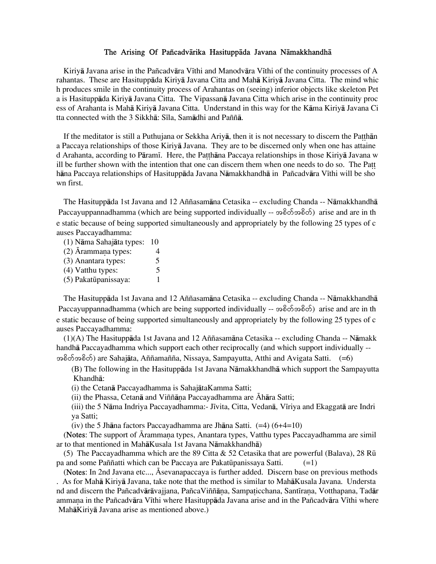#### The Arising Of Pañcadvårika Hasituppåda Javana Nåmakkhandhå

Kiriyā Javana arise in the Pañcadvāra Vīthi and Manodvāra Vīthi of the continuity processes of A rahantas. These are Hasituppåda Kiriyå Javana Citta and Mahå Kiriyå Javana Citta. The mind whic h produces smile in the continuity process of Arahantas on (seeing) inferior objects like skeleton Pet a is Hasituppåda Kiriyå Javana Citta. The Vipassanå Javana Citta which arise in the continuity proc ess of Arahanta is Mahå Kiriyå Javana Citta. Understand in this way for the Kåma Kiriyå Javana Ci tta connected with the 3 Sikkhā: Sīla, Samādhi and Paññā.

If the meditator is still a Puthujana or Sekkha Ariya, then it is not necessary to discern the Patthan a Paccaya relationships of those Kiriyå Javana. They are to be discerned only when one has attaine d Arahanta, according to Pāramī. Here, the Patthāna Paccaya relationships in those Kiriyā Javana w ill be further shown with the intention that one can discern them when one needs to do so. The Patt hāna Paccaya relationships of Hasituppāda Javana Nāmakkhandhā in Pañcadvāra Vīthi will be sho wn first.

 The Hasituppåda 1st Javana and 12 Aññasamåna Cetasika -- excluding Chanda -- Nåmakkhandhå Paccayuppannadhamma (which are being supported individually -- အစိတ်အစိတ်) arise and are in th e static because of being supported simultaneously and appropriately by the following 25 types of c auses Paccayadhamma:

- (1) Nåma Sahajåta types: 10
- $(2)$  Årammana types:  $4$
- (3) Anantara types: 5
- (4) Vatthu types: 5
- (5) Pakatūpanissaya: 1

 The Hasituppåda 1st Javana and 12 Aññasamåna Cetasika -- excluding Chanda -- Nåmakkhandhå Paccayuppannadhamma (which are being supported individually -- solosolos) arise and are in th e static because of being supported simultaneously and appropriately by the following 25 types of c auses Paccayadhamma:

 (1)(A) The Hasituppåda 1st Javana and 12 Aññasamåna Cetasika -- excluding Chanda -- Nåmakk handhå Paccayadhamma which support each other reciprocally (and which support individually - tpdwftpdwf) are Sahajåta, Aññamañña, Nissaya, Sampayutta, Atthi and Avigata Satti. (=6)

(B) The following in the Hasituppåda 1st Javana Nåmakkhandhå which support the Sampayutta Khandhå:

(i) the Cetanå Paccayadhamma is SahajåtaKamma Satti;

 $(iii)$  the Phassa, Cetana and Viññana Paccayadhamma are Áhara Satti;

(iii) the 5 Nāma Indriya Paccayadhamma:- Jīvita, Citta, Vedanā, Vīriya and Ekaggatā are Indri ya Satti;

(iv) the 5 Jhåna factors Paccayadhamma are Jhåna Satti. (=4) (6+4=10)

(Notes: The support of Ārammana types, Anantara types, Vatthu types Paccayadhamma are simil ar to that mentioned in MahåKusala 1st Javana Nåmakkhandhå)

(5) The Paccayadhamma which are the 89 Citta & 52 Cetasika that are powerful (Balava), 28 Rū pa and some Paññatti which can be Paccaya are Pakatūpanissaya Satti.  $(=1)$ 

(Notes: In 2nd Javana etc..., Asevanapaccaya is further added. Discern base on previous methods . As for Mahå Kiriyå Javana, take note that the method is similar to MahåKusala Javana. Understa nd and discern the Pañcadvārāvajjana, PañcaViññāna, Sampaticchana, Santīrana, Votthapana, Tadār ammaṇa in the Pañcadvāra Vīthi where Hasituppāda Javana arise and in the Pañcadvāra Vīthi where MahåKiriyå Javana arise as mentioned above.)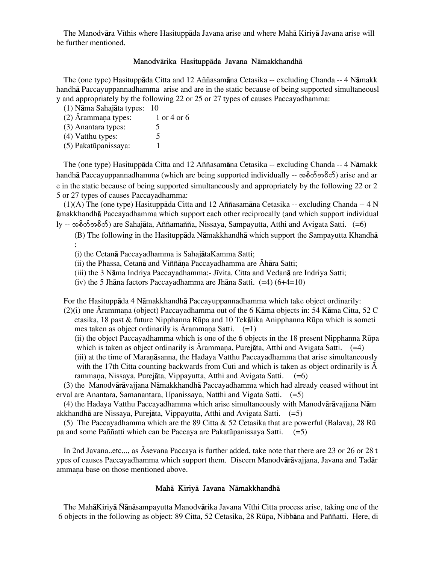The Manodvāra Vīthis where Hasituppāda Javana arise and where Mahā Kiriyā Javana arise will be further mentioned.

#### Manodvårika Hasituppåda Javana Nåmakkhandhå

 The (one type) Hasituppåda Citta and 12 Aññasamåna Cetasika -- excluding Chanda -- 4 Nåmakk handhå Paccayuppannadhamma arise and are in the static because of being supported simultaneousl y and appropriately by the following 22 or 25 or 27 types of causes Paccayadhamma:

(1) Nåma Sahajåta types: 10

- (2)  $\bar{A}$ rammana types: 1 or 4 or 6
- (3) Anantara types: 5
- (4) Vatthu types: 5
- (5) Pakatūpanissaya: 1

 The (one type) Hasituppåda Citta and 12 Aññasamåna Cetasika -- excluding Chanda -- 4 Nåmakk handhā Paccayuppannadhamma (which are being supported individually -- ශාරිතිශාරි) arise and ar e in the static because of being supported simultaneously and appropriately by the following 22 or 2 5 or 27 types of causes Paccayadhamma:

 (1)(A) The (one type) Hasituppåda Citta and 12 Aññasamåna Cetasika -- excluding Chanda -- 4 N åmakkhandhå Paccayadhamma which support each other reciprocally (and which support individual  $\gamma$  --  $\infty$   $\delta$   $\infty$   $\infty$ ) are Sahajāta, Aññamañña, Nissaya, Sampayutta, Atthi and Avigata Satti. (=6)

(B) The following in the Hasituppåda Nåmakkhandhå which support the Sampayutta Khandhå :

- (i) the Cetanå Paccayadhamma is SahajåtaKamma Satti;
- (ii) the Phassa, Cetan $\bar{a}$  and Viññ $\bar{a}$ na Paccayadhamma are Áh $\bar{a}$ ra Satti;
- (iii) the 3 Nāma Indriya Paccayadhamma:- Jīvita, Citta and Vedanā are Indriya Satti;
- (iv) the 5 Jhåna factors Paccayadhamma are Jhåna Satti. (=4) (6+4=10)

For the Hasituppåda 4 Nåmakkhandhå Paccayuppannadhamma which take object ordinarily:

- $(2)(i)$  one Ārammana (object) Paccayadhamma out of the 6 Kāma objects in: 54 Kāma Citta, 52 C etasika, 18 past & future Nipphanna RËpa and 10 Tekålika Anipphanna RËpa which is someti mes taken as object ordinarily is Ārammana Satti.  $(=1)$ 
	- $(i)$  the object Paccayadhamma which is one of the 6 objects in the 18 present Nipphanna Rūpa which is taken as object ordinarily is  $\bar{A}$ rammana, Purejāta, Atthi and Avigata Satti. (=4)
	- (iii) at the time of Maranāsanna, the Hadaya Vatthu Paccayadhamma that arise simultaneously with the 17th Citta counting backwards from Cuti and which is taken as object ordinarily is  $\overline{A}$ rammaṇa, Nissaya, Purejāta, Vippayutta, Atthi and Avigata Satti. (=6)

 (3) the Manodvåråvajjana Nåmakkhandhå Paccayadhamma which had already ceased without int erval are Anantara, Samanantara, Upanissaya, Natthi and Vigata Satti. (=5)

 (4) the Hadaya Vatthu Paccayadhamma which arise simultaneously with Manodvåråvajjana Nåm akkhandhå are Nissaya, Purejåta, Vippayutta, Atthi and Avigata Satti. (=5)

(5) The Paccayadhamma which are the 89 Citta  $& 52$  Cetasika that are powerful (Balava), 28 Rū pa and some Paññatti which can be Paccaya are Pakatūpanissaya Satti.  $(=5)$ 

In 2nd Javana..etc..., as Asevana Paccaya is further added, take note that there are 23 or 26 or 28 t ypes of causes Paccayadhamma which support them. Discern Manodvåråvajjana, Javana and Tadår ammana base on those mentioned above.

## Mahå Kiriyå Javana Nåmakkhandhå

The MahāKiriyā Ñānāsampayutta Manodvārika Javana Vīthi Citta process arise, taking one of the 6 objects in the following as object: 89 Citta, 52 Cetasika, 28 RËpa, Nibbåna and Paññatti. Here, di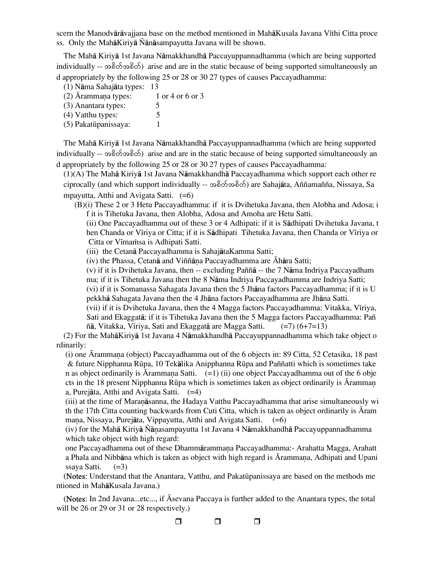scern the Manodvārāvajjana base on the method mentioned in MahāKusala Javana Vīthi Citta proce ss. Only the MahåKiriyå Ñånåsampayutta Javana will be shown.

 The Mahå Kiriyå 1st Javana Nåmakkhandhå Paccayuppannadhamma (which are being supported individually --  $\infty$   $\infty$   $\infty$   $\infty$  arise and are in the static because of being supported simultaneously an d appropriately by the following 25 or 28 or 30 27 types of causes Paccayadhamma:

- (1) Nåma Sahajåta types: 13
- (2)  $\bar{A}$ rammana types: 1 or 4 or 6 or 3
- (3) Anantara types: 5
- (4) Vatthu types: 5
- (5) Pakatūpanissaya: 1

 The Mahå Kiriyå 1st Javana Nåmakkhandhå Paccayuppannadhamma (which are being supported individually --  $\infty$   $\infty$   $\infty$   $\infty$  arise and are in the static because of being supported simultaneously an d appropriately by the following 25 or 28 or 30 27 types of causes Paccayadhamma:

(1)(A) The Mahå Kiriyå 1st Javana Nåmakkhandhå Paccayadhamma which support each other re ciprocally (and which support individually -- အစိတ်အစိတ်) are Sahajata, Aññamañña, Nissaya, Sa mpayutta, Atthi and Avigata Satti. (=6)

(B)(i) These 2 or 3 Hetu Paccayadhamma: if it is Dvihetuka Javana, then Alobha and Adosa; i f it is Tihetuka Javana, then Alobha, Adosa and Amoha are Hetu Satti.

(ii) One Paccayadhamma out of these 3 or 4 Adhipati: if it is Sådhipati Dvihetuka Javana, t hen Chanda or Vīriya or Citta; if it is Sādhipati Tihetuka Javana, then Chanda or Vīriya or Citta or Vīmamsa is Adhipati Satti.

(iii) the Cetanå Paccayadhamma is SahajåtaKamma Satti;

 $(iv)$  the Phassa, Cetan $\bar{a}$  and Viññ $\bar{a}$ na Paccayadhamma are Āhāra Satti;

(v) if it is Dvihetuka Javana, then -- excluding Paññå -- the 7 Nåma Indriya Paccayadham

ma; if it is Tihetuka Javana then the 8 Nåma Indriya Paccayadhamma are Indriya Satti;

(vi) if it is Somanassa Sahagata Javana then the 5 Jhåna factors Paccayadhamma; if it is U pekkhå Sahagata Javana then the 4 Jhåna factors Paccayadhamma are Jhåna Satti.

(vii) if it is Dvihetuka Javana, then the 4 Magga factors Paccayadhamma: Vitakka, Vīriya, Sati and Ekaggatå; if it is Tihetuka Javana then the 5 Magga factors Paccayadhamma: Pañ ñā, Vitakka, Vīriya, Sati and Ekaggatā are Magga Satti.  $(=7) (6+7=13)$ 

 (2) For the MahåKiriyå 1st Javana 4 Nåmakkhandhå Paccayuppannadhamma which take object o rdinarily:

(i) one  $\bar{A}$ rammana (object) Paccayadhamma out of the 6 objects in: 89 Citta, 52 Cetasika, 18 past & future Nipphanna RËpa, 10 Tekålika Anipphanna RËpa and Paññatti which is sometimes take n as object ordinarily is Ārammana Satti.  $(=1)$  (ii) one object Paccayadhamma out of the 6 obje cts in the 18 present Nipphanna Rūpa which is sometimes taken as object ordinarily is  $\bar{A}$ ramman a, Purejåta, Atthi and Avigata Satti. (=4)

(iii) at the time of Maranāsanna, the Hadaya Vatthu Paccayadhamma that arise simultaneously wi th the 17th Citta counting backwards from Cuti Citta, which is taken as object ordinarily is Āram mana, Nissaya, Purejāta, Vippayutta, Atthi and Avigata Satti.  $(=6)$ 

(iv) for the Mahā Kiriyā Ñānasampayutta 1st Javana 4 Nāmakkhandhā Paccayuppannadhamma which take object with high regard:

one Paccayadhamma out of these Dhammārammana Paccayadhamma:- Arahatta Magga, Arahatt a Phala and Nibbāna which is taken as object with high regard is Ārammana, Adhipati and Upani ssaya Satti.  $(=3)$ 

(Notes: Understand that the Anantara, Vatthu, and Pakatūpanissaya are based on the methods me ntioned in MahåKusala Javana.)

(Notes: In 2nd Javana...etc..., if Asevana Paccaya is further added to the Anantara types, the total will be 26 or 29 or 31 or 28 respectively.)

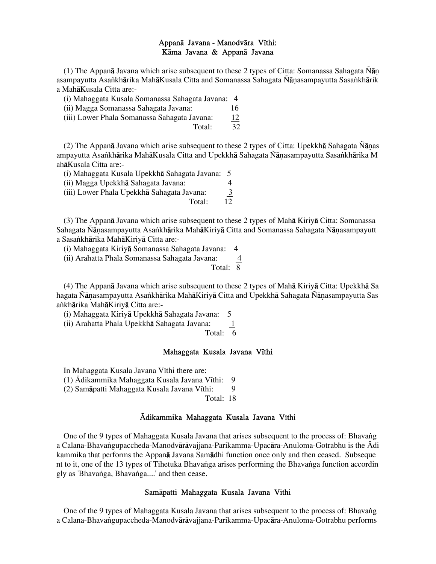## Appanā Javana - Manodvāra Vīthi: Kåma Javana & Appanå Javana

(1) The Appan $\bar{a}$  Javana which arise subsequent to these 2 types of Citta: Somanassa Sahagata Ñ $\bar{a}$ n asampayutta Asankhārika MahāKusala Citta and Somanassa Sahagata Ñānasampayutta Sasankhārik a MahåKusala Citta are:-

|  |  |  | (i) Mahaggata Kusala Somanassa Sahagata Javana: 4 |  |
|--|--|--|---------------------------------------------------|--|
|--|--|--|---------------------------------------------------|--|

(ii) Magga Somanassa Sahagata Javana: 16

(iii) Lower Phala Somanassa Sahagata Javana: 12

Total: 32

(2) The Appan $\bar{a}$  Javana which arise subsequent to these 2 types of Citta: Upekkh $\bar{a}$  Sahagata Ñ $\bar{a}$ nas ampayutta Asankhārika MahāKusala Citta and Upekkhā Sahagata Ñānasampayutta Sasankhārika M ahåKusala Citta are:-

(i) Mahaggata Kusala Upekkhå Sahagata Javana: 5

(ii) Magga Upekkhå Sahagata Javana: 4

(iii) Lower Phala Upekkhå Sahagata Javana: 3

Total: 12

 (3) The Appanå Javana which arise subsequent to these 2 types of Mahå Kiriyå Citta: Somanassa Sahagata Ñānasampayutta Asankhārika MahāKiriyā Citta and Somanassa Sahagata Ñānasampayutt a Sasa∫khårika MahåKiriyå Citta are:-

(i) Mahaggata Kiriyå Somanassa Sahagata Javana: 4

(ii) Arahatta Phala Somanassa Sahagata Javana: 4

Total: 8

 (4) The Appanå Javana which arise subsequent to these 2 types of Mahå Kiriyå Citta: Upekkhå Sa hagata Ñānasampayutta Asankhārika MahāKiriyā Citta and Upekkhā Sahagata Ñānasampayutta Sas a∫khårika MahåKiriyå Citta are:-

(i) Mahaggata Kiriyå Upekkhå Sahagata Javana: 5

(ii) Arahatta Phala Upekkhå Sahagata Javana: 1

Total: 6

#### Mahaggata Kusala Javana Vīthi

In Mahaggata Kusala Javana Vīthi there are:

(1) Ādikammika Mahaggata Kusala Javana Vīthi: 9

 $(2)$  Samāpatti Mahaggata Kusala Javana Vīthi: 9

Total: 18

#### Ādikammika Mahaggata Kusala Javana Vīthi

One of the 9 types of Mahaggata Kusala Javana that arises subsequent to the process of: Bhavang a Calana-Bhavangupaccheda-Manodvārāvajjana-Parikamma-Upacāra-Anuloma-Gotrabhu is the Ádi kammika that performs the Appanå Javana Samådhi function once only and then ceased. Subseque nt to it, one of the 13 types of Tihetuka Bhavanga arises performing the Bhavanga function accordin gly as 'Bhavanga, Bhavanga....' and then cease.

#### Samāpatti Mahaggata Kusala Javana Vīthi

One of the 9 types of Mahaggata Kusala Javana that arises subsequent to the process of: Bhavang a Calana-Bhava∫gupaccheda-Manodvåråvajjana-Parikamma-Upacåra-Anuloma-Gotrabhu performs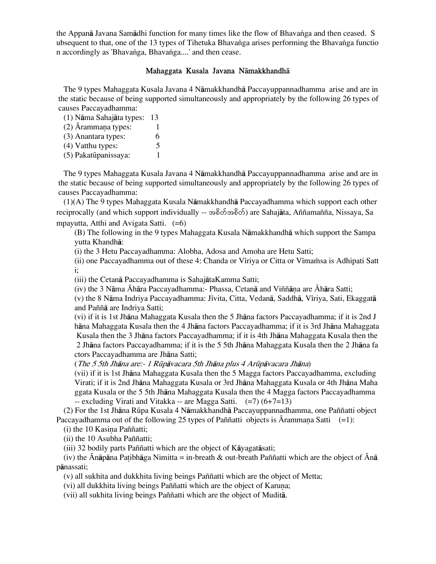the Appanā Javana Samādhi function for many times like the flow of Bhavanga and then ceased. S ubsequent to that, one of the 13 types of Tihetuka Bhavanga arises performing the Bhavanga functio n accordingly as 'Bhavanga, Bhavanga....' and then cease.

### Mahaggata Kusala Javana Nåmakkhandhå

 The 9 types Mahaggata Kusala Javana 4 Nåmakkhandhå Paccayuppannadhamma arise and are in the static because of being supported simultaneously and appropriately by the following 26 types of causes Paccayadhamma:

- (1) Nåma Sahajåta types: 13
- $(2)$  Ārammana types:  $1$
- (3) Anantara types: 6
- (4) Vatthu types: 5
- (5) Pakatūpanissaya: 1

 The 9 types Mahaggata Kusala Javana 4 Nåmakkhandhå Paccayuppannadhamma arise and are in the static because of being supported simultaneously and appropriately by the following 26 types of causes Paccayadhamma:

 (1)(A) The 9 types Mahaggata Kusala Nåmakkhandhå Paccayadhamma which support each other reciprocally (and which support individually -- အစိတ်အစိတ်) are Sahajāta, Aññamañña, Nissaya, Sa mpayutta, Atthi and Avigata Satti.  $(=6)$ 

(B) The following in the 9 types Mahaggata Kusala Nåmakkhandhå which support the Sampa yutta Khandhå:

(i) the 3 Hetu Paccayadhamma: Alobha, Adosa and Amoha are Hetu Satti;

(ii) one Paccayadhamma out of these 4: Chanda or Viriya or Citta or Vimamsa is Adhipati Satt i;

(iii) the Cetanå Paccayadhamma is SahajåtaKamma Satti;

 $(iv)$  the 3 Nāma Āhāra Paccayadhamma:- Phassa, Cetanā and Viññāna are Āhāra Satti;

(v) the 8 Nāma Indriya Paccayadhamma: Jīvita, Citta, Vedanā, Saddhā, Vīriya, Sati, Ekaggatā and Paññå are Indriya Satti;

(vi) if it is 1st Jhåna Mahaggata Kusala then the 5 Jhåna factors Paccayadhamma; if it is 2nd J håna Mahaggata Kusala then the 4 Jhåna factors Paccayadhamma; if it is 3rd Jhåna Mahaggata Kusala then the 3 Jhåna factors Paccayadhamma; if it is 4th Jhåna Mahaggata Kusala then the 2 Jhåna factors Paccayadhamma; if it is the 5 5th Jhåna Mahaggata Kusala then the 2 Jhåna fa ctors Paccayadhamma are Jhåna Satti;

(The 5 5th Jhåna are:- 1 RËpåvacara 5th Jhåna plus 4 ArËpåvacara Jhåna)

(vii) if it is 1st Jhåna Mahaggata Kusala then the 5 Magga factors Paccayadhamma, excluding Virati; if it is 2nd Jhåna Mahaggata Kusala or 3rd Jhåna Mahaggata Kusala or 4th Jhåna Maha ggata Kusala or the 5 5th Jhåna Mahaggata Kusala then the 4 Magga factors Paccayadhamma  $-$  excluding Virati and Vitakka  $-$  are Magga Satti. (=7) (6+7=13)

 (2) For the 1st Jhåna RËpa Kusala 4 Nåmakkhandhå Paccayuppannadhamma, one Paññatti object Paccayadhamma out of the following 25 types of Paññatti objects is  $\bar{A}$ rammana Satti  $(=1)$ :

 $(i)$  the 10 Kasina Paññatti;

(ii) the 10 Asubha Paññatti;

(iii) 32 bodily parts Paññatti which are the object of Kåyagatåsati;

(iv) the  $\bar{A}$ nāpāna Patibhāga Nimitta = in-breath & out-breath Paññatti which are the object of  $\bar{A}$ nā pånassati;

(v) all sukhita and dukkhita living beings Paññatti which are the object of Metta;

(vi) all dukkhita living beings Paññatti which are the object of Karuna;

(vii) all sukhita living beings Paññatti which are the object of Muditå.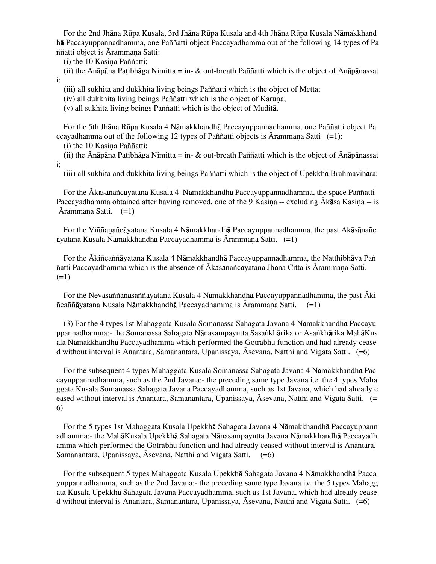For the 2nd Jhåna RËpa Kusala, 3rd Jhåna RËpa Kusala and 4th Jhåna RËpa Kusala Nåmakkhand hå Paccayuppannadhamma, one Paññatti object Paccayadhamma out of the following 14 types of Pa ññatti object is Ārammana Satti:

 $(i)$  the 10 Kasina Paññatti;

(ii) the  $\bar{A}$ nāpāna Patibhāga Nimitta = in- & out-breath Paññatti which is the object of  $\bar{A}$ nāpānassat i;

(iii) all sukhita and dukkhita living beings Paññatti which is the object of Metta;

 $(iv)$  all dukkhita living beings Paññatti which is the object of Karuna;

(v) all sukhita living beings Paññatti which is the object of Muditå.

 For the 5th Jhåna RËpa Kusala 4 Nåmakkhandhå Paccayuppannadhamma, one Paññatti object Pa ccayadhamma out of the following 12 types of Paññatti objects is  $\bar{A}$ rammana Satti  $(=1)$ :

 $(i)$  the 10 Kasina Paññatti;

(ii) the Anāpāna Patibhāga Nimitta = in- & out-breath Paññatti which is the object of Anāpānassat i;

(iii) all sukhita and dukkhita living beings Paññatti which is the object of Upekkhå Brahmavihåra;

 For the Ókåsånañcåyatana Kusala 4 Nåmakkhandhå Paccayuppannadhamma, the space Paññatti Paccayadhamma obtained after having removed, one of the 9 Kasina -- excluding Ákāsa Kasina -- is  $\bar{A}$ rammana Satti.  $(=1)$ 

For the Viññanañcāyatana Kusala 4 Nāmakkhandhā Paccayuppannadhamma, the past Ākāsānañc  $\bar{a}$ yatana Kusala N $\bar{a}$ makkhandh $\bar{a}$  Paccayadhamma is Ārammana Satti. (=1)

For the Ākiñcaññāyatana Kusala 4 Nāmakkhandhā Paccayuppannadhamma, the Natthibhāva Pañ ñatti Paccayadhamma which is the absence of Ākāsānañcāyatana Jhāna Citta is Ārammana Satti.  $(=1)$ 

For the Nevasaññānāsaññāyatana Kusala 4 Nāmakkhandhā Paccayuppannadhamma, the past Āki ñcaññāyatana Kusala Nāmakkhandhā Paccayadhamma is Ārammana Satti.  $(=1)$ 

 (3) For the 4 types 1st Mahaggata Kusala Somanassa Sahagata Javana 4 Nåmakkhandhå Paccayu ppannadhamma:- the Somanassa Sahagata Ñānasampayutta Sasañkhārika or Asañkhārika MahāKus ala Nåmakkhandhå Paccayadhamma which performed the Gotrabhu function and had already cease d without interval is Anantara, Samanantara, Upanissaya, Ósevana, Natthi and Vigata Satti. (=6)

 For the subsequent 4 types Mahaggata Kusala Somanassa Sahagata Javana 4 Nåmakkhandhå Pac cayuppannadhamma, such as the 2nd Javana:- the preceding same type Javana i.e. the 4 types Maha ggata Kusala Somanassa Sahagata Javana Paccayadhamma, such as 1st Javana, which had already c eased without interval is Anantara, Samanantara, Upanissaya, Ásevana, Natthi and Vigata Satti. (= 6)

 For the 5 types 1st Mahaggata Kusala Upekkhå Sahagata Javana 4 Nåmakkhandhå Paccayuppann adhamma:- the MahāKusala Upekkhā Sahagata Ñānasampayutta Javana Nāmakkhandhā Paccayadh amma which performed the Gotrabhu function and had already ceased without interval is Anantara, Samanantara, Upanissaya, Ásevana, Natthi and Vigata Satti.  $(=6)$ 

 For the subsequent 5 types Mahaggata Kusala Upekkhå Sahagata Javana 4 Nåmakkhandhå Pacca yuppannadhamma, such as the 2nd Javana:- the preceding same type Javana i.e. the 5 types Mahagg ata Kusala Upekkhå Sahagata Javana Paccayadhamma, such as 1st Javana, which had already cease d without interval is Anantara, Samanantara, Upanissaya, Ásevana, Natthi and Vigata Satti. (=6)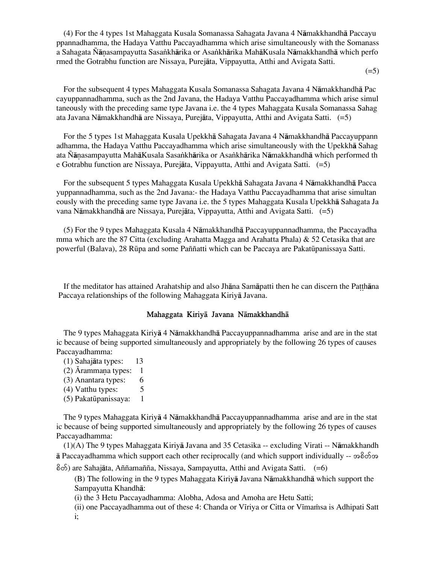(4) For the 4 types 1st Mahaggata Kusala Somanassa Sahagata Javana 4 Nåmakkhandhå Paccayu ppannadhamma, the Hadaya Vatthu Paccayadhamma which arise simultaneously with the Somanass a Sahagata Ñānasampayutta Sasankhārika or Asankhārika MahāKusala Nāmakkhandhā which perfo rmed the Gotrabhu function are Nissaya, Purejåta, Vippayutta, Atthi and Avigata Satti.

 $(=5)$ 

 For the subsequent 4 types Mahaggata Kusala Somanassa Sahagata Javana 4 Nåmakkhandhå Pac cayuppannadhamma, such as the 2nd Javana, the Hadaya Vatthu Paccayadhamma which arise simul taneously with the preceding same type Javana i.e. the 4 types Mahaggata Kusala Somanassa Sahag ata Javana Nåmakkhandhå are Nissaya, Purejåta, Vippayutta, Atthi and Avigata Satti. (=5)

 For the 5 types 1st Mahaggata Kusala Upekkhå Sahagata Javana 4 Nåmakkhandhå Paccayuppann adhamma, the Hadaya Vatthu Paccayadhamma which arise simultaneously with the Upekkhå Sahag ata Ñānasampayutta MahāKusala Sasankhārika or Asankhārika Nāmakkhandhā which performed th e Gotrabhu function are Nissaya, Purejåta, Vippayutta, Atthi and Avigata Satti. (=5)

 For the subsequent 5 types Mahaggata Kusala Upekkhå Sahagata Javana 4 Nåmakkhandhå Pacca yuppannadhamma, such as the 2nd Javana:- the Hadaya Vatthu Paccayadhamma that arise simultan eously with the preceding same type Javana i.e. the 5 types Mahaggata Kusala Upekkhå Sahagata Ja vana Nåmakkhandhå are Nissaya, Purejåta, Vippayutta, Atthi and Avigata Satti. (=5)

 (5) For the 9 types Mahaggata Kusala 4 Nåmakkhandhå Paccayuppannadhamma, the Paccayadha mma which are the 87 Citta (excluding Arahatta Magga and Arahatta Phala) & 52 Cetasika that are powerful (Balava), 28 RËpa and some Paññatti which can be Paccaya are PakatËpanissaya Satti.

If the meditator has attained Arahatship and also Jhana Samapatti then he can discern the Patthana Paccaya relationships of the following Mahaggata Kiriyå Javana.

#### Mahaggata Kiriyå Javana Nåmakkhandhå

 The 9 types Mahaggata Kiriyå 4 Nåmakkhandhå Paccayuppannadhamma arise and are in the stat ic because of being supported simultaneously and appropriately by the following 26 types of causes Paccayadhamma:

- (1) Sahajåta types: 13
- $(2)$  Árammana types: 1
- (3) Anantara types: 6
- (4) Vatthu types: 5
- (5) Pakatūpanissaya: 1

 The 9 types Mahaggata Kiriyå 4 Nåmakkhandhå Paccayuppannadhamma arise and are in the stat ic because of being supported simultaneously and appropriately by the following 26 types of causes Paccayadhamma:

 (1)(A) The 9 types Mahaggata Kiriyå Javana and 35 Cetasika -- excluding Virati -- Nåmakkhandh a Paccayadhamma which support each other reciprocally (and which support individually -- รอชิ0ร์รอ

pdwf) are Sahajåta, Aññamañña, Nissaya, Sampayutta, Atthi and Avigata Satti. (=6)

(B) The following in the 9 types Mahaggata Kiriyå Javana Nåmakkhandhå which support the Sampayutta Khandhå:

(i) the 3 Hetu Paccayadhamma: Alobha, Adosa and Amoha are Hetu Satti;

(ii) one Paccayadhamma out of these 4: Chanda or Vīriya or Citta or Vīmamsa is Adhipati Satt i;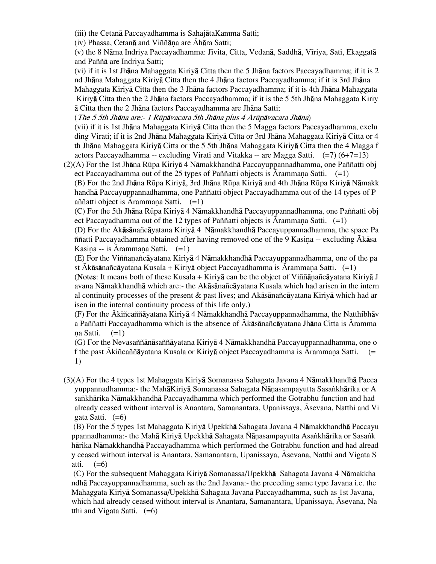(iii) the Cetanå Paccayadhamma is SahajåtaKamma Satti;

 $(iv)$  Phassa, Cetana and Viññana are Ahara Satti;

(v) the 8 Nāma Indriya Paccayadhamma: Jīvita, Citta, Vedanā, Saddhā, Vīriya, Sati, Ekaggatā and Paññå are Indriya Satti;

(vi) if it is 1st Jhåna Mahaggata Kiriyå Citta then the 5 Jhåna factors Paccayadhamma; if it is 2 nd Jhåna Mahaggata Kiriyå Citta then the 4 Jhåna factors Paccayadhamma; if it is 3rd Jhåna Mahaggata Kiriyå Citta then the 3 Jhåna factors Paccayadhamma; if it is 4th Jhåna Mahaggata Kiriyå Citta then the 2 Jhåna factors Paccayadhamma; if it is the 5 5th Jhåna Mahaggata Kiriy å Citta then the 2 Jhåna factors Paccayadhamma are Jhåna Satti;

(The 5 5th Jhåna are:- 1 RËpåvacara 5th Jhåna plus 4 ArËpåvacara Jhåna)

(vii) if it is 1st Jhåna Mahaggata Kiriyå Citta then the 5 Magga factors Paccayadhamma, exclu ding Virati; if it is 2nd Jhåna Mahaggata Kiriyå Citta or 3rd Jhåna Mahaggata Kiriyå Citta or 4 th Jhåna Mahaggata Kiriyå Citta or the 5 5th Jhåna Mahaggata Kiriyå Citta then the 4 Magga f actors Paccayadhamma -- excluding Virati and Vitakka -- are Magga Satti.  $(=7)(6+7=13)$ 

(2)(A) For the 1st Jhåna RËpa Kiriyå 4 Nåmakkhandhå Paccayuppannadhamma, one Paññatti obj ect Paccayadhamma out of the 25 types of Paññatti objects is  $\bar{A}$ rammana Satti. (=1) (B) For the 2nd Jhåna RËpa Kiriyå, 3rd Jhåna RËpa Kiriyå and 4th Jhåna RËpa Kiriyå Nåmakk handhå Paccayuppannadhamma, one Paññatti object Paccayadhamma out of the 14 types of P

aññatti object is Árammana Satti.  $(=1)$ (C) For the 5th Jhåna RËpa Kiriyå 4 Nåmakkhandhå Paccayuppannadhamma, one Paññatti obj

ect Paccayadhamma out of the 12 types of Paññatti objects is  $\bar{A}$ rammana Satti. (=1)

(D) For the Ókåsånañcåyatana Kiriyå 4 Nåmakkhandhå Paccayuppannadhamma, the space Pa ññatti Paccayadhamma obtained after having removed one of the 9 Kasina -- excluding  $\bar{A}$ kāsa Kasina -- is Ārammana Satti.  $(=1)$ 

(E) For the Viññanañcāyatana Kiriyā 4 Nāmakkhandhā Paccayuppannadhamma, one of the pa st Ākāsānañcāyatana Kusala + Kiriyā object Paccayadhamma is Ārammana Satti.  $(=1)$ 

(Notes: It means both of these Kusala + Kiriya can be the object of Viññanañcayatana Kiriya J avana Nåmakkhandhå which are:- the Akåsånañcåyatana Kusala which had arisen in the intern al continuity processes of the present  $\&$  past lives; and Akāsānañcāyatana Kiriyā which had ar isen in the internal continuity process of this life only.)

(F) For the Ākiñcaññāyatana Kiriyā 4 Nāmakkhandhā Paccayuppannadhamma, the Natthibhāv a Paññatti Paccayadhamma which is the absence of Ākāsānañcāyatana Jhāna Citta is Āramma na Satti.  $(=1)$ 

(G) For the Nevasaññånåsaññåyatana Kiriyå 4 Nåmakkhandhå Paccayuppannadhamma, one o f the past Ākiñcaññāyatana Kusala or Kiriyā object Paccayadhamma is Ārammana Satti.  $(=$ 1)

(3)(A) For the 4 types 1st Mahaggata Kiriyå Somanassa Sahagata Javana 4 Nåmakkhandhå Pacca yuppannadhamma:- the MahāKiriyā Somanassa Sahagata Ñānasampayutta Sasankhārika or A sankhārika Nāmakkhandhā Paccayadhamma which performed the Gotrabhu function and had already ceased without interval is Anantara, Samanantara, Upanissaya, Ásevana, Natthi and Vi gata Satti.  $(=6)$ 

 (B) For the 5 types 1st Mahaggata Kiriyå Upekkhå Sahagata Javana 4 Nåmakkhandhå Paccayu ppannadhamma:- the Mahā Kiriyā Upekkhā Sahagata Ñānasampayutta Asankhārika or Sasank hårika Nåmakkhandhå Paccayadhamma which performed the Gotrabhu function and had alread y ceased without interval is Anantara, Samanantara, Upanissaya, Āsevana, Natthi and Vigata S atti.  $(=6)$ 

 (C) For the subsequent Mahaggata Kiriyå Somanassa/Upekkhå Sahagata Javana 4 Nåmakkha ndhå Paccayuppannadhamma, such as the 2nd Javana:- the preceding same type Javana i.e. the Mahaggata Kiriyå Somanassa/Upekkhå Sahagata Javana Paccayadhamma, such as 1st Javana, which had already ceased without interval is Anantara, Samanantara, Upanissaya, Āsevana, Na tthi and Vigata Satti.  $(=6)$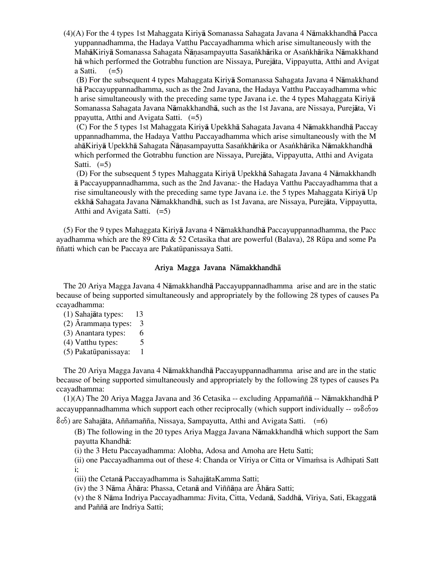(4)(A) For the 4 types 1st Mahaggata Kiriyå Somanassa Sahagata Javana 4 Nåmakkhandhå Pacca yuppannadhamma, the Hadaya Vatthu Paccayadhamma which arise simultaneously with the MahāKiriyā Somanassa Sahagata Ñānasampayutta Sasankhārika or Asankhārika Nāmakkhand hå which performed the Gotrabhu function are Nissaya, Purejåta, Vippayutta, Atthi and Avigat a Satti.  $(=5)$ 

 (B) For the subsequent 4 types Mahaggata Kiriyå Somanassa Sahagata Javana 4 Nåmakkhand hå Paccayuppannadhamma, such as the 2nd Javana, the Hadaya Vatthu Paccayadhamma whic h arise simultaneously with the preceding same type Javana i.e. the 4 types Mahaggata Kiriyå Somanassa Sahagata Javana Nåmakkhandhå, such as the 1st Javana, are Nissaya, Purejåta, Vi ppayutta, Atthi and Avigata Satti. (=5)

 (C) For the 5 types 1st Mahaggata Kiriyå Upekkhå Sahagata Javana 4 Nåmakkhandhå Paccay uppannadhamma, the Hadaya Vatthu Paccayadhamma which arise simultaneously with the M ahāKiriyā Upekkhā Sahagata Ñānasampayutta Sasankhārika or Asankhārika Nāmakkhandhā which performed the Gotrabhu function are Nissaya, Purejåta, Vippayutta, Atthi and Avigata Satti.  $(=5)$ 

 (D) For the subsequent 5 types Mahaggata Kiriyå Upekkhå Sahagata Javana 4 Nåmakkhandh å Paccayuppannadhamma, such as the 2nd Javana:- the Hadaya Vatthu Paccayadhamma that a rise simultaneously with the preceding same type Javana i.e. the 5 types Mahaggata Kiriyå Up ekkhå Sahagata Javana Nåmakkhandhå, such as 1st Javana, are Nissaya, Purejåta, Vippayutta, Atthi and Avigata Satti.  $(=5)$ 

 (5) For the 9 types Mahaggata Kiriyå Javana 4 Nåmakkhandhå Paccayuppannadhamma, the Pacc ayadhamma which are the 89 Citta  $& 52$  Cetasika that are powerful (Balava), 28 Rūpa and some Pa ññatti which can be Paccaya are PakatËpanissaya Satti.

## Ariya Magga Javana Nåmakkhandhå

 The 20 Ariya Magga Javana 4 Nåmakkhandhå Paccayuppannadhamma arise and are in the static because of being supported simultaneously and appropriately by the following 28 types of causes Pa ccayadhamma:

- (1) Sahajåta types: 13
- $(2)$  Ārammana types: 3
- (3) Anantara types: 6
- (4) Vatthu types: 5
- (5) Pakatūpanissaya: 1

 The 20 Ariya Magga Javana 4 Nåmakkhandhå Paccayuppannadhamma arise and are in the static because of being supported simultaneously and appropriately by the following 28 types of causes Pa ccayadhamma:

 (1)(A) The 20 Ariya Magga Javana and 36 Cetasika -- excluding Appamaññå -- Nåmakkhandhå P accayuppannadhamma which support each other reciprocally (which support individually --  $\infty$ 

 $\delta$ o $\delta$ ) are Sahajāta, Aññamañña, Nissaya, Sampayutta, Atthi and Avigata Satti. (=6)

(B) The following in the 20 types Ariya Magga Javana Nåmakkhandhå which support the Sam payutta Khandhå:

(i) the 3 Hetu Paccayadhamma: Alobha, Adosa and Amoha are Hetu Satti;

(ii) one Paccayadhamma out of these 4: Chanda or Viriya or Citta or Vimamsa is Adhipati Satt i;

(iii) the Cetanå Paccayadhamma is SahajåtaKamma Satti;

(iv) the 3 Nāma Āhāra: Phassa, Cetanā and Viññāna are Āhāra Satti;

(v) the 8 Nāma Indriya Paccayadhamma: Jīvita, Citta, Vedanā, Saddhā, Vīriya, Sati, Ekaggatā and Paññå are Indriya Satti;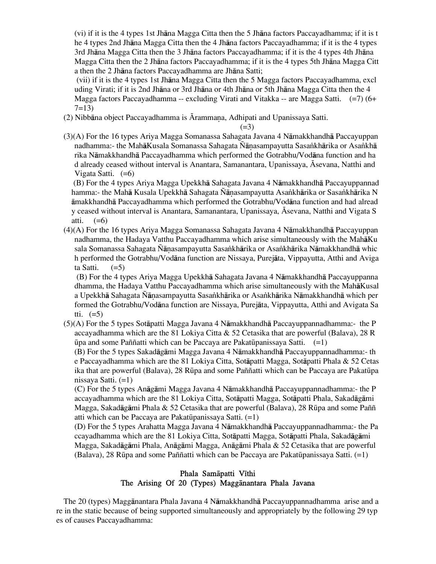(vi) if it is the 4 types 1st Jhåna Magga Citta then the 5 Jhåna factors Paccayadhamma; if it is t he 4 types 2nd Jhåna Magga Citta then the 4 Jhåna factors Paccayadhamma; if it is the 4 types 3rd Jhåna Magga Citta then the 3 Jhåna factors Paccayadhamma; if it is the 4 types 4th Jhåna Magga Citta then the 2 Jhåna factors Paccayadhamma; if it is the 4 types 5th Jhåna Magga Citt a then the 2 Jhåna factors Paccayadhamma are Jhåna Satti;

 (vii) if it is the 4 types 1st Jhåna Magga Citta then the 5 Magga factors Paccayadhamma, excl uding Virati; if it is 2nd Jhåna or 3rd Jhåna or 4th Jhåna or 5th Jhåna Magga Citta then the 4 Magga factors Paccayadhamma -- excluding Virati and Vitakka -- are Magga Satti.  $(=7)$  (6+  $7=13$ )

(2) Nibbāna object Paccayadhamma is Ārammana, Adhipati and Upanissaya Satti.

 $(=3)$ 

(3)(A) For the 16 types Ariya Magga Somanassa Sahagata Javana 4 Nåmakkhandhå Paccayuppan nadhamma:- the MahāKusala Somanassa Sahagata Ñānasampayutta Sasankhārika or Asankhā rika Nåmakkhandhå Paccayadhamma which performed the Gotrabhu/Vodåna function and ha d already ceased without interval is Anantara, Samanantara, Upanissaya, Āsevana, Natthi and Vigata Satti.  $(=6)$ 

 (B) For the 4 types Ariya Magga Upekkhå Sahagata Javana 4 Nåmakkhandhå Paccayuppannad hamma:- the Mahā Kusala Upekkhā Sahagata Ñānasampayutta Asaṅkhārika or Sasaṅkhārika N åmakkhandhå Paccayadhamma which performed the Gotrabhu/Vodåna function and had alread y ceased without interval is Anantara, Samanantara, Upanissaya, Āsevana, Natthi and Vigata S atti.  $(=6)$ 

(4)(A) For the 16 types Ariya Magga Somanassa Sahagata Javana 4 Nåmakkhandhå Paccayuppan nadhamma, the Hadaya Vatthu Paccayadhamma which arise simultaneously with the MahåKu sala Somanassa Sahagata Ñānasampayutta Sasankhārika or Asankhārika Nāmakkhandhā whic h performed the Gotrabhu/Vodåna function are Nissaya, Purejåta, Vippayutta, Atthi and Aviga ta Satti.  $(=5)$ 

 (B) For the 4 types Ariya Magga Upekkhå Sahagata Javana 4 Nåmakkhandhå Paccayuppanna dhamma, the Hadaya Vatthu Paccayadhamma which arise simultaneously with the MahåKusal a Upekkhā Sahagata Ñānasampayutta Sasankhārika or Asankhārika Nāmakkhandhā which per formed the Gotrabhu/Vodåna function are Nissaya, Purejåta, Vippayutta, Atthi and Avigata Sa tti.  $(=5)$ 

(5)(A) For the 5 types Sotåpatti Magga Javana 4 Nåmakkhandhå Paccayuppannadhamma:- the P accayadhamma which are the 81 Lokiya Citta  $& 52$  Cetasika that are powerful (Balava), 28 R  $\bar{u}$  and some Paññatti which can be Paccaya are Pakatūpanissaya Satti.  $(=1)$ 

(B) For the 5 types Sakadågåmi Magga Javana 4 Nåmakkhandhå Paccayuppannadhamma:- th e Paccayadhamma which are the 81 Lokiya Citta, Sotåpatti Magga, Sotåpatti Phala & 52 Cetas ika that are powerful (Balava), 28 RËpa and some Paññatti which can be Paccaya are PakatËpa nissaya Satti. (=1)

(C) For the 5 types Anågåmi Magga Javana 4 Nåmakkhandhå Paccayuppannadhamma:- the P accayadhamma which are the 81 Lokiya Citta, Sotåpatti Magga, Sotåpatti Phala, Sakadågåmi Magga, Sakadāgāmi Phala & 52 Cetasika that are powerful (Balava), 28 Rūpa and some Paññ atti which can be Paccaya are Pakatūpanissaya Satti.  $(=1)$ 

(D) For the 5 types Arahatta Magga Javana 4 Nåmakkhandhå Paccayuppannadhamma:- the Pa ccayadhamma which are the 81 Lokiya Citta, Sotåpatti Magga, Sotåpatti Phala, Sakadågåmi Magga, Sakadågåmi Phala, Anågåmi Magga, Anågåmi Phala & 52 Cetasika that are powerful (Balava), 28 Rūpa and some Paññatti which can be Paccaya are Pakatūpanissaya Satti.  $(=1)$ 

# Phala Samāpatti Vīthi The Arising Of 20 (Types) Maggånantara Phala Javana

 The 20 (types) Maggånantara Phala Javana 4 Nåmakkhandhå Paccayuppannadhamma arise and a re in the static because of being supported simultaneously and appropriately by the following 29 typ es of causes Paccayadhamma: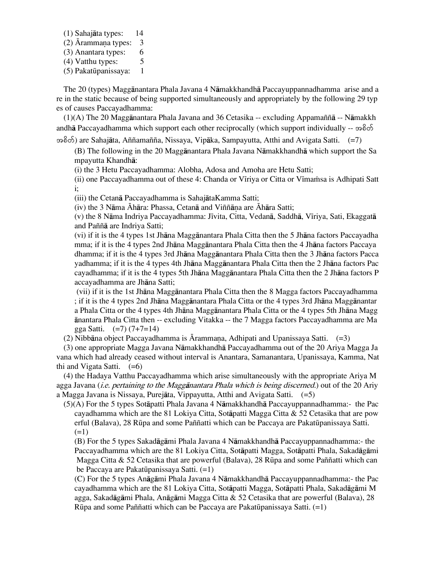(1) Sahajåta types: 14

 $(2)$  Ārammana types: 3

(3) Anantara types: 6

(4) Vatthu types: 5

(5) Pakatūpanissaya: 1

 The 20 (types) Maggånantara Phala Javana 4 Nåmakkhandhå Paccayuppannadhamma arise and a re in the static because of being supported simultaneously and appropriately by the following 29 typ es of causes Paccayadhamma:

 (1)(A) The 20 Maggånantara Phala Javana and 36 Cetasika -- excluding Appamaññå -- Nåmakkh andha Paccayadhamma which support each other reciprocally (which support individually -- spoon

tpdwf) are Sahajåta, Aññamañña, Nissaya, Vipåka, Sampayutta, Atthi and Avigata Satti. (=7)

(B) The following in the 20 Maggånantara Phala Javana Nåmakkhandhå which support the Sa mpayutta Khandhå:

(i) the 3 Hetu Paccayadhamma: Alobha, Adosa and Amoha are Hetu Satti;

(ii) one Paccayadhamma out of these 4: Chanda or Vīriya or Citta or Vīmamsa is Adhipati Satt i;

(iii) the Cetanå Paccayadhamma is SahajåtaKamma Satti;

 $(iv)$  the 3 Nāma Āhāra: Phassa, Cetanā and Viññāna are Āhāra Satti;

(v) the 8 Nāma Indriya Paccayadhamma: Jīvita, Citta, Vedanā, Saddhā, Vīriya, Sati, Ekaggatā and Paññå are Indriya Satti;

(vi) if it is the 4 types 1st Jhåna Maggånantara Phala Citta then the 5 Jhåna factors Paccayadha mma; if it is the 4 types 2nd Jhåna Maggånantara Phala Citta then the 4 Jhåna factors Paccaya dhamma; if it is the 4 types 3rd Jhåna Maggånantara Phala Citta then the 3 Jhåna factors Pacca yadhamma; if it is the 4 types 4th Jhåna Maggånantara Phala Citta then the 2 Jhåna factors Pac cayadhamma; if it is the 4 types 5th Jhåna Maggånantara Phala Citta then the 2 Jhåna factors P accayadhamma are Jhåna Satti;

 (vii) if it is the 1st Jhåna Maggånantara Phala Citta then the 8 Magga factors Paccayadhamma ; if it is the 4 types 2nd Jhåna Maggånantara Phala Citta or the 4 types 3rd Jhåna Maggånantar a Phala Citta or the 4 types 4th Jhåna Maggånantara Phala Citta or the 4 types 5th Jhåna Magg ånantara Phala Citta then -- excluding Vitakka -- the 7 Magga factors Paccayadhamma are Ma gga Satti.  $(=7)$   $(7+7=14)$ 

(2) Nibbāna object Paccayadhamma is Ārammana, Adhipati and Upanissaya Satti.  $(=3)$ 

 (3) one appropriate Magga Javana Nåmakkhandhå Paccayadhamma out of the 20 Ariya Magga Ja vana which had already ceased without interval is Anantara, Samanantara, Upanissaya, Kamma, Nat thi and Vigata Satti.  $(=6)$ 

 (4) the Hadaya Vatthu Paccayadhamma which arise simultaneously with the appropriate Ariya M agga Javana *(i.e. pertaining to the Magganantara Phala which is being discerned.)* out of the 20 Ariy a Magga Javana is Nissaya, Purejåta, Vippayutta, Atthi and Avigata Satti. (=5)

(5)(A) For the 5 types Sotåpatti Phala Javana 4 Nåmakkhandhå Paccayuppannadhamma:- the Pac cayadhamma which are the 81 Lokiya Citta, Sotåpatti Magga Citta & 52 Cetasika that are pow erful (Balava), 28 Rūpa and some Paññatti which can be Paccaya are Pakatūpanissaya Satti.  $(=1)$ 

(B) For the 5 types Sakadågåmi Phala Javana 4 Nåmakkhandhå Paccayuppannadhamma:- the Paccayadhamma which are the 81 Lokiya Citta, Sotåpatti Magga, Sotåpatti Phala, Sakadågåmi Magga Citta  $& 52$  Cetasika that are powerful (Balava), 28 Rūpa and some Paññatti which can be Paccaya are Pakatūpanissaya Satti.  $(=1)$ 

(C) For the 5 types Anågåmi Phala Javana 4 Nåmakkhandhå Paccayuppannadhamma:- the Pac cayadhamma which are the 81 Lokiya Citta, Sotåpatti Magga, Sotåpatti Phala, Sakadågåmi M agga, Sakadågåmi Phala, Anågåmi Magga Citta & 52 Cetasika that are powerful (Balava), 28  $R$ ūpa and some Paññatti which can be Paccaya are Pakatūpanissaya Satti.  $(=1)$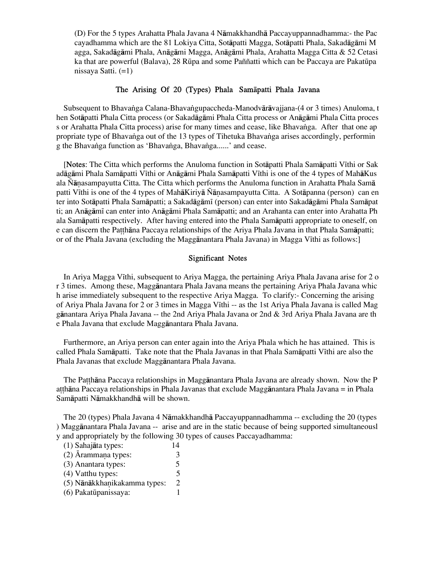(D) For the 5 types Arahatta Phala Javana 4 Nåmakkhandhå Paccayuppannadhamma:- the Pac cayadhamma which are the 81 Lokiya Citta, Sotåpatti Magga, Sotåpatti Phala, Sakadågåmi M agga, Sakadågåmi Phala, Anågåmi Magga, Anågåmi Phala, Arahatta Magga Citta & 52 Cetasi ka that are powerful (Balava), 28 Rūpa and some Paññatti which can be Paccaya are Pakatūpa nissaya Satti. (=1)

#### The Arising Of 20 (Types) Phala Samåpatti Phala Javana

Subsequent to Bhavanga Calana-Bhavangupaccheda-Manodvārāvajjana-(4 or 3 times) Anuloma, t hen Sotåpatti Phala Citta process (or Sakadågåmi Phala Citta process or Anågåmi Phala Citta proces s or Arahatta Phala Citta process) arise for many times and cease, like Bhavanga. After that one ap propriate type of Bhavanga out of the 13 types of Tihetuka Bhavanga arises accordingly, performin g the Bhavanga function as 'Bhavanga, Bhavanga......' and cease.

[Notes: The Citta which performs the Anuloma function in Sotapatti Phala Samapatti Vīthi or Sak adāgāmi Phala Samāpatti Vīthi or Anāgāmi Phala Samāpatti Vīthi is one of the 4 types of MahāKus ala Ñānasampayutta Citta. The Citta which performs the Anuloma function in Arahatta Phala Samā patti Vīthi is one of the 4 types of MahāKiriyā Ñānasampayutta Citta. A Sotāpanna (person) can en ter into Sotāpatti Phala Samāpatti; a Sakadāgāmī (person) can enter into Sakadāgāmi Phala Samāpat ti; an Anāgāmī can enter into Anāgāmi Phala Samāpatti; and an Arahanta can enter into Arahatta Ph ala Samåpatti respectively. After having entered into the Phala Samåpatti appropriate to oneself, on e can discern the Patthana Paccaya relationships of the Ariya Phala Javana in that Phala Samapatti; or of the Phala Javana (excluding the Magganantara Phala Javana) in Magga Vīthi as follows:

## Significant Notes

In Ariya Magga Vīthi, subsequent to Ariya Magga, the pertaining Ariya Phala Javana arise for 2 o r 3 times. Among these, Maggånantara Phala Javana means the pertaining Ariya Phala Javana whic h arise immediately subsequent to the respective Ariya Magga. To clarify:- Concerning the arising of Ariya Phala Javana for 2 or 3 times in Magga Vīthi -- as the 1st Ariya Phala Javana is called Mag gånantara Ariya Phala Javana -- the 2nd Ariya Phala Javana or 2nd & 3rd Ariya Phala Javana are th e Phala Javana that exclude Maggånantara Phala Javana.

 Furthermore, an Ariya person can enter again into the Ariya Phala which he has attained. This is called Phala Samāpatti. Take note that the Phala Javanas in that Phala Samāpatti Vīthi are also the Phala Javanas that exclude Maggånantara Phala Javana.

The Patthana Paccaya relationships in Magganantara Phala Javana are already shown. Now the P atthāna Paccaya relationships in Phala Javanas that exclude Maggānantara Phala Javana = in Phala Samåpatti Nåmakkhandhå will be shown.

 The 20 (types) Phala Javana 4 Nåmakkhandhå Paccayuppannadhamma -- excluding the 20 (types ) Maggånantara Phala Javana -- arise and are in the static because of being supported simultaneousl y and appropriately by the following 30 types of causes Paccayadhamma:

| (1) Sahajāta types:          |   |
|------------------------------|---|
| (2) Ārammaņa types:          | 3 |
| (3) Anantara types:          | 5 |
| (4) Vatthu types:            | 5 |
| (5) Nānākkhanikakamma types: | 2 |
| (6) Pakatūpanissaya:         |   |
|                              |   |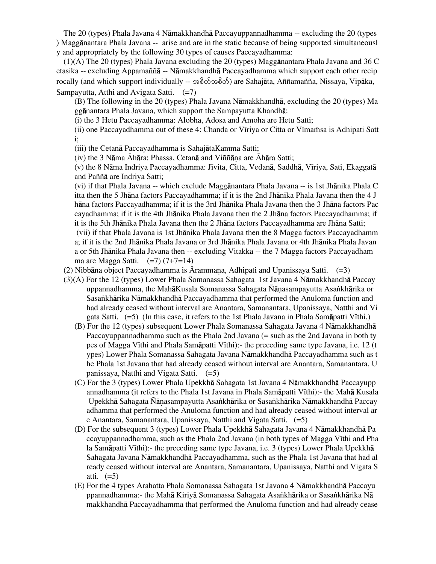The 20 (types) Phala Javana 4 Nåmakkhandhå Paccayuppannadhamma -- excluding the 20 (types ) Maggånantara Phala Javana -- arise and are in the static because of being supported simultaneousl y and appropriately by the following 30 types of causes Paccayadhamma:

 (1)(A) The 20 (types) Phala Javana excluding the 20 (types) Maggånantara Phala Javana and 36 C etasika -- excluding Appamaññå -- Nåmakkhandhå Paccayadhamma which support each other recip rocally (and which support individually -- තරින්තාරි) are Sahajāta, Aññamañña, Nissaya, Vipāka, Sampayutta, Atthi and Avigata Satti.  $(=7)$ 

(B) The following in the 20 (types) Phala Javana Nåmakkhandhå, excluding the 20 (types) Ma ggånantara Phala Javana, which support the Sampayutta Khandhå:

(i) the 3 Hetu Paccayadhamma: Alobha, Adosa and Amoha are Hetu Satti;

(ii) one Paccayadhamma out of these 4: Chanda or Viriya or Citta or Vimamsa is Adhipati Satt i;

(iii) the Cetanå Paccayadhamma is SahajåtaKamma Satti;

(iv) the 3 Nāma Āhāra: Phassa, Cetanā and Viññāna are Āhāra Satti;

(v) the 8 Nāma Indriya Paccayadhamma: Jīvita, Citta, Vedanā, Saddhā, Vīriya, Sati, Ekaggatā and Paññå are Indriya Satti;

(vi) if that Phala Javana -- which exclude Maggånantara Phala Javana -- is 1st Jhånika Phala C itta then the 5 Jhåna factors Paccayadhamma; if it is the 2nd Jhånika Phala Javana then the 4 J håna factors Paccayadhamma; if it is the 3rd Jhånika Phala Javana then the 3 Jhåna factors Pac cayadhamma; if it is the 4th Jhånika Phala Javana then the 2 Jhåna factors Paccayadhamma; if it is the 5th Jhånika Phala Javana then the 2 Jhåna factors Paccayadhamma are Jhåna Satti;

 (vii) if that Phala Javana is 1st Jhånika Phala Javana then the 8 Magga factors Paccayadhamm a; if it is the 2nd Jhånika Phala Javana or 3rd Jhånika Phala Javana or 4th Jhånika Phala Javan a or 5th Jhånika Phala Javana then -- excluding Vitakka -- the 7 Magga factors Paccayadham ma are Magga Satti.  $(=7)$   $(7+7=14)$ 

(2) Nibbāna object Paccayadhamma is Ārammana, Adhipati and Upanissaya Satti.  $(=3)$ 

- (3)(A) For the 12 (types) Lower Phala Somanassa Sahagata 1st Javana 4 Nåmakkhandhå Paccay uppannadhamma, the MahāKusala Somanassa Sahagata Ñānasampayutta Asankhārika or Sasankhārika Nāmakkhandhā Paccayadhamma that performed the Anuloma function and had already ceased without interval are Anantara, Samanantara, Upanissaya, Natthi and Vi gata Satti.  $(=5)$  (In this case, it refers to the 1st Phala Javana in Phala Samapatti V<sub>I</sub>thi.)
	- (B) For the 12 (types) subsequent Lower Phala Somanassa Sahagata Javana 4 Nåmakkhandhå Paccayuppannadhamma such as the Phala 2nd Javana (= such as the 2nd Javana in both ty pes of Magga Vīthi and Phala Samāpatti Vīthi):- the preceding same type Javana, i.e. 12 (t ypes) Lower Phala Somanassa Sahagata Javana Nåmakkhandhå Paccayadhamma such as t he Phala 1st Javana that had already ceased without interval are Anantara, Samanantara, U panissaya, Natthi and Vigata Satti. (=5)
	- (C) For the 3 (types) Lower Phala Upekkhå Sahagata 1st Javana 4 Nåmakkhandhå Paccayupp annadhamma (it refers to the Phala 1st Javana in Phala Samāpatti Vīthi):- the Mahā Kusala Upekkhā Sahagata Ñānasampayutta Asankhārika or Sasankhārika Nāmakkhandhā Paccay adhamma that performed the Anuloma function and had already ceased without interval ar e Anantara, Samanantara, Upanissaya, Natthi and Vigata Satti. (=5)
	- (D) For the subsequent 3 (types) Lower Phala Upekkhå Sahagata Javana 4 Nåmakkhandhå Pa ccayuppannadhamma, such as the Phala 2nd Javana (in both types of Magga Vīthi and Pha la Samāpatti Vīthi):- the preceding same type Javana, i.e. 3 (types) Lower Phala Upekkhā Sahagata Javana Nåmakkhandhå Paccayadhamma, such as the Phala 1st Javana that had al ready ceased without interval are Anantara, Samanantara, Upanissaya, Natthi and Vigata S atti.  $(=5)$
	- (E) For the 4 types Arahatta Phala Somanassa Sahagata 1st Javana 4 Nåmakkhandhå Paccayu ppannadhamma:- the Mahā Kiriyā Somanassa Sahagata Asankhārika or Sasankhārika Nā makkhandhå Paccayadhamma that performed the Anuloma function and had already cease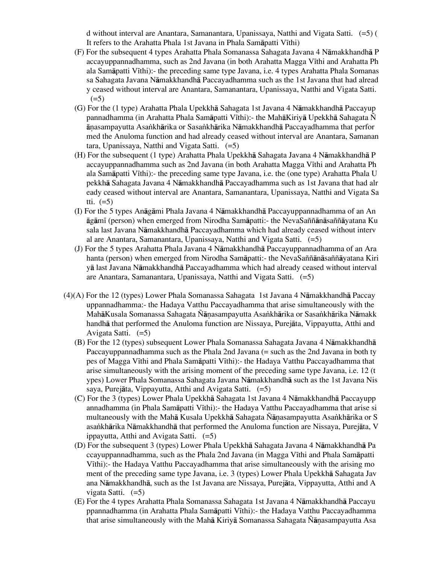d without interval are Anantara, Samanantara, Upanissaya, Natthi and Vigata Satti. (=5) ( It refers to the Arahatta Phala 1st Javana in Phala Samāpatti Vīthi)

- (F) For the subsequent 4 types Arahatta Phala Somanassa Sahagata Javana 4 Nåmakkhandhå P accayuppannadhamma, such as 2nd Javana (in both Arahatta Magga Vīthi and Arahatta Ph ala Samāpatti Vīthi):- the preceding same type Javana, i.e. 4 types Arahatta Phala Somanas sa Sahagata Javana Nåmakkhandhå Paccayadhamma such as the 1st Javana that had alread y ceased without interval are Anantara, Samanantara, Upanissaya, Natthi and Vigata Satti.  $(=5)$
- (G) For the (1 type) Arahatta Phala Upekkhå Sahagata 1st Javana 4 Nåmakkhandhå Paccayup pannadhamma (in Arahatta Phala Samāpatti Vīthi):- the MahāKiriyā Upekkhā Sahagata Ñ åˆasampayutta Asa∫khårika or Sasa∫khårika Nåmakkhandhå Paccayadhamma that perfor med the Anuloma function and had already ceased without interval are Anantara, Samanan tara, Upanissaya, Natthi and Vigata Satti. (=5)
- (H) For the subsequent (1 type) Arahatta Phala Upekkhå Sahagata Javana 4 Nåmakkhandhå P accayuppannadhamma such as 2nd Javana (in both Arahatta Magga Vīthi and Arahatta Ph ala Samāpatti Vīthi):- the preceding same type Javana, i.e. the (one type) Arahatta Phala U pekkhå Sahagata Javana 4 Nåmakkhandhå Paccayadhamma such as 1st Javana that had alr eady ceased without interval are Anantara, Samanantara, Upanissaya, Natthi and Vigata Sa tti.  $(=5)$
- (I) For the 5 types Anågåmi Phala Javana 4 Nåmakkhandhå Paccayuppannadhamma of an An ågåm¥ (person) when emerged from Nirodha Samåpatti:- the NevaSaññånåsaññåyatana Ku sala last Javana Nåmakkhandhå Paccayadhamma which had already ceased without interv al are Anantara, Samanantara, Upanissaya, Natthi and Vigata Satti. (=5)
- (J) For the 5 types Arahatta Phala Javana 4 Nåmakkhandhå Paccayuppannadhamma of an Ara hanta (person) when emerged from Nirodha Samāpatti:- the NevaSaññānāsaññāyatana Kiri yå last Javana Nåmakkhandhå Paccayadhamma which had already ceased without interval are Anantara, Samanantara, Upanissaya, Natthi and Vigata Satti. (=5)
- (4)(A) For the 12 (types) Lower Phala Somanassa Sahagata 1st Javana 4 Nåmakkhandhå Paccay uppannadhamma:- the Hadaya Vatthu Paccayadhamma that arise simultaneously with the MahāKusala Somanassa Sahagata Ñānasampayutta Asankhārika or Sasankhārika Nāmakk handhå that performed the Anuloma function are Nissaya, Purejåta, Vippayutta, Atthi and Avigata Satti. (=5)
	- (B) For the 12 (types) subsequent Lower Phala Somanassa Sahagata Javana 4 Nåmakkhandhå Paccayuppannadhamma such as the Phala 2nd Javana (= such as the 2nd Javana in both ty pes of Magga Vīthi and Phala Samāpatti Vīthi):- the Hadaya Vatthu Paccayadhamma that arise simultaneously with the arising moment of the preceding same type Javana, i.e. 12 (t ypes) Lower Phala Somanassa Sahagata Javana Nåmakkhandhå such as the 1st Javana Nis saya, Purejåta, Vippayutta, Atthi and Avigata Satti. (=5)
	- (C) For the 3 (types) Lower Phala Upekkhå Sahagata 1st Javana 4 Nåmakkhandhå Paccayupp annadhamma (in Phala Samāpatti Vīthi):- the Hadaya Vatthu Paccayadhamma that arise si multaneously with the Mahā Kusala Upekkhā Sahagata Ñānasampayutta Asankhārika or S asankhārika Nāmakkhandhā that performed the Anuloma function are Nissaya, Purejāta, V ippayutta, Atthi and Avigata Satti. (=5)
	- (D) For the subsequent 3 (types) Lower Phala Upekkhå Sahagata Javana 4 Nåmakkhandhå Pa ccayuppannadhamma, such as the Phala 2nd Javana (in Magga Vīthi and Phala Samāpatti V<sub>Ithi</sub>):- the Hadaya Vatthu Paccayadhamma that arise simultaneously with the arising mo ment of the preceding same type Javana, i.e. 3 (types) Lower Phala Upekkhå Sahagata Jav ana Nåmakkhandhå, such as the 1st Javana are Nissaya, Purejåta, Vippayutta, Atthi and A vigata Satti.  $(=5)$
	- (E) For the 4 types Arahatta Phala Somanassa Sahagata 1st Javana 4 Nåmakkhandhå Paccayu ppannadhamma (in Arahatta Phala Samāpatti Vīthi):- the Hadaya Vatthu Paccayadhamma that arise simultaneously with the Mahā Kiriyā Somanassa Sahagata Ñānasampayutta Asa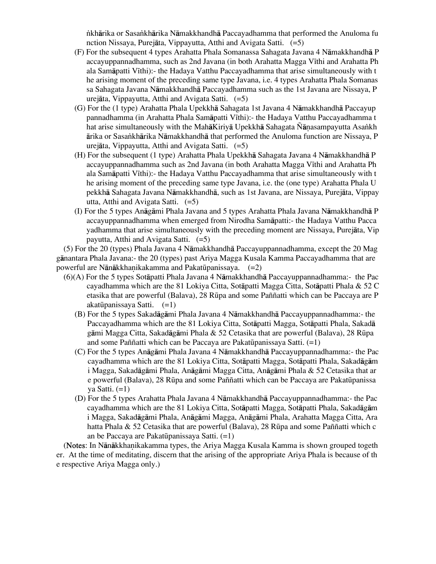∫khårika or Sasa∫khårika Nåmakkhandhå Paccayadhamma that performed the Anuloma fu nction Nissaya, Purejåta, Vippayutta, Atthi and Avigata Satti. (=5)

- (F) For the subsequent 4 types Arahatta Phala Somanassa Sahagata Javana 4 Nåmakkhandhå P accayuppannadhamma, such as 2nd Javana (in both Arahatta Magga Vīthi and Arahatta Ph ala Samāpatti Vīthi):- the Hadaya Vatthu Paccayadhamma that arise simultaneously with t he arising moment of the preceding same type Javana, i.e. 4 types Arahatta Phala Somanas sa Sahagata Javana Nåmakkhandhå Paccayadhamma such as the 1st Javana are Nissaya, P urejåta, Vippayutta, Atthi and Avigata Satti. (=5)
- (G) For the (1 type) Arahatta Phala Upekkhå Sahagata 1st Javana 4 Nåmakkhandhå Paccayup pannadhamma (in Arahatta Phala Samāpatti Vīthi):- the Hadaya Vatthu Paccayadhamma t hat arise simultaneously with the MahāKiriyā Upekkhā Sahagata Ñānasampayutta Asankh ārika or Sasankhārika Nāmakkhandhā that performed the Anuloma function are Nissaya, P urejåta, Vippayutta, Atthi and Avigata Satti. (=5)
- (H) For the subsequent (1 type) Arahatta Phala Upekkhå Sahagata Javana 4 Nåmakkhandhå P accayuppannadhamma such as 2nd Javana (in both Arahatta Magga Vīthi and Arahatta Ph ala Samāpatti Vīthi):- the Hadaya Vatthu Paccayadhamma that arise simultaneously with t he arising moment of the preceding same type Javana, i.e. the (one type) Arahatta Phala U pekkhå Sahagata Javana Nåmakkhandhå, such as 1st Javana, are Nissaya, Purejåta, Vippay utta, Atthi and Avigata Satti.  $(=5)$
- (I) For the 5 types Anågåmi Phala Javana and 5 types Arahatta Phala Javana Nåmakkhandhå P accayuppannadhamma when emerged from Nirodha Samåpatti:- the Hadaya Vatthu Pacca yadhamma that arise simultaneously with the preceding moment are Nissaya, Purejåta, Vip payutta, Atthi and Avigata Satti.  $(=5)$

 (5) For the 20 (types) Phala Javana 4 Nåmakkhandhå Paccayuppannadhamma, except the 20 Mag gånantara Phala Javana:- the 20 (types) past Ariya Magga Kusala Kamma Paccayadhamma that are powerful are Nānākkhanikakamma and Pakatūpanissaya.  $(=2)$ 

- (6)(A) For the 5 types Sotåpatti Phala Javana 4 Nåmakkhandhå Paccayuppannadhamma:- the Pac cayadhamma which are the 81 Lokiya Citta, Sotåpatti Magga Citta, Sotåpatti Phala & 52 C etasika that are powerful (Balava), 28 RËpa and some Paññatti which can be Paccaya are P akatūpanissaya Satti.  $(=1)$ 
	- (B) For the 5 types Sakadågåmi Phala Javana 4 Nåmakkhandhå Paccayuppannadhamma:- the Paccayadhamma which are the 81 Lokiya Citta, Sotåpatti Magga, Sotåpatti Phala, Sakadå gåmi Magga Citta, Sakadågåmi Phala & 52 Cetasika that are powerful (Balava), 28 RËpa and some Paññatti which can be Paccaya are Pakatūpanissaya Satti.  $(=1)$
	- (C) For the 5 types Anågåmi Phala Javana 4 Nåmakkhandhå Paccayuppannadhamma:- the Pac cayadhamma which are the 81 Lokiya Citta, Sotåpatti Magga, Sotåpatti Phala, Sakadågåm i Magga, Sakadågåmi Phala, Anågåmi Magga Citta, Anågåmi Phala & 52 Cetasika that ar e powerful (Balava), 28 Rūpa and some Paññatti which can be Paccaya are Pakatūpanissa ya Satti.  $(=1)$
	- (D) For the 5 types Arahatta Phala Javana 4 Nåmakkhandhå Paccayuppannadhamma:- the Pac cayadhamma which are the 81 Lokiya Citta, Sotåpatti Magga, Sotåpatti Phala, Sakadågåm i Magga, Sakadågåmi Phala, Anågåmi Magga, Anågåmi Phala, Arahatta Magga Citta, Ara hatta Phala & 52 Cetasika that are powerful (Balava), 28 Rūpa and some Paññatti which c an be Paccaya are Pakatūpanissaya Satti.  $(=1)$

(Notes: In Nānākkhanikakamma types, the Ariya Magga Kusala Kamma is shown grouped togeth er. At the time of meditating, discern that the arising of the appropriate Ariya Phala is because of th e respective Ariya Magga only.)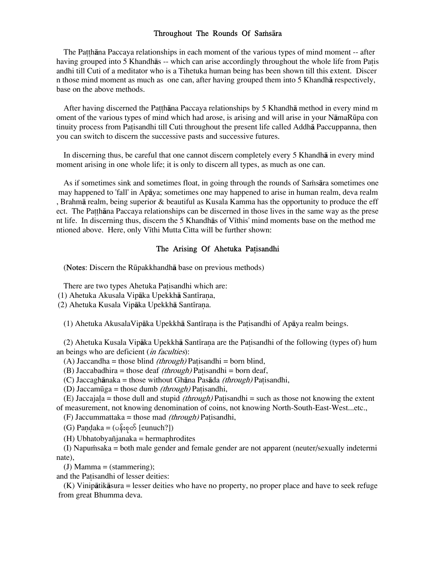### Throughout The Rounds Of Samsara

The Patthana Paccaya relationships in each moment of the various types of mind moment -- after having grouped into 5 Khandhas -- which can arise accordingly throughout the whole life from Patis andhi till Cuti of a meditator who is a Tihetuka human being has been shown till this extent. Discer n those mind moment as much as one can, after having grouped them into 5 Khandhå respectively, base on the above methods.

After having discerned the Patthana Paccaya relationships by 5 Khandha method in every mind m oment of the various types of mind which had arose, is arising and will arise in your NāmaRūpa con tinuity process from Patisandhi till Cuti throughout the present life called Addha Paccuppanna, then you can switch to discern the successive pasts and successive futures.

 In discerning thus, be careful that one cannot discern completely every 5 Khandhå in every mind moment arising in one whole life; it is only to discern all types, as much as one can.

As if sometimes sink and sometimes float, in going through the rounds of Samsara sometimes one may happened to 'fall' in Apåya; sometimes one may happened to arise in human realm, deva realm , Brahmå realm, being superior & beautiful as Kusala Kamma has the opportunity to produce the eff ect. The Patthana Paccaya relationships can be discerned in those lives in the same way as the prese nt life. In discerning thus, discern the 5 Khandhas of V<sub>I</sub>this' mind moments base on the method me ntioned above. Here, only Vīthi Mutta Citta will be further shown:

#### The Arising Of Ahetuka Patisandhi

(Notes: Discern the RËpakkhandhå base on previous methods)

There are two types Ahetuka Patisandhi which are:

(1) Ahetuka Akusala Vipāka Upekkhā Santīrana,

(2) Ahetuka Kusala Vipāka Upekkhā Santīraṇa.

(1) Ahetuka Akusala Vipāka Upekkhā Santīrana is the Patisandhi of Apāya realm beings.

(2) Ahetuka Kusala Vipāka Upekkhā Santīrana are the Patisandhi of the following (types of) hum an beings who are deficient *(in faculties)*:

(A) Jaccandha = those blind *(through)* Patisandhi = born blind,

(B) Jaccabadhira = those deaf *(through)* Patisandhi = born deaf,

(C) Jaccaghānaka = those without Ghāna Pasāda *(through)* Patisandhi,

(D) Jaccamūga = those dumb *(through)* Patisandhi,

(E) Jaccajala = those dull and stupid *(through)* Patisandhi = such as those not knowing the extent of measurement, not knowing denomination of coins, not knowing North-South-East-West...etc.,

(F) Jaccummattaka = those mad *(through)* Patisandhi,

(G) Pandaka =  $(\circ\hat{\mathfrak{s}};\circ\circ\circ$  [eunuch?])

(H) Ubhatobyañjanaka = hermaphrodites

(I) Napumsaka = both male gender and female gender are not apparent (neuter/sexually indetermi nate),

(J) Mamma = (stammering);

and the Patisandhi of lesser deities:

 (K) Vinipåtikåsura = lesser deities who have no property, no proper place and have to seek refuge from great Bhumma deva.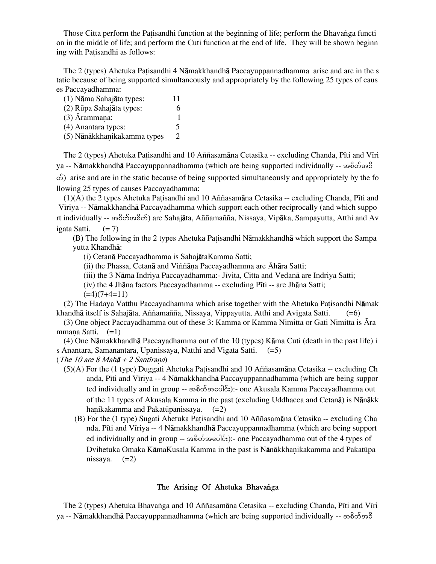Those Citta perform the Patisandhi function at the beginning of life; perform the Bhavanga functi on in the middle of life; and perform the Cuti function at the end of life. They will be shown beginn ing with Patisandhi as follows:

The 2 (types) Ahetuka Patisandhi 4 Nāmakkhandhā Paccayuppannadhamma arise and are in the s tatic because of being supported simultaneously and appropriately by the following 25 types of caus es Paccayadhamma:

| (1) Nāma Sahajāta types:    | 11                          |
|-----------------------------|-----------------------------|
| (2) Rūpa Sahajāta types:    | 6                           |
| $(3)$ Ārammana:             |                             |
| (4) Anantara types:         | 5                           |
| (5) Nānākkhanikakamma types | $\mathcal{D}_{\mathcal{A}}$ |

The 2 (types) Ahetuka Patisandhi and 10 Aññasamāna Cetasika -- excluding Chanda, Pīti and Vīri ya -- Nāmakkhandhā Paccayuppannadhamma (which are being supported individually --  $\infty$ ogoso  $\delta$ ) arise and are in the static because of being supported simultaneously and appropriately by the fo llowing 25 types of causes Paccayadhamma:

 $(1)(A)$  the 2 types Ahetuka Patisandhi and 10 Aññasamāna Cetasika -- excluding Chanda, Pīti and Vīriya -- Nāmakkhandhā Paccayadhamma which support each other reciprocally (and which suppo rt individually -- නමින්නමින්) are Sahajāta, Aññamañña, Nissaya, Vipāka, Sampayutta, Atthi and Av igata Satti.  $(= 7)$ 

(B) The following in the 2 types Ahetuka Patisandhi Nāmakkhandhā which support the Sampa yutta Khandhå:

(i) Cetanå Paccayadhamma is SahajåtaKamma Satti;

(ii) the Phassa, Cetanā and Viññāna Paccayadhamma are Āhāra Satti;

(iii) the 3 Nāma Indriya Paccayadhamma:- Jīvita, Citta and Vedanā are Indriya Satti;

(iv) the 4 Jhāna factors Paccayadhamma -- excluding Pīti -- are Jhāna Satti;

 $(=4)(7+4=11)$ 

(2) The Hadaya Vatthu Paccayadhamma which arise together with the Ahetuka Patisandhi Nāmak khandhå itself is Sahajåta, Aññamañña, Nissaya, Vippayutta, Atthi and Avigata Satti. (=6)

(3) One object Paccayadhamma out of these  $3$ : Kamma or Kamma Nimitta or Gati Nimitta is  $\bar{A}$ ra mmana Satti.  $(=1)$ 

 (4) One Nåmakkhandhå Paccayadhamma out of the 10 (types) Kåma Cuti (death in the past life) i s Anantara, Samanantara, Upanissaya, Natthi and Vigata Satti. (=5)

(The 10 are 8 Mah $\bar{a}$  + 2 Santīraṇa)

- $(5)(A)$  For the  $(1$  type) Duggati Ahetuka Patisandhi and 10 Aññasamāna Cetasika -- excluding Ch anda, Pīti and Vīriya -- 4 Nāmakkhandhā Paccayuppannadhamma (which are being suppor ted individually and in group -- အစိတ်အပေါင်း):- one Akusala Kamma Paccayadhamma out of the 11 types of Akusala Kamma in the past (excluding Uddhacca and Cetanå) is Nånåkk hanikakamma and Pakatūpanissaya.  $(=2)$ 
	- (B) For the (1 type) Sugati Ahetuka Pa isandhi and 10 Aññasamåna Cetasika -- excluding Cha nda, Pīti and Vīriya -- 4 Nāmakkhandhā Paccayuppannadhamma (which are being support ed individually and in group -- အစိတ်အပေါင်း):- one Paccayadhamma out of the 4 types of Dvihetuka Omaka KāmaKusala Kamma in the past is Nānākkhanikakamma and Pakatūpa nissaya.  $(=2)$

## The Arising Of Ahetuka Bhavanga

The 2 (types) Ahetuka Bhavanga and 10 Aññasamāna Cetasika -- excluding Chanda, Pīti and Vīri ya -- Nāmakkhandhā Paccayuppannadhamma (which are being supported individually -- รออิ6ว์รออิ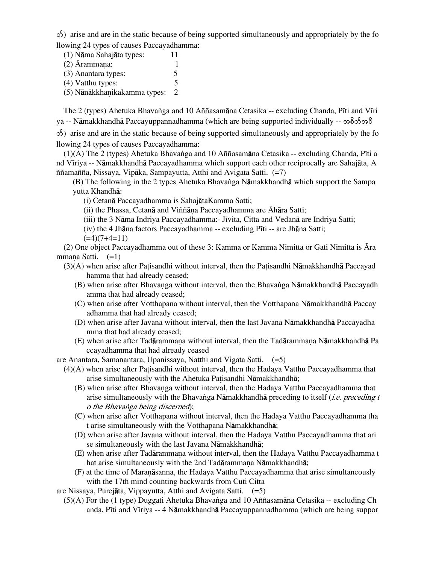$\delta$ ) arise and are in the static because of being supported simultaneously and appropriately by the fo llowing 24 types of causes Paccayadhamma:

| (1) Nāma Sahajāta types:     | 11            |
|------------------------------|---------------|
| (2) Ārammaņa:                |               |
| (3) Anantara types:          | 5             |
| (4) Vatthu types:            | 5             |
| (5) Nānākkhanikakamma types: | $\mathcal{D}$ |

The 2 (types) Ahetuka Bhavanga and 10 Aññasamāna Cetasika -- excluding Chanda, Pīti and Vīri ya -- Nāmakkhandhā Paccayuppannadhamma (which are being supported individually -- รออิธว์รออิ

 $\delta$ ) arise and are in the static because of being supported simultaneously and appropriately by the fo llowing 24 types of causes Paccayadhamma:

 $(1)(A)$  The 2 (types) Ahetuka Bhavanga and 10 Aññasamāna Cetasika -- excluding Chanda, Pīti a nd Vīriya -- Nāmakkhandhā Paccayadhamma which support each other reciprocally are Sahajāta, A ññamañña, Nissaya, Vipåka, Sampayutta, Atthi and Avigata Satti. (=7)

(B) The following in the 2 types Ahetuka Bhava∫ga Nåmakkhandhå which support the Sampa yutta Khandhå:

(i) Cetanå Paccayadhamma is SahajåtaKamma Satti;

 $(iii)$  the Phassa, Cetan $\bar{a}$  and Viññ $\bar{a}$ na Paccayadhamma are Āhāra Satti;

(iii) the 3 Nāma Indriya Paccayadhamma:- Jīvita, Citta and Vedanā are Indriya Satti;

 $(iv)$  the 4 Jhāna factors Paccayadhamma -- excluding P $\overline{t}$ ti -- are Jhāna Satti;

 $(=4)(7+4=11)$ 

(2) One object Paccayadhamma out of these 3: Kamma or Kamma Nimitta or Gati Nimitta is Åra mmana Satti.  $(=1)$ 

- $(3)$ (A) when arise after Patisandhi without interval, then the Patisandhi Nāmakkhandhā Paccayad hamma that had already ceased;
	- (B) when arise after Bhavanga without interval, then the Bhavanga Nāmakkhandhā Paccayadh amma that had already ceased;
	- (C) when arise after Votthapana without interval, then the Votthapana Nåmakkhandhå Paccay adhamma that had already ceased;
	- (D) when arise after Javana without interval, then the last Javana Nåmakkhandhå Paccayadha mma that had already ceased;
	- (E) when arise after Tadārammana without interval, then the Tadārammana Nāmakkhandhā Pa ccayadhamma that had already ceased

are Anantara, Samanantara, Upanissaya, Natthi and Vigata Satti. (=5)

- $(4)(A)$  when arise after Patisandhi without interval, then the Hadaya Vatthu Paccayadhamma that arise simultaneously with the Ahetuka Patisandhi Nāmakkhandhā;
	- (B) when arise after Bhavanga without interval, then the Hadaya Vatthu Paccayadhamma that arise simultaneously with the Bhavanga Nāmakkhandhā preceding to itself (*i.e. preceding t* o the Bhavanga being discerned);
	- (C) when arise after Votthapana without interval, then the Hadaya Vatthu Paccayadhamma tha t arise simultaneously with the Votthapana Nåmakkhandhå;
	- (D) when arise after Javana without interval, then the Hadaya Vatthu Paccayadhamma that ari se simultaneously with the last Javana Nåmakkhandhå;
	- (E) when arise after Tadārammana without interval, then the Hadaya Vatthu Paccayadhamma t hat arise simultaneously with the 2nd Tadārammana Nāmakkhandhā;
	- (F) at the time of Maraˆåsanna, the Hadaya Vatthu Paccayadhamma that arise simultaneously with the 17th mind counting backwards from Cuti Citta

are Nissaya, Purejāta, Vippayutta, Atthi and Avigata Satti.  $(=5)$ 

(5)(A) For the (1 type) Duggati Ahetuka Bhavanga and 10 Aññasamāna Cetasika -- excluding Ch anda, Pīti and Vīriya -- 4 Nāmakkhandhā Paccayuppannadhamma (which are being suppor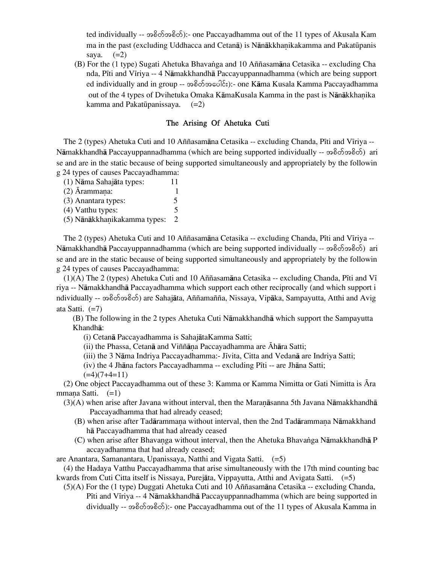ted individually -- ශාරිත්ශාරි):- one Paccayadhamma out of the 11 types of Akusala Kam ma in the past (excluding Uddhacca and Cetanā) is Nanākkhanikakamma and Pakatūpanis saya.  $(=2)$ 

(B) For the (1 type) Sugati Ahetuka Bhava∫ga and 10 Aññasamåna Cetasika -- excluding Cha nda, Pīti and Vīriya -- 4 Nāmakkhandhā Paccayuppannadhamma (which are being support ed individually and in group -- නමිනිනුරෝරි:):- one Kama Kusala Kamma Paccayadhamma out of the 4 types of Dvihetuka Omaka KāmaKusala Kamma in the past is Nānākkhanika kamma and Pakatūpanissaya.  $(=2)$ 

## The Arising Of Ahetuka Cuti

The 2 (types) Ahetuka Cuti and 10 Aññasamāna Cetasika -- excluding Chanda, Pīti and Vīriya --Nāmakkhandhā Paccayuppannadhamma (which are being supported individually -- 50055006) ari se and are in the static because of being supported simultaneously and appropriately by the followin g 24 types of causes Paccayadhamma:

- (1) Nåma Sahajåta types: 11
- (2)  $\bar{A}$ rammaṇa: 1<br>
(3) Anantara types: 5 (3) Anantara types: 5 (4) Vatthu types: 5 (5) Nānākkhanikakamma types: 2

The 2 (types) Ahetuka Cuti and 10 Aññasamāna Cetasika -- excluding Chanda, Pīti and Vīriya --Nāmakkhandhā Paccayuppannadhamma (which are being supported individually -- ශාරිත්ශාරි) ari se and are in the static because of being supported simultaneously and appropriately by the followin g 24 types of causes Paccayadhamma:

(1)(A) The 2 (types) Ahetuka Cuti and 10 Aññasamāna Cetasika -- excluding Chanda, Pīti and Vī riya -- Nåmakkhandhå Paccayadhamma which support each other reciprocally (and which support i ndividually -- තමින්තමින්) are Sahajāta, Aññamañña, Nissaya, Vipāka, Sampayutta, Atthi and Avig ata Satti.  $(=7)$ 

(B) The following in the 2 types Ahetuka Cuti Nåmakkhandhå which support the Sampayutta Khandhå:

(i) Cetanå Paccayadhamma is SahajåtaKamma Satti;

 $(i)$  the Phassa, Cetan $\bar{a}$  and Viññ $\bar{a}$ na Paccayadhamma are Āhāra Satti;

(iii) the 3 Nāma Indriya Paccayadhamma: Jīvita, Citta and Vedanā are Indriya Satti;

(iv) the 4 Jhāna factors Paccayadhamma -- excluding Pīti -- are Jhāna Satti;

 $(=4)(7+4=11)$ 

 $(2)$  One object Paccayadhamma out of these 3: Kamma or Kamma Nimitta or Gati Nimitta is  $\bar{A}$ ra mmana Satti.  $(=1)$ 

- $(3)(A)$  when arise after Javana without interval, then the Maran $\bar{a}$ sanna 5th Javana N $\bar{a}$ makkhandh $\bar{a}$  Paccayadhamma that had already ceased;
	- (B) when arise after Tadārammana without interval, then the 2nd Tadārammana Nāmakkhand hå Paccayadhamma that had already ceased
	- (C) when arise after Bhavanga without interval, then the Ahetuka Bhavanga Nāmakkhandhā P accayadhamma that had already ceased;

are Anantara, Samanantara, Upanissaya, Natthi and Vigata Satti. (=5)

 (4) the Hadaya Vatthu Paccayadhamma that arise simultaneously with the 17th mind counting bac kwards from Cuti Citta itself is Nissaya, Purejåta, Vippayutta, Atthi and Avigata Satti. (=5)

(5)(A) For the (1 type) Duggati Ahetuka Cuti and 10 Aññasamåna Cetasika -- excluding Chanda, Pīti and Vīriya -- 4 Nāmakkhandhā Paccayuppannadhamma (which are being supported in dividually -- tpdwftpdwf):- one Paccayadhamma out of the 11 types of Akusala Kamma in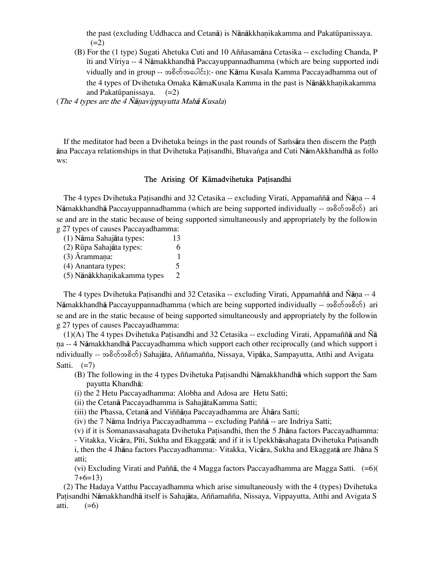the past (excluding Uddhacca and Cetanā) is Nānākkhanikakamma and Pakatūpanissaya.  $(=2)$ 

(B) For the (1 type) Sugati Ahetuka Cuti and 10 Aññasamåna Cetasika -- excluding Chanda, P ¥ti and V¥riya -- 4 Nåmakkhandhå Paccayuppannadhamma (which are being supported indi vidually and in group -- รออิชว์รออยู่โระ):- one Kama Kusala Kamma Paccayadhamma out of the 4 types of Dvihetuka Omaka KāmaKusala Kamma in the past is Nānākkhanikakamma and Pakatūpanissaya.  $(=2)$ 

(The 4 types are the 4 Ñānavippayutta Mahā Kusala)

If the meditator had been a Dvihetuka beings in the past rounds of Samsara then discern the Patth āna Paccaya relationships in that Dvihetuka Patisandhi, Bhavanga and Cuti NāmAkkhandhā as follo ws:

#### The Arising Of Kāmadvihetuka Patisandhi

The 4 types Dvihetuka Patisandhi and 32 Cetasika -- excluding Virati, Appamaññā and Ñāna -- 4 Nāmakkhandhā Paccayuppannadhamma (which are being supported individually --  $\infty$ ongos) ari se and are in the static because of being supported simultaneously and appropriately by the followin g 27 types of causes Paccayadhamma:

| (1) Nāma Sahajāta types:    | 13            |
|-----------------------------|---------------|
| (2) Rūpa Sahajāta types:    | h             |
| (3) Ārammana:               |               |
| (4) Anantara types:         | ↖             |
| (5) Nānākkhanikakamma types | $\mathcal{D}$ |

The 4 types Dvihetuka Patisandhi and 32 Cetasika -- excluding Virati, Appamaññā and Ñāna -- 4 Nāmakkhandhā Paccayuppannadhamma (which are being supported individually -- ශාරිත් හෝ ari se and are in the static because of being supported simultaneously and appropriately by the followin g 27 types of causes Paccayadhamma:

 $(1)(A)$  The 4 types Dvihetuka Patisandhi and 32 Cetasika -- excluding Virati, Appamaññ $\bar{a}$  and  $\tilde{N}\bar{a}$ ˆa -- 4 Nåmakkhandhå Paccayadhamma which support each other reciprocally (and which support i ndividually -- <sub>9</sub>නිරාගනීර) Sahajāta, Aññamañña, Nissaya, Vipāka, Sampayutta, Atthi and Avigata Satti.  $(=7)$ 

- (B) The following in the 4 types Dvihetuka Patisandhi Nāmakkhandhā which support the Sam payutta Khandhå:
- (i) the 2 Hetu Paccayadhamma: Alobha and Adosa are Hetu Satti;
- (ii) the Cetanå Paccayadhamma is SahajåtaKamma Satti;
- (iii) the Phassa, Cetan $\bar{a}$  and Viññ $\bar{a}$ na Paccayadhamma are  $\bar{A}$ h $\bar{a}$ ra Satti;
- (iv) the 7 Nåma Indriya Paccayadhamma -- excluding Paññå -- are Indriya Satti;
- (v) if it is Somanassasahagata Dvihetuka Patisandhi, then the 5 Jhana factors Paccayadhamma: - Vitakka, Vicāra, Pīti, Sukha and Ekaggatā; and if it is Upekkhāsahagata Dvihetuka Patisandh i, then the 4 Jhåna factors Paccayadhamma:- Vitakka, Vicåra, Sukha and Ekaggatå are Jhåna S atti;

(vi) Excluding Virati and Paññå, the 4 Magga factors Paccayadhamma are Magga Satti. (=6)(  $7+6=13$ 

 (2) The Hadaya Vatthu Paccayadhamma which arise simultaneously with the 4 (types) Dvihetuka Pa isandhi Nåmakkhandhå itself is Sahajåta, Aññamañña, Nissaya, Vippayutta, Atthi and Avigata S atti.  $(=6)$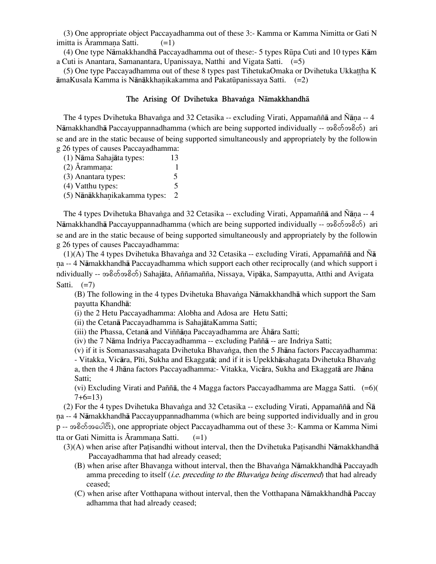(3) One appropriate object Paccayadhamma out of these 3:- Kamma or Kamma Nimitta or Gati N imitta is Ārammana Satti.  $(=1)$ 

 (4) One type Nåmakkhandhå Paccayadhamma out of these:- 5 types RËpa Cuti and 10 types Kåm a Cuti is Anantara, Samanantara, Upanissaya, Natthi and Vigata Satti. (=5)

(5) One type Paccayadhamma out of these 8 types past TihetukaOmaka or Dvihetuka Ukkattha K  $\overline{\text{amak}}$ usala Kamma is N $\overline{\text{anak}}$ khanikakamma and Pakatūpanissaya Satti. (=2)

## The Arising Of Dvihetuka Bhavanga Nāmakkhandhā

The 4 types Dvihetuka Bhavanga and 32 Cetasika -- excluding Virati, Appamaññā and Ñāna -- 4 Nāmakkhandhā Paccayuppannadhamma (which are being supported individually -- ශාරින් හරි) ari se and are in the static because of being supported simultaneously and appropriately by the followin g 26 types of causes Paccayadhamma:

| (1) Nāma Sahajāta types:     | 13                          |
|------------------------------|-----------------------------|
| $(2)$ Ārammana:              |                             |
| (3) Anantara types:          | ↖                           |
| (4) Vatthu types:            | $\overline{\phantom{a}}$    |
| (5) Nānākkhanikakamma types: | $\mathcal{D}_{\mathcal{L}}$ |

The 4 types Dvihetuka Bhavanga and 32 Cetasika -- excluding Virati, Appamaññā and Ñāna -- 4 Nāmakkhandhā Paccayuppannadhamma (which are being supported individually --  $\infty$   $\delta$ ച്ച്ച് ari se and are in the static because of being supported simultaneously and appropriately by the followin g 26 types of causes Paccayadhamma:

(1)(A) The 4 types Dvihetuka Bhavanga and 32 Cetasika -- excluding Virati, Appamaññā and Ñā na -- 4 Nāmakkhandhā Paccayadhamma which support each other reciprocally (and which support i ndividually -- ශාරි හිරියාවි Sahajāta, Aññamañña, Nissaya, Vipāka, Sampayutta, Atthi and Avigata Satti.  $(=7)$ 

(B) The following in the 4 types Dvihetuka Bhava∫ga Nåmakkhandhå which support the Sam payutta Khandhå:

(i) the 2 Hetu Paccayadhamma: Alobha and Adosa are Hetu Satti;

(ii) the Cetanå Paccayadhamma is SahajåtaKamma Satti;

(iii) the Phassa, Cetan $\bar{a}$  and Viññ $\bar{a}$ na Paccayadhamma are Áh $\bar{a}$ ra Satti;

(iv) the 7 Nåma Indriya Paccayadhamma -- excluding Paññå -- are Indriya Satti;

(v) if it is Somanassasahagata Dvihetuka Bhava∫ga, then the 5 Jhåna factors Paccayadhamma:

- Vitakka, Vicāra, Pīti, Sukha and Ekaggatā; and if it is Upekkhāsahagata Dvihetuka Bhavang a, then the 4 Jhåna factors Paccayadhamma:- Vitakka, Vicåra, Sukha and Ekaggatå are Jhåna Satti;

(vi) Excluding Virati and Paññå, the 4 Magga factors Paccayadhamma are Magga Satti. (=6)(  $7+6=13$ 

(2) For the 4 types Dvihetuka Bhavanga and 32 Cetasika -- excluding Virati, Appamaññā and Ñā ˆa -- 4 Nåmakkhandhå Paccayuppannadhamma (which are being supported individually and in grou p -- အစိတ်အပေါင်း), one appropriate object Paccayadhamma out of these 3:- Kamma or Kamma Nimi tta or Gati Nimitta is Ārammana Satti.  $(=1)$ 

- $(3)$ (A) when arise after Patisandhi without interval, then the Dvihetuka Patisandhi Nāmakkhandhā Paccayadhamma that had already ceased;
	- (B) when arise after Bhavanga without interval, then the Bhavanga Nāmakkhandhā Paccayadh amma preceding to itself (*i.e. preceding to the Bhavanga being discerned*) that had already ceased;
	- (C) when arise after Votthapana without interval, then the Votthapana Nåmakkhandhå Paccay adhamma that had already ceased;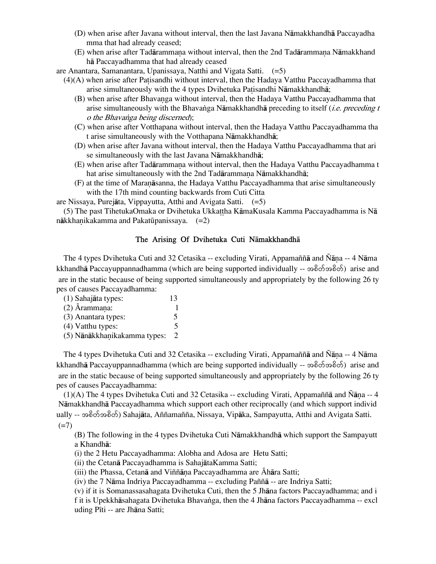- (D) when arise after Javana without interval, then the last Javana Nåmakkhandhå Paccayadha mma that had already ceased;
- (E) when arise after Tadārammana without interval, then the 2nd Tadārammana Nāmakkhand hå Paccayadhamma that had already ceased

are Anantara, Samanantara, Upanissaya, Natthi and Vigata Satti. (=5)

- $(4)(A)$  when arise after Patisandhi without interval, then the Hadaya Vatthu Paccayadhamma that arise simultaneously with the 4 types Dvihetuka Patisandhi Nāmakkhandhā;
	- (B) when arise after Bhavanga without interval, then the Hadaya Vatthu Paccayadhamma that arise simultaneously with the Bhavanga Nāmakkhandhā preceding to itself (*i.e. preceding t* o the Bhavanga being discerned);
	- (C) when arise after Votthapana without interval, then the Hadaya Vatthu Paccayadhamma tha t arise simultaneously with the Votthapana Nåmakkhandhå;
	- (D) when arise after Javana without interval, then the Hadaya Vatthu Paccayadhamma that ari se simultaneously with the last Javana Nåmakkhandhå;
	- (E) when arise after Tadārammaṇa without interval, then the Hadaya Vatthu Paccayadhamma t hat arise simultaneously with the 2nd Tadārammana Nāmakkhandhā;
	- (F) at the time of Maraˆåsanna, the Hadaya Vatthu Paccayadhamma that arise simultaneously with the 17th mind counting backwards from Cuti Citta

are Nissaya, Purejāta, Vippayutta, Atthi and Avigata Satti.  $(=5)$ 

(5) The past TihetukaOmaka or Dvihetuka Ukkattha K $\bar{a}$ maKusala Kamma Paccayadhamma is N $\bar{a}$ nākkhanikakamma and Pakatūpanissaya.  $(=2)$ 

## The Arising Of Dvihetuka Cuti Nåmakkhandhå

The 4 types Dvihetuka Cuti and 32 Cetasika -- excluding Virati, Appamañña and Ñāna -- 4 Nāma kkhandhā Paccayuppannadhamma (which are being supported individually -- productionally arise and are in the static because of being supported simultaneously and appropriately by the following 26 ty pes of causes Paccayadhamma:

| (1) Sahajāta types:          | 13            |
|------------------------------|---------------|
| $(2)$ Ārammana:              |               |
| (3) Anantara types:          | ད             |
| (4) Vatthu types:            | ↖             |
| (5) Nānākkhanikakamma types: | $\mathcal{L}$ |

The 4 types Dvihetuka Cuti and 32 Cetasika -- excluding Virati, Appamaññā and Ñāna -- 4 Nāma kkhandhā Paccayuppannadhamma (which are being supported individually -- prodesoral arise and are in the static because of being supported simultaneously and appropriately by the following 26 ty pes of causes Paccayadhamma:

 $(1)(A)$  The 4 types Dvihetuka Cuti and 32 Cetasika -- excluding Virati, Appamañña and Ñāna -- 4 Nåmakkhandhå Paccayadhamma which support each other reciprocally (and which support individ ually -- ශාරිත්ශාරිවා Sahajāta, Aññamañña, Nissaya, Vipāka, Sampayutta, Atthi and Avigata Satti.  $(=7)$ 

(B) The following in the 4 types Dvihetuka Cuti Nåmakkhandhå which support the Sampayutt a Khandhå:

(i) the 2 Hetu Paccayadhamma: Alobha and Adosa are Hetu Satti;

(ii) the Cetanå Paccayadhamma is SahajåtaKamma Satti;

(iii) the Phassa, Cetan $\bar{a}$  and Viññ $\bar{a}$ na Paccayadhamma are Áh $\bar{a}$ ra Satti;

(iv) the 7 Nåma Indriya Paccayadhamma -- excluding Paññå -- are Indriya Satti;

(v) if it is Somanassasahagata Dvihetuka Cuti, then the 5 Jhåna factors Paccayadhamma; and i f it is Upekkhāsahagata Dvihetuka Bhavanga, then the 4 Jhāna factors Paccayadhamma -- excl uding Pīti -- are Jhāna Satti;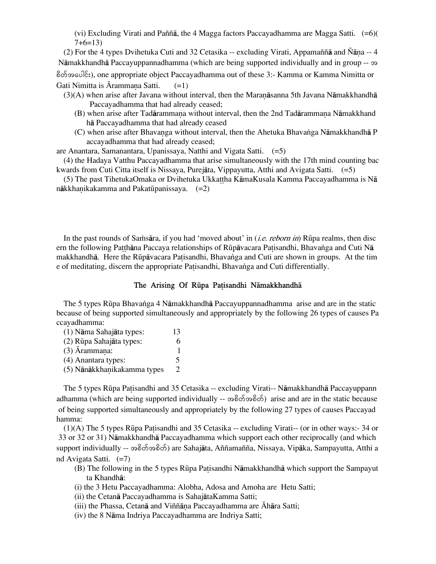(vi) Excluding Virati and Paññå, the 4 Magga factors Paccayadhamma are Magga Satti. (=6)(  $7+6=13$ 

(2) For the 4 types Dvihetuka Cuti and 32 Cetasika -- excluding Virati, Appamaññā and Ñāna -- 4 Nāmakkhandhā Paccayuppannadhamma (which are being supported individually and in group --  $\infty$ စိတ်အပေါင်း), one appropriate object Paccayadhamma out of these 3:- Kamma or Kamma Nimitta or Gati Nimitta is Ārammana Satti.  $(=1)$ 

- $(3)(A)$  when arise after Javana without interval, then the Maran $\bar{a}$ sanna 5th Javana N $\bar{a}$ makkhandh $\bar{a}$  Paccayadhamma that had already ceased;
	- (B) when arise after Tadārammaṇa without interval, then the 2nd Tadārammaṇa Nāmakkhand hå Paccayadhamma that had already ceased
	- (C) when arise after Bhavanga without interval, then the Ahetuka Bhavanga Nāmakkhandhā P accayadhamma that had already ceased;

are Anantara, Samanantara, Upanissaya, Natthi and Vigata Satti. (=5)

 (4) the Hadaya Vatthu Paccayadhamma that arise simultaneously with the 17th mind counting bac kwards from Cuti Citta itself is Nissaya, Purejåta, Vippayutta, Atthi and Avigata Satti. (=5)

(5) The past TihetukaOmaka or Dvihetuka Ukkattha K $\bar{a}$ maKusala Kamma Paccayadhamma is N $\bar{a}$ nākkhanikakamma and Pakatūpanissaya.  $(=2)$ 

In the past rounds of Samsara, if you had 'moved about' in (*i.e. reborn in*) Rūpa realms, then disc ern the following Patthāna Paccaya relationships of Rūpāvacara Patisandhi, Bhavanga and Cuti Nā makkhandhā. Here the Rūpāvacara Patisandhi, Bhavanga and Cuti are shown in groups. At the tim e of meditating, discern the appropriate Patisandhi, Bhavanga and Cuti differentially.

# The Arising Of Rūpa Patisandhi Nāmakkhandhā

The 5 types Rūpa Bhavanga 4 Nāmakkhandhā Paccayuppannadhamma arise and are in the static because of being supported simultaneously and appropriately by the following 26 types of causes Pa ccayadhamma:

| (1) Nāma Sahajāta types:    | 13 |
|-----------------------------|----|
| (2) Rūpa Sahajāta types:    | 6  |
| (3) Ārammana:               |    |
| (4) Anantara types:         | 5  |
| (5) Nānākkhanikakamma types |    |

The 5 types Rūpa Patisandhi and 35 Cetasika -- excluding Virati-- Nāmakkhandhā Paccayuppann adhamma (which are being supported individually -- morter providible and are in the static because of being supported simultaneously and appropriately by the following 27 types of causes Paccayad hamma:

 $(1)(A)$  The 5 types Rūpa Patisandhi and 35 Cetasika -- excluding Virati-- (or in other ways:- 34 or 33 or 32 or 31) Nåmakkhandhå Paccayadhamma which support each other reciprocally (and which support individually -- အစိတ်အစိတ်) are Sahajāta, Aññamañña, Nissaya, Vipāka, Sampayutta, Atthi a nd Avigata Satti. (=7)

- (B) The following in the 5 types Rūpa Patisandhi Nāmakkhandhā which support the Sampayut ta Khandhå:
- (i) the 3 Hetu Paccayadhamma: Alobha, Adosa and Amoha are Hetu Satti;
- (ii) the Cetanå Paccayadhamma is SahajåtaKamma Satti;
- (iii) the Phassa, Cetan $\bar{a}$  and Viññ $\bar{a}$ na Paccayadhamma are Āhāra Satti;
- (iv) the 8 Nåma Indriya Paccayadhamma are Indriya Satti;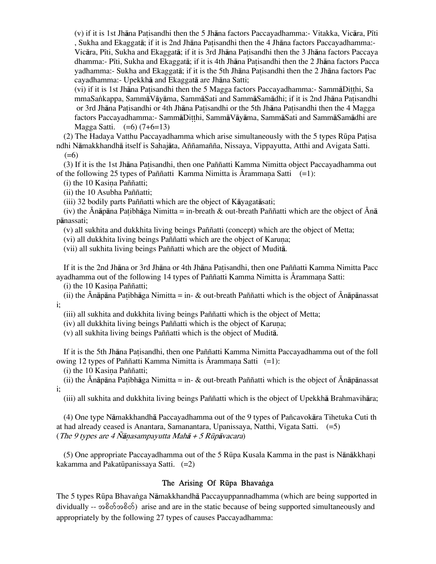$(v)$  if it is 1st Jhāna Patisandhi then the 5 Jhāna factors Paccayadhamma:- Vitakka, Vicāra, Pīti , Sukha and Ekaggatā; if it is 2nd Jhāna Patisandhi then the 4 Jhāna factors Paccayadhamma: Vicāra, Pīti, Sukha and Ekaggatā; if it is 3rd Jhāna Patisandhi then the 3 Jhāna factors Paccaya dhamma:- Pīti, Sukha and Ekaggatā; if it is 4th Jhāna Patisandhi then the 2 Jhāna factors Pacca yadhamma:- Sukha and Ekaggatā; if it is the 5th Jhāna Patisandhi then the 2 Jhāna factors Pac cayadhamma:- Upekkhå and Ekaggatå are Jhåna Satti;

(vi) if it is 1st Jhāna Patisandhi then the 5 Magga factors Paccayadhamma: - SammāDitthi, Sa mmaSankappa, SammāVāyāma, SammāSati and SammāSamādhi; if it is 2nd Jhāna Patisandhi or 3rd Jhāna Patisandhi or 4th Jhāna Patisandhi or the 5th Jhāna Patisandhi then the 4 Magga factors Paccayadhamma: - SammāDitthi, SammāVāyāma, SammāSati and SammāSamādhi are Magga Satti.  $(=6)$   $(7+6=13)$ 

 $(2)$  The Hadaya Vatthu Paccayadhamma which arise simultaneously with the 5 types Rūpa Patisa ndhi Nåmakkhandhå itself is Sahajåta, Aññamañña, Nissaya, Vippayutta, Atthi and Avigata Satti.  $(=6)$ 

(3) If it is the 1st Jhana Patisandhi, then one Paññatti Kamma Nimitta object Paccayadhamma out of the following 25 types of Paññatti Kamma Nimitta is Árammana Satti  $(=1)$ :

 $(i)$  the 10 Kasina Paññatti;

(ii) the 10 Asubha Paññatti;

(iii) 32 bodily parts Paññatti which are the object of Kåyagatåsati;

(iv) the  $\bar{A}$ nāpāna Patibhāga Nimitta = in-breath & out-breath Paññatti which are the object of  $\bar{A}$ nā pånassati;

(v) all sukhita and dukkhita living beings Paññatti (concept) which are the object of Metta;

(vi) all dukkhita living beings Paññatti which are the object of Karuna;

(vii) all sukhita living beings Paññatti which are the object of Muditå.

If it is the 2nd Jhāna or 3rd Jhāna or 4th Jhāna Patisandhi, then one Paññatti Kamma Nimitta Pacc ayadhamma out of the following 14 types of Paññatti Kamma Nimitta is Árammana Satti:

(i) the 10 Kasina Paññatti;

(ii) the Anāpāna Patibhāga Nimitta = in- & out-breath Paññatti which is the object of Anāpānassat i;

(iii) all sukhita and dukkhita living beings Paññatti which is the object of Metta;

 $(iv)$  all dukkhita living beings Paññatti which is the object of Karuna;

(v) all sukhita living beings Paññatti which is the object of Muditå.

If it is the 5th Jhāna Patisandhi, then one Paññatti Kamma Nimitta Paccayadhamma out of the foll owing 12 types of Paññatti Kamma Nimitta is  $\bar{A}$ rammana Satti  $(=1)$ :

 $(i)$  the 10 Kasina Paññatti;

(ii) the Ānāpāna Patibhāga Nimitta = in- & out-breath Paññatti which is the object of Ānāpānassat i;

(iii) all sukhita and dukkhita living beings Paññatti which is the object of Upekkhå Brahmavihåra;

 (4) One type Nåmakkhandhå Paccayadhamma out of the 9 types of Pañcavokåra Tihetuka Cuti th at had already ceased is Anantara, Samanantara, Upanissaya, Natthi, Vigata Satti. (=5) (The 9 types are 4 Ñānasampayutta Mahā + 5 Rūpāvacara)

 (5) One appropriate Paccayadhamma out of the 5 RËpa Kusala Kamma in the past is Nånåkkhaˆi kakamma and Pakatūpanissaya Satti.  $(=2)$ 

## The Arising Of Rūpa Bhavanga

The 5 types Rūpa Bhavanga Nāmakkhandhā Paccayuppannadhamma (which are being supported in dividually -- tpdwftpdwf) arise and are in the static because of being supported simultaneously and appropriately by the following 27 types of causes Paccayadhamma: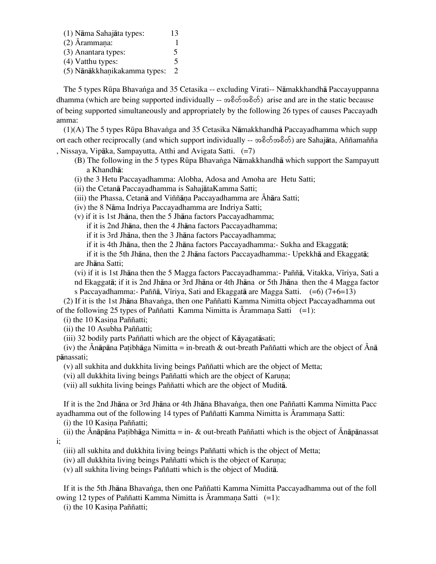| (1) Nāma Sahajāta types: | 13 |
|--------------------------|----|
| $(2)$ Arammana:          |    |

- (3) Anantara types: 5
- (4) Vatthu types: 5
- (5) Nānākkhanikakamma types: 2

The 5 types Rūpa Bhavanga and 35 Cetasika -- excluding Virati-- Nāmakkhandhā Paccayuppanna dhamma (which are being supported individually -- കൂട്ട്ടർക്ക്) arise and are in the static because of being supported simultaneously and appropriately by the following 26 types of causes Paccayadh amma:

 (1)(A) The 5 types RËpa Bhava∫ga and 35 Cetasika Nåmakkhandhå Paccayadhamma which supp ort each other reciprocally (and which support individually -- ශරීනි හරි) are Sahajāta, Aññamañña

, Nissaya, Vipåka, Sampayutta, Atthi and Avigata Satti. (=7)

- (B) The following in the 5 types Rūpa Bhavanga Nāmakkhandhā which support the Sampayutt a Khandhå:
- (i) the 3 Hetu Paccayadhamma: Alobha, Adosa and Amoha are Hetu Satti;
- (ii) the Cetanå Paccayadhamma is SahajåtaKamma Satti;
- (iii) the Phassa, Cetan $\bar{a}$  and Viññ $\bar{a}$ na Paccayadhamma are  $\bar{A}$ h $\bar{a}$ ra Satti;
- (iv) the 8 Nåma Indriya Paccayadhamma are Indriya Satti;
- (v) if it is 1st Jhåna, then the 5 Jhåna factors Paccayadhamma;

if it is 2nd Jhåna, then the 4 Jhåna factors Paccayadhamma;

if it is 3rd Jhåna, then the 3 Jhåna factors Paccayadhamma;

if it is 4th Jhåna, then the 2 Jhåna factors Paccayadhamma:- Sukha and Ekaggatå;

if it is the 5th Jhåna, then the 2 Jhåna factors Paccayadhamma:- Upekkhå and Ekaggatå; are Jhåna Satti;

(vi) if it is 1st Jhāna then the 5 Magga factors Paccayadhamma:- Paññā, Vitakka, Vīriya, Sati a nd Ekaggatå; if it is 2nd Jhåna or 3rd Jhåna or 4th Jhåna or 5th Jhåna then the 4 Magga factor s Paccayadhamma:- Paññā, Vīriya, Sati and Ekaggatā are Magga Satti.  $(=6)(7+6=13)$ 

 (2) If it is the 1st Jhåna Bhava∫ga, then one Paññatti Kamma Nimitta object Paccayadhamma out of the following 25 types of Paññatti Kamma Nimitta is  $\bar{A}$ rammana Satti (=1):

(i) the 10 Kasina Paññatti;

(ii) the 10 Asubha Paññatti;

(iii) 32 bodily parts Paññatti which are the object of Kåyagatåsati;

(iv) the  $\bar{A}$ nāpāna Patibhāga Nimitta = in-breath & out-breath Paññatti which are the object of  $\bar{A}$ nā pånassati;

(v) all sukhita and dukkhita living beings Paññatti which are the object of Metta;

(vi) all dukkhita living beings Paññatti which are the object of Karuna;

(vii) all sukhita living beings Paññatti which are the object of Muditå.

If it is the 2nd Jhāna or 3rd Jhāna or 4th Jhāna Bhavanga, then one Paññatti Kamma Nimitta Pacc ayadhamma out of the following 14 types of Paññatti Kamma Nimitta is Árammana Satti:

(i) the 10 Kasina Paññatti;

(ii) the  $\bar{A}$ nāpāna Patibhāga Nimitta = in- & out-breath Paññatti which is the object of  $\bar{A}$ nāpānassat i;

(iii) all sukhita and dukkhita living beings Paññatti which is the object of Metta;

 $(iv)$  all dukkhita living beings Paññatti which is the object of Karuna;

(v) all sukhita living beings Paññatti which is the object of Muditå.

If it is the 5th Jhāna Bhavanga, then one Paññatti Kamma Nimitta Paccayadhamma out of the foll owing 12 types of Paññatti Kamma Nimitta is  $\bar{A}$ rammana Satti  $(=1)$ :

(i) the 10 Kasina Paññatti;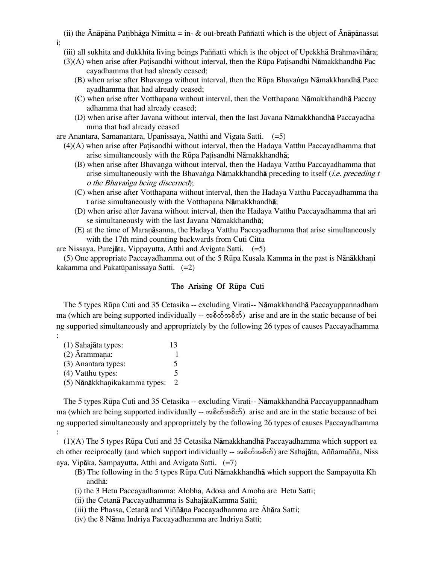- (ii) the Ānāpāna Patibhāga Nimitta = in- & out-breath Paññatti which is the object of Ānāpānassat
- (iii) all sukhita and dukkhita living beings Paññatti which is the object of Upekkhå Brahmavihåra;
- $(3)(A)$  when arise after Patisandhi without interval, then the Rūpa Patisandhi Nāmakkhandhā Pac cayadhamma that had already ceased;
	- (B) when arise after Bhavanga without interval, then the Rūpa Bhavanga Nāmakkhandhā Pacc ayadhamma that had already ceased;
	- (C) when arise after Votthapana without interval, then the Votthapana Nåmakkhandhå Paccay adhamma that had already ceased;
	- (D) when arise after Javana without interval, then the last Javana Nåmakkhandhå Paccayadha mma that had already ceased

are Anantara, Samanantara, Upanissaya, Natthi and Vigata Satti. (=5)

- $(4)(A)$  when arise after Patisandhi without interval, then the Hadaya Vatthu Paccayadhamma that arise simultaneously with the Rūpa Patisandhi Nāmakkhandhā;
	- (B) when arise after Bhavanga without interval, then the Hadaya Vatthu Paccayadhamma that arise simultaneously with the Bhavanga Nāmakkhandhā preceding to itself (*i.e. preceding t* o the Bhavanga being discerned);
	- (C) when arise after Votthapana without interval, then the Hadaya Vatthu Paccayadhamma tha t arise simultaneously with the Votthapana Nåmakkhandhå;
	- (D) when arise after Javana without interval, then the Hadaya Vatthu Paccayadhamma that ari se simultaneously with the last Javana Nåmakkhandhå;
	- (E) at the time of Maraˆåsanna, the Hadaya Vatthu Paccayadhamma that arise simultaneously with the 17th mind counting backwards from Cuti Citta

are Nissaya, Purejåta, Vippayutta, Atthi and Avigata Satti. (=5)

(5) One appropriate Paccayadhamma out of the 5 Rūpa Kusala Kamma in the past is Nānākkhani kakamma and Pakatūpanissaya Satti.  $(=2)$ 

## The Arising Of Rūpa Cuti

 The 5 types RËpa Cuti and 35 Cetasika -- excluding Virati-- Nåmakkhandhå Paccayuppannadham ma (which are being supported individually --  $\infty$   $\delta$  $\infty$ ) arise and are in the static because of bei ng supported simultaneously and appropriately by the following 26 types of causes Paccayadhamma :

| (1) Sahajāta types:          | 13                          |
|------------------------------|-----------------------------|
| $(2)$ Ārammana:              |                             |
| (3) Anantara types:          | 5                           |
| (4) Vatthu types:            | 5                           |
| (5) Nānākkhanikakamma types: | $\mathcal{D}_{\mathcal{L}}$ |

i;

 The 5 types RËpa Cuti and 35 Cetasika -- excluding Virati-- Nåmakkhandhå Paccayuppannadham ma (which are being supported individually --  $\infty$   $\delta$  $\infty$ ) arise and are in the static because of bei ng supported simultaneously and appropriately by the following 26 types of causes Paccayadhamma :

 (1)(A) The 5 types RËpa Cuti and 35 Cetasika Nåmakkhandhå Paccayadhamma which support ea ch other reciprocally (and which support individually -- ශාරිත් ශ්රී are Sahajāta, Aññamañña, Niss aya, Vipåka, Sampayutta, Atthi and Avigata Satti. (=7)

- (B) The following in the 5 types RËpa Cuti Nåmakkhandhå which support the Sampayutta Kh andhå:
- (i) the 3 Hetu Paccayadhamma: Alobha, Adosa and Amoha are Hetu Satti;
- (ii) the Cetanå Paccayadhamma is SahajåtaKamma Satti;
- (iii) the Phassa, Cetan $\bar{a}$  and Viññ $\bar{a}$ na Paccayadhamma are Āhāra Satti;
- (iv) the 8 Nåma Indriya Paccayadhamma are Indriya Satti;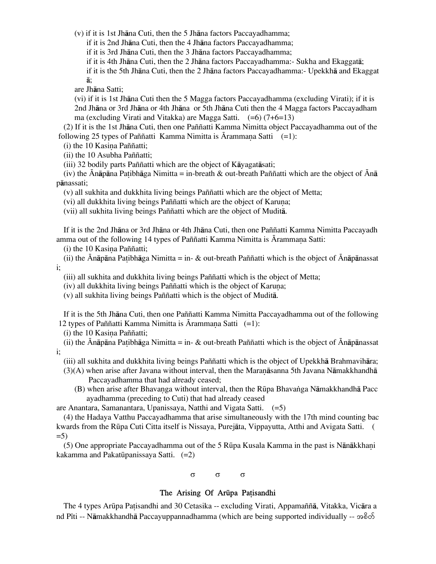(v) if it is 1st Jhåna Cuti, then the 5 Jhåna factors Paccayadhamma;

if it is 2nd Jhåna Cuti, then the 4 Jhåna factors Paccayadhamma;

if it is 3rd Jhåna Cuti, then the 3 Jhåna factors Paccayadhamma;

if it is 4th Jhåna Cuti, then the 2 Jhåna factors Paccayadhamma:- Sukha and Ekaggatå;

if it is the 5th Jhåna Cuti, then the 2 Jhåna factors Paccayadhamma:- Upekkhå and Ekaggat å;

are Jhåna Satti;

(vi) if it is 1st Jhåna Cuti then the 5 Magga factors Paccayadhamma (excluding Virati); if it is 2nd Jhåna or 3rd Jhåna or 4th Jhåna or 5th Jhåna Cuti then the 4 Magga factors Paccayadham ma (excluding Virati and Vitakka) are Magga Satti. (=6) (7+6=13)

 (2) If it is the 1st Jhåna Cuti, then one Paññatti Kamma Nimitta object Paccayadhamma out of the following 25 types of Paññatti Kamma Nimitta is Árammana Satti  $(=1)$ :

 $(i)$  the 10 Kasina Paññatti;

(ii) the 10 Asubha Paññatti;

(iii) 32 bodily parts Paññatti which are the object of Kåyagatåsati;

(iv) the  $\bar{A}$ nāpāna Patibhāga Nimitta = in-breath & out-breath Paññatti which are the object of  $\bar{A}$ nā pånassati;

(v) all sukhita and dukkhita living beings Paññatti which are the object of Metta;

(vi) all dukkhita living beings Paññatti which are the object of Karuna;

(vii) all sukhita living beings Paññatti which are the object of Muditå.

 If it is the 2nd Jhåna or 3rd Jhåna or 4th Jhåna Cuti, then one Paññatti Kamma Nimitta Paccayadh amma out of the following 14 types of Paññatti Kamma Nimitta is Árammana Satti:

 $(i)$  the 10 Kasina Paññatti;

(ii) the  $\bar{A}$ nāpāna Patibhāga Nimitta = in- & out-breath Paññatti which is the object of  $\bar{A}$ nāpānassat i;

(iii) all sukhita and dukkhita living beings Paññatti which is the object of Metta;

 $(iv)$  all dukkhita living beings Paññatti which is the object of Karuna;

(v) all sukhita living beings Paññatti which is the object of Muditå.

 If it is the 5th Jhåna Cuti, then one Paññatti Kamma Nimitta Paccayadhamma out of the following 12 types of Paññatti Kamma Nimitta is Árammana Satti  $(=1)$ :

(i) the 10 Kasina Paññatti;

(ii) the  $\bar{A}$ nāpāna Patibhāga Nimitta = in- & out-breath Paññatti which is the object of  $\bar{A}$ nāpānassat i;

(iii) all sukhita and dukkhita living beings Paññatti which is the object of Upekkhå Brahmavihåra;

- $(3)(A)$  when arise after Javana without interval, then the Maran $\bar{a}$ sanna 5th Javana N $\bar{a}$ makkhandh $\bar{a}$  Paccayadhamma that had already ceased;
	- (B) when arise after Bhavanga without interval, then the Rūpa Bhavanga Nāmakkhandhā Pacc ayadhamma (preceding to Cuti) that had already ceased

are Anantara, Samanantara, Upanissaya, Natthi and Vigata Satti. (=5)

 (4) the Hadaya Vatthu Paccayadhamma that arise simultaneously with the 17th mind counting bac kwards from the RËpa Cuti Citta itself is Nissaya, Purejåta, Vippayutta, Atthi and Avigata Satti. (  $= 5$ 

 (5) One appropriate Paccayadhamma out of the 5 RËpa Kusala Kamma in the past is Nånåkkhaˆi kakamma and Pakatūpanissaya Satti.  $(=2)$ 

$$
\sigma \qquad \sigma \qquad \sigma
$$

# The Arising Of Arūpa Patisandhi

The 4 types Arūpa Patisandhi and 30 Cetasika -- excluding Virati, Appamaññā, Vitakka, Vicāra a nd Pīti -- Nāmakkhandhā Paccayuppannadhamma (which are being supported individually -- spoon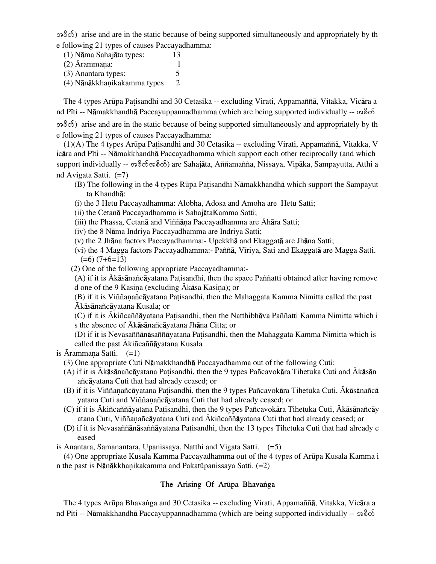ερδοδ) arise and are in the static because of being supported simultaneously and appropriately by the e following 21 types of causes Paccayadhamma:

- (1) Nåma Sahajåta types: 13  $(2)$  Ārammana: 1 (3) Anantara types: 5
- $(4)$  Nānākkhanikakamma types 2

The 4 types Arūpa Patisandhi and 30 Cetasika -- excluding Virati, Appamaññā, Vitakka, Vicāra a nd P<sub>I</sub>ti -- Nāmakkhandhā Paccayuppannadhamma (which are being supported individually --  $\infty$ os ερδο) arise and are in the static because of being supported simultaneously and appropriately by th e following 21 types of causes Paccayadhamma:

(1)(A) The 4 types Arūpa Patisandhi and 30 Cetasika -- excluding Virati, Appamaññā, Vitakka, V icāra and Pīti -- Nāmakkhandhā Paccayadhamma which support each other reciprocally (and which support individually -- အစိတ်အစိတ်) are Sahajāta, Aññamañña, Nissaya, Vipāka, Sampayutta, Atthi a nd Avigata Satti. (=7)

- (B) The following in the 4 types Rūpa Patisandhi Nāmakkhandhā which support the Sampayut ta Khandhå:
- (i) the 3 Hetu Paccayadhamma: Alobha, Adosa and Amoha are Hetu Satti;
- (ii) the Cetanå Paccayadhamma is SahajåtaKamma Satti;
- (iii) the Phassa, Cetanā and Viññāna Paccayadhamma are Āhāra Satti;
- (iv) the 8 Nåma Indriya Paccayadhamma are Indriya Satti;
- (v) the 2 Jhåna factors Paccayadhamma:- Upekkhå and Ekaggatå are Jhåna Satti;
- (vi) the 4 Magga factors Paccayadhamma: Paññā, Vīriya, Sati and Ekaggatā are Magga Satti.  $(=6)$   $(7+6=13)$
- (2) One of the following appropriate Paccayadhamma:-

(A) if it is Ākāsānañcāyatana Patisandhi, then the space Paññatti obtained after having remove d one of the 9 Kasina (excluding  $\bar{A}$ kāsa Kasina); or

(B) if it is Viññanañcāyatana Patisandhi, then the Mahaggata Kamma Nimitta called the past Ókåsånañcåyatana Kusala; or

(C) if it is Ākiñcaññāyatana Patisandhi, then the Natthibhāva Paññatti Kamma Nimitta which i s the absence of Ākāsānañcāyatana Jhāna Citta; or

(D) if it is Nevasaññånåsaññåyatana Pa isandhi, then the Mahaggata Kamma Nimitta which is called the past Ākiñcaññāyatana Kusala

- is Ārammana Satti.  $(=1)$ 
	- (3) One appropriate Cuti Nåmakkhandhå Paccayadhamma out of the following Cuti:
	- (A) if it is  $\bar{A}$ kāsānañ $\bar{c}$ āyatana Patisandhi, then the 9 types Pañcavokāra Tihetuka Cuti and  $\bar{A}$ kāsān añcåyatana Cuti that had already ceased; or
	- (B) if it is Viññanañcāyatana Patisandhi, then the 9 types Pañcavokāra Tihetuka Cuti, Ākāsānañcā yatana Cuti and Viññanañcāyatana Cuti that had already ceased; or
	- $(C)$  if it is  $\bar{A}$ kiñcaññ $\bar{a}$ yatana Patisandhi, then the 9 types Pañcavokāra Tihetuka Cuti,  $\bar{A}$ kāsānañcāv atana Cuti, Viññanañcāyatana Cuti and Ākiñcaññāyatana Cuti that had already ceased; or
	- (D) if it is Nevasaññånåsaññåyatana Pa isandhi, then the 13 types Tihetuka Cuti that had already c eased

is Anantara, Samanantara, Upanissaya, Natthi and Vigata Satti.  $(=5)$ 

 (4) One appropriate Kusala Kamma Paccayadhamma out of the 4 types of ArËpa Kusala Kamma i n the past is Nānākkhanikakamma and Pakatūpanissaya Satti.  $(=2)$ 

# The Arising Of Arūpa Bhavanga

The 4 types Arūpa Bhavanga and 30 Cetasika -- excluding Virati, Appamaññā, Vitakka, Vicāra a nd P<sub>I</sub>ti -- Nāmakkhandhā Paccayuppannadhamma (which are being supported individually --  $\infty$  of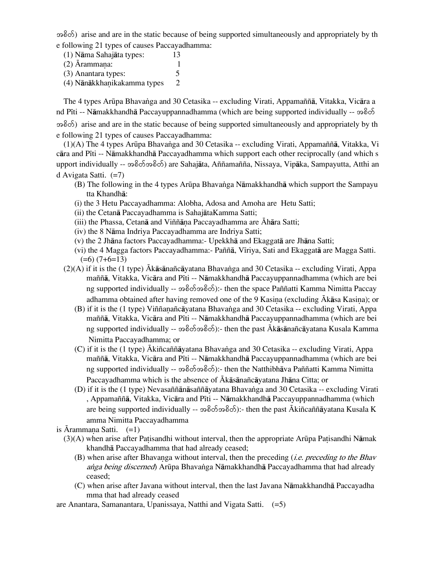ερδοδ) arise and are in the static because of being supported simultaneously and appropriately by the e following 21 types of causes Paccayadhamma:

- (1) Nåma Sahajåta types: 13  $(2)$  Ārammana:  $1$ (3) Anantara types: 5
- $(4)$  Nānākkhanikakamma types 2

The 4 types Arūpa Bhavanga and 30 Cetasika -- excluding Virati, Appamaññā, Vitakka, Vicāra a nd P<sub>I</sub>ti -- Nāmakkhandhā Paccayuppannadhamma (which are being supported individually --  $\infty$  of probab) arise and are in the static because of being supported simultaneously and appropriately by the e following 21 types of causes Paccayadhamma:

(1)(A) The 4 types Arūpa Bhavanga and 30 Cetasika -- excluding Virati, Appamaññā, Vitakka, Vi cāra and Pīti -- Nāmakkhandhā Paccayadhamma which support each other reciprocally (and which s upport individually -- ශාරිත් හෝරියාව are Sahajāta, Aññamañña, Nissaya, Vipāka, Sampayutta, Atthi an d Avigata Satti.  $(=7)$ 

- (B) The following in the 4 types Arūpa Bhavanga Nāmakkhandhā which support the Sampayu tta Khandhå:
- (i) the 3 Hetu Paccayadhamma: Alobha, Adosa and Amoha are Hetu Satti;
- (ii) the Cetanå Paccayadhamma is SahajåtaKamma Satti;
- (iii) the Phassa, Cetanā and Viññāna Paccayadhamma are Āhāra Satti;
- (iv) the 8 Nåma Indriya Paccayadhamma are Indriya Satti;
- (v) the 2 Jhåna factors Paccayadhamma:- Upekkhå and Ekaggatå are Jhåna Satti;
- (vi) the 4 Magga factors Paccayadhamma: Paññā, Vīriya, Sati and Ekaggatā are Magga Satti.  $(=6)$   $(7+6=13)$
- $(2)(A)$  if it is the (1 type) Ākāsānañcāyatana Bhavanga and 30 Cetasika -- excluding Virati, Appa maññā, Vitakka, Vicāra and Pīti -- Nāmakkhandhā Paccayuppannadhamma (which are bei ng supported individually -- ශාරිත්ශාරිය):- then the space Paññatti Kamma Nimitta Paccay adhamma obtained after having removed one of the 9 Kasina (excluding  $\bar{A}$ kāsa Kasina); or
	- (B) if it is the (1 type) Viññanañcāyatana Bhavanga and 30 Cetasika -- excluding Virati, Appa maññā, Vitakka, Vicāra and Pīti -- Nāmakkhandhā Paccayuppannadhamma (which are bei ng supported individually -- အစိတ်အစိတ်):- then the past Akasanañcayatana Kusala Kamma Nimitta Paccayadhamma; or
	- (C) if it is the (1 type) Ākiñcaññāyatana Bhavanga and 30 Cetasika -- excluding Virati, Appa maññā, Vitakka, Vicāra and Pīti -- Nāmakkhandhā Paccayuppannadhamma (which are bei ng supported individually -- po os possession:- then the Natthibhava Paññatti Kamma Nimitta Paccayadhamma which is the absence of Ākāsānañcāyatana Jhāna Citta; or
	- (D) if it is the (1 type) Nevasaññånåsaññåyatana Bhava∫ga and 30 Cetasika -- excluding Virati , Appamaññā, Vitakka, Vicāra and Pīti -- Nāmakkhandhā Paccayuppannadhamma (which are being supported individually --  $\infty$   $\delta$  $\infty$ ; then the past Ākiñcaññāyatana Kusala K amma Nimitta Paccayadhamma

- $(3)$ (A) when arise after Patisandhi without interval, then the appropriate Arūpa Patisandhi Nāmak khandhå Paccayadhamma that had already ceased;
	- (B) when arise after Bhavanga without interval, then the preceding (*i.e. preceding to the Bhav* anga being discerned) Arūpa Bhavanga Nāmakkhandhā Paccayadhamma that had already ceased;
	- (C) when arise after Javana without interval, then the last Javana Nåmakkhandhå Paccayadha mma that had already ceased
- are Anantara, Samanantara, Upanissaya, Natthi and Vigata Satti. (=5)

is Ārammana Satti.  $(=1)$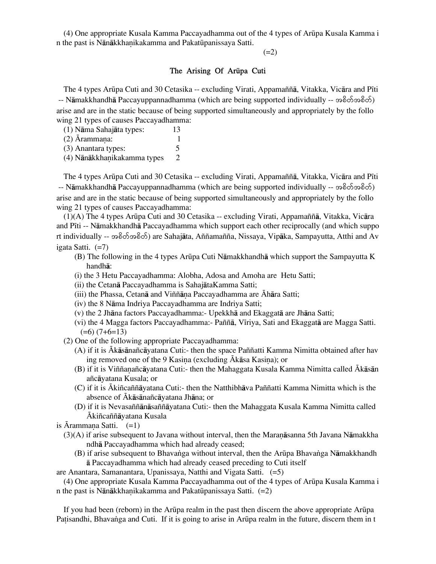(4) One appropriate Kusala Kamma Paccayadhamma out of the 4 types of ArËpa Kusala Kamma i n the past is Nānākkhaṇikakamma and Pakatūpanissaya Satti.

 $(=2)$ 

# The Arising Of Arūpa Cuti

The 4 types Arūpa Cuti and 30 Cetasika -- excluding Virati, Appamaññā, Vitakka, Vicāra and Pīti -- Nāmakkhandhā Paccayuppannadhamma (which are being supported individually -- အစိတ်အစိတ်) arise and are in the static because of being supported simultaneously and appropriately by the follo wing 21 types of causes Paccayadhamma:

 (1) Nåma Sahajåta types: 13  $(2)$  Ārammana:  $1$ (3) Anantara types: 5

 $(4)$  Nānākkhanikakamma types 2

The 4 types Arūpa Cuti and 30 Cetasika -- excluding Virati, Appamaññā, Vitakka, Vicāra and Pīti -- Nāmakkhandhā Paccayuppannadhamma (which are being supported individually -- အစိတ်အစိတ်) arise and are in the static because of being supported simultaneously and appropriately by the follo wing 21 types of causes Paccayadhamma:

 (1)(A) The 4 types ArËpa Cuti and 30 Cetasika -- excluding Virati, Appamaññå, Vitakka, Vicåra and Pīti -- Nāmakkhandhā Paccayadhamma which support each other reciprocally (and which suppo rt individually -- නමින්නමින්) are Sahajāta, Aññamañña, Nissaya, Vipāka, Sampayutta, Atthi and Av igata Satti.  $(=7)$ 

- (B) The following in the 4 types ArËpa Cuti Nåmakkhandhå which support the Sampayutta K handhå:
- (i) the 3 Hetu Paccayadhamma: Alobha, Adosa and Amoha are Hetu Satti;
- (ii) the Cetanå Paccayadhamma is SahajåtaKamma Satti;
- (iii) the Phassa, Cetan $\bar{a}$  and Viññ $\bar{a}$ na Paccayadhamma are  $\bar{A}$ h $\bar{a}$ ra Satti;
- (iv) the 8 Nåma Indriya Paccayadhamma are Indriya Satti;
- (v) the 2 Jhåna factors Paccayadhamma:- Upekkhå and Ekaggatå are Jhåna Satti;
- (vi) the 4 Magga factors Paccayadhamma: Paññā, Vīriya, Sati and Ekaggatā are Magga Satti.  $(=6)$   $(7+6=13)$
- (2) One of the following appropriate Paccayadhamma:
	- (A) if it is Ākāsānañcāyatana Cuti:- then the space Paññatti Kamma Nimitta obtained after hav ing removed one of the 9 Kasina (excluding  $\bar{A}$ kāsa Kasina); or
	- (B) if it is Viññanañcāyatana Cuti:- then the Mahaggata Kusala Kamma Nimitta called Ākāsān añcåyatana Kusala; or
	- $(C)$  if it is  $\bar{A}$ kiñ $\bar{A}$ gatana Cuti:- then the Natthibhava Paññatti Kamma Nimitta which is the absence of Ākāsānañcāyatana Jhāna; or
	- (D) if it is Nevasaññånåsaññåyatana Cuti:- then the Mahaggata Kusala Kamma Nimitta called Ókiñcaññåyatana Kusala

is Ārammana Satti.  $(=1)$ 

- $(3)(A)$  if arise subsequent to Javana without interval, then the Maran $\bar{a}$ sanna 5th Javana N $\bar{a}$ makkha ndhå Paccayadhamma which had already ceased;
	- (B) if arise subsequent to Bhavanga without interval, then the Arūpa Bhavanga Nāmakkhandh å Paccayadhamma which had already ceased preceding to Cuti itself

are Anantara, Samanantara, Upanissaya, Natthi and Vigata Satti. (=5)

 (4) One appropriate Kusala Kamma Paccayadhamma out of the 4 types of ArËpa Kusala Kamma i n the past is Nānākkhanikakamma and Pakatūpanissaya Satti.  $(=2)$ 

 If you had been (reborn) in the ArËpa realm in the past then discern the above appropriate ArËpa Patisandhi, Bhavanga and Cuti. If it is going to arise in Arūpa realm in the future, discern them in t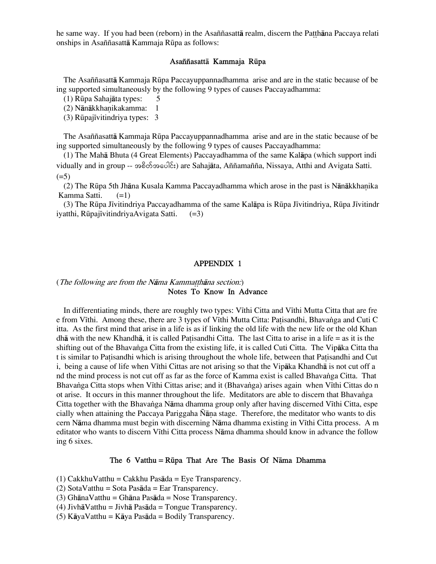he same way. If you had been (reborn) in the Asaññasattā realm, discern the Patthāna Paccaya relati onships in Asaññasattå Kammaja RËpa as follows:

#### Asaññasattå Kammaja RËpa

 The Asaññasattå Kammaja RËpa Paccayuppannadhamma arise and are in the static because of be ing supported simultaneously by the following 9 types of causes Paccayadhamma:

(1) RËpa Sahajåta types: 5

(2) Nānākkhanikakamma: 1

(3) Rūpajīvitindriya types:  $3$ 

 The Asaññasattå Kammaja RËpa Paccayuppannadhamma arise and are in the static because of be ing supported simultaneously by the following 9 types of causes Paccayadhamma:

 (1) The Mahå Bhuta (4 Great Elements) Paccayadhamma of the same Kalåpa (which support indi vidually and in group -- အစိတ်အပေါင်း) are Sahajāta, Aññamañña, Nissaya, Atthi and Avigata Satti.  $(=5)$ 

(2) The Rūpa 5th Jhāna Kusala Kamma Paccayadhamma which arose in the past is Nānākkhanika Kamma Satti. (=1)

(3) The Rūpa Jīvitindriya Paccayadhamma of the same Kalāpa is Rūpa Jīvitindriya, Rūpa Jīvitindr iyatthi, RūpajīvitindriyaAvigata Satti.  $(=3)$ 

### APPENDIX 1

## (The following are from the N $\bar{a}$ ma Kammatth $\bar{a}$ na section:) Notes To Know In Advance

In differentiating minds, there are roughly two types: Vīthi Citta and Vīthi Mutta Citta that are fre e from Vīthi. Among these, there are 3 types of Vīthi Mutta Citta: Patisandhi, Bhavanga and Cuti C itta. As the first mind that arise in a life is as if linking the old life with the new life or the old Khan dh $\bar{a}$  with the new Khandh $\bar{a}$ , it is called Patisandhi Citta. The last Citta to arise in a life = as it is the shifting out of the Bhavanga Citta from the existing life, it is called Cuti Citta. The Vipāka Citta tha t is similar to Patisandhi which is arising throughout the whole life, between that Patisandhi and Cut i, being a cause of life when V<sub>I</sub>thi Cittas are not arising so that the Vip**aka Khandha** is not cut off a nd the mind process is not cut off as far as the force of Kamma exist is called Bhavanga Citta. That Bhavanga Citta stops when Vīthi Cittas arise; and it (Bhavanga) arises again when Vīthi Cittas do n ot arise. It occurs in this manner throughout the life. Meditators are able to discern that Bhavanga Citta together with the Bhavanga Nāma dhamma group only after having discerned Vīthi Citta, espe cially when attaining the Paccaya Pariggaha Ñāṇa stage. Therefore, the meditator who wants to dis cern Nāma dhamma must begin with discerning Nāma dhamma existing in Vīthi Citta process. A m editator who wants to discern Vīthi Citta process Nāma dhamma should know in advance the follow ing 6 sixes.

## The 6 Vatthu = RËpa That Are The Basis Of Nåma Dhamma

(1) CakkhuVatthu = Cakkhu Pas $\bar{a}$ da = Eye Transparency.

- (2) SotaVatthu = Sota Pas $\bar{a}$ da = Ear Transparency.
- (3) GhånaVatthu = Ghåna Pasåda = Nose Transparency.
- (4) Jivh $\bar{a}$ Vatthu = Jivh $\bar{a}$  Pas $\bar{a}$ da = Tongue Transparency.
- (5) KåyaVatthu = Kåya Pasåda = Bodily Transparency.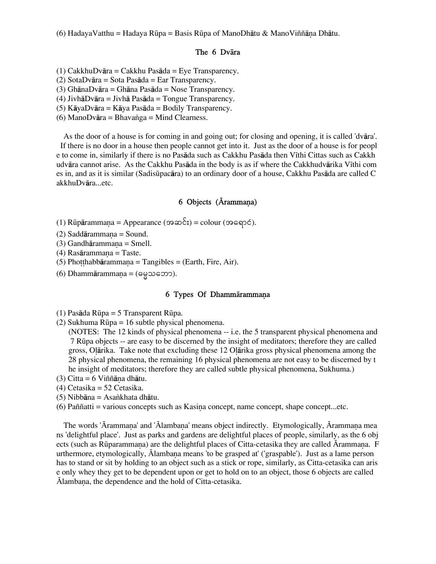(6) HadayaVatthu = Hadaya Rūpa = Basis Rūpa of ManoDhātu & ManoViññāna Dhātu.

### The 6 Dvåra

(1) CakkhuDvåra = Cakkhu Pasåda = Eye Transparency.

(2) SotaDvåra = Sota Pasåda = Ear Transparency.

(3) GhånaDvåra = Ghåna Pasåda = Nose Transparency.

(4) JivhåDvåra = Jivhå Pasåda = Tongue Transparency.

- (5) KåyaDvåra = Kåya Pasåda = Bodily Transparency.
- $(6)$  ManoDvāra = Bhavanga = Mind Clearness.

 As the door of a house is for coming in and going out; for closing and opening, it is called 'dvåra'. If there is no door in a house then people cannot get into it. Just as the door of a house is for peopl e to come in, similarly if there is no Pasada such as Cakkhu Pasada then Vīthi Cittas such as Cakkh udvāra cannot arise. As the Cakkhu Pasāda in the body is as if where the Cakkhudvārika Vīthi com es in, and as it is similar (SadisËpacåra) to an ordinary door of a house, Cakkhu Pasåda are called C akkhuDvåra...etc.

#### 6 Objects (Ārammana)

(1) Rūpārammaṇa = Appearance ( $\infty$ ε) = colour ( $\infty$ ες).

- $(2)$  Saddārammana = Sound.
- $(3)$  Gandhārammana = Smell.

 $(4)$  Rasārammana = Taste.

(5) Photthabbārammaṇa = Tangibles = (Earth, Fire, Air).

(6) Dhammārammaṇa = ( $\Theta$ gosoo).

## 6 Types Of Dhammarammana

(1) Pasāda Rūpa = 5 Transparent Rūpa.

(2) Sukhuma  $Rūpa = 16$  subtle physical phenomena.

(NOTES: The 12 kinds of physical phenomena -- i.e. the 5 transparent physical phenomena and 7 RËpa objects -- are easy to be discerned by the insight of meditators; therefore they are called gross, Olārika. Take note that excluding these 12 Olārika gross physical phenomena among the 28 physical phenomena, the remaining 16 physical phenomena are not easy to be discerned by t he insight of meditators; therefore they are called subtle physical phenomena, Sukhuma.)

- $(3)$  Citta = 6 Viññāna dhātu.
- (4) Cetasika = 52 Cetasika.
- (5) Nibbāna = Asankhata dhātu.
- $(6)$  Paññatti = various concepts such as Kasina concept, name concept, shape concept...etc.

The words 'Ārammana' and 'Ālambana' means object indirectly. Etymologically, Ārammana mea ns 'delightful place'. Just as parks and gardens are delightful places of people, similarly, as the 6 obj ects (such as Rūparammana) are the delightful places of Citta-cetasika they are called Ārammana. F urthermore, etymologically, Álambana means 'to be grasped at' ('graspable'). Just as a lame person has to stand or sit by holding to an object such as a stick or rope, similarly, as Citta-cetasika can aris e only whey they get to be dependent upon or get to hold on to an object, those 6 objects are called Álambana, the dependence and the hold of Citta-cetasika.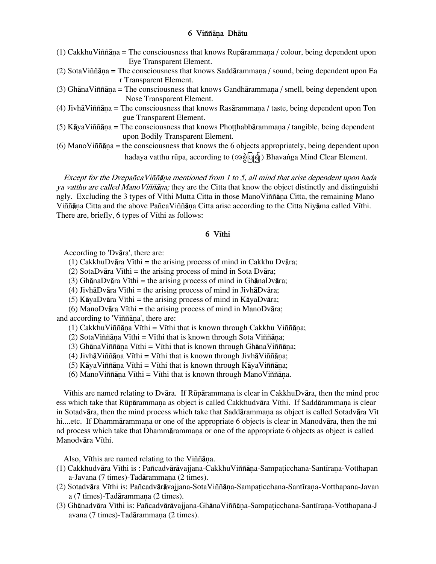## 6 Viññåˆa Dhåtu

- $(1)$  CakkhuViññāna = The consciousness that knows Rupārammana / colour, being dependent upon Eye Transparent Element.
- (2) SotaViññāna = The consciousness that knows Saddārammana / sound, being dependent upon Ea r Transparent Element.
- $(3)$  GhānaViññāna = The consciousness that knows Gandhārammana / smell, being dependent upon Nose Transparent Element.
- $(4)$  Jivh $\bar{a}$ Viññ $\bar{a}$ na = The consciousness that knows Ras $\bar{a}$ rammana / taste, being dependent upon Ton gue Transparent Element.
- $(5)$  KāvaViññāna = The consciousness that knows Photthabbārammana / tangible, being dependent upon Bodily Transparent Element.
- $(6)$  ManoViññāṇa = the consciousness that knows the 6 objects appropriately, being dependent upon hadaya vatthu rūpa, according to (အစွဲပြု၍) Bhavanga Mind Clear Element.

Except for the Dvepañca Viññana mentioned from 1 to 5, all mind that arise dependent upon hada ya vatthu are called Mano Viññana; they are the Citta that know the object distinctly and distinguishi ngly. Excluding the 3 types of Vīthi Mutta Citta in those ManoViññāna Citta, the remaining Mano Viññāna Citta and the above PañcaViññāna Citta arise according to the Citta Niyāma called Vīthi. There are, briefly, 6 types of Vithi as follows:

## 6 Vīthi

According to 'Dvåra', there are:

(1) CakkhuDvāra Vīthi = the arising process of mind in Cakkhu Dvāra;

 $(2)$  SotaDvāra Vīthi = the arising process of mind in Sota Dvāra;

 $(3)$  GhānaDvāra Vīthi = the arising process of mind in GhānaDvāra;

(4) JivhāDvāra Vīthi = the arising process of mind in JivhāDvāra;

 $(5)$  KāyaDvāra Vīthi = the arising process of mind in KāyaDvāra;

(6) ManoDvāra Vīthi = the arising process of mind in ManoDvāra; and according to 'Viññāna', there are:

(1) Cakkhu Viññāna Vīthi = Vīthi that is known through Cakkhu Viññāna;

(2) Sota Viññāna Vīthi = Vīthi that is known through Sota Viññāna;

(3) Ghāna Viññāna Vīthi = Vīthi that is known through Ghāna Viññāna;

(4) Jivhā Viññāna Vīthi = Vīthi that is known through Jivhā Viññāna;

 $(5)$  KāyaViññāna Vīthi = Vīthi that is known through KāyaViññāna;

 $(6)$  ManoViññāna Vīthi = Vīthi that is known through ManoViññāna.

Vīthis are named relating to Dvāra. If Rūpārammana is clear in CakkhuDvāra, then the mind proc ess which take that Rüpārammaṇa as object is called Cakkhudvāra Vīthi. If Saddārammaṇa is clear in Sotadvāra, then the mind process which take that Saddārammana as object is called Sotadvāra Vīt hi....etc. If Dhammārammana or one of the appropriate 6 objects is clear in Manodvāra, then the mi nd process which take that Dhammarammana or one of the appropriate 6 objects as object is called Manodvāra Vīthi.

Also, Vīthis are named relating to the Viññāna.

- (1) Cakkhudvāra Vīthi is : Pañcadvārāvajjana-CakkhuViññāna-Sampaticchana-Santīrana-Votthapan a-Javana (7 times)-Tadārammana (2 times).
- (2) Sotadvāra Vīthi is: Pañcadvārāvajjana-SotaViññāna-Sampaticchana-Santīrana-Votthapana-Javan a (7 times)-Tadārammana (2 times).
- (3) Ghānadvāra Vīthi is: Pañcadvārāvajjana-GhānaViññāna-Sampaticchana-Santīrana-Votthapana-J avana (7 times)-Tadārammana (2 times).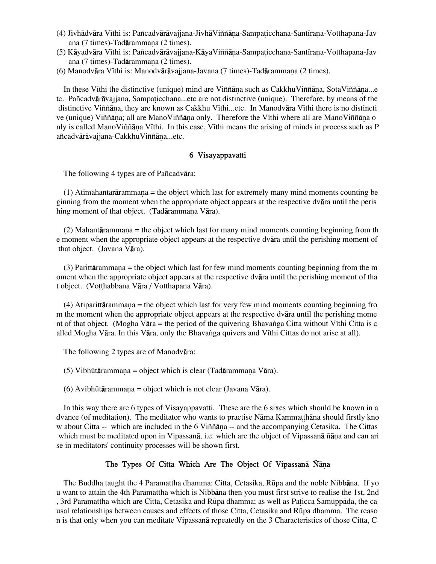- (4) Jivhādvāra Vīthi is: Pañcadvārāvajjana-JivhāViññāna-Sampa tichana-Santīrana-Votthapana-Jav ana (7 times)-Tadārammana (2 times).
- (5) Kāyadvāra Vīthi is: Pañcadvārāvajjana-KāyaViññāna-Sampa tichana-Santīrana-Votthapana-Jav ana (7 times)-Tadārammana (2 times).
- (6) Manodvāra Vīthi is: Manodvārāvajjana-Javana (7 times)-Tadārammana (2 times).

In these Vīthi the distinctive (unique) mind are Viññāna such as CakkhuViññāna, SotaViññāna...e tc. Pañcadvārāvajjana, Sampaticchana...etc are not distinctive (unique). Therefore, by means of the distinctive Viññāna, they are known as Cakkhu Vīthi...etc. In Manodvāra Vīthi there is no distincti ve (unique) Viññāna; all are ManoViññāna only. Therefore the Vīthi where all are ManoViññāna o nly is called ManoViññāna Vīthi. In this case, Vīthi means the arising of minds in process such as P añcadvārāvajjana-Cakkhu Viññāna...etc.

#### 6 Visayappavatti

The following 4 types are of Pañcadvåra:

 $(1)$  Atimahantarārammana = the object which last for extremely many mind moments counting be ginning from the moment when the appropriate object appears at the respective dvåra until the peris hing moment of that object. (Tadārammana Vāra).

 $(2)$  Mahantārammana = the object which last for many mind moments counting beginning from th e moment when the appropriate object appears at the respective dvåra until the perishing moment of that object. (Javana Våra).

(3) Parittärammana = the object which last for few mind moments counting beginning from the m oment when the appropriate object appears at the respective dvåra until the perishing moment of tha t object. (Votthabbana Vāra / Votthapana Vāra).

 $(4)$  Atiparittarammana = the object which last for very few mind moments counting beginning fro m the moment when the appropriate object appears at the respective dvåra until the perishing mome nt of that object. (Mogha V $\bar{a}$ ra = the period of the quivering Bhavanga Citta without V $\bar{a}$ thi Citta is c alled Mogha Vāra. In this Vāra, only the Bhavanga quivers and Vīthi Cittas do not arise at all).

The following 2 types are of Manodvåra:

(5) Vibhūtārammana = object which is clear (Tadārammana Vāra).

(6) Avibhūtārammana = object which is not clear (Javana Vāra).

 In this way there are 6 types of Visayappavatti. These are the 6 sixes which should be known in a dvance (of meditation). The meditator who wants to practise Nāma Kammatthāna should firstly kno w about Citta -- which are included in the 6 Viññāṇa -- and the accompanying Cetasika. The Cittas which must be meditated upon in Vipassana, i.e. which are the object of Vipassana ñana and can ari se in meditators' continuity processes will be shown first.

#### The Types Of Citta Which Are The Object Of Vipassan**a** Ñāna

 The Buddha taught the 4 Paramattha dhamma: Citta, Cetasika, RËpa and the noble Nibbåna. If yo u want to attain the 4th Paramattha which is Nibbåna then you must first strive to realise the 1st, 2nd , 3rd Paramattha which are Citta, Cetasika and Rūpa dhamma; as well as Paticca Samuppāda, the ca usal relationships between causes and effects of those Citta, Cetasika and RËpa dhamma. The reaso n is that only when you can meditate Vipassanå repeatedly on the 3 Characteristics of those Citta, C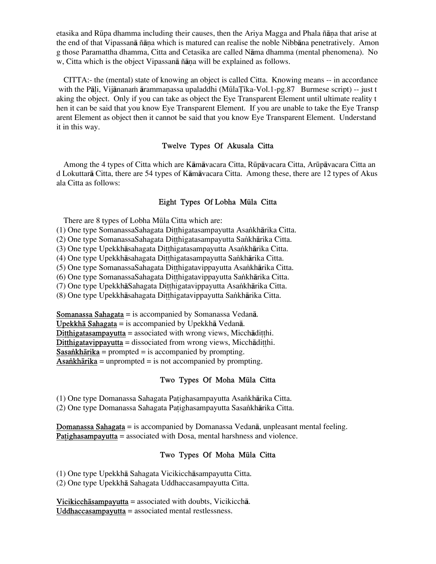etasika and Rūpa dhamma including their causes, then the Ariya Magga and Phala ñāna that arise at the end of that Vipassana ñana which is matured can realise the noble Nibbana penetratively. Amon g those Paramattha dhamma, Citta and Cetasika are called Nåma dhamma (mental phenomena). No w, Citta which is the object Vipassana ñana will be explained as follows.

 CITTA:- the (mental) state of knowing an object is called Citta. Knowing means -- in accordance with the Pāli, Vijānana $\dot{\mathbf{a}}$  and a standard upaladdhi (MūlaTīka-Vol.1-pg.87 Burmese script) -- just t aking the object. Only if you can take as object the Eye Transparent Element until ultimate reality t hen it can be said that you know Eye Transparent Element. If you are unable to take the Eye Transp arent Element as object then it cannot be said that you know Eye Transparent Element. Understand it in this way.

## Twelve Types Of Akusala Citta

 Among the 4 types of Citta which are Kåmåvacara Citta, RËpåvacara Citta, ArËpåvacara Citta an d Lokuttarå Citta, there are 54 types of Kåmåvacara Citta. Among these, there are 12 types of Akus ala Citta as follows:

## Eight Types Of Lobha MËla Citta

There are 8 types of Lobha Mūla Citta which are:

(1) One type SomanassaSahagata Ditthigatasampayutta Asankhārika Citta.

(2) One type SomanassaSahagata Ditthigatasampayutta Sankhārika Citta.

(3) One type Upekkhāsahagata Ditthigatasampayutta Asankhārika Citta.

(4) One type Upekkhāsahagata Ditthigatasampayutta Sankhārika Citta.

(5) One type SomanassaSahagata Ditthigatavippayutta Asankhārika Citta.

(6) One type SomanassaSahagata Ditthigatavippayutta Sankhārika Citta.

(7) One type UpekkhāSahagata Ditthigatavippayutta Asankhārika Citta.

(8) One type Upekkhāsahagata Ditthigatavippayutta Sankhārika Citta.

Somanassa Sahagata = is accompanied by Somanassa Vedanå. Upekkhå Sahagata = is accompanied by Upekkhå Vedanå. Ditthigatasampayutta = associated with wrong views, Micchāditthi. Ditthigatavippayutta = dissociated from wrong views, Micchāditthi. Sasankhārika = prompted = is accompanied by prompting. Asankhārika = unprompted = is not accompanied by prompting.

# Two Types Of Moha Müla Citta

(1) One type Domanassa Sahagata Patighasampayutta Asankhārika Citta.

(2) One type Domanassa Sahagata Patighasampayutta Sasankhārika Citta.

Domanassa Sahagata = is accompanied by Domanassa Vedanå, unpleasant mental feeling. Patighasampayutta = associated with Dosa, mental harshness and violence.

# Two Types Of Moha MËla Citta

(1) One type Upekkhå Sahagata Vicikicchåsampayutta Citta.

(2) One type Upekkhå Sahagata Uddhaccasampayutta Citta.

Vicikicchåsampayutta = associated with doubts, Vicikicchå. Uddhaccasampayutta = associated mental restlessness.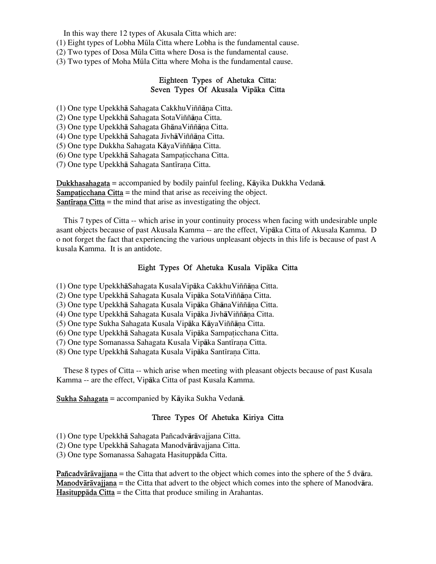In this way there 12 types of Akusala Citta which are:

(1) Eight types of Lobha MËla Citta where Lobha is the fundamental cause.

(2) Two types of Dosa MËla Citta where Dosa is the fundamental cause.

(3) Two types of Moha MËla Citta where Moha is the fundamental cause.

### Eighteen Types of Ahetuka Citta: Seven Types Of Akusala Vipåka Citta

(1) One type Upekkhā Sahagata Cakkhu Viññāna Citta.

(2) One type Upekkhā Sahagata SotaViññāna Citta.

 $(3)$  One type Upekkhā Sahagata Ghāna Viññāna Citta.

 $(4)$  One type Upekkhā Sahagata Jivhā Viññāna Citta.

 $(5)$  One type Dukkha Sahagata K $\bar{a}$ ya Viññ $\bar{a}$ na Citta.

(6) One type Upekkhā Sahagata Sampaticchana Citta.

(7) One type Upekkhā Sahagata Santīraṇa Citta.

Dukkhasahagata = accompanied by bodily painful feeling, Kåyika Dukkha Vedanå. **Sampaticchana Citta** = the mind that arise as receiving the object. **Santirana Citta** = the mind that arise as investigating the object.

 This 7 types of Citta -- which arise in your continuity process when facing with undesirable unple asant objects because of past Akusala Kamma -- are the effect, Vipåka Citta of Akusala Kamma. D o not forget the fact that experiencing the various unpleasant objects in this life is because of past A kusala Kamma. It is an antidote.

## Eight Types Of Ahetuka Kusala Vipåka Citta

 $(1)$  One type UpekkhāSahagata KusalaVipāka CakkhuViññāna Citta.

(2) One type Upekkhā Sahagata Kusala Vipāka Sota Viññāna Citta.

(3) One type Upekkhā Sahagata Kusala Vipāka GhānaViññāṇa Citta.

(4) One type Upekkhā Sahagata Kusala Vipāka Jivhā Viññāna Citta.

 $(5)$  One type Sukha Sahagata Kusala Vipāka Kāya Viññāna Citta.

(6) One type Upekkhā Sahagata Kusala Vipāka Sampaticchana Citta.

(7) One type Somanassa Sahagata Kusala Vipāka Santīrana Citta.

(8) One type Upekkhā Sahagata Kusala Vipāka Santīrana Citta.

 These 8 types of Citta -- which arise when meeting with pleasant objects because of past Kusala Kamma -- are the effect, Vipåka Citta of past Kusala Kamma.

Sukha Sahagata = accompanied by Kåyika Sukha Vedanå.

# Three Types Of Ahetuka Kiriya Citta

(1) One type Upekkhå Sahagata Pañcadvåråvajjana Citta.

(2) One type Upekkhå Sahagata Manodvåråvajjana Citta.

(3) One type Somanassa Sahagata Hasituppåda Citta.

Pañcadvåråvajjana = the Citta that advert to the object which comes into the sphere of the 5 dvåra. Manodvåråvajjana = the Citta that advert to the object which comes into the sphere of Manodvåra. Hasituppāda Citta = the Citta that produce smiling in Arahantas.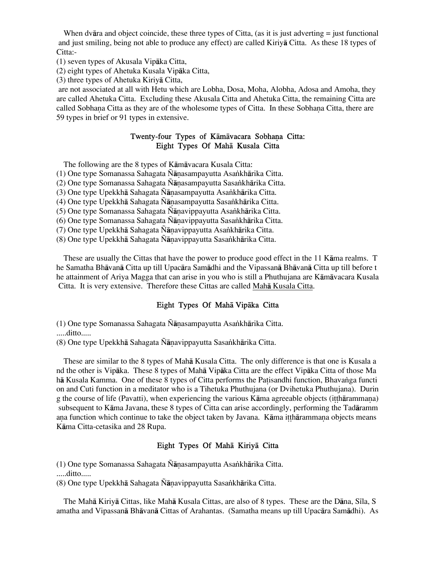When dvāra and object coincide, these three types of Citta, (as it is just adverting = just functional and just smiling, being not able to produce any effect) are called Kiriyå Citta. As these 18 types of Citta:-

(1) seven types of Akusala Vipåka Citta,

- (2) eight types of Ahetuka Kusala Vipåka Citta,
- (3) three types of Ahetuka Kiriyå Citta,

 are not associated at all with Hetu which are Lobha, Dosa, Moha, Alobha, Adosa and Amoha, they are called Ahetuka Citta. Excluding these Akusala Citta and Ahetuka Citta, the remaining Citta are called Sobhana Citta as they are of the wholesome types of Citta. In these Sobhana Citta, there are 59 types in brief or 91 types in extensive.

## Twenty-four Types of Kāmāvacara Sobhana Citta: Eight Types Of Mahå Kusala Citta

The following are the 8 types of Kåmåvacara Kusala Citta:

- (1) One type Somanassa Sahagata Ñåˆasampayutta Asa∫khårika Citta.
- (2) One type Somanassa Sahagata Ñåˆasampayutta Sasa∫khårika Citta.
- (3) One type Upekkhā Sahagata Ñānasampayutta Asankhārika Citta.
- (4) One type Upekkhā Sahagata Ñānasampayutta Sasankhārika Citta.
- (5) One type Somanassa Sahagata Ñānavippayutta Asankhārika Citta.
- (6) One type Somanassa Sahagata Ñåˆavippayutta Sasa∫khårika Citta.
- (7) One type Upekkhā Sahagata Ñānavippayutta Asankhārika Citta.

(8) One type Upekkhā Sahagata Ñānavippayutta Sasankhārika Citta.

 These are usually the Cittas that have the power to produce good effect in the 11 Kåma realms. T he Samatha Bhåvanå Citta up till Upacåra Samådhi and the Vipassanå Bhåvanå Citta up till before t he attainment of Ariya Magga that can arise in you who is still a Phuthujana are Kåmåvacara Kusala Citta. It is very extensive. Therefore these Cittas are called Mahå Kusala Citta.

## Eight Types Of Mahå Vipåka Citta

(1) One type Somanassa Sahagata Ñåˆasampayutta Asa∫khårika Citta.

.....ditto.....

(8) One type Upekkhā Sahagata Ñānavippayutta Sasankhārika Citta.

 These are similar to the 8 types of Mahå Kusala Citta. The only difference is that one is Kusala a nd the other is Vipåka. These 8 types of Mahå Vipåka Citta are the effect Vipåka Citta of those Ma hā Kusala Kamma. One of these 8 types of Citta performs the Patisandhi function, Bhavanga functi on and Cuti function in a meditator who is a Tihetuka Phuthujana (or Dvihetuka Phuthujana). Durin g the course of life (Pavatti), when experiencing the various Kāma agreeable objects (ittharammana) subsequent to Kåma Javana, these 8 types of Citta can arise accordingly, performing the Tadåramm ana function which continue to take the object taken by Javana. Kāma it thārammana objects means Kåma Citta-cetasika and 28 Rupa.

# Eight Types Of Mahå Kiriyå Citta

(1) One type Somanassa Sahagata Ñåˆasampayutta Asa∫khårika Citta.

.....ditto.....

(8) One type Upekkhā Sahagata Ñānavippayutta Sasankhārika Citta.

The Mahā Kiriyā Cittas, like Mahā Kusala Cittas, are also of 8 types. These are the Dāna, Sīla, S amatha and Vipassanå Bhåvanå Cittas of Arahantas. (Samatha means up till Upacåra Samådhi). As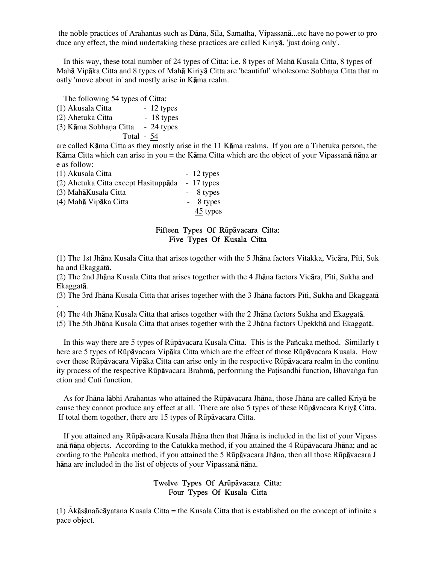the noble practices of Arahantas such as Dāna, Sīla, Samatha, Vipassanā...etc have no power to pro duce any effect, the mind undertaking these practices are called Kiriyå, 'just doing only'.

 In this way, these total number of 24 types of Citta: i.e. 8 types of Mahå Kusala Citta, 8 types of Mahā Vipāka Citta and 8 types of Mahā Kiriyā Citta are 'beautiful' wholesome Sobhana Citta that m ostly 'move about in' and mostly arise in Kåma realm.

The following 54 types of Citta:

- (1) Akusala Citta 12 types
- (2) Ahetuka Citta 18 types
- (3) Kāma Sobhana Citta 24 types
	- Total 54

are called Kåma Citta as they mostly arise in the 11 Kåma realms. If you are a Tihetuka person, the Kāma Citta which can arise in you = the Kāma Citta which are the object of your Vipassanā ñāna ar e as follow:

| (1) Akusala Citta                    | $-12$ types |
|--------------------------------------|-------------|
| (2) Ahetuka Citta except Hasituppāda | $-17$ types |
| (3) MahāKusala Citta                 | $-8$ types  |
| (4) Mahā Vipāka Citta                | - 8 types   |
|                                      | 45 types    |

### Fifteen Types Of Rüpävacara Citta: Five Types Of Kusala Citta

(1) The 1st Jhāna Kusala Citta that arises together with the 5 Jhāna factors Vitakka, Vicāra, Pīti, Suk ha and Ekaggatå.

(2) The 2nd Jhāna Kusala Citta that arises together with the 4 Jhāna factors Vicāra, Pīti, Sukha and Ekaggatå.

(3) The 3rd Jhāna Kusala Citta that arises together with the 3 Jhāna factors Pīti, Sukha and Ekaggatā

. (4) The 4th Jhåna Kusala Citta that arises together with the 2 Jhåna factors Sukha and Ekaggatå.

(5) The 5th Jhåna Kusala Citta that arises together with the 2 Jhåna factors Upekkhå and Ekaggatå.

 In this way there are 5 types of RËpåvacara Kusala Citta. This is the Pañcaka method. Similarly t here are 5 types of RËpåvacara Vipåka Citta which are the effect of those RËpåvacara Kusala. How ever these RËpåvacara Vipåka Citta can arise only in the respective RËpåvacara realm in the continu ity process of the respective Rūpāvacara Brahmā, performing the Patisandhi function, Bhavanga fun ction and Cuti function.

As for Jhāna lābhī Arahantas who attained the Rūpāvacara Jhāna, those Jhāna are called Kriyā be cause they cannot produce any effect at all. There are also 5 types of these RËpåvacara Kriyå Citta. If total them together, there are 15 types of RËpåvacara Citta.

 If you attained any RËpåvacara Kusala Jhåna then that Jhåna is included in the list of your Vipass anā ñāna objects. According to the Catukka method, if you attained the 4 Rūpāvacara Jhāna; and ac cording to the Pañcaka method, if you attained the 5 Rūpāvacara Jhāna, then all those Rūpāvacara J hāna are included in the list of objects of your Vipassanā ñāna.

## Twelve Types Of Arūpāvacara Citta: Four Types Of Kusala Citta

 $(1)$  Åkāsānañcāyatana Kusala Citta = the Kusala Citta that is established on the concept of infinite s pace object.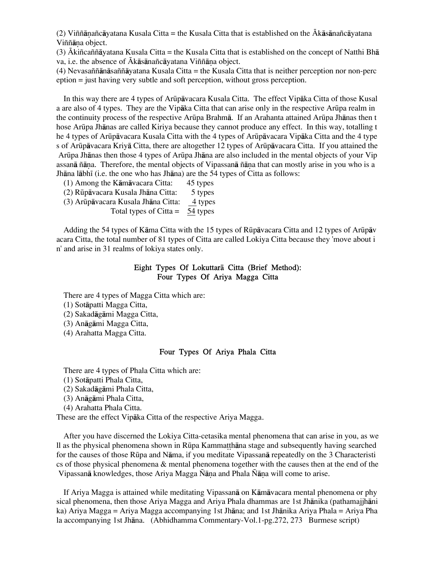$(2)$  Viññãnañ $\tilde{c}$ āyatana Kusala Citta = the Kusala Citta that is established on the Ākāsānañ $\tilde{c}$ āyatana Viññāna object.

(3)  $\overline{A}$ kiñ $\overline{a}$ gatana Kusala Citta = the Kusala Citta that is established on the concept of Natthi Bh $\overline{a}$ va, i.e. the absence of Ākāsānañcāyatana Viññāna object.

 $(4)$  Nevasaññānāsaññāyatana Kusala Citta = the Kusala Citta that is neither perception nor non-perc eption = just having very subtle and soft perception, without gross perception.

 In this way there are 4 types of ArËpåvacara Kusala Citta. The effect Vipåka Citta of those Kusal a are also of 4 types. They are the Vipåka Citta that can arise only in the respective ArËpa realm in the continuity process of the respective Arūpa Brahmā. If an Arahanta attained Arūpa Jhānas then t hose ArËpa Jhånas are called Kiriya because they cannot produce any effect. In this way, totalling t he 4 types of Arūpāvacara Kusala Citta with the 4 types of Arūpāvacara Vipāka Citta and the 4 type s of ArËpåvacara Kriyå Citta, there are altogether 12 types of ArËpåvacara Citta. If you attained the ArËpa Jhånas then those 4 types of ArËpa Jhåna are also included in the mental objects of your Vip assanā ñāṇa. Therefore, the mental objects of Vipassanā ñāṇa that can mostly arise in you who is a Jhāna lābhī (i.e. the one who has Jhāna) are the 54 types of Citta as follows:

- (1) Among the Kåmåvacara Citta: 45 types
- (2) RËpåvacara Kusala Jhåna Citta: 5 types

(3) ArËpåvacara Kusala Jhåna Citta: 4 types

Total types of Citta  $= 54$  types

 Adding the 54 types of Kåma Citta with the 15 types of RËpåvacara Citta and 12 types of ArËpåv acara Citta, the total number of 81 types of Citta are called Lokiya Citta because they 'move about i n' and arise in 31 realms of lokiya states only.

### Eight Types Of Lokuttarå Citta (Brief Method): Four Types Of Ariya Magga Citta

There are 4 types of Magga Citta which are:

- (1) Sotåpatti Magga Citta,
- (2) Sakadågåmi Magga Citta,
- (3) Anågåmi Magga Citta,
- (4) Arahatta Magga Citta.

### Four Types Of Ariya Phala Citta

There are 4 types of Phala Citta which are:

(1) Sotåpatti Phala Citta,

- (2) Sakadågåmi Phala Citta,
- (3) Anågåmi Phala Citta,
- (4) Arahatta Phala Citta.

These are the effect Vipåka Citta of the respective Ariya Magga.

 After you have discerned the Lokiya Citta-cetasika mental phenomena that can arise in you, as we Il as the physical phenomena shown in Rūpa Kammatthana stage and subsequently having searched for the causes of those RËpa and Nåma, if you meditate Vipassanå repeatedly on the 3 Characteristi cs of those physical phenomena  $\&$  mental phenomena together with the causes then at the end of the Vipassanā knowledges, those Ariya Magga Ñāna and Phala Ñāna will come to arise.

 If Ariya Magga is attained while meditating Vipassanå on Kåmåvacara mental phenomena or phy sical phenomena, then those Ariya Magga and Ariya Phala dhammas are 1st Jhånika (pathamajjhåni ka) Ariya Magga = Ariya Magga accompanying 1st Jhåna; and 1st Jhånika Ariya Phala = Ariya Pha la accompanying 1st Jhåna. (Abhidhamma Commentary-Vol.1-pg.272, 273 Burmese script)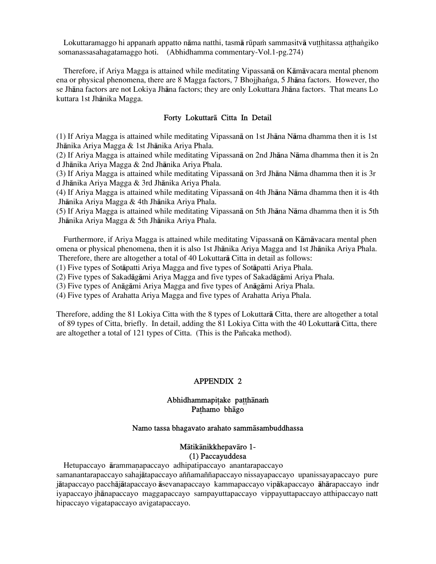Lokuttaramaggo hi appanam appatto nāma natthi, tasmā rūpam sammasitvā vutthitassa atthangiko somanassasahagatamaggo hoti. (Abhidhamma commentary-Vol.1-pg.274)

 Therefore, if Ariya Magga is attained while meditating Vipassanå on Kåmåvacara mental phenom ena or physical phenomena, there are 8 Magga factors, 7 Bhojjhanga, 5 Jhāna factors. However, tho se Jhåna factors are not Lokiya Jhåna factors; they are only Lokuttara Jhåna factors. That means Lo kuttara 1st Jhånika Magga.

### Forty Lokuttarå Citta In Detail

(1) If Ariya Magga is attained while meditating Vipassanå on 1st Jhåna Nåma dhamma then it is 1st Jhånika Ariya Magga & 1st Jhånika Ariya Phala.

(2) If Ariya Magga is attained while meditating Vipassanå on 2nd Jhåna Nåma dhamma then it is 2n d Jhånika Ariya Magga & 2nd Jhånika Ariya Phala.

(3) If Ariya Magga is attained while meditating Vipassanå on 3rd Jhåna Nåma dhamma then it is 3r d Jhånika Ariya Magga & 3rd Jhånika Ariya Phala.

(4) If Ariya Magga is attained while meditating Vipassanå on 4th Jhåna Nåma dhamma then it is 4th Jhånika Ariya Magga & 4th Jhånika Ariya Phala.

(5) If Ariya Magga is attained while meditating Vipassanå on 5th Jhåna Nåma dhamma then it is 5th Jhånika Ariya Magga & 5th Jhånika Ariya Phala.

 Furthermore, if Ariya Magga is attained while meditating Vipassanå on Kåmåvacara mental phen omena or physical phenomena, then it is also 1st Jhånika Ariya Magga and 1st Jhånika Ariya Phala. Therefore, there are altogether a total of 40 Lokuttarå Citta in detail as follows:

(1) Five types of Sotåpatti Ariya Magga and five types of Sotåpatti Ariya Phala.

(2) Five types of Sakadågåmi Ariya Magga and five types of Sakadågåmi Ariya Phala.

(3) Five types of Anågåmi Ariya Magga and five types of Anågåmi Ariya Phala.

(4) Five types of Arahatta Ariya Magga and five types of Arahatta Ariya Phala.

Therefore, adding the 81 Lokiya Citta with the 8 types of Lokuttarå Citta, there are altogether a total of 89 types of Citta, briefly. In detail, adding the 81 Lokiya Citta with the 40 Lokuttarå Citta, there are altogether a total of 121 types of Citta. (This is the Pañcaka method).

### APPENDIX 2

### Abhidhammapitake patthanam Pathamo bhago

#### Namo tassa bhagavato arahato sammåsambuddhassa

#### Måtikånikkhepavåro 1- (1) Paccayuddesa

Hetupaccayo ārammanapaccayo adhipatipaccayo anantarapaccayo

samanantarapaccayo sahajåtapaccayo aññamaññapaccayo nissayapaccayo upanissayapaccayo pure jåtapaccayo pacchåjåtapaccayo åsevanapaccayo kammapaccayo vipåkapaccayo åhårapaccayo indr iyapaccayo jhånapaccayo maggapaccayo sampayuttapaccayo vippayuttapaccayo atthipaccayo natt hipaccayo vigatapaccayo avigatapaccayo.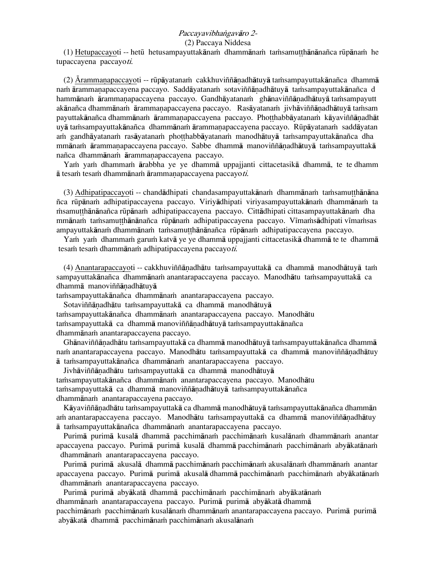#### (2) Paccaya Niddesa

 $(1)$  Hetupaccayoti -- hetū hetusampayuttakāna $\dot{a}$ n dhammāna $\dot{a}$ n ta $\dot{a}$ nsamutthānānañca rūpāna $\dot{a}$  he tupaccayena paccayoti.

 $(2)$  Árammanapaccayoti -- rūpāyatana $\dot{m}$  cakkhuviññānadhātuyā ta $\dot{m}$ sampayuttakānañca dhammā nam ārammanapaccayena paccayo. Saddāyatanam sotaviññānadhātuyā tamsampayuttakānañca d hammānam ārammanapaccayena paccayo. Gandhāyatanam ghānaviññānadhātuyā tamsampayutt akānañca dhammānaṁ ārammanapaccayena paccayo. Rasāyatanaṁ jivhāviññānadhātuyā taṁsam payuttakānañca dhammānaṁ ārammanapaccayena paccayo. Photthabbāyatanaṁ kāyaviññānadhāt uyā tamsampayuttakānañca dhammānam ārammanapaccayena paccayo. Rūpāyatanam saddāyatan am gandhāyatanam rasāyatanam photthabbāyatanam manodhātuyā tamsampayuttakānañca dha mmānam ārammanapaccayena paccayo. Sabbe dhammā manoviññānadhātuyā tamsampayuttakā nañca dhammānam ārammanapaccayena paccayo.

Yam yam dhammam ārabbha ye ye dhammā uppajjanti cittacetasikā dhammā, te te dhamm ā tesam tesam dhammānam ārammanapaccayena paccayoti.

(3) Adhipatipaccayoti -- chandādhipati chandasampayuttakānam dhammānam tamsamutthānāna ñca rūpānam adhipatipaccayena paccayo. Viriyādhipati viriyasampayuttakānam dhammānam ta msamutthānānañca rūpānam adhipatipaccayena paccayo. Cittādhipati cittasampayuttakānam dha mmānam tamsamutthānānañca rūpānam adhipatipaccayena paccayo. Vīmamsādhipati vīmamsas ampayuttakānam dhammānam tamsamutthānānañca rūpānam adhipatipaccayena paccayo.

Yam yam dhammam garum katvā ye ye dhammā uppajjanti cittacetasikā dhammā te te dhammā tesam tesam dhammānam adhipatipaccayena paccayoti.

 $(4)$  Anantarapaccayoti -- cakkhuviññānadhātu taṁsampayuttakā ca dhammā manodhātuyā taṁ sampayuttakānañca dhammānam anantarapaccayena paccayo. Manodhātu tamsampayuttakā ca dhammā manoviññānadhātuyā

tamsampayuttakānañca dhammānam anantarapaccayena paccayo.

Sotaviññānadhātu tamsampayuttakā ca dhammā manodhātuyā tamsampayuttakānañca dhammānam anantarapaccayena paccayo. Manodhātu tamsampayuttakā ca dhammā manoviññānadhātuyā tamsampayuttakānañca dhammānam anantarapaccayena paccayo.

Ghānaviññānadhātu taṁsampayuttakā ca dhammā manodhātuyā taṁsampayuttakānañca dhammā nam anantarapaccayena paccayo. Manodhātu tamsampayuttakā ca dhammā manoviññānadhātuy  $\bar{a}$  tamsampayuttakānañca dhammānam anantarapaccayena paccayo.

Jivhāviññānadhātu taṁsampayuttakā ca dhammā manodhātuyā

tamsampayuttakānañca dhammānam anantarapaccayena paccayo. Manodhātu tamampayuttakā ca dhammā manoviññānadhātuyā tamampayuttakānañca dhammānam anantarapaccayena paccayo.

Kāyaviññānadhātu taṁsampayuttakā ca dhammā manodhātuyā taṁsampayuttakānañca dhammān am anantarapaccayena paccayo. Manodhātu tamsampayuttakā ca dhammā manoviññānadhātuy ā tamsampayuttakānañca dhammānam anantarapaccayena paccayo.

Purimā purimā kusalā dhammā pacchimānam pacchimānam kusalānam dhammānam anantar apaccayena paccayo. Purimā purimā kusalā dhammā pacchimānam pacchimānam abyākatānam dhammānam anantarapaccayena paccayo.

Purimā purimā akusalā dhammā pacchimānam pacchimānam akusalānam dhammānam anantar apaccayena paccayo. Purimā purimā akusalā dhammā pacchimānam pacchimānam abyākatānam dhammāna $\dot{m}$  anantarapaccayena paccayo.

Purimā purimā abyākatā dhammā pacchimānam pacchimānam abyākatānam dhammānaṁ anantarapaccayena paccayo. Purimā purimā abyākatā dhammā

pacchimānam pacchimānam kusalānam dhammānam anantarapaccayena paccayo. Purimā purimā abyākatā dhammā pacchimānam pacchimānam akusalānam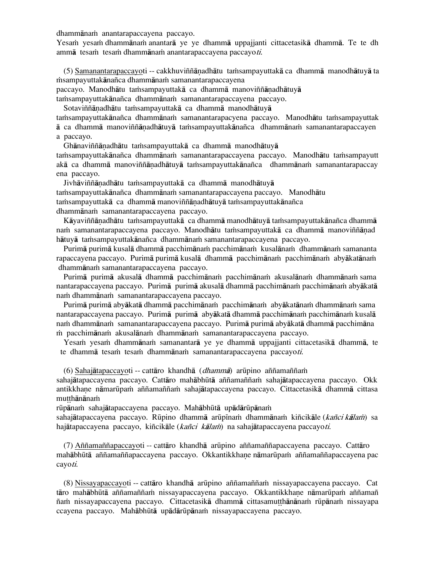dhammānam anantarapaccayena paccayo.

Yesam yesam dhammānam anantarā ye ye dhammā uppajjanti cittacetasikā dhammā. Te te dh ammā tesam tesam dhammānam anantarapaccayena paccayoti.

(5) Samanantarapaccayoti -- cakkhuviññānadhātu taṁsampayuttakā ca dhammā manodhātuyā ta msampayuttakānañca dhammānam samanantarapaccayena

paccayo. Manodhātu tamsampayuttakā ca dhammā manoviññānadhātuyā

tamas ampayuttakānañca dhammānam samanantarapaccayena paccayo.

Sotaviññānadhātu tamsampayuttakā ca dhammā manodhātuyā tamsampayuttakānañca dhammānam samanantarapacyena paccayo. Manodhātu tamsampayuttak  $\bar{a}$  ca dhammā manoviññānadhātuyā taṁsampayuttakānañca dhammānaṁ samanantarapaccayen a paccayo.

Ghānaviññānadhātu taṁsampayuttakā ca dhammā manodhātuyā

tamsampayuttakānañca dhammānam samanantarapaccayena paccayo. Manodhātu tamsampayutt akā ca dhammā manoviññāṇadhātuyā taṁsampayuttakānañca dhammānaṁ samanantarapaccay ena paccayo.

Jivhāviññānadhātu tamsampayuttakā ca dhammā manodhātuyā tamampayuttakānañca dhammānam samanantarapaccayena paccayo. Manodhātu tamsampayuttakā ca dhammā manoviññānadhātuyā tamsampayuttakānañca dhammānam samanantarapaccayena paccayo.

Kāyaviññānadhātu taṁsampayuttakā ca dhammā manodhātuyā taṁsampayuttakānañca dhammā nam samanantarapaccayena paccayo. Manodhātu tamsampayuttakā ca dhammā manoviññānad hātuyā taṁsampayuttakānañca dhammānaṁ samanantarapaccayena paccayo.

Purimā purimā kusalā dhammā pacchimānam pacchimānam kusalānam dhammānam samananta rapaccayena paccayo. Purimā purimā kusalā dhammā pacchimānam pacchimānam abyākatānam dhammānam samanantarapaccayena paccayo.

Purimā purimā akusalā dhammā pacchimānam pacchimānam akusalānam dhammānam sama nantarapaccayena paccayo. Purimā purimā akusalā dhammā pacchimānam pacchimānam abyākatā nam dhammānam samanantarapaccayena paccayo.

Purimā purimā abyākatā dhammā pacchimānaṁ pacchimānaṁ abyākatānaṁ dhammānaṁ sama nantarapaccayena paccayo. Purimā purimā abyākatā dhammā pacchimānam pacchimānam kusalā nam dhammānam samanantarapaccayena paccayo. Purimā purimā abyākatā dhammā pacchimāna  $\dot{m}$  pacchimāna $\dot{m}$  akusalāna $\dot{m}$  dhammāna $\dot{m}$  samanantarapaccayena paccayo.

Yesam yesam dhammānam samanantarā ye ye dhammā uppajjanti cittacetasikā dhammā, te te dhammā tesam tesam dhammānam samanantarapaccayena paccayoti.

(6) Sahajātapaccayoti -- cattāro khandhā (*dhammā*) arūpino aññamaññam

sahajātapaccayena paccayo. Cattāro mahābhūtā aññamaññam sahajātapaccayena paccayo. Okk antikkhane nāmarūpam aññamaññam sahajātapaccayena paccayo. Cittacetasikā dhammā cittasa mutthānānam

rūpānam sahajātapaccayena paccayo. Mahābhūtā upādārūpānam

sahajātapaccayena paccayo. Rūpino dhammā arūpīnam dhammānam kiñcikāle (kañci kālam) sa hajātapaccayena paccayo, kiñcikāle (kañci kālam) na sahajātapaccayena paccayoti.

 (7) Aññamaññapaccayoti -- cattåro khandhå arËpino aññamaññapaccayena paccayo. Cattåro mahābhūtā aññamaññapaccayena paccayo. Okkantikkhane nāmarūpam aññamaññapaccayena pac cayoti.

(8) Nissayapaccayoti -- cattāro khandhā arūpino aññamaññam nissayapaccayena paccayo. Cat tāro mahābhūtā aññamaññam nissayapaccayena paccayo. Okkantikkhane nāmarūpam aññamañ ñam nissayapaccayena paccayo. Cittacetasikā dhammā cittasamutthānānam rūpānam nissayapa ccayena paccayo. Mahābhūtā upādārūpānam nissayapaccayena paccayo.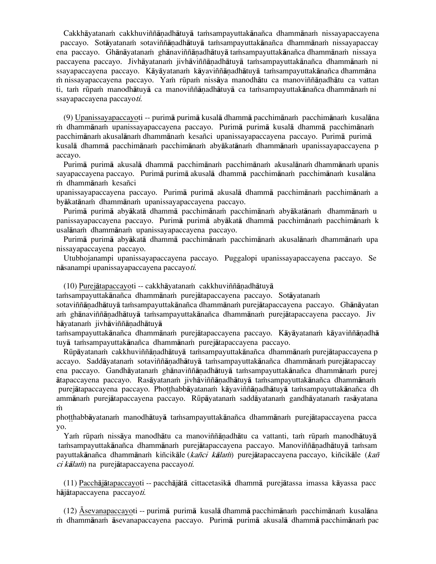Cakkhāyatanam cakkhuviññānadhātuyā tamsampayuttakānañca dhammānam nissayapaccayena paccayo. Sotāyatanam sotaviññānadhātuyā tamsampayuttakānañca dhammānam nissayapaccay ena paccayo. Ghānāyatanam ghānaviññānadhātuyā taṁsampayuttakānañca dhammānaṁ nissaya paccayena paccayo. Jivhāyatanam jivhāviññānadhātuyā tamsampayuttakānañca dhammānam ni ssayapaccayena paccayo. Kāyāyatanam kāyaviññānadhātuyā tamsampayuttakānañca dhammāna m nissayapaccayena paccayo. Yam rūpam nissāya manodhātu ca manoviññānadhātu ca vattan ti, tam rūpam manodhātuyā ca manoviññānadhātuyā ca tamsampayuttakānañca dhammānam ni ssayapaccayena paccayoti.

(9) Upanissayapaccayoti -- purimā purimā kusalā dhammā pacchimānam pacchimānam kusalāna m dhammānam upanissayapaccayena paccayo. Purimā purimā kusalā dhammā pacchimānam pacchimānam akusalānam dhammānam kesañci upanissayapaccayena paccayo. Purimā purimā kusalā dhammā pacchimānam pacchimānam abyākatānam dhammānam upanissayapaccayena p accayo.

Purimā purimā akusalā dhammā pacchimānam pacchimānam akusalānam dhammānam upanis sayapaccayena paccayo. Purimā purimā akusalā dhammā pacchimānam pacchimānam kusalāna m dhammānam kesañci

upanissayapaccayena paccayo. Purimā purimā akusalā dhammā pacchimānam pacchimānam a byākatānam dhammānam upanissayapaccayena paccayo.

Purimā purimā abyākatā dhammā pacchimānam pacchimānam abyākatānam dhammānam u panissayapaccayena paccayo. Purimā purimā abyākatā dhammā pacchimānam pacchimānam k usalānam dhammānam upanissayapaccayena paccayo.

Purimā purimā abyākatā dhammā pacchimānam pacchimānam akusalānam dhammānam upa nissayapaccayena paccayo.

 Utubhojanampi upanissayapaccayena paccayo. Puggalopi upanissayapaccayena paccayo. Se nåsanampi upanissayapaccayena paccayoti.

 $(10)$  Purejātapaccayoti -- cakkhāyatanam cakkhuviññānadhātuyā

tamampayuttakānañca dhammānam purejātapaccayena paccayo. Sotāyatanam

sotaviññānadhātuyā tamsampayuttakānañca dhammānam purejātapaccayena paccayo. Ghānāyatan am ghānaviññānadhātuyā taṁsampayuttakānañca dhammānaṁ purejātapaccayena paccayo. Jiv hāyatanam jivhāviññānadhātuyā

tamsampayuttakānañca dhammānam purejātapaccayena paccayo. Kāyāyatanam kāyaviññānadhā tuyā taṁsampayuttakānañca dhammānaṁ purejātapaccayena paccayo.

Rūpāyatanam cakkhuviññāṇadhātuyā taṁsampayuttakānañca dhammānaṁ purejātapaccayena p accayo. Saddāyatanam sotaviññānadhātuyā tamsampayuttakānañca dhammānam purejātapaccay ena paccayo. Gandhāyatanam ghānaviññānadhātuyā tamsampayuttakānañca dhammānam purej ātapaccayena paccayo. Rasāyatanam jivhāviññānadhātuyā tamsampayuttakānañca dhammānam purejātapaccayena paccayo. Pho thabbāyatanam kāyaviññāṇadhātuyā tamsampayuttakānañca dh ammānam purejātapaccayena paccayo. Rūpāyatanam saddāyatanam gandhāyatanam rasāyatana m

photthabbāyatanam manodhātuyā tamsampayuttakānañca dhammānam purejātapaccayena pacca yo.

Yaṁ rūpaṁ nissāya manodhātu ca manoviññānadhātu ca vattanti, taṁ rūpaṁ manodhātuyā tamsampayuttakānañca dhammānam purejātapaccayena paccayo. Manoviññānadhātuyā tamsam payuttakānañca dhammānam kiñcikāle (kañci kālam) purejātapaccayena paccayo, kiñcikāle (kañ ci kālam) na purejātapaccayena paccayoti.

 (11) Pacchåjåtapaccayoti -- pacchåjåtå cittacetasikå dhammå purejåtassa imassa kåyassa pacc håjåtapaccayena paccayoti.

 $(12)$  Ásevanapaccayoti -- purimā purimā kusalā dhammā pacchimāna $\dot{m}$  pacchimāna $\dot{m}$  kusalāna m dhammānam āsevanapaccayena paccayo. Purimā purimā akusalā dhammā pacchimānam pac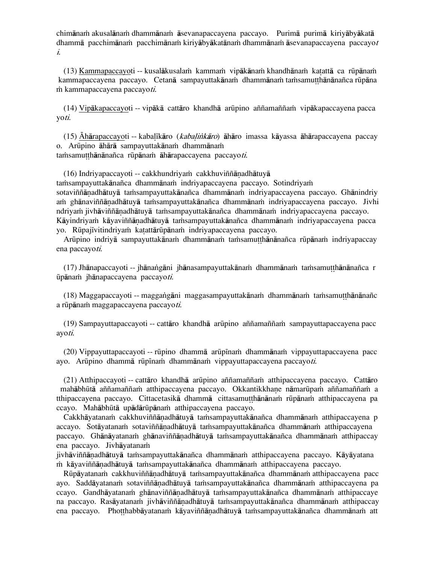chimānam akusalānam dhammānam āsevanapaccayena paccayo. Purimā purimā kiriyābyākatā dhammā pacchimānam pacchimānam kiriyābyākatānam dhammānam āsevanapaccayena paccayot i.

 $(13)$  Kammapaccayoti -- kusalākusalam kammam vipākānam khandhānam katattā ca rūpānam kammapaccayena paccayo. Cetanā sampayuttakānam dhammānam tamsamutthānānañca rūpāna m kammapaccayena paccayoti.

 $(14)$  Vipākapaccayoti -- vipākā cattāro khandhā arūpino aññamañña $\dot{a}$  vipākapaccayena pacca yoti.

(15) Áhārapaccayoti -- kabalīkāro (*kabalinkāro*) āhāro imassa kāyassa āhārapaccayena paccay o. Arūpino āhārā sampayuttakānam dhammānam tamsamutthānānañca rūpānam āhārapaccayena paccayoti.

 $(16)$  Indriyapaccayoti -- cakkhundriyam cakkhuviññānadhātuyā tamsampayuttakānañca dhammānam indriyapaccayena paccayo. Sotindriyam sotaviññānadhātuyā tamsampayuttakānañca dhammānam indriyapaccayena paccayo. Ghānindriy am ghānaviññānadhātuyā taṁsampayuttakānañca dhammānaṁ indriyapaccayena paccayo. Jivhi ndriyam jivhāviññāṇadhātuyā taṁsampayuttakānañca dhammānaṁ indriyapaccayena paccayo. Kāyindriyam kāyaviññānadhātuyā taṁsampayuttakānañca dhammānaṁ indriyapaccayena pacca yo. Rūpajīvitindriyam katattārūpānam indriyapaccayena paccayo.

Arūpino indriyā sampayuttakānaṁ dhammānaṁ taṁsamutthānānañca rūpānaṁ indriyapaccay ena paccayoti.

(17) Jhānapaccayoti -- jhānangāni jhānasampayuttakānam dhammānam tamsamutthānānañca r ūpānam jhānapaccayena paccayoti.

 $(18)$  Maggapaccayoti -- maggangāni maggasampayuttakāna $\dot{a}$ n dhammāna $\dot{a}$ n ta $\dot{a}$ nsamutthānānañc a rūpānam maggapaccayena paccayoti.

 $(19)$  Sampayuttapaccayoti -- cattāro khandhā arūpino aññamañña $\dot{a}$  sampayuttapaccayena pacc ayoti.

 $(20)$  Vippayuttapaccayoti -- rūpino dhammā arūpīna $\dot{a}$  dhammāna $\dot{a}$  vippayuttapaccayena pacc ayo. Arūpino dhammā rūpīnam dhammānam vippayuttapaccayena paccayoti.

 $(21)$  Atthipaccayoti -- cattāro khandhā arūpino aññamañña $\dot{a}$  atthipaccayena paccayo. Cattāro mahābhūtā aññamaññam atthipaccayena paccayo. Okkantikkhane nāmarūpam aññamaññam a tthipaccayena paccayo. Cittacetasikā dhammā cittasamutthānānam rūpānam atthipaccayena pa ccayo. Mahābhūtā upādārūpānam atthipaccayena paccayo.

Cakkhāyatanam cakkhuviññānadhātuyā tamsampayuttakānañca dhammānam atthipaccayena p accayo. Sotāyatanam sotaviññāṇadhātuyā taṁsampayuttakānañca dhammānam atthipaccayena paccayo. Ghānāyatanam ghānaviññānadhātuyā tamsampayuttakānañca dhammānam atthipaccay ena paccayo. Jivhāyatanam

jivhāviññānadhātuyā taṁsampayuttakānañca dhammānaṁ atthipaccayena paccayo. Kāyāyatana m kāyaviññānadhātuyā taṁsampayuttakānañca dhammānaṁ atthipaccayena paccayo.

Rūpāyatanam cakkhuviññānadhātuyā tamsampayuttakānañca dhammānam atthipaccayena pacc ayo. Saddāyatanam sotaviññānadhātuyā taṁsampayuttakānañca dhammānaṁ atthipaccayena pa ccayo. Gandhāyatanam ghānaviññānadhātuyā tamsampayuttakānañca dhammānam atthipaccaye na paccayo. Rasāyatanam jivhāviññānadhātuyā tamsampayuttakānañca dhammānam atthipaccay ena paccayo. Pho thabbāyatanam kāyaviññānadhātuyā tamsampayuttakānañca dhammānam att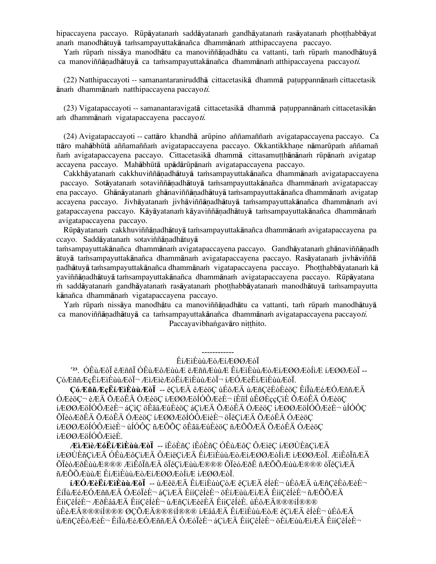hipaccayena paccayo. Rūpāyatanam saddāyatanam gandhāyatanam rasāyatanam photthabbāyat anam manodhātuyā tamsampayuttakānañca dhammānam atthipaccayena paccayo.

Yaṁ rūpaṁ nissāya manodhātu ca manoviññānadhātu ca vattanti, taṁ rūpaṁ manodhātuyā ca manoviññānadhātuyā ca tamsampayuttakānañca dhammānam atthipaccayena paccayoti.

 $(22)$  Natthipaccayoti -- samanantaraniruddhā cittacetasikā dhammā patuppannānam cittacetasik ānam dhammānam natthipaccayena paccayoti.

 $(23)$  Vigatapaccayoti -- samanantaravigatā cittacetasikā dhammā patuppannānam cittacetasikān am dhammānam vigatapaccayena paccayoti.

 $(24)$  Avigatapaccayoti -- cattāro khandhā arūpino aññamaññam avigatapaccayena paccayo. Ca ttāro mahābhūtā aññamaññam avigatapaccayena paccayo. Okkantikkhane nāmarūpam aññamañ ñam avigatapaccayena paccayo. Cittacetasikā dhammā cittasamutthānānam rūpānam avigatap accayena paccayo. Mahābhūtā upādārūpānam avigatapaccayena paccayo.

Cakkhāyatanam cakkhuviññānadhātuyā tamsampayuttakānañca dhammānam avigatapaccayena paccayo. Sotāyatanam sotaviññānadhātuyā tamsampayuttakānañca dhammānam avigatapaccay ena paccayo. Ghānāyatanaṁ ghānaviññānadhātuyā taṁsampayuttakānañca dhammānaṁ avigatap accayena paccayo. Jivhāyatanam jivhāviññānadhātuyā tamsampayuttakānañca dhammānam avi gatapaccayena paccayo. Kāyāyatanam kāyaviññānadhātuyā tamsampayuttakānañca dhammānam avigatapaccayena paccayo.

Rūpāyatanam cakkhuviññānadhātuyā tamsampayuttakānañca dhammānam avigatapaccayena pa ccayo. Saddāyatanam sotaviññānadhātuyā

tamsampayuttakānañca dhammānam avigatapaccayena paccayo. Gandhāyatanam ghānaviññānadh ātuyā tamsampayuttakānañca dhammānam avigatapaccayena paccayo. Rasāyatanam jivhāviññā nadhātuyā tamsampayuttakānañca dhammānam vigatapaccayena paccayo. Photthabbāyatanam kā yaviññānadhātuyā taṁsampayuttakānañca dhammānaṁ avigatapaccayena paccayo. Rūpāyatana *n* saddāyatanam gandhāyatanam rasāyatanam photthabbāyatanam manodhātuyā tamsampayutta kānañca dhammānam vigatapaccayena paccayo.

Yaṁ rūpaṁ nissāya manodhātu ca manoviññāṇadhātu ca vattanti, taṁ rūpaṁ manodhātuyā ca manoviññānadhātuyā ca taṁsampayuttakānañca dhammānaṁ avigatapaccayena paccayoti.

Paccayavibhangavāro nitthito.

#### ------------ ÊíÆìÈùùÆòÆíÆØØÆòÏ

 **´²³**. ÓÊùÆôÏ ëÆññÏ ÓÊùÆôÆùùÆ ëÆññÆùùÆ ÊíÆìÈùùÆòÆíÆØØÆòÍìÆ íÆØØÆòÏ -- ÇóÆññÆçËíÆìÈùùÆòϬÆìÆìèÆóËíÆìÈùùÆòϬíÆÓÆèËíÆìÈùùÆòÏ.

 **ÇóÆññÆçËíÆìÈùùÆòÏ** -- êÇìÆÄ êÆèöÇ ùÉôÆÄ ùÆñÇêÈòÈèöÇ ÊíÏùÆéÆÓÆññÆÄ ÓÆèöC¬ èÆÄ ÕÆóÊÄ ÓÆèöC íÆØØÆöÍÓÔÆèȬ íÊïĭÍ ùÊØÈççCìÈ ÕÆóÊÄ ÓÆèöC íÆØØÆöÍÓÔÆèȬ áCìC öÊãäÆúÈèöC áCìÆÄ ÕÆóÊÄ ÓÆèöC íÆØØÆöÍÓÔÆèȬ ùÍÓÔC ÕÏèóÆðÊÄ ÕÆóÊÄ ÓÆèöC íÆØØÆöÍÓÔÆìèȬ öÏêCìÆÄ ÕÆóÊÄ ÓÆèöC íÆØØÆöÍÓÔÆìèȬ ùÍÓÔÇ ñÆÕÕÇ öÊãäÆúÈèöÇ ñÆÕÕÆÄ ÕÆóÊÄ ÓÆèöÇ íÆØØÆöÍÓÔÆìèÈ.

 **ÆìÆìèÆóËíÆìÈùùÆòÏ** -- íÊóÈñÇ íÊóÈñÇ ÓÊùÆôÇ ÔÆìëÇ íÆØÙÈñÇìÆÄ íÆØÙÈñÇìÆÄ ÓÊùÆôÇìÆÄ ÔÆìëÇìÆÄ ÊíÆìÈùùÆòÆíÆØØÆòÍìÆ íÆØØÆòÏ. ÆìÊôÏñÆÄ ÕÏèóÆðÊùùÆ®®® ÆìÊôÏñÆÄ öÏêÇìÆùùÆ®®® ÕÏèóÆðÊ ñÆÕÕÆùùÆ®®® öÏêÇìÆÄ ñÆÕÕÆùùÆ ÊíÆìÈùùÆòÆíÆØØÆòÍìÆ íÆØØÆòÏ.

 **íÆÓÆèËíÆìÈùùÆòÏ** -- ùÆêëÆÄ ÊíÆìÈùùÇòÆ êÇìÆÄ êÍèȬ ùÉôÆÄ ùÆñÇêÈòÆèȬ ÊíÏùÆéÆÓÆññÆÄ ÓÆóÏèȬáÇìÆÄ ÊííÇêÍèȬ öÈíÆùùÆìÆÄ ÊííÇêÍèȬ ñÆÕÕÆÄ ÊííCêÍèȬ ÆðÈââÆÄ ÊííCêÍèȬ ùÆñCíÆèèÈÄ ÊííCêÍèÈ. ùÉôÆÄ®®®íÍ®®® ùÊèÆÄ®®®íÍ®®® ØÇÕÆÄ®®®íÍ®®® íÆââÆÄ ÊíÆìÈùùÆòÆ êÇìÆÄ êÍèȬ ùÉôÆÄ ùÆñÇêÈòÆèȬ ÊíÏùÆéÆÓÆññÆÄ ÓÆóÏèȬ áÇìÆÄ ÊííÇêÍèȬ öÈíÆùùÆìÆÄ ÊííÇêÍèȬ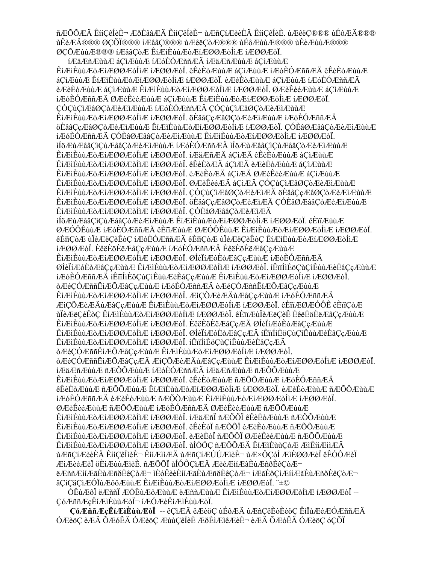ñÆÕÕÆÄ ÊííCêÍèȬ ÆðÈââÆÄ ÊííCêÍèȬ ùÆñCíÆèèÈÄ ÊííCêÍèÈ. ùÆêëC®®® ùÉôÆÄ®®® ùÊèÆÄ®®® ØÇÕÏ®®® íÆââÇ®®® ùÆêëÇòÆ®®® ùÉôÆùùÆ®®® ùÊèÆùùÆ®®® ØÇÕÆùùÆ®®® íÆââÇòÆ ÊíÆìÈùùÆòÆíÆØØÆòÍìÆ íÆØØÆòÏ.

 íÆäÆñÆùùÆ áÇìÆùùÆ íÆóÈÓÆññÆÄ íÆäÆñÆùùÆ áÇìÆùùÆ ÊíÆìÈùùÆòÆíÆØØÆòÍìÆ íÆØØÆòÏ. êÊèÈòÆùùÆ áÇìÆùùÆ íÆóÈÓÆññÆÄ êÊèÈòÆùùÆ áÇìÆùùÆ ÊíÆìÈùùÆòÆíÆØØÆòÍìÆ íÆØØÆòÏ. èÆèÈòÆùùÆ áÇìÆùùÆ íÆóÈÓÆññÆÄ èÆèÈòÆùùÆ áÇìÆùùÆ ÊíÆìÈùùÆòÆíÆØØÆòÍìÆ íÆØØÆòÏ. ØÆèÊèéÆùùÆ áÇìÆùùÆ íÆóÈÓÆññÆÄ ØÆèÊèéÆùùÆ áÇìÆùùÆ ÊíÆìÈùùÆòÆíÆØØÆòÍìÆ íÆØØÆòÏ. ÇÓÇùÇìÆâØÇòÆèÆìÆùùÆ íÆóÈÓÆññÆÄ ÇÓÇùÇìÆâØÇòÆèÆìÆùùÆ ÊíÆìÈùùÆòÆíÆØØÆòÍìÆ íÆØØÆòÏ. öÈââÇçÆâØÇòÆèÆìÆùùÆ íÆóÈÓÆññÆÄ öÈââÇçÆâØÇòÆèÆìÆùùÆ ÊíÆìÈùùÆòÆíÆØØÆòÍìÆ íÆØØÆòÏ. ÇÓÈâØÆââÇòÆèÆìÆùùÆ íÆóÈÓÆññÆÄ ÇÓÈâØÆââÇòÆèÆìÆùùÆ ÊíÆìÈùùÆòÆíÆØØÆòÍìÆ íÆØØÆòÏ. ìÍöÆùÆââÇìÇùÆââÇòÆèÆìÆùùÆ íÆóÈÓÆññÆÄ ìÍöÆùÆââÇìÇùÆââÇòÆèÆìÆùùÆ ÊíÆìÈùùÆòÆíÆØØÆòÍìÆ íÆØØÆòÏ. íÆäÆñÆÄ áÇìÆÄ êÊèÈòÆùùÆ áÇìÆùùÆ ÊíÆìÈùùÆòÆíÆØØÆòÍìÆ íÆØØÆòÏ. êÊèÈòÆÄ áÇìÆÄ èÆèÈòÆùùÆ áÇìÆùùÆ ÊíÆìÈùùÆòÆíÆØØÆòÍìÆ íÆØØÆòÏ. èÆèÈòÆÄ áÇìÆÄ ØÆèÊèéÆùùÆ áÇìÆùùÆ ÊíÆìÈùùÆòÆíÆØØÆòÍìÆ íÆØØÆòÏ. ØÆèÊèéÆÄ áÇìÆÄ ÇÓÇùÇìÆâØÇòÆèÆìÆùùÆ ÊíÆìÈùùÆòÆíÆØØÆòÍìÆ íÆØØÆòÏ. ÇÓÇùÇìÆâØÇòÆèÆìÆÄ öÈââÇçÆâØÇòÆèÆìÆùùÆ ÊíÆìÈùùÆòÆíÆØØÆòÍìÆ íÆØØÆòÏ. öÈââÇçÆâØÇòÆèÆìÆÄ ÇÓÈâØÆââÇòÆèÆìÆùùÆ ÊíÆìÈùùÆòÆíÆØØÆòÍìÆ íÆØØÆòÏ. ÇÓÈâØÆââÇòÆèÆìÆÄ ìÍöÆùÆââÇìÇùÆââÇòÆèÆìÆùùÆ ÊíÆìÈùùÆòÆíÆØØÆòÍìÆ íÆØØÆòÏ. êÈïïÆùùÆ ØÆÓÔÊùùÆ íÆóÈÓÆññÆÄ êÈïïÆùùÆ ØÆÓÔÊùùÆ ÊíÆìÈùùÆòÆíÆØØÆòÍìÆ íÆØØÆòÏ. êÈïïÇòÆ ùÏèÆëÇèÊòÇ íÆóÈÓÆññÆÄ êÈïïÇòÆ ùÏèÆëÇèÊòÇ ÊíÆìÈùùÆòÆíÆØØÆòÍìÆ íÆØØÆòÏ. ÈêëÈöÈëÆâÇçÆùùÆ íÆóÈÓÆññÆÄ ÈêëÈöÈëÆâÇçÆùùÆ ÊíÆìÈùùÆòÆíÆØØÆòÍìÆ íÆØØÆòÏ. ØÍèÏíÆóÈòÆâÇçÆùùÆ íÆóÈÓÆññÆÄ ØÍèÏíÆóÈòÆâÇçÆùùÆ ÊíÆìÈùùÆòÆíÆØØÆòÍìÆ íÆØØÆòÏ. íÊïïÍìÈöÇùÇìÊùùÆèÈâÇçÆùùÆ íÆóÈÓÆññÆÄ íÊïïÍìÈöÇùÇìÊùùÆèÈâÇçÆùùÆ ÊíÆìÈùùÆòÆíÆØØÆòÍìÆ íÆØØÆòÏ. òÆéÇÓÆññËíÆÕÆâÇçÆùùÆ íÆóÈÓÆññÆÄ òÆéÇÓÆññËíÆÕÆâÇçÆùùÆ ÊíÆìÈùùÆòÆíÆØØÆòÍìÆ íÆØØÆòÏ. ÆìÇÕÆèÆÄùÆâÇçÆùùÆ íÆóÈÓÆññÆÄ ÆìÇÕÆèÆÄùÆâÇçÆùùÆ ÊíÆìÈùùÆòÆíÆØØÆòÍìÆ íÆØØÆòÏ. êÈïïÆØÆÓÔÊ êÈïïÇòÆ ùÏèÆëÇèÊòÇ ÊíÆìÈùùÆòÆíÆØØÆòÍìÆ íÆØØÆòÏ. êÈïïÆùÏèÆëÇèÊ ÈêëÈöÈëÆâÇçÆùùÆ ÊíÆìÈùùÆòÆíÆØØÆòÍìÆ íÆØØÆòÏ. ÈêëÈöÈëÆâÇçÆÄ ØÍèÏíÆóÈòÆâÇçÆùùÆ 撮ìÈùùÆòÆíÆØØÆòÍìÆ íÆØØÆòÏ. ØÍèÏíÆóÈòÆâÇçÆÄ íÊïïÍìÈöÇùÇìÊùùÆèÈâÇçÆùùÆ 撮ìÈùùÆòÆíÆØØÆòÍìÆ íÆØØÆòÏ. íÊïĭÍìÈöÇùÇìÊùùÆèÈâÇçÆÄ òÆéÇÓÆññËíÆÕÆâÇçÆùùÆ ÊíÆìÈùùÆòÆíÆØØÆòÍìÆ íÆØØÆòÏ. òÆéÇÓÆññËíÆÕÆâÇçÆÄ ÆìÇÕÆèÆÄùÆâÇçÆùùÆ ÊíÆìÈùùÆòÆíÆØØÆòÍìÆ íÆØØÆòÏ. íÆäÆñÆùùÆ ñÆÕÕÆùùÆ íÆóÈÓÆññÆÄ íÆäÆñÆùùÆ ñÆÕÕÆùùÆ ÊíÆìÈùùÆòÆíÆØØÆòÍìÆ íÆØØÆòÏ. êÊèÈòÆùùÆ ñÆÕÕÆùùÆ íÆóÈÓÆññÆÄ êÊèÈòÆùùÆ ñÆÕÕÆùùÆ ÊíÆìÈùùÆòÆíÆØØÆòÍìÆ íÆØØÆòÏ. èÆèÈòÆùùÆ ñÆÕÕÆùùÆ íÆóÈÓÆññÆÄ èÆèÈòÆùùÆ ñÆÕÕÆùùÆ ÊíÆìÈùùÆòÆíÆØØÆòÍìÆ íÆØØÆòÏ. ØÆèÊèéÆùùÆ ñÆÕÕÆùùÆ íÆóÈÓÆññÆÄ ØÆèÊèéÆùùÆ ñÆÕÕÆùùÆ ÊíÆìÈùùÆòÆíÆØØÆòÍìÆ íÆØØÆòÏ. íÆäÆñÏ ñÆÕÕÏ êÊèÈòÆùùÆ ñÆÕÕÆùùÆ ÊíÆìÈùùÆòÆíÆØØÆòÍìÆ íÆØØÆòÏ. êÊèÈòÏ ñÆÕÕÏ èÆèÈòÆùùÆ ñÆÕÕÆùùÆ ÊíÆìÈùùÆòÆíÆØØÆòÍìÆ íÆØØÆòÏ. èÆèÈòÏ ñÆÕÕÏ ØÆèÊèéÆùùÆ ñÆÕÕÆùùÆ ÊíÆìÈùùÆòÆíÆØØÆòÍìÆ íÆØØÆòÏ. ùÍÓÔÇ ñÆÕÕÆÄ ÊíÆìÈùùÇòÆ ÆìÊííÆììÆÄ ùÆñÇíÆèèÈÄ ÊííÇêÍìèȬ ÊííÆììÆÄ ùÆñÇíÆÚÚÆìèȬ ùÆ×ÔÇóÍ ÆìÈØØÆèÏ êÊÓÔÆèÏ ÆìÆèèÆèÏ öÈíÆùùÆìèÈ. ñÆÕÕÏ ùÍÓÔÇìÆÄ ÆèéÆííÆãÈùÆñðÈêÇòƬ ëÆññÆííÆãÈùÆñðÈêÇòƬìÈóÊèèÈííÆãÈùÆñðÈêÇòƬíÆãÈðÇìÆííÆãÈùÆñðÈêÇòƬ äÇìÇäÇìÆÓÏùÆôôÆùùÆ ÊíÆìÈùùÆòÆíÆØØÆòÍìÆ íÆØØÆòÏ. ¨±©

ÓÊùÆôÏ ëÆññÏ ÆÓÊùÆôÆùùÆ ëÆññÆùùÆ ÊíÆìÈùùÆòÆíÆØØÆòÍíÆ íÆØØÆòÏ --CóÆññÆçËíÆìÈùùÆòϬíÆÓÆèËíÆìÈùùÆòÏ.

 **ÇóÆññÆçËíÆìÈùùÆòÏ** -- êÇìÆÄ êÆèöÇ ùÉôÆÄ ùÆñÇêÈòÈèöÇ ÊíÏùÆéÆÓÆññÆÄ ÓÆèöÇ èÆÄ ÕÆóÊÄ ÓÆèöÇ ÆùùÇêÍèÈ ÆðÈìÆìêÆèȬ èÆÄ ÕÆóËÄ ÓÆèöÇ óÇÕÏ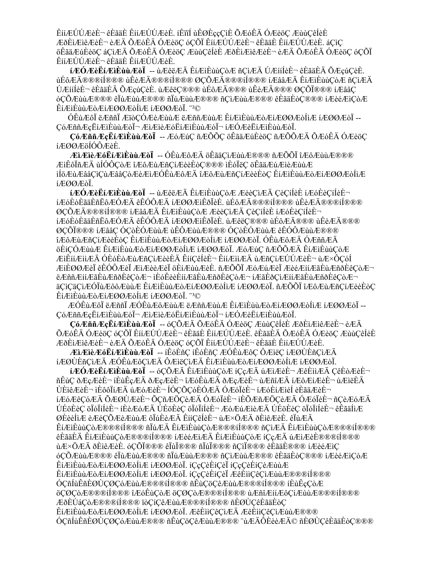ÊííÆÚÚÆèȬ êÈãäÈ ÊííÆÚÚÆèÈ. íÊïĭÍ ùÊØÈççCìÈ ÕÆóÊÄ ÓÆèöC ÆùùCêÍèÈ ÆðÈìÆìêÆèˬ èÆÄ ÕÆóÊÄ ÓÆèöC óCÕÏ ÊííÆÚÚÆèȬ êÈãäÈ ÊííÆÚÚÆèÈ. áCìC öÊãäÆúÈèöC áCìÆÄ ÕÆóÊÄ ÓÆèöC ÆùùCêÍèÈ ÆðÈìÆìêÆèȬ èÆÄ ÕÆóÊÄ ÓÆèöC óCÕÏ ÊííÆÚÚÆèȬ êÈãäÈ ÊííÆÚÚÆèÈ.

 **íÆÓÆèËíÆìÈùùÆòÏ** -- ùÆêëÆÄ ÊíÆìÈùùÇòÆ ñÇìÆÄ ÚÆííÍèȬ êÈãäÈÄ ÕÆçúÇèÈ. ùÉôÆÄ®®®íÍ®®® ùÊèÆÄ®®®íÍ®®® ØÇÕÆÄ®®®íÍ®®® íÆââÆÄ ÊíÆìÈùùÇòÆ ñÇìÆÄ ÚÆííÍèȬ êÈãäÈÄ ÕÆçúÇèÈ. ùÆêëÇ®®® ùÉôÆÄ®®® ùÊèÆÄ®®® ØÇÕÏ®®® íÆââÇ óÇÕÆùùÆ®®® êÏùÆùùÆ®®® ñÏúÆùùÆ®®® ñÇìÆùùÆ®®® êÈãäÈòÇ®®® íÆèéÆìÇòÆ ÊíÆìÈùùÆòÆíÆØØÆòÍìÆ íÆØØÆòÏ. ¨²©

 ÓÊùÆôÏ ëÆññÏ ÆïòÇÓÆèÆùùÆ ëÆññÆùùÆ ÊíÆìÈùùÆòÆíÆØØÆòÍìÆ íÆØØÆòÏ -- ÇóÆññÆçËíÆìÈùùÆòϬÆìÆìèÆóËíÆìÈùùÆòϬíÆÓÆèËíÆìÈùùÆòÏ.

 **ÇóÆññÆçËíÆìÈùùÆòÏ** -- ÆóÆúÇ ñÆÕÕÇ öÊãäÆúÈèöÇ ñÆÕÕÆÄ ÕÆóÊÄ ÓÆèöÇ íÆØØÆöÍÓÔÆèÈ.

 **ÆìÆìèÆóËíÆìÈùùÆòÏ** -- ÓÊùÆôÆÄ öÊãäÇìÆùùÆ®®® ñÆÕÕÏ îÆôÆùùÆ®®® ÆìÊôÏñÆÄ ùÍÓÔÇòÆ îÆôÆùÆñÇíÆèèÈòÇ®®® ìÈóÏëÇ öÊãäÆúÆìèÆùùÆ ìÍöÆùÆââÇìÇùÆââÇòÆèÆìÆÓÊùÆôÆÄ îÆôÆùÆñÇíÆèèÈòÇ ÊíÆìÈùùÆòÆíÆØØÆòÍìÆ íÆØØÆòÏ.

**íÆÓÆèËíÆìÈùùÆòÏ --** ùÆêëÆÄ ÊíÆìÈùùCòÆ ÆèèCìÆÄ CèCíÍèÈ íÆóÈèCíÍèȬ íÆóÈòÈãäÈñËôÆÓÆÄ êÊÓÔÆÄ íÆØØÆìÊðÏèÈ. ùÉôÆÄ®®®íÍ®®® ùÊèÆÄ®®®íÍ®®® ØÇÕÆÄ®®®íÍ®®® íÆââÆÄ ÊíÆìÈùùÇòÆ ÆèèÇìÆÄ ÇèÇíÍèÈ íÆóÈèÇíÍèȬ íÆóÈòÈãäÈñËôÆÓÆÄ êÊÓÔÆÄ íÆØØÆìÊðÏèÈ. ùÆêëÇ®®® ùÉôÆÄ®®® ùÊèÆÄ®®® ØÇÕÏ®®® íÆââÇ ÓÇòÈÓÆùùÆ ùÊÔÆùùÆ®®® ÓÇòÈÓÆùùÆ êÊÓÔÆùùÆ®®® îÆôÆùÆñÇíÆèèÈòÇ ÊíÆìÈùùÆòÆíÆØØÆòÍìÆ íÆØØÆòÏ. ÓÊùÆôÆÄ ÓÆññÆÄ öÈíÇÓÆùùÆ ÊíÆìÈùùÆòÆíÆØØÆòÍìÆ íÆØØÆòÏ. ÆóÆúÇ ñÆÕÕÆÄ ÊíÆìÈùùÇòÆ ÆìÊííÆììÆÄ ÓÈóÈòÆùÆñÇíÆèèÈÄ ÊííÇêÍèȬÊííÆììÆÄ ùÆñÇíÆÚÚÆèȬ ùÆ×ÔÇóÍ ÆìÈØØÆèÏ êÊÓÔÆèÏ ÆìÆèèÆèÏ öÈíÆùùÆèÈ. ñÆÕÕÏ ÆóÆúÆèÏ ÆèéÆííÆãÈùÆñðÈêCòƬ ëÆññÆííÆãÈùÆñðÈêÇòƬ ìÈóÊèèÈííÆãÈùÆñðÈêÇòƬ íÆãÈðÇìÆííÆãÈùÆñðÈêÇòƬ äÇìÇäÇìÆÓÏùÆôôÆùùÆ ÊíÆìÈùùÆòÆíÆØØÆòÍìÆ íÆØØÆòÏ. ñÆÕÕÏ îÆôÆùÆñÇíÆèèÈòÇ ÊíÆìÈùùÆòÆíÆØØÆòÍìÆ íÆØØÆòÏ. ¨³©

 ÆÓÊùÆôÏ ëÆññÏ ÆÓÊùÆôÆùùÆ ëÆññÆùùÆ ÊíÆìÈùùÆòÆíÆØØÆòÍìÆ íÆØØÆòÏ -- CóÆññÆçËíÆìÈùùÆòϬÆìÆìèÆóËíÆìÈùùÆòϬíÆÓÆèËíÆìÈùùÆòÏ.

 **ÇóÆññÆçËíÆìÈùùÆòÏ** -- óÇÕÆÄ ÕÆóÊÄ ÓÆèöÇ ÆùùÇêÍèÈ ÆðÈìÆìêÆèȬ èÆÄ ÕÆóÊÄ ÓÆèöC óCÕÏ ÊííÆÚÚÆèȬ êÈãäÈ ÊííÆÚÚÆèÈ. êÈãäÈÄ ÕÆóÊÄ ÓÆèöC ÆùùCêÍèÈ ÆðÈìÆìêÆèȬèÆÄ ÕÆóÊÄ ÓÆèöC óCÕÏ ÊííÆÚÚÆèȬêÈãäÈ ÊííÆÚÚÆèÈ.

 **ÆìÆìèÆóËíÆìÈùùÆòÏ** -- íÊóÈñÇ íÊóÈñÇ ÆÓÊùÆôÇ ÔÆìëÇ íÆØÙÈñÇìÆÄ íÆØÙÈñÇìÆÄ ÆÓÊùÆôÇìÆÄ ÔÆìëÇìÆÄ ÊíÆìÈùùÆòÆíÆØØÆòÍìÆ íÆØØÆòÏ.

**íÆÓÆèËíÆìÈùùÆòÏ -- óÇÕÆÄ** 撮ìÈùùÇòÆ íÇçÆÄ úÆìÆèȬÆêÈììÆÄ ÇêÈòÆèȬ ñÊùC ðÆçÆèȬ íÈùÊçÆÄ ðÆçÆèȬ îÆóÊùÆÄ ðÆçÆèȬ ùÆñîÆÄ íÆôÆíÆèȬ ùÆìëÈÄ ÙÈìêÆèȬ ìÈôôÏíÆÄ úÆóÆèȬ ÍÓÇÕÇóÈÓÆÄ ÓÆóÏèȬ íÆóÈíÆìéÍ èÈãäÆèȬ íÆóÆêÇóÆÄ ÕÆØÙÆèȬÕÇñÆÖÇèÆÄ ÓÆóÏèȬ ìÈÕÆñÆÖÇèÆÄ ÓÆóÏèȬ ñÇèÆóÆÄ ÚÉöÈèÇ öÏóÏíÍèȬ íÈèÆóÆÄ ÚÉöÈèÇ öÏóÏíÍèȬ ÆóÆúÆìèÆÄ ÚÉöÈèÇ öÏóÏíÍèȬ êÊãäÍìÆ ØÈèèÍìÆ èÆéÇÕÆèÆùùÆ ôÏúÈèÆÄ ÊííÇêÍèȬ ùÆ×ÖÆÄ ðÈìêÆèÈ. êÏùÆÄ ÊíÆìÈùùÇòÆ®®®íÍ®®® ñÏúÆÄ ÊíÆìÈùùÇòÆ®®®íÍ®®® ñÇìÆÄ ÊíÆìÈùùÇòÆ®®®íÍ®®® êÈãäÈÄ ÊíÆìÈùùÇòÆ®®®íÍ®®® íÆèéÆìÆÄ ÊíÆìÈùùÇòÆ íÇçÆÄ úÆìÆèÈ®®®íÍ®®® ùÆ×ÖÆÄ ðÈìêÆèÈ. óÇÕÏ®®® êÏùÏ®®® ñÏúÏ®®® ñÇìÏ®®® êÈãäÈ®®® íÆèéÆìÇ óÇÕÆùùÆ®®® êÏùÆùùÆ®®® ñÏúÆùùÆ®®® ñÇìÆùùÆ®®® êÈãäÈòÇ®®® íÆèéÆìÇòÆ 撮ìÈùùÆòÆíÆØØÆòÍìÆ íÆØØÆòÏ. íÇçÇèÈíÇèÏ íÇçÇèÈíÇèÆùùÆ 撮ìÈùùÆòÆíÆØØÆòÍìÆ íÆØØÆòÏ. íCçCèÈíCèÏ ÆêÈììCêCìÆùùÆ®®®íÍ®®® ÓÇñÍùÊñÈØÙÇØÇóÆùùÆ®®®íÍ®®® ñÊùÇöÇêÆùùÆ®®®íÍ®®® íÈùÊçÇòÆ öÇØÇòÆ®®®íÍ®®® îÆóÊùÇòÆ öÇØÇòÆ®®®íÍ®®® ùÆñîÆííÆôÇíÆùùÆ®®®íÍ®®® ÆðÈÚáÇòÆ®®®íÍ®®® ïòÇíÇêÆùùÆ®®®íÍ®®® ñÈØÙÇêÈãäÈòÇ ÊíÆìÈùùÆòÆíÆØØÆòÍìÆ íÆØØÆòÏ. ÆêÈììÇêÇìÆÄ ÆêÈììÇêÇìÆùùÆ®®® ÓÇñÍùÊñÈØÙÇØÇóÆùùÆ®®® ñÊùÇöÇêÆùùÆ®®® ¨ùÆÄÔÈèèÆÄ© ñÈØÙÇêÈãäÈòÇ®®®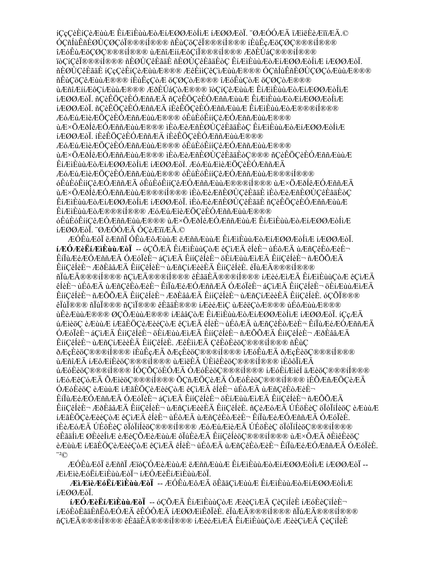íÇçÇèÈíÇèÆùùÆ ÊíÆìÈùùÆòÆíÆØØÆòÍìÆ íÆØØÆòÏ. ¨ØÆÓÓÆÄ ïÆìëÈèÆïïÆÄ.© ÓÇñÍùÊñÈØÙÇØÇóÏ®®®íÍ®®® ñÊùÇöÇêÏ®®®íÍ®®® íÈùÊçÆöÇØÇ®®®íÍ®®® îÆóÊùÆöÇØÇ®®®íÍ®®® ùÆñîÆííÆôÇíÏ®®®íÍ®®® ÆðÈÚáÇ®®®íÍ®®® ïòÇíÇêÏ®®®íÍ®®® ñÈØÙÇêÈãäÈ ñÈØÙÇêÈãäÈòÇ ÊíÆìÈùùÆòÆíÆØØÆòÍìÆ íÆØØÆòÏ. ñÈØÙÇêÈãäÈ íÇçÇèÈíÇèÆùùÆ®®® ÆêÈììÇêÇìÆùùÆ®®® ÓÇñÍùÊñÈØÙÇØÇóÆùùÆ®®® ñÊùÇöÇêÆùùÆ®®® íÈùÊçÇòÆ öÇØÇòÆ®®® îÆóÊùÇòÆ öÇØÇòÆ®®® ùÆñîÆííÆôÇíÆùùÆ®®® ÆðÈÚáÇòÆ®®® ïòÇíÇêÆùùÆ ÊíÆìÈùùÆòÆíÆØØÆòÍìÆ íÆØØÆòÏ. ñÇèÊÖÇèÈÓÆññÆÄ ñÇèÊÖÇèÈÓÆññÆùùÆ ÊíÆìÈùùÆòÆíÆØØÆòÍìÆ íÆØØÆòÏ. ñÇèÊÖÇèÈÓÆññÆÄ íÈèÊÖÇèÈÓÆññÆùùÆ ÊíÆìÈùùÆòÆ®®®íÍ®®® ÆóÆúÆìèÆÖÇèÈÓÆññÆùùÆ®®® óÊúÈóÊííÇêÆÓÆññÆùùÆ®®® ùÆ×ÖÆðÍêÆÓÆññÆùùÆ®®® ìÈòÆèÆñÈØÙÇêÈãäÈòÇ ÊíÆìÈùùÆòÆíÆØØÆòÍìÆ íÆØØÆòÏ. íÈèÊÖÇèÈÓÆññÆÄ íÈèÊÖÇèÈÓÆññÆùùÆ®®® ÆóÆúÆìèÆÖÇèÈÓÆññÆùùÆ®®® óÊúÈóÊííÇêÆÓÆññÆùùÆ®®® ùÆ×ÖÆðÍêÆÓÆññÆùùÆ®®® ìÈòÆèÆñÈØÙÇêÈãäÈòÇ®®® ñÇèÊÖÇèÈÓÆññÆùùÆ ÊíÆìÈùùÆòÆíÆØØÆòÍìÆ íÆØØÆòÏ. ÆóÆúÆìèÆÖÇèÈÓÆññÆÄ ÆóÆúÆìèÆÖÇèÈÓÆññÆùùÆ®®® óÊúÈóÊííÇêÆÓÆññÆùùÆ®®®íÍ®®® óÊúÈóÊííÇêÆÓÆññÆÄ óÊúÈóÊííÇêÆÓÆññÆùùÆ®®®íÍ®®® ùÆ×ÖÆðÍêÆÓÆññÆÄ ùÆ×ÖÆðÍêÆÓÆññÆùùÆ®®®íÍ®®® ìÈòÆèÆñÈØÙÇêÈãäÈ ìÈòÆèÆñÈØÙÇêÈãäÈòÇ ÊíÆìÈùùÆòÆíÆØØÆòÍìÆ íÆØØÆòÏ. ìÈòÆèÆñÈØÙÇêÈãäÈ ñÇèÊÖÇèÈÓÆññÆùùÆ ÊíÆìÈùùÆòÆ®®®íÍ®®® ÆóÆúÆìèÆÖÇèÈÓÆññÆùùÆ®®® óÊúÈóÊííÇêÆÓÆññÆùùÆ®®® ùÆ×ÖÆðÍêÆÓÆññÆùùÆ ÊíÆìÈùùÆòÆíÆØØÆòÍìÆ íÆØØÆòÏ. ¨ØÆÓÓÆÄ ÓÇèÆïïÆÄ.©

 ÆÓÊùÆôÏ ëÆññÏ ÓÊùÆôÆùùÆ ëÆññÆùùÆ ÊíÆìÈùùÆòÆíÆØØÆòÍìÆ íÆØØÆòÏ. **íÆÓÆèËíÆìÈùùÆòÏ --** óÇÕÆÄ ÊíÆìÈùùÇòÆ êÇìÆÄ êÍèȬ ùÉôÆÄ ùÆñÇêÈòÆèȬ ÊíÏùÆéÆÓÆññÆÄ ÓÆóÏèȬ áÇìÆÄ ÊííÇêÍèȬ öÈíÆùùÆìÆÄ ÊííÇêÍèȬ ñÆÕÕÆÄ ÊííÇêÍèȬ ÆðÈââÆÄ ÊííÇêÍèȬ ùÆñÇíÆèèÈÄ ÊííÇêÍèÈ. êÏùÆÄ®®®íÍ®®® ñÏúÆÄ®®®íÍ®®® ñÇìÆÄ®®®íÍ®®® êÈãäÈÄ®®®íÍ®®® íÆèéÆìÆÄ ÊíÆìÈùùÇòÆ êÇìÆÄ êÍèȬ ùÉôÆÄ ùÆñCêÈòÆèȬ ÊíÏùÆéÆÓÆññÆÄ ÓÆóÏèȬ áCìÆÄ ÊííCêÍèȬ öÈíÆùùÆìÆÄ ÊííÇêÍèȬ ñÆÕÕÆÄ ÊííÇêÍèȬ ÆðÈââÆÄ ÊííÇêÍèȬ ùÆñÇíÆèèÈÄ ÊííÇêÍèÈ. óÇÕÏ®®® êÏùÏ®®® ñÏúÏ®®® ñÇìÏ®®® êÈãäÈ®®® íÆèéÆìÇ ùÆêëÇòÆ®®® ùÉôÆùùÆ®®® ùÊèÆùùÆ®®® ØÇÕÆùùÆ®®® íÆââÇòÆ ÊíÆìÈùùÆòÆíÆØØÆòÍìÆ íÆØØÆòÏ. íÇçÆÄ úÆìèöC èÆùùÆ íÆãÈÖCèÆèéCòÆ êCìÆÄ êÍèȬ ùÉôÆÄ ùÆñCêÈòÆèȬ ÊíÏùÆéÆÓÆññÆÄ ÓÆóÏèȬáCìÆÄ ÊííCêÍèȬ öÈíÆùùÆìÆÄ ÊííCêÍèȬ ñÆÕÕÆÄ ÊííCêÍèȬ ÆðÈââÆÄ ÊííCêÍèȬ ùÆñCíÆèèÈÄ ÊííCêÍèÈ. ÆêÈììÆÄ CêÈòÈèöC®®®íÍ®®® ñÊùC ðÆçÈèöÇ®®®íÍ®®® íÈùÊçÆÄ ðÆçÈèöÇ®®®íÍ®®® îÆóÊùÆÄ ðÆçÈèöÇ®®®íÍ®®® ùÆñîÆÄ íÆôÆíÈèöÇ®®®íÍ®®® ùÆìëÈÄ ÙÈìêÈèöÇ®®®íÍ®®® ìÈôôÏíÆÄ úÆóÈèöÇ®®®íÍ®®® ÍÓÇÕÇóÈÓÆÄ ÓÆóÈèöÇ®®®íÍ®®® íÆóÈíÆìéÍ äÆèöÇ®®®íÍ®®® íÆóÆêÇóÆÄ ÕÆìèöÇ®®®íÍ®®® ÕÇñÆÖÇèÆÄ ÓÆóÈèöÇ®®®íÍ®®® ìÈÕÆñÆÖÇèÆÄ ÓÆóÈèöC èÆùùÆ íÆãÈÖCèÆèéCòÆ êCìÆÄ êÍèȬùÉôÆÄ ùÆñCêÈòÆèȬ ÊíÏùÆéÆÓÆññÆÄ ÓÆóÏèȬ áÇìÆÄ ÊííÇêÍèȬ öÈíÆùùÆìÆÄ ÊííÇêÍèȬ ñÆÕÕÆÄ ÊííÇêÍèȬ ÆðÈââÆÄ ÊííÇêÍèȬ ùÆñÇíÆèèÈÄ ÊííÇêÍèÈ. ñÇèÆóÆÄ ÚÉöÈèÇ ölólíÍèöÇ èÆùùÆ íÆãÈÖCèÆèéCòÆ êCìÆÄ êÍèȬ ùÉôÆÄ ùÆñCêÈòÆèȬ ÊíÏùÆéÆÓÆññÆÄ ÓÆóÏèÈ. íÈèÆóÆÄ ÚÉöÈèÇ öÏóÏíÍèöÇ®®®íÍ®®® ÆóÆúÆìèÆÄ ÚÉöÈèÇ öÏóÏíÍèöÇ®®®íÍ®®® êÊãäÍìÆ ØÈèèÍìÆ èÆéÇÕÆèÆùùÆ ôÏúÈèÆÄ ÊííÇêÍèöÇ®®®íÍ®®® ùÆ×ÖÆÄ ðÈìêÈèöÇ èÆùùÆ íÆãÈÖÇèÆèéÇòÆ êÇìÆÄ êÍèȬ ùÉôÆÄ ùÆñÇêÈòÆèȬ ÊíÏùÆéÆÓÆññÆÄ ÓÆóÏèÈ.  $\cdot \cdot$ <sup>2</sup> $\odot$ 

 ÆÓÊùÆôÏ ëÆññÏ ÆïòÇÓÆèÆùùÆ ëÆññÆùùÆ ÊíÆìÈùùÆòÆíÆØØÆòÍìÆ íÆØØÆòÏ -- ÆìÆìèÆóËíÆìÈùùÆòϬíÆÓÆèËíÆìÈùùÆòÏ.

 **ÆìÆìèÆóËíÆìÈùùÆòÏ** -- ÆÓÊùÆôÆÄ öÊãäÇìÆùùÆ ÊíÆìÈùùÆòÆíÆØØÆòÍìÆ íÆØØÆòÏ.

í**ÆÓÆèËíÆìÈùùÆòÏ** -- óCÕÆÄ ÊíÆìÈùùÇòÆ ÆèèÇìÆÄ ÇèÇíÍèÈ íÆóÈèÇíÍèȬ íÆóÈòÈãäÈñËôÆÓÆÄ êÊÓÔÆÄ íÆØØÆìÊðÏèÈ. êÏùÆÄ®®®íÍ®®® ñÏúÆÄ®®®íÍ®®® ñÇìÆÄ®®®íÍ®®® êÈãäÈÄ®®®íÍ®®® íÆèéÆìÆÄ ÊíÆìÈùùÇòÆ ÆèèÇìÆÄ ÇèÇíÍèÈ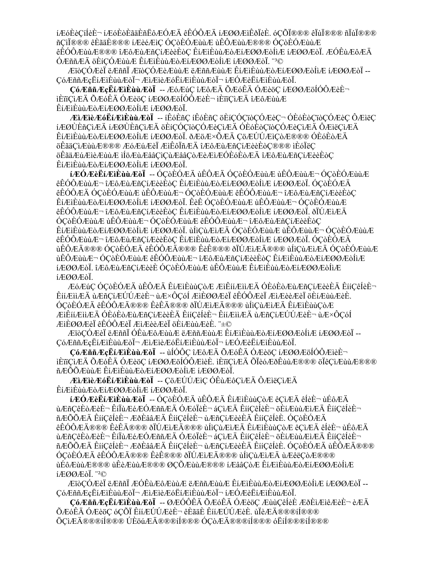íÆóÈèÇíÍèȬ íÆóÈòÈãäÈñËôÆÓÆÄ êÊÓÔÆÄ íÆØØÆìÊðÏèÈ. óÇÕÏ®®® êÏùÏ®®® ñÏúÏ®®® ñÇìÏ®®® êÈãäÈ®®® íÆèéÆìÇ ÓÇòÈÓÆùùÆ ùÊÔÆùùÆ®®® ÓÇòÈÓÆùùÆ êÊÓÔÆùùÆ®®® îÆôÆùÆñÇíÆèèÈòÇ ÊíÆìÈùùÆòÆíÆØØÆòÍìÆ íÆØØÆòÏ. ÆÓÊùÆôÆÄ ÓÆññÆÄ öÈíÇÓÆùùÆ ÊíÆìÈùùÆòÆíÆØØÆòÍìÆ íÆØØÆòÏ. ¨³©

 ÆïòÇÓÆèÏ ëÆññÏ ÆïòÇÓÆèÆùùÆ ëÆññÆùùÆ ÊíÆìÈùùÆòÆíÆØØÆòÍìÆ íÆØØÆòÏ -- ÇóÆññÆçËíÆìÈùùÆòϬÆìÆìèÆóËíÆìÈùùÆòϬíÆÓÆèËíÆìÈùùÆòÏ.

**CóÆññÆçËíÆìÈùùÆòÏ --** ÆóÆúÇ îÆôÆÄ ÕÆóÊÄ ÓÆèöÇ íÆØØÆöÍÓÔÆèȬ ìÈïïCìÆÄ ÕÆóÊÄ ÓÆèöC íÆØØÆöÍÓÔÆèȬ ìÈïīCìÆÄ îÆôÆùùÆ ÊíÆìÈùùÆòÆíÆØØÆòÍìÆ íÆØØÆòÏ.

 **ÆìÆìèÆóËíÆìÈùùÆòÏ** -- íÊóÈñÇ íÊóÈñÇ öÈíÇÓÇïòÇÓÆèǬ ÓÈóÈòÇïòÇÓÆèÇ ÔÆìëÇ íÆØÙÈñÇìÆÄ íÆØÙÈñÇìÆÄ öÈíÇÓÇïòÇÓÆèÇìÆÄ ÓÈóÈòÇïòÇÓÆèÇìÆÄ ÔÆìëÇìÆÄ ÊíÆìÈùùÆòÆíÆØØÆòÍìÆ íÆØØÆòÏ. ðÆöÆ×ÕÆÄ ÇöÆÚÚÆìÇòÆ®®® ÓÈóÈòÆÄ öÊãäÇìÆùùÆ®®® ÆóÆúÆèÏ ÆìÊôÏñÆÄ îÆôÆùÆñÇíÆèèÈòÇ®®® ìÈóÏëÇ öÊãäÆúÆìèÆùùÆ ìÍöÆùÆââÇìÇùÆââÇòÆèÆìÆÓÈóÈòÆÄ îÆôÆùÆñÇíÆèèÈòÇ ÊíÆìÈùùÆòÆíÆØØÆòÍìÆ íÆØØÆòÏ.

 **íÆÓÆèËíÆìÈùùÆòÏ** -- ÓÇòÈÓÆÄ ùÊÔÆÄ ÓÇòÈÓÆùùÆ ùÊÔÆùùƬ ÓÇòÈÓÆùùÆ êÊÓÔÆùùƬ îÆôÆùÆñÇíÆèèÈòÇ ÊíÆìÈùùÆòÆíÆØØÆòÍìÆ íÆØØÆòÏ. ÓÇòÈÓÆÄ êÊÓÔÆÄ ÓCòÈÓÆùùÆ ùÊÔÆùùƬÓCòÈÓÆùùÆ êÊÓÔÆùùƬ îÆôÆùÆñCíÆèèÈòC 撮ìÈùùÆòÆíÆØØÆòÍiÆ íÆØØÆòÏ. ÊèÊ ÓÇòÈÓÆùùÆ ùÊÔÆùùƬÓÇòÈÓÆùùÆ êÊÓÔÆùùƬ îÆôÆùÆñÇíÆèèÈòÇ ÊíÆìÈùùÆòÆíÆØØÆòÍìÆ íÆØØÆòÏ. ðÏÚÆìÆÄ ÓÇòÈÓÆùùÆ ùÊÔÆùùƬÓÇòÈÓÆùùÆ êÊÓÔÆùùƬ îÆôÆùÆñÇíÆèèÈòC 撮ìÈùùÆòÆíÆØØÆòÍìÆ íÆØØÆòÏ. ùÍìÇùÆìÆÄ ÓÇòÈÓÆùùÆ ùÊÔÆùùƬ ÓÇòÈÓÆùùÆ êÊÓÔÆùùƬ îÆôÆùÆñÇíÆèèÈòÇ ÊíÆìÈùùÆòÆíÆØØÆòÍìÆ íÆØØÆòÏ. ÓÇòÈÓÆÄ ùÊÔÆÄ®®® ÓÇòÈÓÆÄ êÊÓÔÆÄ®®® ÊèÊ®®® ðÏÚÆìÆÄ®®® ùÍìÇùÆìÆÄ ÓÇòÈÓÆùùÆ ùÊÔÆùùƬÓÇòÈÓÆùùÆ êÊÓÔÆùùƬ îÆôÆùÆñÇíÆèèÈòÇ ÊíÆìÈùùÆòÆíÆØØÆòÍìÆ íÆØØÆòÏ. îÆôÆùÆñÇíÆèèÈ ÓÇòÈÓÆùùÆ ùÊÔÆùùÆ ÊíÆìÈùùÆòÆíÆØØÆòÍìÆ íÆØØÆòÏ.

ÆóÆúC ÓCòÈÓÆÄ ùÊÔÆÄ ÊíÆìÈùùCòÆ ÆìÊííÆììÆÄ ÓÈóÈòÆùÆñCíÆèèÈÄ ÊííCêÍèȬ ÊííÆììÆÄ ùÆñCíÆÚÚÆèȬ ùÆ×ÔÇóÍ ÆìÈØØÆèÏ êÊÓÔÆèÏ ÆìÆèèÆèÏ öÈíÆùùÆèÈ. ÓÇòÈÓÆÄ êÊÓÔÆÄ®®® ÊèÊÄ®®® ðÏÚÆìÆÄ®®® ùÍìÇùÆìÆÄ ÊíÆìÈùùÇòÆ ÆìÊííÆììÆÄ ÓÈóÈòÆùÆñCíÆèèÈÄ ÊííCêÍèȬ ÊííÆììÆÄ ùÆñCíÆÚÚÆèȬ ùÆ×ÔCóÍ ÆìÈØØÆèÏ êÊÓÔÆèÏ ÆìÆèèÆèÏ öÈíÆùùÆèÈ. ¨±©

 ÆïòÇÓÆèÏ ëÆññÏ ÓÊùÆôÆùùÆ ëÆññÆùùÆ ÊíÆìÈùùÆòÆíÆØØÆòÍìÆ íÆØØÆòÏ -- CóÆññÆçËíÆìÈùùÆòϬÆìÆìèÆóËíÆìÈùùÆòϬíÆÓÆèËíÆìÈùùÆòÏ.

**CóÆññÆçËíÆìÈùùÆòÏ --** ùÍÓÔÇ îÆôÆÄ ÕÆóÊÄ ÓÆèöÇ íÆØØÆöÍÓÔÆìèȬ ìÈïïÇìÆÄ ÕÆóÊÄ ÓÆèöÇ íÆØØÆöÍÓÔÆìèÈ. ìÈïïÇìÆÄ ÕÏèóÆðÊùùÆ®®® öÏêÇìÆùùÆ®®® ñÆÕÕÆùùÆ ÊíÆìÈùùÆòÆíÆØØÆòÍìÆ íÆØØÆòÏ.

 **ÆìÆìèÆóËíÆìÈùùÆòÏ** -- ÇöÆÚÚÆìÇ ÓÊùÆôÇìÆÄ ÔÆìëÇìÆÄ ÊíÆìÈùùÆòÆíÆØØÆòÍìÆ íÆØØÆòÏ.

**íÆÓÆèËíÆìÈùùÆòÏ --** ÓÇòÈÓÆÄ ùÊÔÆÄ ÊíÆìÈùùÇòÆ êÇìÆÄ êÍèȬ ùÉôÆÄ ùÆñCêÈòÆèȬÊíÏùÆéÆÓÆññÆÄ ÓÆóÏèȬáCìÆÄ ÊííCêÍèȬ öÈíÆùùÆìÆÄ ÊííCêÍèȬ ñÆÕÕÆÄ ÊííÇêÍèȬ ÆðÈââÆÄ ÊííÇêÍèȬ ùÆñÇíÆèèÈÄ ÊííÇêÍèÈ. ÓÇòÈÓÆÄ êÊÓÔÆÄ®®® ÊèÊÄ®®® ðÏÚÆìÆÄ®®® ùÍìCùÆìÆÄ ÊíÆìÈùùCòÆ êCìÆÄ êÍèȬ ùÉôÆÄ ùÆñÇêÈòÆèȬ ÊíÏùÆéÆÓÆññÆÄ ÓÆóÏèȬ áÇìÆÄ ÊííÇéÍèȬ öÈíÆùùÆìÆÄ ÊííÇêÍèȬ ñÆÕÕÆÄ ÊííÇêÍèȬ ÆðÈââÆÄ ÊííÇêÍèȬ ùÆñÇíÆèèÈÄ ÊííÇêÍèÈ. ÓÇòÈÓÆÄ ùÊÔÆÄ®®® ÓÇòÈÓÆÄ êÊÓÔÆÄ®®® ÊèÊ®®® ðÏÚÆìÆÄ®®® ùÍìÇùÆìÆÄ ùÆêëÇòÆ®®® ùÉôÆùùÆ®®® ùÊèÆùùÆ®®® ØÇÕÆùùÆ®®® íÆââÇòÆ ÊíÆìÈùùÆòÆíÆØØÆòÍìÆ íÆØØÆòÏ. ¨²©

 ÆïòÇÓÆèÏ ëÆññÏ ÆÓÊùÆôÆùùÆ ëÆññÆùùÆ ÊíÆìÈùùÆòÆíÆØØÆòÍìÆ íÆØØÆòÏ -- ÇóÆññÆçËíÆìÈùùÆòϬÆìÆìèÆóËíÆìÈùùÆòϬíÆÓÆèËíÆìÈùùÆòÏ.

 **ÇóÆññÆçËíÆìÈùùÆòÏ** -- ØÆÓÔÊÄ ÕÆóÊÄ ÓÆèöÇ ÆùùÇêÍèÈ ÆðÈìÆìêÆèȬ èÆÄ ÕÆóÊÄ ÓÆèöC óCÕÏ ÊííÆÚÚÆèȬ êÈãäÈ ÊííÆÚÚÆèÈ. ùÏèÆÄ®®®íÍ®®® ÖÇìÆÄ®®®íÍ®®® ÚÈöúÆÄ®®®íÍ®®® ÓÇòÆÄ®®®íÍ®®® óËíÍ®®®íÍ®®®